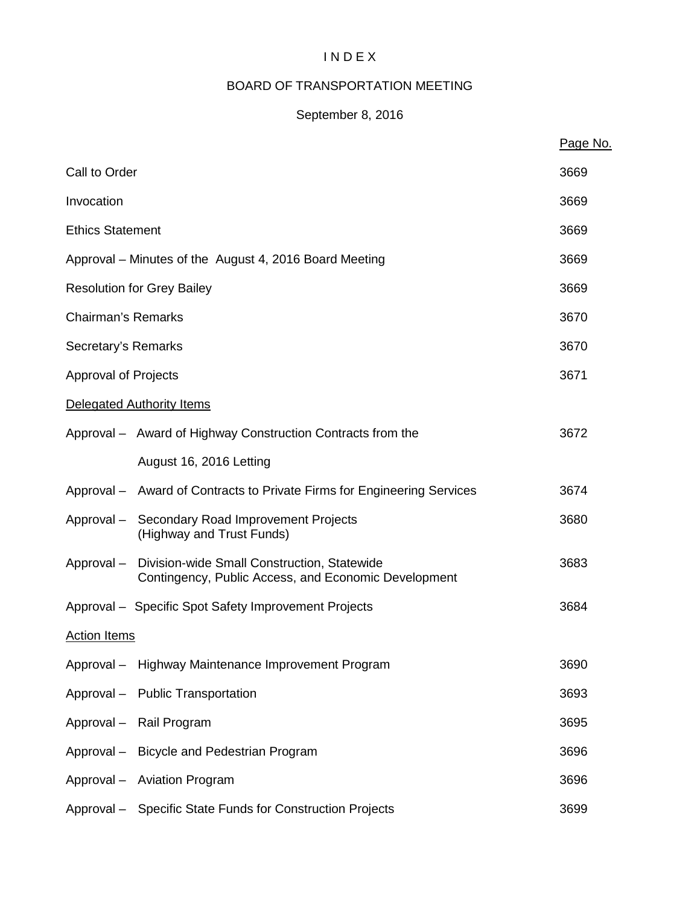# I N D E X

# BOARD OF TRANSPORTATION MEETING

# September 8, 2016

|                             |                                                                                                                | Page No. |  |
|-----------------------------|----------------------------------------------------------------------------------------------------------------|----------|--|
| Call to Order               |                                                                                                                | 3669     |  |
| Invocation                  |                                                                                                                | 3669     |  |
| <b>Ethics Statement</b>     |                                                                                                                | 3669     |  |
|                             | Approval – Minutes of the August 4, 2016 Board Meeting                                                         | 3669     |  |
|                             | <b>Resolution for Grey Bailey</b>                                                                              | 3669     |  |
| <b>Chairman's Remarks</b>   |                                                                                                                | 3670     |  |
| Secretary's Remarks         |                                                                                                                | 3670     |  |
| <b>Approval of Projects</b> |                                                                                                                | 3671     |  |
|                             | Delegated Authority Items                                                                                      |          |  |
|                             | Approval - Award of Highway Construction Contracts from the                                                    | 3672     |  |
|                             | August 16, 2016 Letting                                                                                        |          |  |
|                             | Approval - Award of Contracts to Private Firms for Engineering Services                                        | 3674     |  |
|                             | Approval - Secondary Road Improvement Projects<br>(Highway and Trust Funds)                                    | 3680     |  |
|                             | Approval - Division-wide Small Construction, Statewide<br>Contingency, Public Access, and Economic Development | 3683     |  |
|                             | Approval - Specific Spot Safety Improvement Projects                                                           | 3684     |  |
| <b>Action Items</b>         |                                                                                                                |          |  |
|                             | Approval - Highway Maintenance Improvement Program                                                             | 3690     |  |
|                             | Approval - Public Transportation                                                                               | 3693     |  |
|                             | Approval - Rail Program                                                                                        | 3695     |  |
|                             | Approval - Bicycle and Pedestrian Program                                                                      | 3696     |  |
|                             | Approval - Aviation Program                                                                                    | 3696     |  |
|                             | Approval - Specific State Funds for Construction Projects                                                      | 3699     |  |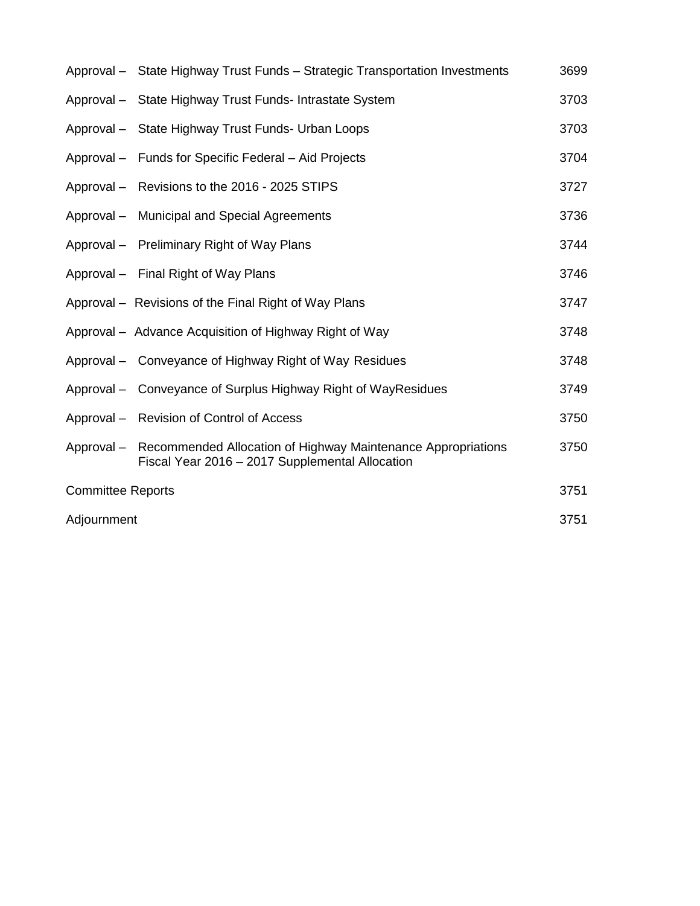|                          | Approval - State Highway Trust Funds - Strategic Transportation Investments                                                | 3699 |
|--------------------------|----------------------------------------------------------------------------------------------------------------------------|------|
|                          | Approval - State Highway Trust Funds- Intrastate System                                                                    | 3703 |
|                          | Approval - State Highway Trust Funds- Urban Loops                                                                          | 3703 |
|                          | Approval – Funds for Specific Federal – Aid Projects                                                                       | 3704 |
|                          | Approval - Revisions to the 2016 - 2025 STIPS                                                                              | 3727 |
|                          | Approval - Municipal and Special Agreements                                                                                | 3736 |
|                          | Approval - Preliminary Right of Way Plans                                                                                  | 3744 |
|                          | Approval - Final Right of Way Plans                                                                                        | 3746 |
|                          | Approval – Revisions of the Final Right of Way Plans                                                                       | 3747 |
|                          | Approval – Advance Acquisition of Highway Right of Way                                                                     | 3748 |
|                          | Approval – Conveyance of Highway Right of Way Residues                                                                     | 3748 |
|                          | Approval – Conveyance of Surplus Highway Right of WayResidues                                                              | 3749 |
|                          | Approval - Revision of Control of Access                                                                                   | 3750 |
|                          | Approval – Recommended Allocation of Highway Maintenance Appropriations<br>Fiscal Year 2016 - 2017 Supplemental Allocation | 3750 |
| <b>Committee Reports</b> |                                                                                                                            | 3751 |
| Adjournment              |                                                                                                                            | 3751 |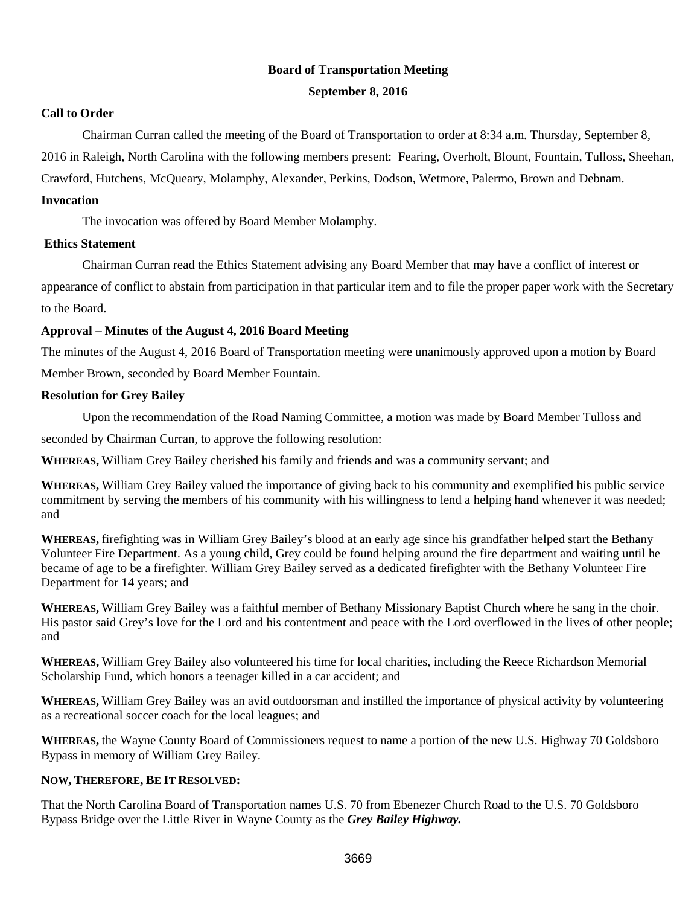# **Board of Transportation Meeting**

## **September 8, 2016**

## **Call to Order**

Chairman Curran called the meeting of the Board of Transportation to order at 8:34 a.m. Thursday, September 8, 2016 in Raleigh, North Carolina with the following members present: Fearing, Overholt, Blount, Fountain, Tulloss, Sheehan, Crawford, Hutchens, McQueary, Molamphy, Alexander, Perkins, Dodson, Wetmore, Palermo, Brown and Debnam. **Invocation**

The invocation was offered by Board Member Molamphy.

## **Ethics Statement**

Chairman Curran read the Ethics Statement advising any Board Member that may have a conflict of interest or appearance of conflict to abstain from participation in that particular item and to file the proper paper work with the Secretary to the Board.

# **Approval – Minutes of the August 4, 2016 Board Meeting**

The minutes of the August 4, 2016 Board of Transportation meeting were unanimously approved upon a motion by Board Member Brown, seconded by Board Member Fountain.

# **Resolution for Grey Bailey**

Upon the recommendation of the Road Naming Committee, a motion was made by Board Member Tulloss and

seconded by Chairman Curran, to approve the following resolution:

**WHEREAS,** William Grey Bailey cherished his family and friends and was a community servant; and

**WHEREAS,** William Grey Bailey valued the importance of giving back to his community and exemplified his public service commitment by serving the members of his community with his willingness to lend a helping hand whenever it was needed; and

**WHEREAS,** firefighting was in William Grey Bailey's blood at an early age since his grandfather helped start the Bethany Volunteer Fire Department. As a young child, Grey could be found helping around the fire department and waiting until he became of age to be a firefighter. William Grey Bailey served as a dedicated firefighter with the Bethany Volunteer Fire Department for 14 years; and

**WHEREAS,** William Grey Bailey was a faithful member of Bethany Missionary Baptist Church where he sang in the choir. His pastor said Grey's love for the Lord and his contentment and peace with the Lord overflowed in the lives of other people; and

**WHEREAS,** William Grey Bailey also volunteered his time for local charities, including the Reece Richardson Memorial Scholarship Fund, which honors a teenager killed in a car accident; and

**WHEREAS,** William Grey Bailey was an avid outdoorsman and instilled the importance of physical activity by volunteering as a recreational soccer coach for the local leagues; and

**WHEREAS,** the Wayne County Board of Commissioners request to name a portion of the new U.S. Highway 70 Goldsboro Bypass in memory of William Grey Bailey.

# **NOW, THEREFORE, BE IT RESOLVED:**

That the North Carolina Board of Transportation names U.S. 70 from Ebenezer Church Road to the U.S. 70 Goldsboro Bypass Bridge over the Little River in Wayne County as the *Grey Bailey Highway.*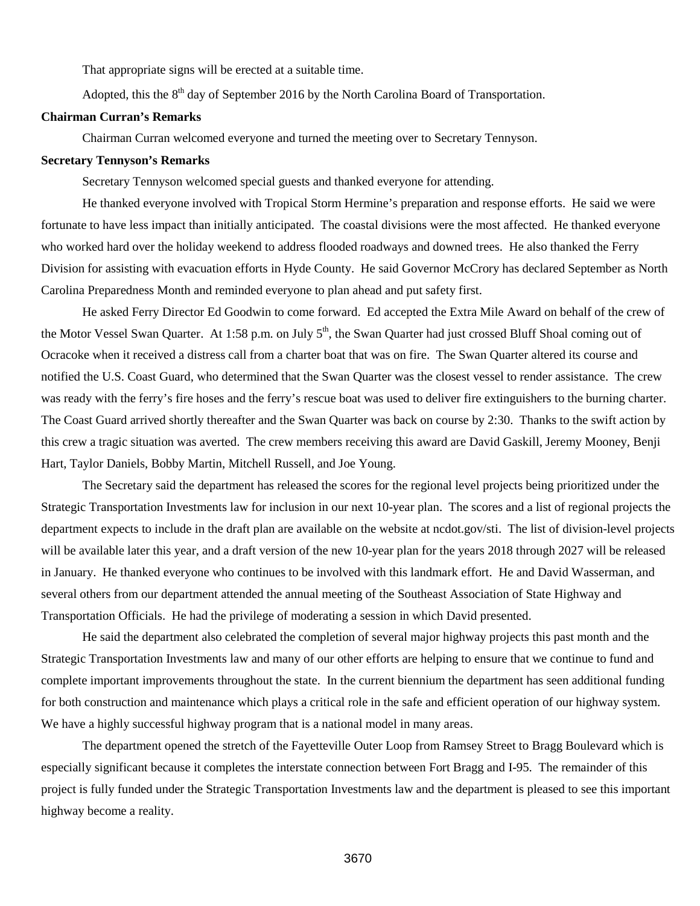That appropriate signs will be erected at a suitable time.

Adopted, this the  $8<sup>th</sup>$  day of September 2016 by the North Carolina Board of Transportation.

## **Chairman Curran's Remarks**

Chairman Curran welcomed everyone and turned the meeting over to Secretary Tennyson.

#### **Secretary Tennyson's Remarks**

Secretary Tennyson welcomed special guests and thanked everyone for attending.

He thanked everyone involved with Tropical Storm Hermine's preparation and response efforts. He said we were fortunate to have less impact than initially anticipated. The coastal divisions were the most affected. He thanked everyone who worked hard over the holiday weekend to address flooded roadways and downed trees. He also thanked the Ferry Division for assisting with evacuation efforts in Hyde County. He said Governor McCrory has declared September as North Carolina Preparedness Month and reminded everyone to plan ahead and put safety first.

He asked Ferry Director Ed Goodwin to come forward. Ed accepted the Extra Mile Award on behalf of the crew of the Motor Vessel Swan Quarter. At 1:58 p.m. on July  $5<sup>th</sup>$ , the Swan Quarter had just crossed Bluff Shoal coming out of Ocracoke when it received a distress call from a charter boat that was on fire. The Swan Quarter altered its course and notified the U.S. Coast Guard, who determined that the Swan Quarter was the closest vessel to render assistance. The crew was ready with the ferry's fire hoses and the ferry's rescue boat was used to deliver fire extinguishers to the burning charter. The Coast Guard arrived shortly thereafter and the Swan Quarter was back on course by 2:30. Thanks to the swift action by this crew a tragic situation was averted. The crew members receiving this award are David Gaskill, Jeremy Mooney, Benji Hart, Taylor Daniels, Bobby Martin, Mitchell Russell, and Joe Young.

The Secretary said the department has released the scores for the regional level projects being prioritized under the Strategic Transportation Investments law for inclusion in our next 10-year plan. The scores and a list of regional projects the department expects to include in the draft plan are available on the website at ncdot.gov/sti. The list of division-level projects will be available later this year, and a draft version of the new 10-year plan for the years 2018 through 2027 will be released in January. He thanked everyone who continues to be involved with this landmark effort. He and David Wasserman, and several others from our department attended the annual meeting of the Southeast Association of State Highway and Transportation Officials. He had the privilege of moderating a session in which David presented.

He said the department also celebrated the completion of several major highway projects this past month and the Strategic Transportation Investments law and many of our other efforts are helping to ensure that we continue to fund and complete important improvements throughout the state. In the current biennium the department has seen additional funding for both construction and maintenance which plays a critical role in the safe and efficient operation of our highway system. We have a highly successful highway program that is a national model in many areas.

The department opened the stretch of the Fayetteville Outer Loop from Ramsey Street to Bragg Boulevard which is especially significant because it completes the interstate connection between Fort Bragg and I-95. The remainder of this project is fully funded under the Strategic Transportation Investments law and the department is pleased to see this important highway become a reality.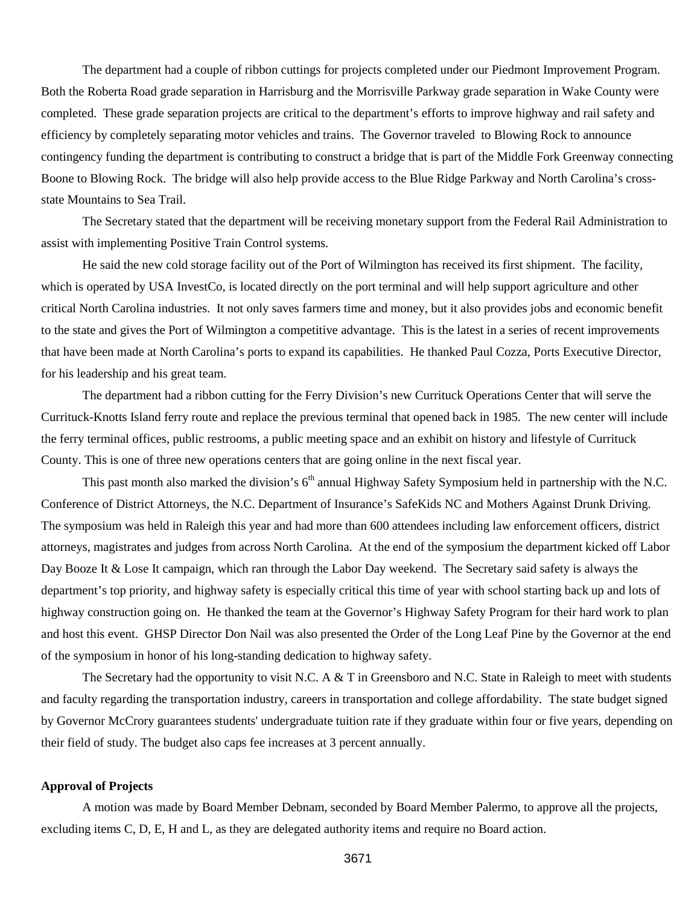The department had a couple of ribbon cuttings for projects completed under our Piedmont Improvement Program. Both the Roberta Road grade separation in Harrisburg and the Morrisville Parkway grade separation in Wake County were completed. These grade separation projects are critical to the department's efforts to improve highway and rail safety and efficiency by completely separating motor vehicles and trains. The Governor traveled to Blowing Rock to announce contingency funding the department is contributing to construct a bridge that is part of the Middle Fork Greenway connecting Boone to Blowing Rock. The bridge will also help provide access to the Blue Ridge Parkway and North Carolina's crossstate Mountains to Sea Trail.

The Secretary stated that the department will be receiving monetary support from the Federal Rail Administration to assist with implementing Positive Train Control systems.

He said the new cold storage facility out of the Port of Wilmington has received its first shipment. The facility, which is operated by USA InvestCo, is located directly on the port terminal and will help support agriculture and other critical North Carolina industries. It not only saves farmers time and money, but it also provides jobs and economic benefit to the state and gives the Port of Wilmington a competitive advantage. This is the latest in a series of recent improvements that have been made at North Carolina's ports to expand its capabilities. He thanked Paul Cozza, Ports Executive Director, for his leadership and his great team.

The department had a ribbon cutting for the Ferry Division's new Currituck Operations Center that will serve the Currituck-Knotts Island ferry route and replace the previous terminal that opened back in 1985. The new center will include the ferry terminal offices, public restrooms, a public meeting space and an exhibit on history and lifestyle of Currituck County. This is one of three new operations centers that are going online in the next fiscal year.

This past month also marked the division's  $6<sup>th</sup>$  annual Highway Safety Symposium held in partnership with the N.C. Conference of District Attorneys, the N.C. Department of Insurance's SafeKids NC and Mothers Against Drunk Driving. The symposium was held in Raleigh this year and had more than 600 attendees including law enforcement officers, district attorneys, magistrates and judges from across North Carolina. At the end of the symposium the department kicked off Labor Day Booze It & Lose It campaign, which ran through the Labor Day weekend. The Secretary said safety is always the department's top priority, and highway safety is especially critical this time of year with school starting back up and lots of highway construction going on. He thanked the team at the Governor's Highway Safety Program for their hard work to plan and host this event. GHSP Director Don Nail was also presented the Order of the Long Leaf Pine by the Governor at the end of the symposium in honor of his long-standing dedication to highway safety.

The Secretary had the opportunity to visit N.C. A  $&$  T in Greensboro and N.C. State in Raleigh to meet with students and faculty regarding the transportation industry, careers in transportation and college affordability. The state budget signed by Governor McCrory guarantees students' undergraduate tuition rate if they graduate within four or five years, depending on their field of study. The budget also caps fee increases at 3 percent annually.

#### **Approval of Projects**

A motion was made by Board Member Debnam, seconded by Board Member Palermo, to approve all the projects, excluding items C, D, E, H and L, as they are delegated authority items and require no Board action.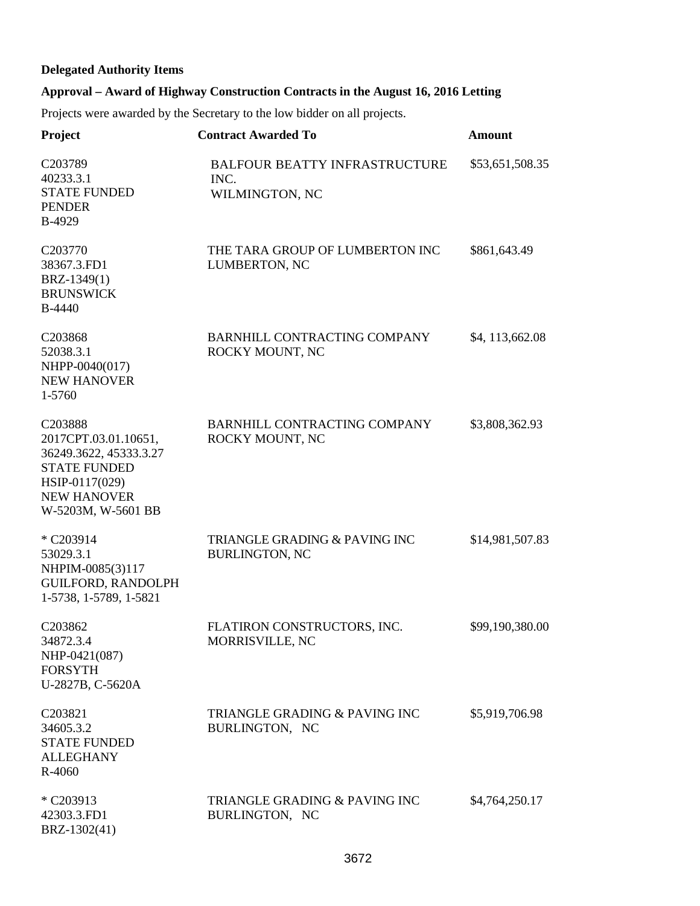# **Delegated Authority Items**

# **Approval – Award of Highway Construction Contracts in the August 16, 2016 Letting**

Projects were awarded by the Secretary to the low bidder on all projects.

| Project                                                                                                                                        | <b>Contract Awarded To</b>                                     | <b>Amount</b>     |
|------------------------------------------------------------------------------------------------------------------------------------------------|----------------------------------------------------------------|-------------------|
| C203789<br>40233.3.1<br><b>STATE FUNDED</b><br><b>PENDER</b><br>B-4929                                                                         | <b>BALFOUR BEATTY INFRASTRUCTURE</b><br>INC.<br>WILMINGTON, NC | \$53,651,508.35   |
| C203770<br>38367.3.FD1<br>BRZ-1349(1)<br><b>BRUNSWICK</b><br>B-4440                                                                            | THE TARA GROUP OF LUMBERTON INC<br>LUMBERTON, NC               | \$861,643.49      |
| C203868<br>52038.3.1<br>NHPP-0040(017)<br><b>NEW HANOVER</b><br>1-5760                                                                         | <b>BARNHILL CONTRACTING COMPANY</b><br>ROCKY MOUNT, NC         | \$4, 113, 662. 08 |
| C203888<br>2017CPT.03.01.10651,<br>36249.3622, 45333.3.27<br><b>STATE FUNDED</b><br>HSIP-0117(029)<br><b>NEW HANOVER</b><br>W-5203M, W-5601 BB | <b>BARNHILL CONTRACTING COMPANY</b><br>ROCKY MOUNT, NC         | \$3,808,362.93    |
| * C203914<br>53029.3.1<br>NHPIM-0085(3)117<br><b>GUILFORD, RANDOLPH</b><br>1-5738, 1-5789, 1-5821                                              | TRIANGLE GRADING & PAVING INC<br><b>BURLINGTON, NC</b>         | \$14,981,507.83   |
| C203862<br>34872.3.4<br>NHP-0421(087)<br><b>FORSYTH</b><br>U-2827B, C-5620A                                                                    | FLATIRON CONSTRUCTORS, INC.<br>MORRISVILLE, NC                 | \$99,190,380.00   |
| C203821<br>34605.3.2<br><b>STATE FUNDED</b><br><b>ALLEGHANY</b><br>R-4060                                                                      | <b>TRIANGLE GRADING &amp; PAVING INC</b><br>BURLINGTON, NC     | \$5,919,706.98    |
| * C203913<br>42303.3.FD1<br>BRZ-1302(41)                                                                                                       | TRIANGLE GRADING & PAVING INC<br>BURLINGTON, NC                | \$4,764,250.17    |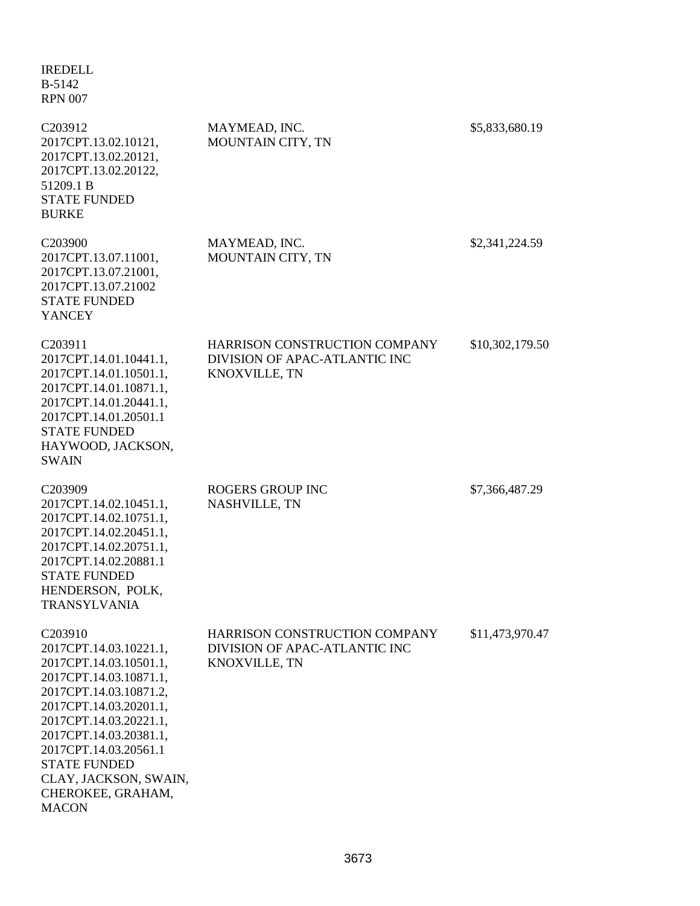| <b>IREDELL</b><br>B-5142<br><b>RPN 007</b>                                                                                                                                                                                                                                                                              |                                                                                 |                 |
|-------------------------------------------------------------------------------------------------------------------------------------------------------------------------------------------------------------------------------------------------------------------------------------------------------------------------|---------------------------------------------------------------------------------|-----------------|
| C203912<br>2017CPT.13.02.10121,<br>2017CPT.13.02.20121,<br>2017CPT.13.02.20122,<br>51209.1 B<br><b>STATE FUNDED</b><br><b>BURKE</b>                                                                                                                                                                                     | MAYMEAD, INC.<br>MOUNTAIN CITY, TN                                              | \$5,833,680.19  |
| C <sub>203900</sub><br>2017CPT.13.07.11001,<br>2017CPT.13.07.21001,<br>2017CPT.13.07.21002<br><b>STATE FUNDED</b><br><b>YANCEY</b>                                                                                                                                                                                      | MAYMEAD, INC.<br>MOUNTAIN CITY, TN                                              | \$2,341,224.59  |
| C203911<br>2017CPT.14.01.10441.1,<br>2017CPT.14.01.10501.1,<br>2017CPT.14.01.10871.1,<br>2017CPT.14.01.20441.1,<br>2017CPT.14.01.20501.1<br><b>STATE FUNDED</b><br>HAYWOOD, JACKSON,<br><b>SWAIN</b>                                                                                                                    | HARRISON CONSTRUCTION COMPANY<br>DIVISION OF APAC-ATLANTIC INC<br>KNOXVILLE, TN | \$10,302,179.50 |
| C203909<br>2017CPT.14.02.10451.1,<br>2017CPT.14.02.10751.1,<br>2017CPT.14.02.20451.1,<br>2017CPT.14.02.20751.1,<br>2017CPT.14.02.20881.1<br><b>STATE FUNDED</b><br>HENDERSON, POLK,<br><b>TRANSYLVANIA</b>                                                                                                              | <b>ROGERS GROUP INC</b><br>NASHVILLE, TN                                        | \$7,366,487.29  |
| C <sub>203910</sub><br>2017CPT.14.03.10221.1,<br>2017CPT.14.03.10501.1,<br>2017CPT.14.03.10871.1,<br>2017CPT.14.03.10871.2,<br>2017CPT.14.03.20201.1,<br>2017CPT.14.03.20221.1,<br>2017CPT.14.03.20381.1,<br>2017CPT.14.03.20561.1<br><b>STATE FUNDED</b><br>CLAY, JACKSON, SWAIN,<br>CHEROKEE, GRAHAM,<br><b>MACON</b> | HARRISON CONSTRUCTION COMPANY<br>DIVISION OF APAC-ATLANTIC INC<br>KNOXVILLE, TN | \$11,473,970.47 |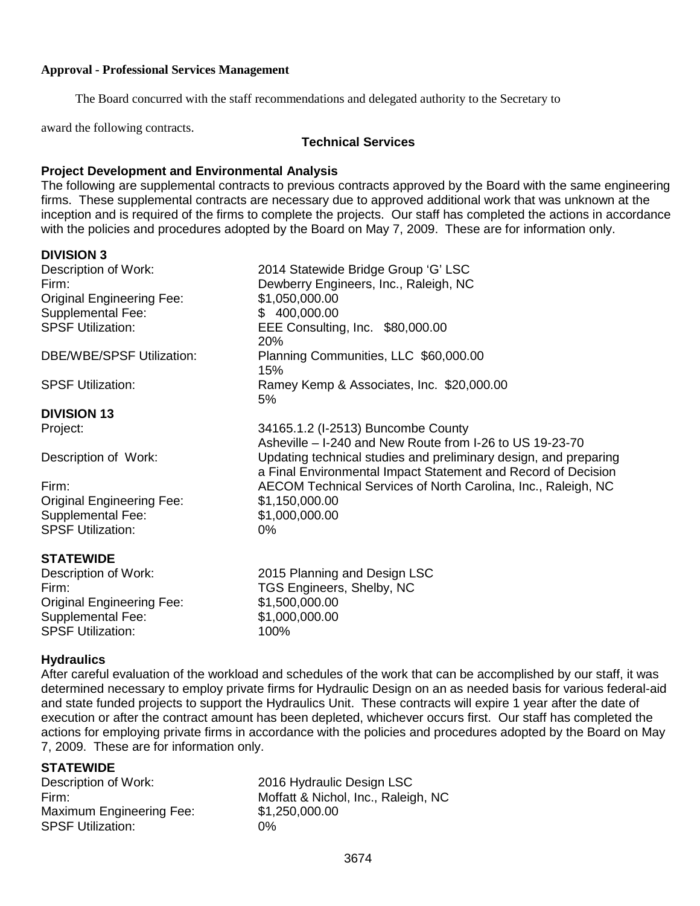### **Approval - Professional Services Management**

The Board concurred with the staff recommendations and delegated authority to the Secretary to

award the following contracts.

## **Technical Services**

# **Project Development and Environmental Analysis**

The following are supplemental contracts to previous contracts approved by the Board with the same engineering firms. These supplemental contracts are necessary due to approved additional work that was unknown at the inception and is required of the firms to complete the projects. Our staff has completed the actions in accordance with the policies and procedures adopted by the Board on May 7, 2009. These are for information only.

# **DIVISION 3**

| ט וושוטויש                       |                                                                  |
|----------------------------------|------------------------------------------------------------------|
| Description of Work:             | 2014 Statewide Bridge Group 'G' LSC                              |
| Firm:                            | Dewberry Engineers, Inc., Raleigh, NC                            |
| <b>Original Engineering Fee:</b> | \$1,050,000.00                                                   |
| <b>Supplemental Fee:</b>         | \$400,000.00                                                     |
| <b>SPSF Utilization:</b>         | EEE Consulting, Inc. \$80,000.00                                 |
|                                  | 20%                                                              |
| <b>DBE/WBE/SPSF Utilization:</b> | Planning Communities, LLC \$60,000.00                            |
|                                  | 15%                                                              |
| <b>SPSF Utilization:</b>         | Ramey Kemp & Associates, Inc. \$20,000.00                        |
|                                  | 5%                                                               |
| <b>DIVISION 13</b>               |                                                                  |
| Project:                         | 34165.1.2 (I-2513) Buncombe County                               |
|                                  | Asheville – I-240 and New Route from I-26 to US 19-23-70         |
| Description of Work:             | Updating technical studies and preliminary design, and preparing |
|                                  | a Final Environmental Impact Statement and Record of Decision    |
| Firm:                            | AECOM Technical Services of North Carolina, Inc., Raleigh, NC    |
| <b>Original Engineering Fee:</b> | \$1,150,000.00                                                   |
| <b>Supplemental Fee:</b>         | \$1,000,000.00                                                   |
| <b>SPSF Utilization:</b>         | 0%                                                               |
| <b>STATEWIDE</b>                 |                                                                  |
| Description of Work:             | 2015 Planning and Design LSC                                     |
| Firm:                            | TGS Engineers, Shelby, NC                                        |
| <b>Original Engineering Fee:</b> | \$1,500,000.00                                                   |
| Supplemental Fee:                | \$1,000,000.00                                                   |

# **Hydraulics**

After careful evaluation of the workload and schedules of the work that can be accomplished by our staff, it was determined necessary to employ private firms for Hydraulic Design on an as needed basis for various federal-aid and state funded projects to support the Hydraulics Unit. These contracts will expire 1 year after the date of execution or after the contract amount has been depleted, whichever occurs first. Our staff has completed the actions for employing private firms in accordance with the policies and procedures adopted by the Board on May 7, 2009. These are for information only.

**STATEWIDE**<br>Description of Work: Maximum Engineering Fee: \$1,250,000.00 SPSF Utilization: 0%

SPSF Utilization: 100%

2016 Hydraulic Design LSC Firm: Moffatt & Nichol, Inc., Raleigh, NC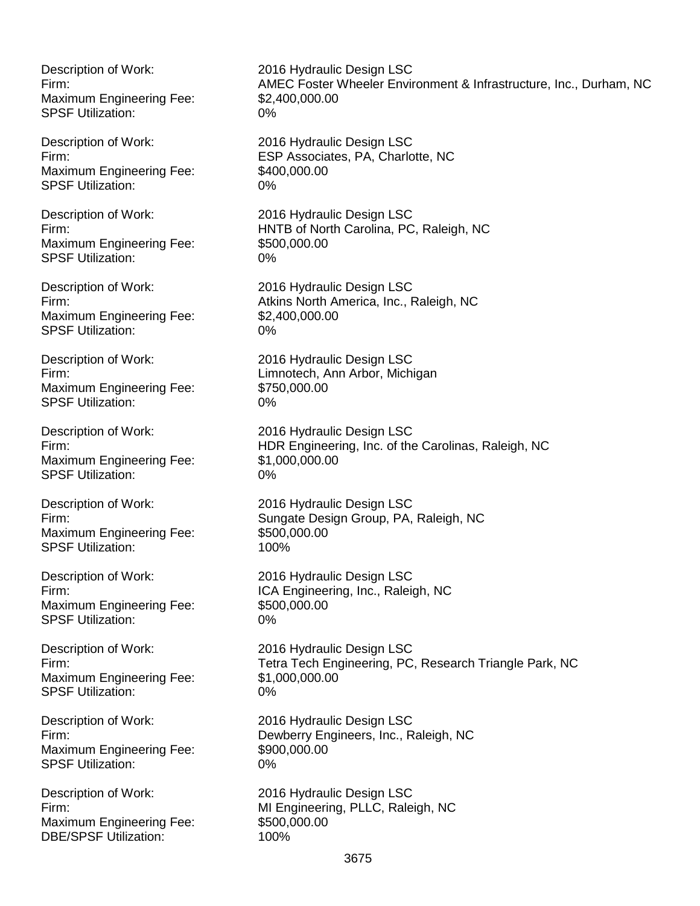Maximum Engineering Fee: \$2,400,000.00 SPSF Utilization: 0%

Maximum Engineering Fee: \$400,000.00 SPSF Utilization: 0%

Description of Work: 2016 Hydraulic Design LSC Maximum Engineering Fee: \$500,000.00 SPSF Utilization: 0%

Maximum Engineering Fee: \$2,400,000.00 SPSF Utilization: 0%

Maximum Engineering Fee: \$750,000.00 SPSF Utilization: 0%

Maximum Engineering Fee: \$1,000,000.00 SPSF Utilization: 0%

Maximum Engineering Fee: \$500,000.00 SPSF Utilization: 100%

Maximum Engineering Fee: \$500,000.00 SPSF Utilization: 0%

Maximum Engineering Fee: \$1,000,000.00 SPSF Utilization: 0%

Maximum Engineering Fee: \$900,000.00 SPSF Utilization: 0%

Maximum Engineering Fee: \$500,000.00<br>DBE/SPSF Utilization: \$100% DBE/SPSF Utilization:

Description of Work: 2016 Hydraulic Design LSC Firm: AMEC Foster Wheeler Environment & Infrastructure, Inc., Durham, NC

Description of Work: 2016 Hydraulic Design LSC Firm: ESP Associates, PA, Charlotte, NC

Firm: HNTB of North Carolina, PC, Raleigh, NC

Description of Work: 2016 Hydraulic Design LSC Firm: Atkins North America, Inc., Raleigh, NC

Description of Work: 2016 Hydraulic Design LSC Firm: Limnotech, Ann Arbor, Michigan

Description of Work: 2016 Hydraulic Design LSC Firm: HDR Engineering, Inc. of the Carolinas, Raleigh, NC

Description of Work: 2016 Hydraulic Design LSC Firm: Sungate Design Group, PA, Raleigh, NC

Description of Work: 2016 Hydraulic Design LSC Firm: The Callege of the ICA Engineering, Inc., Raleigh, NC

Description of Work: 2016 Hydraulic Design LSC Firm: Tetra Tech Engineering, PC, Research Triangle Park, NC

Description of Work: 2016 Hydraulic Design LSC<br>Firm: Dewberry Engineers, Inc., R Dewberry Engineers, Inc., Raleigh, NC

Description of Work: 2016 Hydraulic Design LSC Firm: MI Engineering, PLLC, Raleigh, NC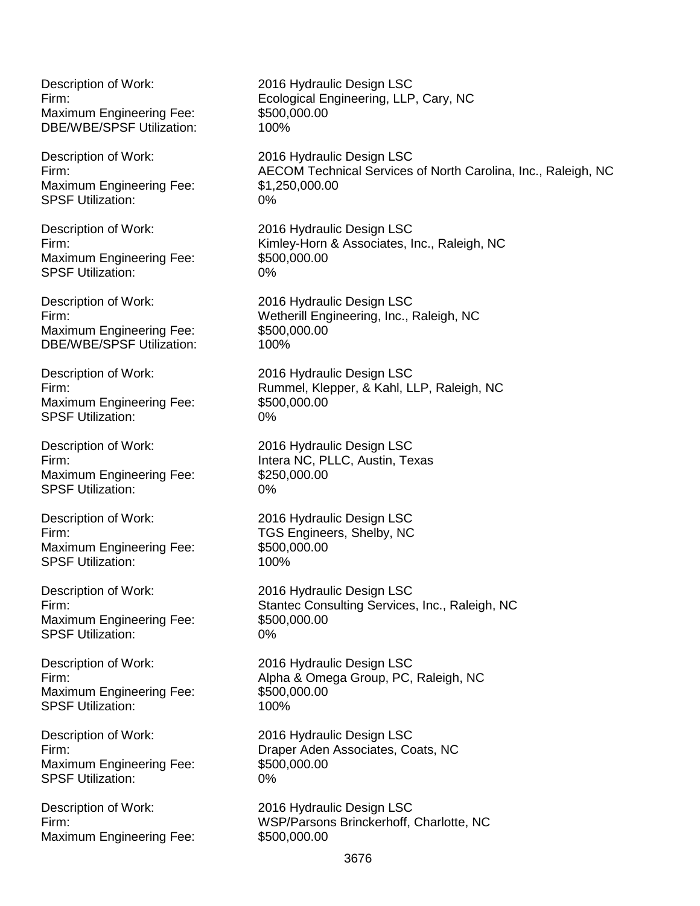Maximum Engineering Fee: \$500,000.00 DBE/WBE/SPSF Utilization: 100%

Maximum Engineering Fee: \$1,250,000.00 SPSF Utilization: 0%

Maximum Engineering Fee: \$500,000.00 SPSF Utilization: 0%

Description of Work: 2016 Hydraulic Design LSC Maximum Engineering Fee: \$500,000.00 DBE/WBE/SPSF Utilization: 100%

Maximum Engineering Fee: SPSF Utilization: 0%

Maximum Engineering Fee: \$250,000.00 SPSF Utilization: 0%

Maximum Engineering Fee: \$500,000.00 SPSF Utilization: 100%

Description of Work: 2016 Hydraulic Design LSC Maximum Engineering Fee: \$500,000.00 SPSF Utilization: 0%

Description of Work: 2016 Hydraulic Design LSC Maximum Engineering Fee: \$500,000.00<br>SPSF Utilization: \$100% SPSF Utilization:

Maximum Engineering Fee: \$500,000.00 SPSF Utilization: 0%

Maximum Engineering Fee: \$500,000.00

Description of Work: 2016 Hydraulic Design LSC Firm: Ecological Engineering, LLP, Cary, NC

Description of Work: 2016 Hydraulic Design LSC Firm: AECOM Technical Services of North Carolina, Inc., Raleigh, NC

Description of Work: 2016 Hydraulic Design LSC Firm: Kimley-Horn & Associates, Inc., Raleigh, NC

Firm: Wetherill Engineering, Inc., Raleigh, NC

Description of Work: 2016 Hydraulic Design LSC Firm: Firm: Firm: Firm: Rummel, Klepper, & Kahl, LLP, Raleigh, NC<br>Maximum Engineering Fee: \$500,000.00

Description of Work: 2016 Hydraulic Design LSC Firm: Intera NC, PLLC, Austin, Texas

Description of Work: 2016 Hydraulic Design LSC Firm: TGS Engineers, Shelby, NC

Firm: Stantec Consulting Services, Inc., Raleigh, NC

Firm: Alpha & Omega Group, PC, Raleigh, NC

Description of Work: 2016 Hydraulic Design LSC Firm: Draper Aden Associates, Coats, NC

Description of Work: 2016 Hydraulic Design LSC Firm: WSP/Parsons Brinckerhoff, Charlotte, NC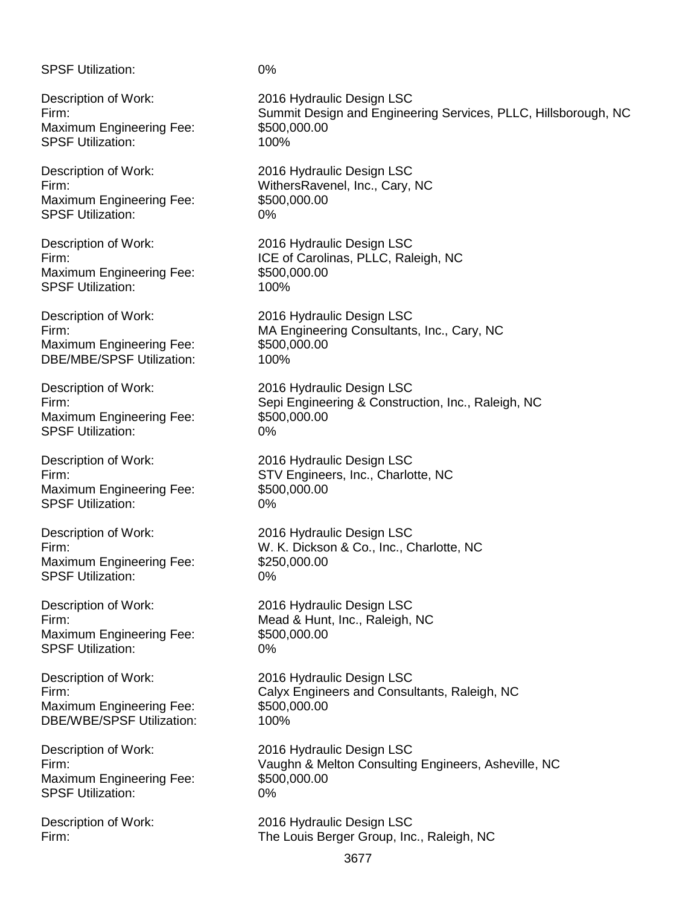SPSF Utilization: 0%

Maximum Engineering Fee: \$500,000.00 SPSF Utilization: 100%

Maximum Engineering Fee: \$500,000.00 SPSF Utilization: 0%

Maximum Engineering Fee: \$500,000.00 SPSF Utilization: 100%

Description of Work: 2016 Hydraulic Design LSC Maximum Engineering Fee: \$500,000.00 DBE/MBE/SPSF Utilization: 100%

Maximum Engineering Fee: \$500,000.00 SPSF Utilization: 0%

Maximum Engineering Fee: \$500,000.00 SPSF Utilization: 0%

Maximum Engineering Fee: \$250,000.00 SPSF Utilization: 0%

Maximum Engineering Fee: \$500,000.00 SPSF Utilization: 0%

Maximum Engineering Fee: \$500,000.00<br>DBE/WBE/SPSF Utilization: \$100% DBE/WBE/SPSF Utilization:

Maximum Engineering Fee: \$500,000.00 SPSF Utilization: 0%

Description of Work: 2016 Hydraulic Design LSC Firm: Summit Design and Engineering Services, PLLC, Hillsborough, NC

Description of Work: 2016 Hydraulic Design LSC Firm: WithersRavenel, Inc., Cary, NC

Description of Work: 2016 Hydraulic Design LSC Firm: **ICE of Carolinas, PLLC, Raleigh, NC** 

Firm: MA Engineering Consultants, Inc., Cary, NC

Description of Work: 2016 Hydraulic Design LSC<br>Firm: 2016 Formering & Constru Sepi Engineering & Construction, Inc., Raleigh, NC

Description of Work: 2016 Hydraulic Design LSC Firm: STV Engineers, Inc., Charlotte, NC

Description of Work: 2016 Hydraulic Design LSC Firm: W. K. Dickson & Co., Inc., Charlotte, NC

Description of Work: 2016 Hydraulic Design LSC Firm: Mead & Hunt, Inc., Raleigh, NC

Description of Work: 2016 Hydraulic Design LSC Firm: Calyx Engineers and Consultants, Raleigh, NC

Description of Work: 2016 Hydraulic Design LSC Firm: Vaughn & Melton Consulting Engineers, Asheville, NC

Description of Work: 2016 Hydraulic Design LSC Firm: The Louis Berger Group, Inc., Raleigh, NC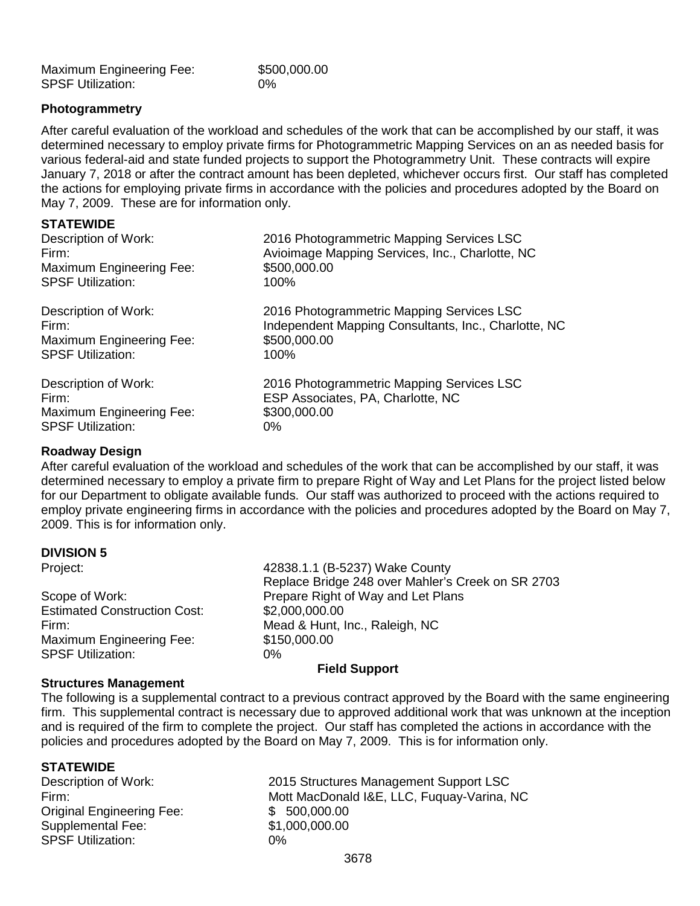| <b>Maximum Engineering Fee:</b> | \$500,000.00 |
|---------------------------------|--------------|
| <b>SPSF Utilization:</b>        | $0\%$        |

## **Photogrammetry**

After careful evaluation of the workload and schedules of the work that can be accomplished by our staff, it was determined necessary to employ private firms for Photogrammetric Mapping Services on an as needed basis for various federal-aid and state funded projects to support the Photogrammetry Unit. These contracts will expire January 7, 2018 or after the contract amount has been depleted, whichever occurs first. Our staff has completed the actions for employing private firms in accordance with the policies and procedures adopted by the Board on May 7, 2009. These are for information only.

#### **STATEWIDE**

| Description of Work:     | 2016 Photogrammetric Mapping Services LSC            |
|--------------------------|------------------------------------------------------|
| Firm:                    | Avioimage Mapping Services, Inc., Charlotte, NC      |
| Maximum Engineering Fee: | \$500,000.00                                         |
| <b>SPSF Utilization:</b> | 100%                                                 |
| Description of Work:     | 2016 Photogrammetric Mapping Services LSC            |
| Firm:                    | Independent Mapping Consultants, Inc., Charlotte, NC |
| Maximum Engineering Fee: | \$500,000.00                                         |
| <b>SPSF Utilization:</b> | 100%                                                 |
| Description of Work:     | 2016 Photogrammetric Mapping Services LSC            |
| Firm:                    | ESP Associates, PA, Charlotte, NC                    |
| Maximum Engineering Fee: | \$300,000.00                                         |
| <b>SPSF Utilization:</b> | 0%                                                   |

#### **Roadway Design**

After careful evaluation of the workload and schedules of the work that can be accomplished by our staff, it was determined necessary to employ a private firm to prepare Right of Way and Let Plans for the project listed below for our Department to obligate available funds. Our staff was authorized to proceed with the actions required to employ private engineering firms in accordance with the policies and procedures adopted by the Board on May 7, 2009. This is for information only.

#### **DIVISION 5**

| Project: |
|----------|
|          |
|          |
|          |

**Estimated Construction Cost:** Maximum Engineering Fee: \$150,000.00 SPSF Utilization: 0%

42838.1.1 (B-5237) Wake County Replace Bridge 248 over Mahler's Creek on SR 2703 Scope of Work:<br>
Estimated Construction Cost: \$2,000,000.00 Firm: Entertainment and Mead & Hunt, Inc., Raleigh, NC

#### **Field Support**

#### **Structures Management**

The following is a supplemental contract to a previous contract approved by the Board with the same engineering firm. This supplemental contract is necessary due to approved additional work that was unknown at the inception and is required of the firm to complete the project. Our staff has completed the actions in accordance with the policies and procedures adopted by the Board on May 7, 2009. This is for information only.

**STATEWIDE**<br>Description of Work: Original Engineering Fee:  $$500,000.00$ <br>Supplemental Fee:  $$1,000.000.00$ Supplemental Fee: SPSF Utilization: 0%

2015 Structures Management Support LSC Firm: Mott MacDonald I&E, LLC, Fuquay-Varina, NC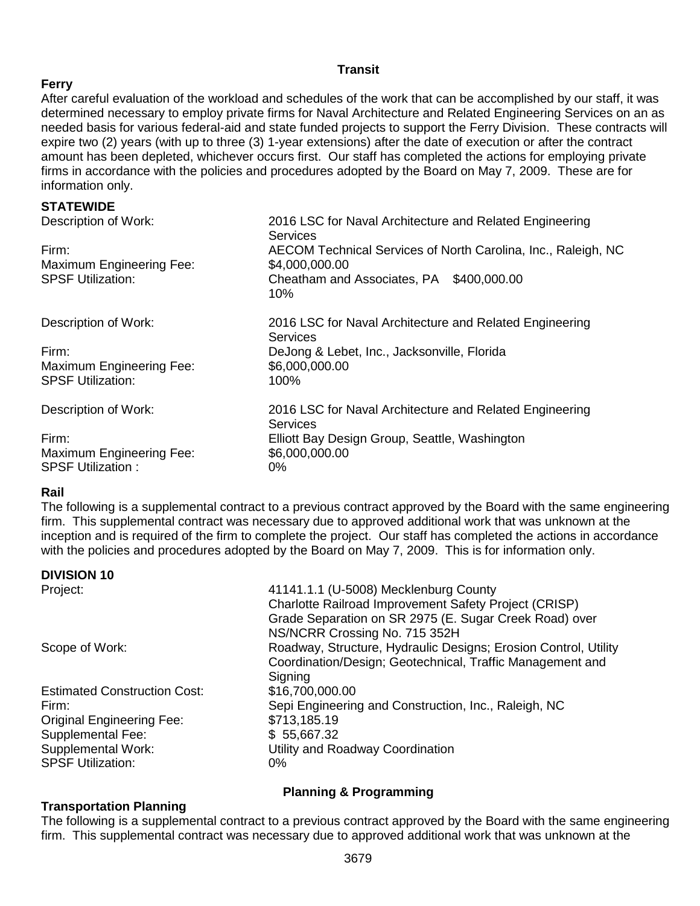# **Transit**

# **Ferry**

After careful evaluation of the workload and schedules of the work that can be accomplished by our staff, it was determined necessary to employ private firms for Naval Architecture and Related Engineering Services on an as needed basis for various federal-aid and state funded projects to support the Ferry Division. These contracts will expire two (2) years (with up to three (3) 1-year extensions) after the date of execution or after the contract amount has been depleted, whichever occurs first. Our staff has completed the actions for employing private firms in accordance with the policies and procedures adopted by the Board on May 7, 2009. These are for information only.

### **STATEWIDE**

| 2016 LSC for Naval Architecture and Related Engineering<br>Services        |
|----------------------------------------------------------------------------|
| AECOM Technical Services of North Carolina, Inc., Raleigh, NC              |
| \$4,000,000.00                                                             |
| Cheatham and Associates, PA \$400,000.00<br>$10\%$                         |
| 2016 LSC for Naval Architecture and Related Engineering<br><b>Services</b> |
| DeJong & Lebet, Inc., Jacksonville, Florida                                |
| \$6,000,000.00                                                             |
| 100%                                                                       |
| 2016 LSC for Naval Architecture and Related Engineering<br>Services        |
| Elliott Bay Design Group, Seattle, Washington                              |
| \$6,000,000.00                                                             |
| $0\%$                                                                      |
|                                                                            |

# **Rail**

The following is a supplemental contract to a previous contract approved by the Board with the same engineering firm. This supplemental contract was necessary due to approved additional work that was unknown at the inception and is required of the firm to complete the project. Our staff has completed the actions in accordance with the policies and procedures adopted by the Board on May 7, 2009. This is for information only.

# **DIVISION 10**

| Project:                            | 41141.1.1 (U-5008) Mecklenburg County                           |
|-------------------------------------|-----------------------------------------------------------------|
|                                     | Charlotte Railroad Improvement Safety Project (CRISP)           |
|                                     | Grade Separation on SR 2975 (E. Sugar Creek Road) over          |
|                                     | NS/NCRR Crossing No. 715 352H                                   |
| Scope of Work:                      | Roadway, Structure, Hydraulic Designs; Erosion Control, Utility |
|                                     | Coordination/Design; Geotechnical, Traffic Management and       |
|                                     | Signing                                                         |
| <b>Estimated Construction Cost:</b> | \$16,700,000.00                                                 |
| Firm:                               | Sepi Engineering and Construction, Inc., Raleigh, NC            |
| <b>Original Engineering Fee:</b>    | \$713,185.19                                                    |
| Supplemental Fee:                   | \$55,667.32                                                     |
| Supplemental Work:                  | Utility and Roadway Coordination                                |
| <b>SPSF Utilization:</b>            | 0%                                                              |
|                                     |                                                                 |

# **Planning & Programming**

# **Transportation Planning**

The following is a supplemental contract to a previous contract approved by the Board with the same engineering firm. This supplemental contract was necessary due to approved additional work that was unknown at the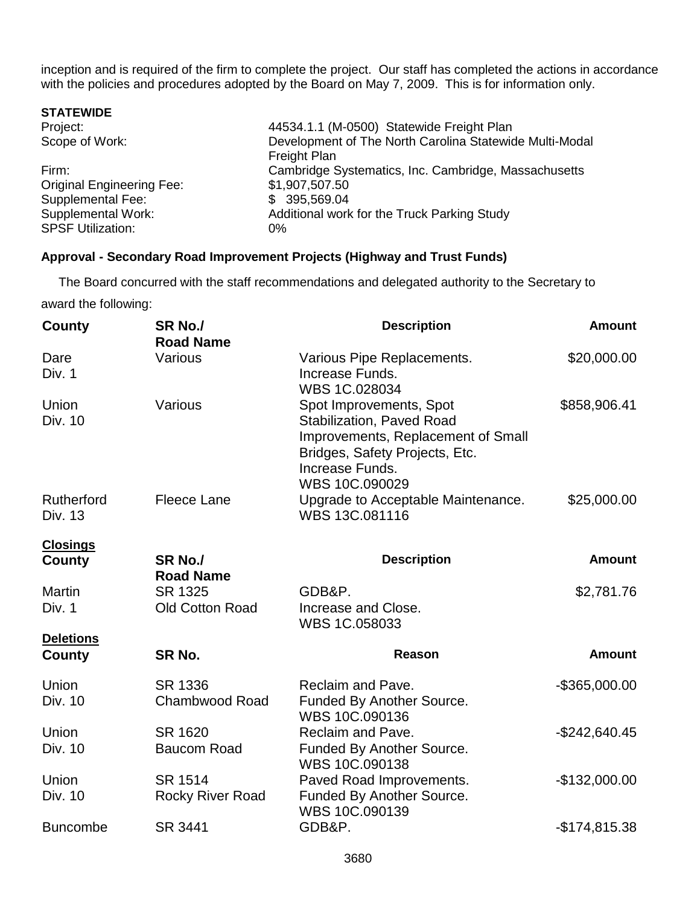inception and is required of the firm to complete the project. Our staff has completed the actions in accordance with the policies and procedures adopted by the Board on May 7, 2009. This is for information only.

| 44534.1.1 (M-0500) Statewide Freight Plan               |
|---------------------------------------------------------|
| Development of The North Carolina Statewide Multi-Modal |
| Freight Plan                                            |
| Cambridge Systematics, Inc. Cambridge, Massachusetts    |
| \$1,907,507.50                                          |
| \$ 395,569.04                                           |
| Additional work for the Truck Parking Study             |
|                                                         |
|                                                         |

# **Approval - Secondary Road Improvement Projects (Highway and Trust Funds)**

 The Board concurred with the staff recommendations and delegated authority to the Secretary to award the following:

| <b>County</b>           | SR <sub>No.</sub> /<br><b>Road Name</b> | <b>Description</b>                                                                                                                                                       | <b>Amount</b>    |
|-------------------------|-----------------------------------------|--------------------------------------------------------------------------------------------------------------------------------------------------------------------------|------------------|
| Dare<br>Div. 1          | Various                                 | Various Pipe Replacements.<br>Increase Funds.<br>WBS 1C.028034                                                                                                           | \$20,000.00      |
| Union<br>Div. 10        | Various                                 | Spot Improvements, Spot<br><b>Stabilization, Paved Road</b><br>Improvements, Replacement of Small<br>Bridges, Safety Projects, Etc.<br>Increase Funds.<br>WBS 10C.090029 | \$858,906.41     |
| Rutherford<br>Div. 13   | <b>Fleece Lane</b>                      | Upgrade to Acceptable Maintenance.<br>WBS 13C.081116                                                                                                                     | \$25,000.00      |
| <b>Closings</b>         |                                         |                                                                                                                                                                          |                  |
| <b>County</b>           | SR No./<br><b>Road Name</b>             | <b>Description</b>                                                                                                                                                       | <b>Amount</b>    |
| <b>Martin</b>           | SR 1325                                 | GDB&P.                                                                                                                                                                   | \$2,781.76       |
| Div. 1                  | <b>Old Cotton Road</b>                  | Increase and Close.<br>WBS 1C.058033                                                                                                                                     |                  |
| <b>Deletions</b>        |                                         |                                                                                                                                                                          |                  |
| County                  | SR No.                                  | <b>Reason</b>                                                                                                                                                            | <b>Amount</b>    |
| Union<br>Div. 10        | <b>SR 1336</b><br><b>Chambwood Road</b> | Reclaim and Pave.<br>Funded By Another Source.<br>WBS 10C.090136                                                                                                         | $-$ \$365,000.00 |
| Union<br>Div. 10        | SR 1620<br><b>Baucom Road</b>           | Reclaim and Pave.<br>Funded By Another Source.<br>WBS 10C.090138                                                                                                         | $-$242,640.45$   |
| Union<br><b>Div. 10</b> | SR 1514<br>Rocky River Road             | Paved Road Improvements.<br>Funded By Another Source.<br>WBS 10C.090139                                                                                                  | $-$132,000.00$   |
| <b>Buncombe</b>         | SR 3441                                 | GDB&P.                                                                                                                                                                   | $-$174,815.38$   |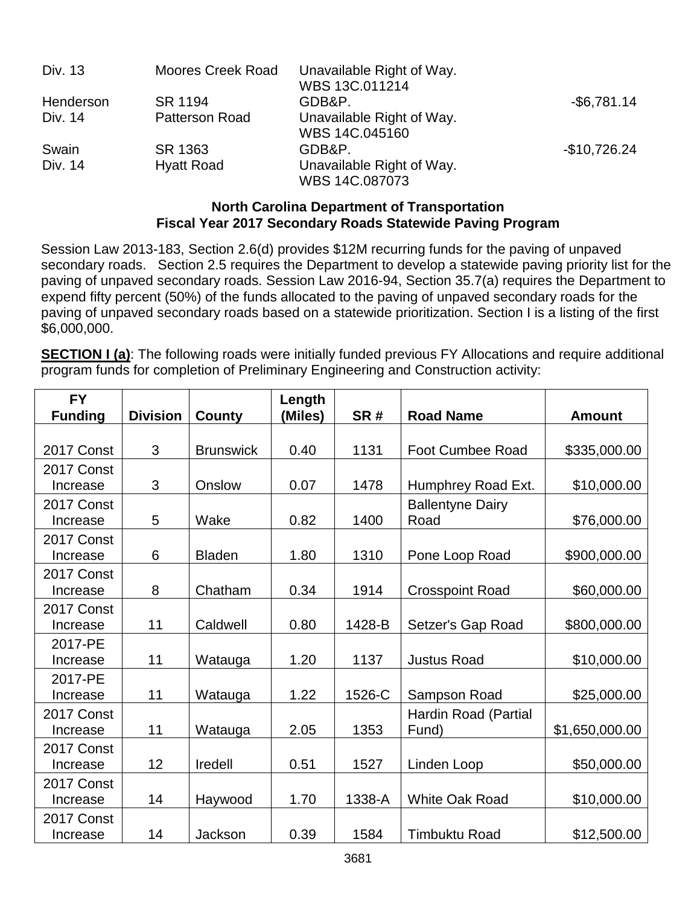| Div. 13   | <b>Moores Creek Road</b> | Unavailable Right of Way.<br>WBS 13C.011214 |                |
|-----------|--------------------------|---------------------------------------------|----------------|
| Henderson | SR 1194                  | GDB&P.                                      | $-$ \$6,781.14 |
| Div. 14   | <b>Patterson Road</b>    | Unavailable Right of Way.<br>WBS 14C.045160 |                |
| Swain     | SR 1363                  | GDB&P.                                      | $-$10,726.24$  |
| Div. 14   | <b>Hyatt Road</b>        | Unavailable Right of Way.<br>WBS 14C.087073 |                |

# **North Carolina Department of Transportation Fiscal Year 2017 Secondary Roads Statewide Paving Program**

Session Law 2013-183, Section 2.6(d) provides \$12M recurring funds for the paving of unpaved secondary roads. Section 2.5 requires the Department to develop a statewide paving priority list for the paving of unpaved secondary roads. Session Law 2016-94, Section 35.7(a) requires the Department to expend fifty percent (50%) of the funds allocated to the paving of unpaved secondary roads for the paving of unpaved secondary roads based on a statewide prioritization. Section I is a listing of the first \$6,000,000.

**SECTION I (a)**: The following roads were initially funded previous FY Allocations and require additional program funds for completion of Preliminary Engineering and Construction activity:

| <b>FY</b><br><b>Funding</b> | <b>Division</b> | <b>County</b>    | Length<br>(Miles) | SR#    | <b>Road Name</b>        | <b>Amount</b>  |
|-----------------------------|-----------------|------------------|-------------------|--------|-------------------------|----------------|
|                             |                 |                  |                   |        |                         |                |
| 2017 Const                  | 3               | <b>Brunswick</b> | 0.40              | 1131   | <b>Foot Cumbee Road</b> | \$335,000.00   |
| 2017 Const                  |                 |                  |                   |        |                         |                |
| Increase                    | 3               | Onslow           | 0.07              | 1478   | Humphrey Road Ext.      | \$10,000.00    |
| 2017 Const                  |                 |                  |                   |        | <b>Ballentyne Dairy</b> |                |
| Increase                    | 5               | Wake             | 0.82              | 1400   | Road                    | \$76,000.00    |
| 2017 Const                  |                 |                  |                   |        |                         |                |
| Increase                    | 6               | <b>Bladen</b>    | 1.80              | 1310   | Pone Loop Road          | \$900,000.00   |
| 2017 Const                  |                 |                  |                   |        |                         |                |
| Increase                    | 8               | Chatham          | 0.34              | 1914   | <b>Crosspoint Road</b>  | \$60,000.00    |
| 2017 Const                  |                 |                  |                   |        |                         |                |
| Increase                    | 11              | Caldwell         | 0.80              | 1428-B | Setzer's Gap Road       | \$800,000.00   |
| 2017-PE                     |                 |                  |                   |        |                         |                |
| Increase                    | 11              | Watauga          | 1.20              | 1137   | <b>Justus Road</b>      | \$10,000.00    |
| 2017-PE                     |                 |                  |                   |        |                         |                |
| Increase                    | 11              | Watauga          | 1.22              | 1526-C | Sampson Road            | \$25,000.00    |
| 2017 Const                  |                 |                  |                   |        | Hardin Road (Partial    |                |
| Increase                    | 11              | Watauga          | 2.05              | 1353   | Fund)                   | \$1,650,000.00 |
| 2017 Const                  |                 |                  |                   |        |                         |                |
| Increase                    | 12              | Iredell          | 0.51              | 1527   | Linden Loop             | \$50,000.00    |
| 2017 Const                  |                 |                  |                   |        |                         |                |
| Increase                    | 14              | Haywood          | 1.70              | 1338-A | <b>White Oak Road</b>   | \$10,000.00    |
| 2017 Const                  |                 |                  |                   |        |                         |                |
| Increase                    | 14              | Jackson          | 0.39              | 1584   | <b>Timbuktu Road</b>    | \$12,500.00    |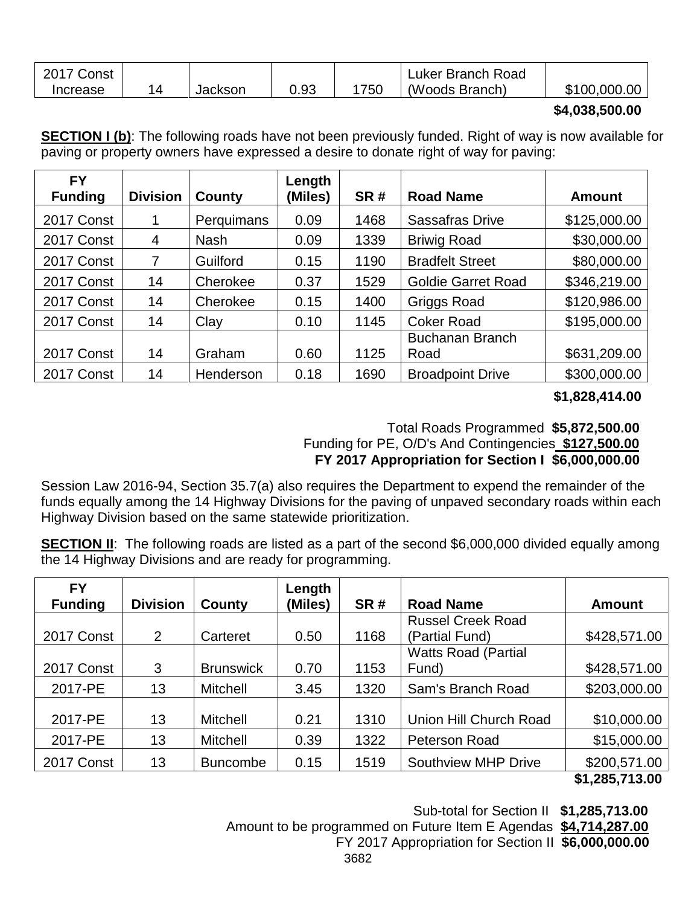| 2017<br>Const |         |      |     | Luker Branch Road |                     |
|---------------|---------|------|-----|-------------------|---------------------|
| Increase      | Jackson | 0.93 | 750 | (Woods Branch)    | .000.00  <br>\$100. |

# **\$4,038,500.00**

**SECTION I (b)**: The following roads have not been previously funded. Right of way is now available for paving or property owners have expressed a desire to donate right of way for paving:

| <b>FY</b><br><b>Funding</b> | <b>Division</b> | County      | Length<br>(Miles) | SR#  | <b>Road Name</b>          | <b>Amount</b> |
|-----------------------------|-----------------|-------------|-------------------|------|---------------------------|---------------|
| 2017 Const                  | 1               | Perquimans  | 0.09              | 1468 | <b>Sassafras Drive</b>    | \$125,000.00  |
| 2017 Const                  | 4               | <b>Nash</b> | 0.09              | 1339 | <b>Briwig Road</b>        | \$30,000.00   |
| 2017 Const                  | 7               | Guilford    | 0.15              | 1190 | <b>Bradfelt Street</b>    | \$80,000.00   |
| 2017 Const                  | 14              | Cherokee    | 0.37              | 1529 | <b>Goldie Garret Road</b> | \$346,219.00  |
| 2017 Const                  | 14              | Cherokee    | 0.15              | 1400 | <b>Griggs Road</b>        | \$120,986.00  |
| 2017 Const                  | 14              | Clay        | 0.10              | 1145 | <b>Coker Road</b>         | \$195,000.00  |
|                             |                 |             |                   |      | <b>Buchanan Branch</b>    |               |
| 2017 Const                  | 14              | Graham      | 0.60              | 1125 | Road                      | \$631,209.00  |
| 2017 Const                  | 14              | Henderson   | 0.18              | 1690 | <b>Broadpoint Drive</b>   | \$300,000.00  |

# **\$1,828,414.00**

# Total Roads Programmed **\$5,872,500.00** Funding for PE, O/D's And Contingencies **\$127,500.00 FY 2017 Appropriation for Section I \$6,000,000.00**

Session Law 2016-94, Section 35.7(a) also requires the Department to expend the remainder of the funds equally among the 14 Highway Divisions for the paving of unpaved secondary roads within each Highway Division based on the same statewide prioritization.

**SECTION II:** The following roads are listed as a part of the second \$6,000,000 divided equally among the 14 Highway Divisions and are ready for programming.

| <b>FY</b>      |                 |                  | Length  |      |                            |               |
|----------------|-----------------|------------------|---------|------|----------------------------|---------------|
| <b>Funding</b> | <b>Division</b> | County           | (Miles) | SR#  | <b>Road Name</b>           | <b>Amount</b> |
|                |                 |                  |         |      | <b>Russel Creek Road</b>   |               |
| 2017 Const     | 2               | Carteret         | 0.50    | 1168 | (Partial Fund)             | \$428,571.00  |
|                |                 |                  |         |      | <b>Watts Road (Partial</b> |               |
| 2017 Const     | 3               | <b>Brunswick</b> | 0.70    | 1153 | Fund)                      | \$428,571.00  |
| 2017-PE        | 13              | <b>Mitchell</b>  | 3.45    | 1320 | Sam's Branch Road          | \$203,000.00  |
|                |                 |                  |         |      |                            |               |
| 2017-PE        | 13              | Mitchell         | 0.21    | 1310 | Union Hill Church Road     | \$10,000.00   |
| 2017-PE        | 13              | Mitchell         | 0.39    | 1322 | <b>Peterson Road</b>       | \$15,000.00   |
| 2017 Const     | 13              | <b>Buncombe</b>  | 0.15    | 1519 | <b>Southview MHP Drive</b> | \$200,571.00  |

 **<sup>\$1,285,713.00</sup>**

 Sub-total for Section II **\$1,285,713.00** Amount to be programmed on Future Item E Agendas **\$4,714,287.00**

FY 2017 Appropriation for Section II **\$6,000,000.00**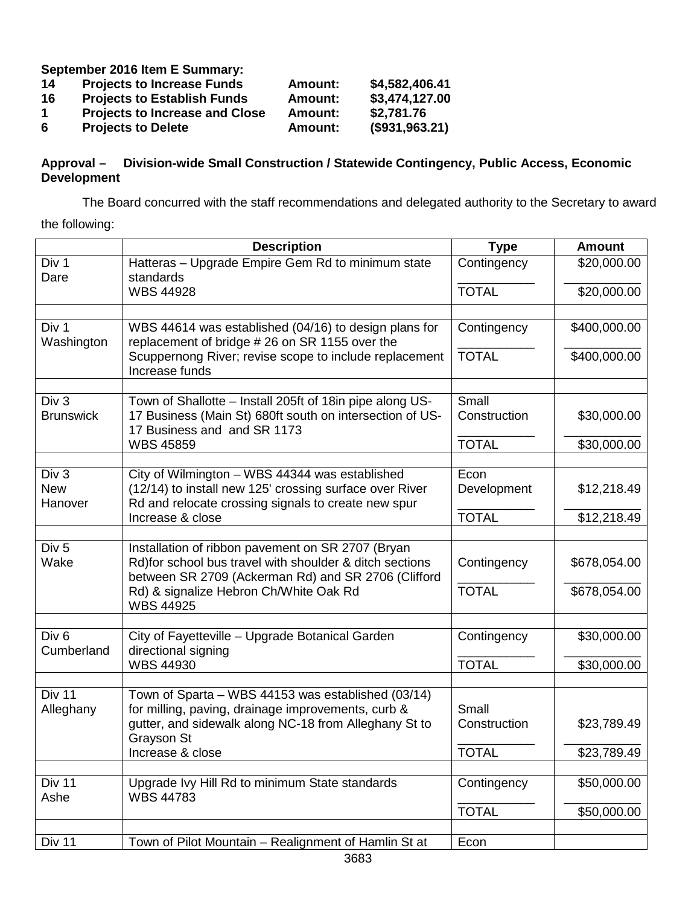**September 2016 Item E Summary:**

| 14 | <b>Projects to Increase Funds</b>     | <b>Amount:</b> | \$4,582,406.41 |
|----|---------------------------------------|----------------|----------------|
| 16 | <b>Projects to Establish Funds</b>    | Amount:        | \$3,474,127.00 |
| -1 | <b>Projects to Increase and Close</b> | Amount:        | \$2,781.76     |
| 6  | <b>Projects to Delete</b>             | <b>Amount:</b> | (\$931,963.21) |

# **Approval – Division-wide Small Construction / Statewide Contingency, Public Access, Economic Development**

The Board concurred with the staff recommendations and delegated authority to the Secretary to award

the following:

|                                | <b>Description</b>                                                                                                                                                  | <b>Type</b>           | <b>Amount</b> |
|--------------------------------|---------------------------------------------------------------------------------------------------------------------------------------------------------------------|-----------------------|---------------|
| Div 1<br>Dare                  | Hatteras - Upgrade Empire Gem Rd to minimum state<br>standards                                                                                                      | Contingency           | \$20,000.00   |
|                                | <b>WBS 44928</b>                                                                                                                                                    | <b>TOTAL</b>          | \$20,000.00   |
|                                |                                                                                                                                                                     |                       |               |
| Div 1<br>Washington            | WBS 44614 was established (04/16) to design plans for<br>replacement of bridge #26 on SR 1155 over the                                                              | Contingency           | \$400,000.00  |
|                                | Scuppernong River; revise scope to include replacement<br>Increase funds                                                                                            | <b>TOTAL</b>          | \$400,000.00  |
|                                |                                                                                                                                                                     |                       |               |
| Div 3<br><b>Brunswick</b>      | Town of Shallotte - Install 205ft of 18in pipe along US-<br>17 Business (Main St) 680ft south on intersection of US-<br>17 Business and and SR 1173                 | Small<br>Construction | \$30,000.00   |
|                                | <b>WBS 45859</b>                                                                                                                                                    | <b>TOTAL</b>          | \$30,000.00   |
|                                |                                                                                                                                                                     |                       |               |
| Div 3                          | City of Wilmington - WBS 44344 was established                                                                                                                      | Econ                  |               |
| <b>New</b><br>Hanover          | (12/14) to install new 125' crossing surface over River<br>Rd and relocate crossing signals to create new spur                                                      | Development           | \$12,218.49   |
|                                | Increase & close                                                                                                                                                    | <b>TOTAL</b>          | \$12,218.49   |
|                                |                                                                                                                                                                     |                       |               |
| Div <sub>5</sub><br>Wake       | Installation of ribbon pavement on SR 2707 (Bryan<br>Rd)for school bus travel with shoulder & ditch sections<br>between SR 2709 (Ackerman Rd) and SR 2706 (Clifford | Contingency           | \$678,054.00  |
|                                | Rd) & signalize Hebron Ch/White Oak Rd<br><b>WBS 44925</b>                                                                                                          | <b>TOTAL</b>          | \$678,054.00  |
|                                |                                                                                                                                                                     |                       |               |
| Div <sub>6</sub><br>Cumberland | City of Fayetteville - Upgrade Botanical Garden<br>directional signing                                                                                              | Contingency           | \$30,000.00   |
|                                | <b>WBS 44930</b>                                                                                                                                                    | <b>TOTAL</b>          | \$30,000.00   |
|                                |                                                                                                                                                                     |                       |               |
| Div <sub>11</sub>              | Town of Sparta - WBS 44153 was established (03/14)                                                                                                                  |                       |               |
| Alleghany                      | for milling, paving, drainage improvements, curb &                                                                                                                  | Small                 |               |
|                                | gutter, and sidewalk along NC-18 from Alleghany St to                                                                                                               | Construction          | \$23,789.49   |
|                                | Grayson St<br>Increase & close                                                                                                                                      | <b>TOTAL</b>          | \$23,789.49   |
|                                |                                                                                                                                                                     |                       |               |
| Div 11<br>Ashe                 | Upgrade Ivy Hill Rd to minimum State standards<br><b>WBS 44783</b>                                                                                                  | Contingency           | \$50,000.00   |
|                                |                                                                                                                                                                     | <b>TOTAL</b>          | \$50,000.00   |
|                                |                                                                                                                                                                     |                       |               |
| Div 11                         | Town of Pilot Mountain – Realignment of Hamlin St at                                                                                                                | Econ                  |               |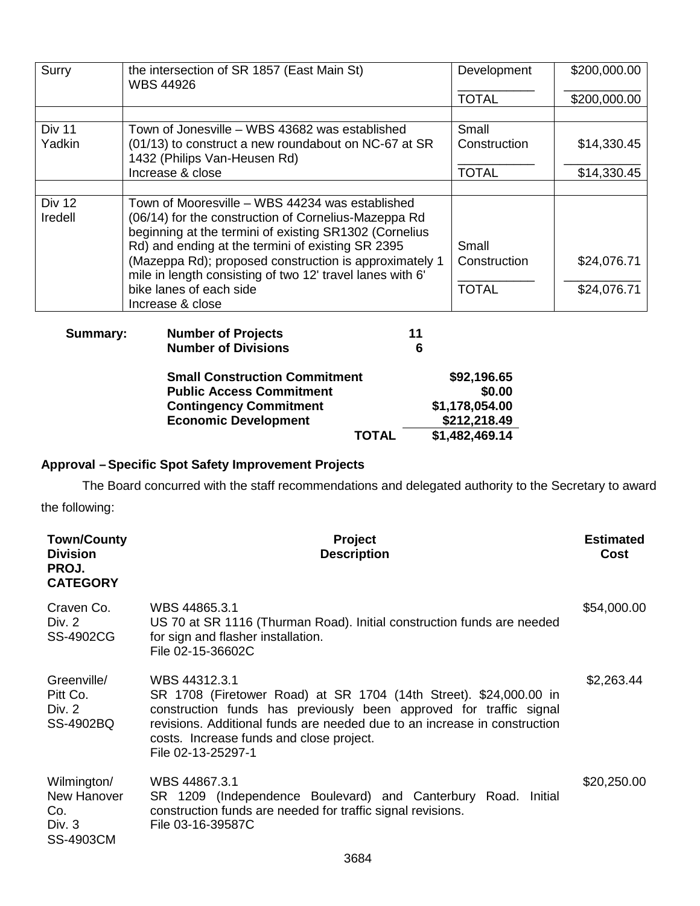| Surry             | the intersection of SR 1857 (East Main St)<br><b>WBS 44926</b>                                                                                                                                                                                                                                                                                | Development                                                               | \$200,000.00 |
|-------------------|-----------------------------------------------------------------------------------------------------------------------------------------------------------------------------------------------------------------------------------------------------------------------------------------------------------------------------------------------|---------------------------------------------------------------------------|--------------|
|                   |                                                                                                                                                                                                                                                                                                                                               | <b>TOTAL</b>                                                              | \$200,000.00 |
|                   |                                                                                                                                                                                                                                                                                                                                               |                                                                           |              |
| Div 11            | Town of Jonesville - WBS 43682 was established                                                                                                                                                                                                                                                                                                | Small                                                                     |              |
| Yadkin            | (01/13) to construct a new roundabout on NC-67 at SR<br>1432 (Philips Van-Heusen Rd)                                                                                                                                                                                                                                                          | Construction                                                              | \$14,330.45  |
|                   | Increase & close                                                                                                                                                                                                                                                                                                                              | <b>TOTAL</b>                                                              | \$14,330.45  |
| Div 12<br>Iredell | Town of Mooresville – WBS 44234 was established<br>(06/14) for the construction of Cornelius-Mazeppa Rd<br>beginning at the termini of existing SR1302 (Cornelius<br>Rd) and ending at the termini of existing SR 2395<br>(Mazeppa Rd); proposed construction is approximately 1<br>mile in length consisting of two 12' travel lanes with 6' | Small<br>Construction                                                     | \$24,076.71  |
|                   | bike lanes of each side<br>Increase & close                                                                                                                                                                                                                                                                                                   | <b>TOTAL</b>                                                              | \$24,076.71  |
| <b>Summary:</b>   | <b>Number of Projects</b><br><b>Number of Divisions</b>                                                                                                                                                                                                                                                                                       | 11<br>6                                                                   |              |
|                   | <b>Small Construction Commitment</b><br><b>Public Access Commitment</b><br><b>Contingency Commitment</b><br><b>Economic Development</b><br><b>TOTAL</b>                                                                                                                                                                                       | \$92,196.65<br>\$0.00<br>\$1,178,054.00<br>\$212,218.49<br>\$1,482,469.14 |              |

# **Approval –Specific Spot Safety Improvement Projects**

The Board concurred with the staff recommendations and delegated authority to the Secretary to award the following:

| <b>Town/County</b><br><b>Division</b><br>PROJ.<br><b>CATEGORY</b> | <b>Project</b><br><b>Description</b>                                                                                                                                                                                                                                                                    | <b>Estimated</b><br>Cost |
|-------------------------------------------------------------------|---------------------------------------------------------------------------------------------------------------------------------------------------------------------------------------------------------------------------------------------------------------------------------------------------------|--------------------------|
| Craven Co.<br>Div. 2<br><b>SS-4902CG</b>                          | WBS 44865.3.1<br>US 70 at SR 1116 (Thurman Road). Initial construction funds are needed<br>for sign and flasher installation.<br>File 02-15-36602C                                                                                                                                                      | \$54,000.00              |
| Greenville/<br>Pitt Co.<br>Div. 2<br>SS-4902BQ                    | WBS 44312.3.1<br>SR 1708 (Firetower Road) at SR 1704 (14th Street). \$24,000.00 in<br>construction funds has previously been approved for traffic signal<br>revisions. Additional funds are needed due to an increase in construction<br>costs. Increase funds and close project.<br>File 02-13-25297-1 | \$2,263.44               |
| Wilmington/<br>New Hanover<br>Co.<br>Div. 3<br><b>SS-4903CM</b>   | WBS 44867.3.1<br>SR 1209 (Independence Boulevard) and Canterbury Road. Initial<br>construction funds are needed for traffic signal revisions.<br>File 03-16-39587C                                                                                                                                      | \$20,250.00              |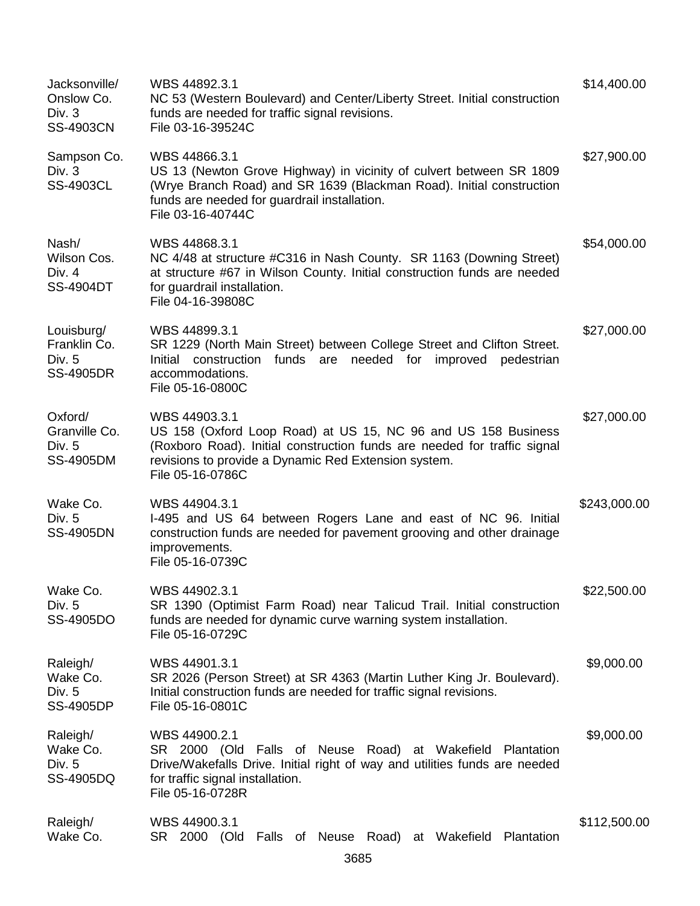| Jacksonville/<br>Onslow Co.<br>Div. 3<br><b>SS-4903CN</b> | WBS 44892.3.1<br>NC 53 (Western Boulevard) and Center/Liberty Street. Initial construction<br>funds are needed for traffic signal revisions.<br>File 03-16-39524C                                                                      | \$14,400.00  |
|-----------------------------------------------------------|----------------------------------------------------------------------------------------------------------------------------------------------------------------------------------------------------------------------------------------|--------------|
| Sampson Co.<br>Div. $3$<br><b>SS-4903CL</b>               | WBS 44866.3.1<br>US 13 (Newton Grove Highway) in vicinity of culvert between SR 1809<br>(Wrye Branch Road) and SR 1639 (Blackman Road). Initial construction<br>funds are needed for guardrail installation.<br>File 03-16-40744C      | \$27,900.00  |
| Nash/<br>Wilson Cos.<br>Div. 4<br><b>SS-4904DT</b>        | WBS 44868.3.1<br>NC 4/48 at structure #C316 in Nash County. SR 1163 (Downing Street)<br>at structure #67 in Wilson County. Initial construction funds are needed<br>for guardrail installation.<br>File 04-16-39808C                   | \$54,000.00  |
| Louisburg/<br>Franklin Co.<br>Div. 5<br><b>SS-4905DR</b>  | WBS 44899.3.1<br>SR 1229 (North Main Street) between College Street and Clifton Street.<br>Initial construction<br>funds are<br>needed for improved pedestrian<br>accommodations.<br>File 05-16-0800C                                  | \$27,000.00  |
| Oxford/<br>Granville Co.<br>Div. 5<br>SS-4905DM           | WBS 44903.3.1<br>US 158 (Oxford Loop Road) at US 15, NC 96 and US 158 Business<br>(Roxboro Road). Initial construction funds are needed for traffic signal<br>revisions to provide a Dynamic Red Extension system.<br>File 05-16-0786C | \$27,000.00  |
| Wake Co.<br>Div. 5<br><b>SS-4905DN</b>                    | WBS 44904.3.1<br>I-495 and US 64 between Rogers Lane and east of NC 96. Initial<br>construction funds are needed for pavement grooving and other drainage<br>improvements.<br>File 05-16-0739C                                         | \$243,000.00 |
| Wake Co.<br>Div. 5<br>SS-4905DO                           | WBS 44902.3.1<br>SR 1390 (Optimist Farm Road) near Talicud Trail. Initial construction<br>funds are needed for dynamic curve warning system installation.<br>File 05-16-0729C                                                          | \$22,500.00  |
| Raleigh/<br>Wake Co.<br>Div. 5<br><b>SS-4905DP</b>        | WBS 44901.3.1<br>SR 2026 (Person Street) at SR 4363 (Martin Luther King Jr. Boulevard).<br>Initial construction funds are needed for traffic signal revisions.<br>File 05-16-0801C                                                     | \$9,000.00   |
| Raleigh/<br>Wake Co.<br>Div. 5<br>SS-4905DQ               | WBS 44900.2.1<br>SR 2000 (Old Falls of Neuse Road) at Wakefield Plantation<br>Drive/Wakefalls Drive. Initial right of way and utilities funds are needed<br>for traffic signal installation.<br>File 05-16-0728R                       | \$9,000.00   |
| Raleigh/<br>Wake Co.                                      | WBS 44900.3.1<br>SR 2000 (Old Falls of Neuse Road) at Wakefield<br>Plantation<br>3685                                                                                                                                                  | \$112,500.00 |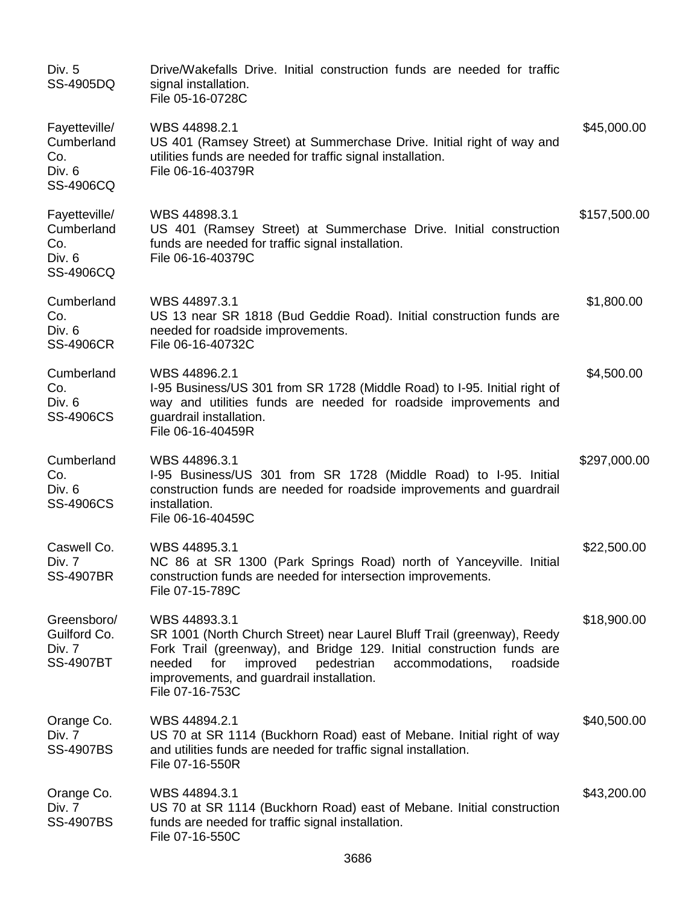| Div. 5<br>SS-4905DQ                                       | Drive/Wakefalls Drive. Initial construction funds are needed for traffic<br>signal installation.<br>File 05-16-0728C                                                                                                                                                                                        |              |
|-----------------------------------------------------------|-------------------------------------------------------------------------------------------------------------------------------------------------------------------------------------------------------------------------------------------------------------------------------------------------------------|--------------|
| Fayetteville/<br>Cumberland<br>Co.<br>Div. 6<br>SS-4906CQ | WBS 44898.2.1<br>US 401 (Ramsey Street) at Summerchase Drive. Initial right of way and<br>utilities funds are needed for traffic signal installation.<br>File 06-16-40379R                                                                                                                                  | \$45,000.00  |
| Fayetteville/<br>Cumberland<br>Co.<br>Div. 6<br>SS-4906CQ | WBS 44898.3.1<br>US 401 (Ramsey Street) at Summerchase Drive. Initial construction<br>funds are needed for traffic signal installation.<br>File 06-16-40379C                                                                                                                                                | \$157,500.00 |
| Cumberland<br>Co.<br>Div. 6<br><b>SS-4906CR</b>           | WBS 44897.3.1<br>US 13 near SR 1818 (Bud Geddie Road). Initial construction funds are<br>needed for roadside improvements.<br>File 06-16-40732C                                                                                                                                                             | \$1,800.00   |
| Cumberland<br>Co.<br>Div. 6<br><b>SS-4906CS</b>           | WBS 44896.2.1<br>I-95 Business/US 301 from SR 1728 (Middle Road) to I-95. Initial right of<br>way and utilities funds are needed for roadside improvements and<br>guardrail installation.<br>File 06-16-40459R                                                                                              | \$4,500.00   |
| Cumberland<br>Co.<br>Div. 6<br><b>SS-4906CS</b>           | WBS 44896.3.1<br>I-95 Business/US 301 from SR 1728 (Middle Road) to I-95. Initial<br>construction funds are needed for roadside improvements and guardrail<br>installation.<br>File 06-16-40459C                                                                                                            | \$297,000.00 |
| Caswell Co.<br>Div. 7<br><b>SS-4907BR</b>                 | WBS 44895.3.1<br>NC 86 at SR 1300 (Park Springs Road) north of Yanceyville. Initial<br>construction funds are needed for intersection improvements.<br>File 07-15-789C                                                                                                                                      | \$22,500.00  |
| Greensboro/<br>Guilford Co.<br>Div. 7<br><b>SS-4907BT</b> | WBS 44893.3.1<br>SR 1001 (North Church Street) near Laurel Bluff Trail (greenway), Reedy<br>Fork Trail (greenway), and Bridge 129. Initial construction funds are<br>pedestrian<br>needed<br>for<br>improved<br>accommodations,<br>roadside<br>improvements, and guardrail installation.<br>File 07-16-753C | \$18,900.00  |
| Orange Co.<br>Div. 7<br><b>SS-4907BS</b>                  | WBS 44894.2.1<br>US 70 at SR 1114 (Buckhorn Road) east of Mebane. Initial right of way<br>and utilities funds are needed for traffic signal installation.<br>File 07-16-550R                                                                                                                                | \$40,500.00  |
| Orange Co.<br>Div. 7<br><b>SS-4907BS</b>                  | WBS 44894.3.1<br>US 70 at SR 1114 (Buckhorn Road) east of Mebane. Initial construction<br>funds are needed for traffic signal installation.<br>File 07-16-550C                                                                                                                                              | \$43,200.00  |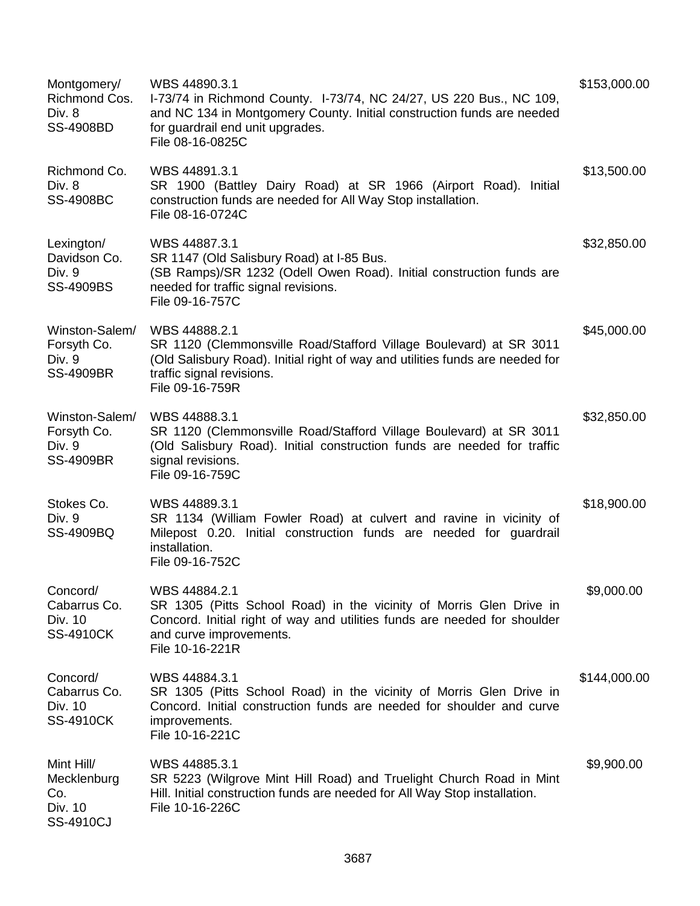| Montgomery/<br>Richmond Cos.<br>Div. 8<br><b>SS-4908BD</b>  | WBS 44890.3.1<br>I-73/74 in Richmond County. I-73/74, NC 24/27, US 220 Bus., NC 109,<br>and NC 134 in Montgomery County. Initial construction funds are needed<br>for guardrail end unit upgrades.<br>File 08-16-0825C | \$153,000.00 |
|-------------------------------------------------------------|------------------------------------------------------------------------------------------------------------------------------------------------------------------------------------------------------------------------|--------------|
| Richmond Co.<br>Div. 8<br><b>SS-4908BC</b>                  | WBS 44891.3.1<br>SR 1900 (Battley Dairy Road) at SR 1966 (Airport Road). Initial<br>construction funds are needed for All Way Stop installation.<br>File 08-16-0724C                                                   | \$13,500.00  |
| Lexington/<br>Davidson Co.<br>Div. 9<br><b>SS-4909BS</b>    | WBS 44887.3.1<br>SR 1147 (Old Salisbury Road) at I-85 Bus.<br>(SB Ramps)/SR 1232 (Odell Owen Road). Initial construction funds are<br>needed for traffic signal revisions.<br>File 09-16-757C                          | \$32,850.00  |
| Winston-Salem/<br>Forsyth Co.<br>Div. 9<br><b>SS-4909BR</b> | WBS 44888.2.1<br>SR 1120 (Clemmonsville Road/Stafford Village Boulevard) at SR 3011<br>(Old Salisbury Road). Initial right of way and utilities funds are needed for<br>traffic signal revisions.<br>File 09-16-759R   | \$45,000.00  |
| Winston-Salem/<br>Forsyth Co.<br>Div. 9<br><b>SS-4909BR</b> | WBS 44888.3.1<br>SR 1120 (Clemmonsville Road/Stafford Village Boulevard) at SR 3011<br>(Old Salisbury Road). Initial construction funds are needed for traffic<br>signal revisions.<br>File 09-16-759C                 | \$32,850.00  |
| Stokes Co.<br>Div. 9<br>SS-4909BQ                           | WBS 44889.3.1<br>SR 1134 (William Fowler Road) at culvert and ravine in vicinity of<br>Milepost 0.20. Initial construction funds are needed for guardrail<br>installation.<br>File 09-16-752C                          | \$18,900.00  |
| Concord/<br>Cabarrus Co.<br>Div. 10<br><b>SS-4910CK</b>     | WBS 44884.2.1<br>SR 1305 (Pitts School Road) in the vicinity of Morris Glen Drive in<br>Concord. Initial right of way and utilities funds are needed for shoulder<br>and curve improvements.<br>File 10-16-221R        | \$9,000.00   |
| Concord/<br>Cabarrus Co.<br>Div. 10<br><b>SS-4910CK</b>     | WBS 44884.3.1<br>SR 1305 (Pitts School Road) in the vicinity of Morris Glen Drive in<br>Concord. Initial construction funds are needed for shoulder and curve<br>improvements.<br>File 10-16-221C                      | \$144,000.00 |
| Mint Hill/<br>Mecklenburg<br>Co.<br>Div. 10<br>SS-4910CJ    | WBS 44885.3.1<br>SR 5223 (Wilgrove Mint Hill Road) and Truelight Church Road in Mint<br>Hill. Initial construction funds are needed for All Way Stop installation.<br>File 10-16-226C                                  | \$9,900.00   |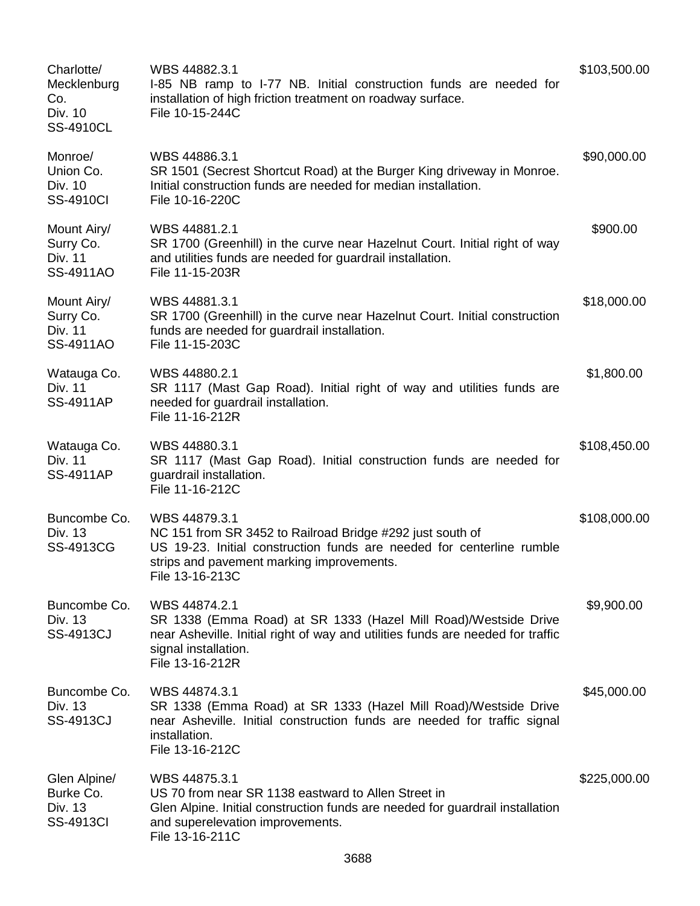| Charlotte/<br>Mecklenburg<br>Co.<br>Div. 10<br><b>SS-4910CL</b> | WBS 44882.3.1<br>I-85 NB ramp to I-77 NB. Initial construction funds are needed for<br>installation of high friction treatment on roadway surface.<br>File 10-15-244C                                               | \$103,500.00 |
|-----------------------------------------------------------------|---------------------------------------------------------------------------------------------------------------------------------------------------------------------------------------------------------------------|--------------|
| Monroe/<br>Union Co.<br>Div. 10<br><b>SS-4910CI</b>             | WBS 44886.3.1<br>SR 1501 (Secrest Shortcut Road) at the Burger King driveway in Monroe.<br>Initial construction funds are needed for median installation.<br>File 10-16-220C                                        | \$90,000.00  |
| Mount Airy/<br>Surry Co.<br>Div. 11<br>SS-4911AO                | WBS 44881.2.1<br>SR 1700 (Greenhill) in the curve near Hazelnut Court. Initial right of way<br>and utilities funds are needed for guardrail installation.<br>File 11-15-203R                                        | \$900.00     |
| Mount Airy/<br>Surry Co.<br>Div. 11<br>SS-4911AO                | WBS 44881.3.1<br>SR 1700 (Greenhill) in the curve near Hazelnut Court. Initial construction<br>funds are needed for guardrail installation.<br>File 11-15-203C                                                      | \$18,000.00  |
| Watauga Co.<br>Div. 11<br>SS-4911AP                             | WBS 44880.2.1<br>SR 1117 (Mast Gap Road). Initial right of way and utilities funds are<br>needed for guardrail installation.<br>File 11-16-212R                                                                     | \$1,800.00   |
| Watauga Co.<br>Div. 11<br><b>SS-4911AP</b>                      | WBS 44880.3.1<br>SR 1117 (Mast Gap Road). Initial construction funds are needed for<br>guardrail installation.<br>File 11-16-212C                                                                                   | \$108,450.00 |
| Buncombe Co.<br>Div. 13<br>SS-4913CG                            | WBS 44879.3.1<br>NC 151 from SR 3452 to Railroad Bridge #292 just south of<br>US 19-23. Initial construction funds are needed for centerline rumble<br>strips and pavement marking improvements.<br>File 13-16-213C | \$108,000.00 |
| Buncombe Co.<br>Div. 13<br><b>SS-4913CJ</b>                     | WBS 44874.2.1<br>SR 1338 (Emma Road) at SR 1333 (Hazel Mill Road)/Westside Drive<br>near Asheville. Initial right of way and utilities funds are needed for traffic<br>signal installation.<br>File 13-16-212R      | \$9,900.00   |
| Buncombe Co.<br>Div. 13<br>SS-4913CJ                            | WBS 44874.3.1<br>SR 1338 (Emma Road) at SR 1333 (Hazel Mill Road)/Westside Drive<br>near Asheville. Initial construction funds are needed for traffic signal<br>installation.<br>File 13-16-212C                    | \$45,000.00  |
| Glen Alpine/<br>Burke Co.<br>Div. 13<br><b>SS-4913CI</b>        | WBS 44875.3.1<br>US 70 from near SR 1138 eastward to Allen Street in<br>Glen Alpine. Initial construction funds are needed for guardrail installation<br>and superelevation improvements.<br>File 13-16-211C        | \$225,000.00 |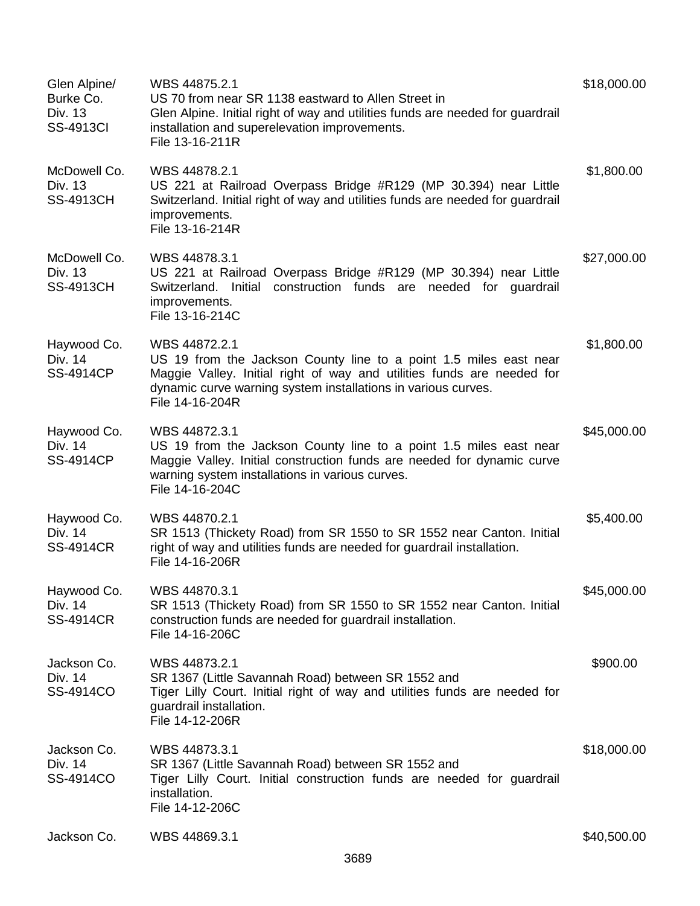| Glen Alpine/<br>Burke Co.<br>Div. 13<br><b>SS-4913CI</b> | WBS 44875.2.1<br>US 70 from near SR 1138 eastward to Allen Street in<br>Glen Alpine. Initial right of way and utilities funds are needed for guardrail<br>installation and superelevation improvements.<br>File 13-16-211R                       | \$18,000.00 |
|----------------------------------------------------------|--------------------------------------------------------------------------------------------------------------------------------------------------------------------------------------------------------------------------------------------------|-------------|
| McDowell Co.<br>Div. 13<br><b>SS-4913CH</b>              | WBS 44878.2.1<br>US 221 at Railroad Overpass Bridge #R129 (MP 30.394) near Little<br>Switzerland. Initial right of way and utilities funds are needed for guardrail<br>improvements.<br>File 13-16-214R                                          | \$1,800.00  |
| McDowell Co.<br>Div. 13<br><b>SS-4913CH</b>              | WBS 44878.3.1<br>US 221 at Railroad Overpass Bridge #R129 (MP 30.394) near Little<br>Switzerland. Initial construction funds are needed for guardrail<br>improvements.<br>File 13-16-214C                                                        | \$27,000.00 |
| Haywood Co.<br>Div. 14<br><b>SS-4914CP</b>               | WBS 44872.2.1<br>US 19 from the Jackson County line to a point 1.5 miles east near<br>Maggie Valley. Initial right of way and utilities funds are needed for<br>dynamic curve warning system installations in various curves.<br>File 14-16-204R | \$1,800.00  |
| Haywood Co.<br>Div. 14<br><b>SS-4914CP</b>               | WBS 44872.3.1<br>US 19 from the Jackson County line to a point 1.5 miles east near<br>Maggie Valley. Initial construction funds are needed for dynamic curve<br>warning system installations in various curves.<br>File 14-16-204C               | \$45,000.00 |
| Haywood Co.<br>Div. 14<br><b>SS-4914CR</b>               | WBS 44870.2.1<br>SR 1513 (Thickety Road) from SR 1550 to SR 1552 near Canton. Initial<br>right of way and utilities funds are needed for guardrail installation.<br>File 14-16-206R                                                              | \$5,400.00  |
| Haywood Co.<br>Div. 14<br><b>SS-4914CR</b>               | WBS 44870.3.1<br>SR 1513 (Thickety Road) from SR 1550 to SR 1552 near Canton. Initial<br>construction funds are needed for guardrail installation.<br>File 14-16-206C                                                                            | \$45,000.00 |
| Jackson Co.<br>Div. 14<br>SS-4914CO                      | WBS 44873.2.1<br>SR 1367 (Little Savannah Road) between SR 1552 and<br>Tiger Lilly Court. Initial right of way and utilities funds are needed for<br>guardrail installation.<br>File 14-12-206R                                                  | \$900.00    |
| Jackson Co.<br>Div. 14<br>SS-4914CO                      | WBS 44873.3.1<br>SR 1367 (Little Savannah Road) between SR 1552 and<br>Tiger Lilly Court. Initial construction funds are needed for guardrail<br>installation.<br>File 14-12-206C                                                                | \$18,000.00 |
| Jackson Co.                                              | WBS 44869.3.1                                                                                                                                                                                                                                    | \$40,500.00 |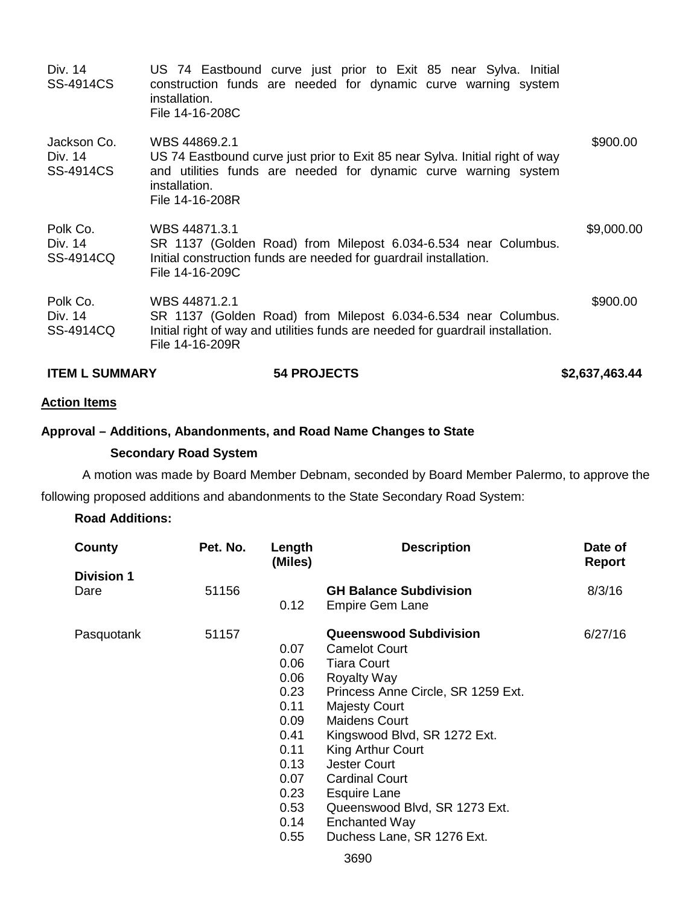| <b>ITEM L SUMMARY</b>                      | <b>54 PROJECTS</b>                                                                                                                                                                                   | \$2,637,463.44 |
|--------------------------------------------|------------------------------------------------------------------------------------------------------------------------------------------------------------------------------------------------------|----------------|
| Polk Co.<br>Div. 14<br>SS-4914CQ           | WBS 44871.2.1<br>SR 1137 (Golden Road) from Milepost 6.034-6.534 near Columbus.<br>Initial right of way and utilities funds are needed for guardrail installation.<br>File 14-16-209R                | \$900.00       |
| Polk Co.<br>Div. 14<br>SS-4914CQ           | WBS 44871.3.1<br>SR 1137 (Golden Road) from Milepost 6.034-6.534 near Columbus.<br>Initial construction funds are needed for guardrail installation.<br>File 14-16-209C                              | \$9,000.00     |
| Jackson Co.<br>Div. 14<br><b>SS-4914CS</b> | WBS 44869.2.1<br>US 74 Eastbound curve just prior to Exit 85 near Sylva. Initial right of way<br>and utilities funds are needed for dynamic curve warning system<br>installation.<br>File 14-16-208R | \$900.00       |
| Div. 14<br><b>SS-4914CS</b>                | US 74 Eastbound curve just prior to Exit 85 near Sylva. Initial<br>construction funds are needed for dynamic curve warning system<br>installation.<br>File 14-16-208C                                |                |

# **Action Items**

# **Approval – Additions, Abandonments, and Road Name Changes to State**

# **Secondary Road System**

A motion was made by Board Member Debnam, seconded by Board Member Palermo, to approve the following proposed additions and abandonments to the State Secondary Road System:

# **Road Additions:**

| County            | Pet. No. | Length<br>(Miles) | <b>Description</b>                 | Date of<br><b>Report</b> |
|-------------------|----------|-------------------|------------------------------------|--------------------------|
| <b>Division 1</b> |          |                   |                                    |                          |
| Dare              | 51156    |                   | <b>GH Balance Subdivision</b>      | 8/3/16                   |
|                   |          | 0.12              | <b>Empire Gem Lane</b>             |                          |
| Pasquotank        | 51157    |                   | <b>Queenswood Subdivision</b>      | 6/27/16                  |
|                   |          | 0.07              | <b>Camelot Court</b>               |                          |
|                   |          | 0.06              | <b>Tiara Court</b>                 |                          |
|                   |          | 0.06              | <b>Royalty Way</b>                 |                          |
|                   |          | 0.23              | Princess Anne Circle, SR 1259 Ext. |                          |
|                   |          | 0.11              | <b>Majesty Court</b>               |                          |
|                   |          | 0.09              | <b>Maidens Court</b>               |                          |
|                   |          | 0.41              | Kingswood Blvd, SR 1272 Ext.       |                          |
|                   |          | 0.11              | King Arthur Court                  |                          |
|                   |          | 0.13              | <b>Jester Court</b>                |                          |
|                   |          | 0.07              | <b>Cardinal Court</b>              |                          |
|                   |          | 0.23              | <b>Esquire Lane</b>                |                          |
|                   |          | 0.53              | Queenswood Blvd, SR 1273 Ext.      |                          |
|                   |          | 0.14              | <b>Enchanted Way</b>               |                          |
|                   |          | 0.55              | Duchess Lane, SR 1276 Ext.         |                          |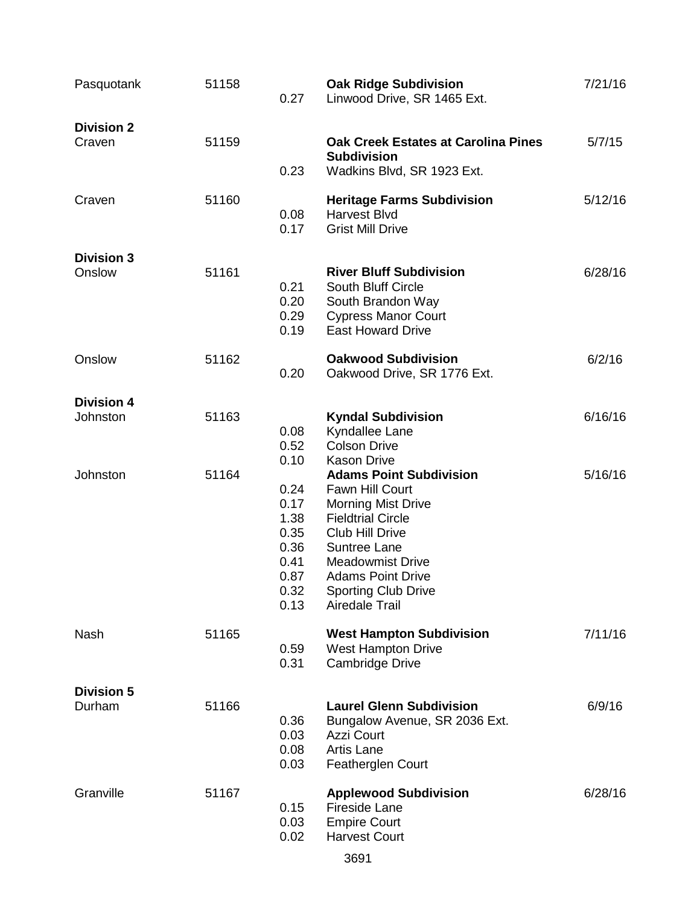| Pasquotank                    | 51158 | 0.27                                                                         | <b>Oak Ridge Subdivision</b><br>Linwood Drive, SR 1465 Ext.                                                                                                                                                                                                                       | 7/21/16 |
|-------------------------------|-------|------------------------------------------------------------------------------|-----------------------------------------------------------------------------------------------------------------------------------------------------------------------------------------------------------------------------------------------------------------------------------|---------|
| <b>Division 2</b><br>Craven   | 51159 | 0.23                                                                         | <b>Oak Creek Estates at Carolina Pines</b><br><b>Subdivision</b><br>Wadkins Blvd, SR 1923 Ext.                                                                                                                                                                                    | 5/7/15  |
| Craven                        | 51160 | 0.08<br>0.17                                                                 | <b>Heritage Farms Subdivision</b><br><b>Harvest Blvd</b><br><b>Grist Mill Drive</b>                                                                                                                                                                                               | 5/12/16 |
| <b>Division 3</b><br>Onslow   | 51161 | 0.21<br>0.20<br>0.29<br>0.19                                                 | <b>River Bluff Subdivision</b><br><b>South Bluff Circle</b><br>South Brandon Way<br><b>Cypress Manor Court</b><br><b>East Howard Drive</b>                                                                                                                                        | 6/28/16 |
| Onslow                        | 51162 | 0.20                                                                         | <b>Oakwood Subdivision</b><br>Oakwood Drive, SR 1776 Ext.                                                                                                                                                                                                                         | 6/2/16  |
| <b>Division 4</b><br>Johnston | 51163 | 0.08<br>0.52                                                                 | <b>Kyndal Subdivision</b><br>Kyndallee Lane<br><b>Colson Drive</b>                                                                                                                                                                                                                | 6/16/16 |
| Johnston                      | 51164 | 0.10<br>0.24<br>0.17<br>1.38<br>0.35<br>0.36<br>0.41<br>0.87<br>0.32<br>0.13 | <b>Kason Drive</b><br><b>Adams Point Subdivision</b><br>Fawn Hill Court<br><b>Morning Mist Drive</b><br><b>Fieldtrial Circle</b><br><b>Club Hill Drive</b><br>Suntree Lane<br><b>Meadowmist Drive</b><br><b>Adams Point Drive</b><br><b>Sporting Club Drive</b><br>Airedale Trail | 5/16/16 |
| <b>Nash</b>                   | 51165 | 0.59<br>0.31                                                                 | <b>West Hampton Subdivision</b><br><b>West Hampton Drive</b><br>Cambridge Drive                                                                                                                                                                                                   | 7/11/16 |
| <b>Division 5</b><br>Durham   | 51166 | 0.36<br>0.03<br>0.08<br>0.03                                                 | <b>Laurel Glenn Subdivision</b><br>Bungalow Avenue, SR 2036 Ext.<br>Azzi Court<br><b>Artis Lane</b><br>Featherglen Court                                                                                                                                                          | 6/9/16  |
| Granville                     | 51167 | 0.15<br>0.03<br>0.02                                                         | <b>Applewood Subdivision</b><br><b>Fireside Lane</b><br><b>Empire Court</b><br><b>Harvest Court</b>                                                                                                                                                                               | 6/28/16 |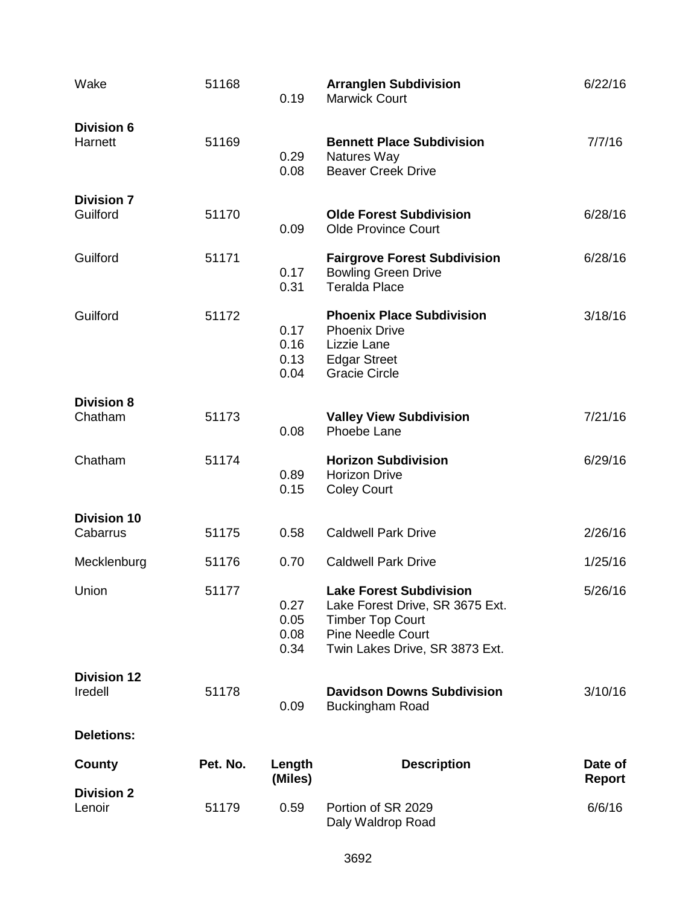| Wake                           | 51168    | 0.19                         | <b>Arranglen Subdivision</b><br><b>Marwick Court</b>                                                                                                       | 6/22/16                  |
|--------------------------------|----------|------------------------------|------------------------------------------------------------------------------------------------------------------------------------------------------------|--------------------------|
| <b>Division 6</b><br>Harnett   | 51169    | 0.29<br>0.08                 | <b>Bennett Place Subdivision</b><br>Natures Way<br><b>Beaver Creek Drive</b>                                                                               | 7/7/16                   |
| <b>Division 7</b><br>Guilford  | 51170    | 0.09                         | <b>Olde Forest Subdivision</b><br><b>Olde Province Court</b>                                                                                               | 6/28/16                  |
| Guilford                       | 51171    | 0.17<br>0.31                 | <b>Fairgrove Forest Subdivision</b><br><b>Bowling Green Drive</b><br><b>Teralda Place</b>                                                                  | 6/28/16                  |
| Guilford                       | 51172    | 0.17<br>0.16<br>0.13<br>0.04 | <b>Phoenix Place Subdivision</b><br><b>Phoenix Drive</b><br>Lizzie Lane<br><b>Edgar Street</b><br><b>Gracie Circle</b>                                     | 3/18/16                  |
| <b>Division 8</b><br>Chatham   | 51173    | 0.08                         | <b>Valley View Subdivision</b><br>Phoebe Lane                                                                                                              | 7/21/16                  |
| Chatham                        | 51174    | 0.89<br>0.15                 | <b>Horizon Subdivision</b><br><b>Horizon Drive</b><br><b>Coley Court</b>                                                                                   | 6/29/16                  |
| <b>Division 10</b><br>Cabarrus | 51175    | 0.58                         | <b>Caldwell Park Drive</b>                                                                                                                                 | 2/26/16                  |
| Mecklenburg                    | 51176    | 0.70                         | <b>Caldwell Park Drive</b>                                                                                                                                 | 1/25/16                  |
| Union                          | 51177    | 0.27<br>0.05<br>0.08<br>0.34 | <b>Lake Forest Subdivision</b><br>Lake Forest Drive, SR 3675 Ext.<br><b>Timber Top Court</b><br><b>Pine Needle Court</b><br>Twin Lakes Drive, SR 3873 Ext. | 5/26/16                  |
| <b>Division 12</b><br>Iredell  | 51178    | 0.09                         | <b>Davidson Downs Subdivision</b><br><b>Buckingham Road</b>                                                                                                | 3/10/16                  |
| <b>Deletions:</b>              |          |                              |                                                                                                                                                            |                          |
| County                         | Pet. No. | Length<br>(Miles)            | <b>Description</b>                                                                                                                                         | Date of<br><b>Report</b> |
| <b>Division 2</b><br>Lenoir    | 51179    | 0.59                         | Portion of SR 2029<br>Daly Waldrop Road                                                                                                                    | 6/6/16                   |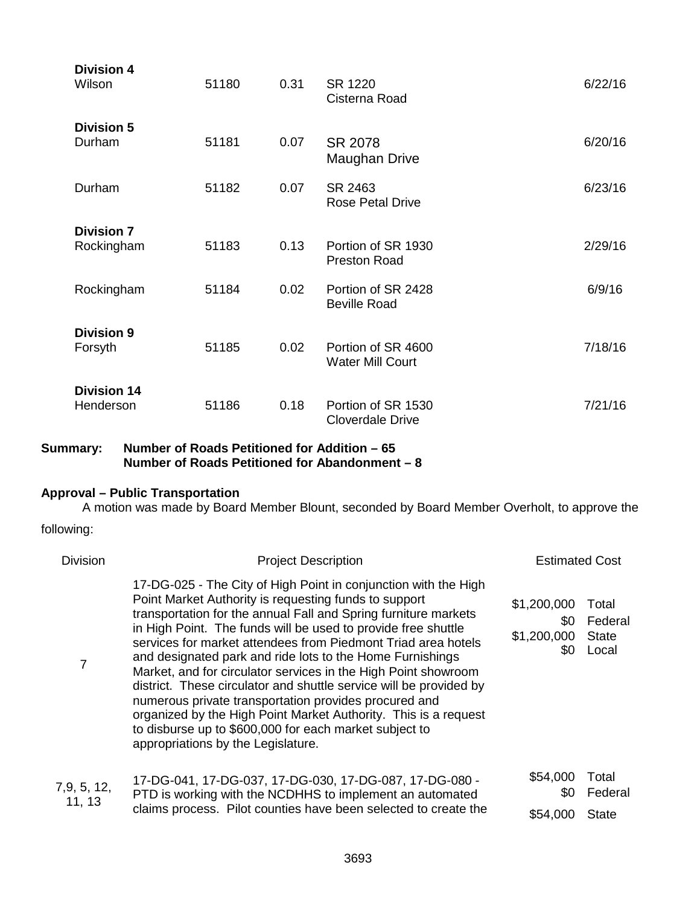| Division 4<br>Wilson            | 51180 | 0.31 | SR 1220<br>Cisterna Road                      | 6/22/16 |
|---------------------------------|-------|------|-----------------------------------------------|---------|
| <b>Division 5</b><br>Durham     | 51181 | 0.07 | SR 2078<br>Maughan Drive                      | 6/20/16 |
| Durham                          | 51182 | 0.07 | SR 2463<br><b>Rose Petal Drive</b>            | 6/23/16 |
| <b>Division 7</b><br>Rockingham | 51183 | 0.13 | Portion of SR 1930<br><b>Preston Road</b>     | 2/29/16 |
| Rockingham                      | 51184 | 0.02 | Portion of SR 2428<br><b>Beville Road</b>     | 6/9/16  |
| <b>Division 9</b><br>Forsyth    | 51185 | 0.02 | Portion of SR 4600<br><b>Water Mill Court</b> | 7/18/16 |
| <b>Division 14</b><br>Henderson | 51186 | 0.18 | Portion of SR 1530<br><b>Cloverdale Drive</b> | 7/21/16 |

**Summary: Number of Roads Petitioned for Addition – 65 Number of Roads Petitioned for Abandonment – 8**

# **Approval – Public Transportation**

A motion was made by Board Member Blount, seconded by Board Member Overholt, to approve the

following:

| <b>Division</b>     | <b>Project Description</b>                                                                                                                                                                                                                                                                                                                                                                                                                                                                                                                                                                                                                                                                                                                                     | <b>Estimated Cost</b>                    |                                           |
|---------------------|----------------------------------------------------------------------------------------------------------------------------------------------------------------------------------------------------------------------------------------------------------------------------------------------------------------------------------------------------------------------------------------------------------------------------------------------------------------------------------------------------------------------------------------------------------------------------------------------------------------------------------------------------------------------------------------------------------------------------------------------------------------|------------------------------------------|-------------------------------------------|
| 7                   | 17-DG-025 - The City of High Point in conjunction with the High<br>Point Market Authority is requesting funds to support<br>transportation for the annual Fall and Spring furniture markets<br>in High Point. The funds will be used to provide free shuttle<br>services for market attendees from Piedmont Triad area hotels<br>and designated park and ride lots to the Home Furnishings<br>Market, and for circulator services in the High Point showroom<br>district. These circulator and shuttle service will be provided by<br>numerous private transportation provides procured and<br>organized by the High Point Market Authority. This is a request<br>to disburse up to \$600,000 for each market subject to<br>appropriations by the Legislature. | \$1,200,000<br>\$0<br>\$1,200,000<br>\$0 | Total<br>Federal<br><b>State</b><br>Local |
| 7,9,5,12,<br>11, 13 | 17-DG-041, 17-DG-037, 17-DG-030, 17-DG-087, 17-DG-080 -<br>PTD is working with the NCDHHS to implement an automated                                                                                                                                                                                                                                                                                                                                                                                                                                                                                                                                                                                                                                            | \$54,000<br>\$0                          | Total<br>Federal                          |
|                     | claims process. Pilot counties have been selected to create the                                                                                                                                                                                                                                                                                                                                                                                                                                                                                                                                                                                                                                                                                                | \$54,000                                 | <b>State</b>                              |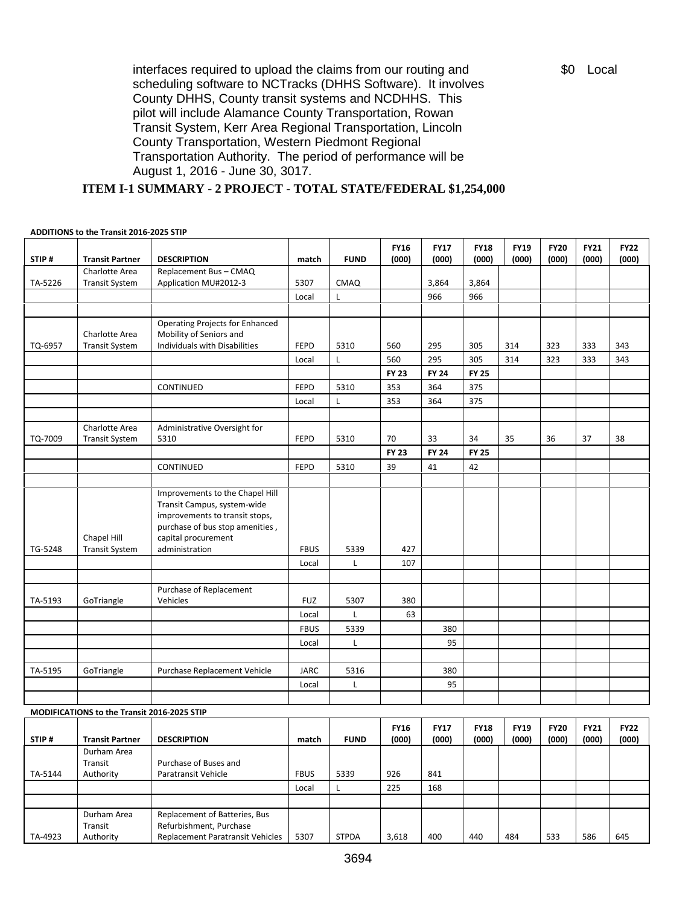interfaces required to upload the claims from our routing and scheduling software to NCTracks (DHHS Software). It involves County DHHS, County transit systems and NCDHHS. This pilot will include Alamance County Transportation, Rowan Transit System, Kerr Area Regional Transportation, Lincoln County Transportation, Western Piedmont Regional Transportation Authority. The period of performance will be August 1, 2016 - June 30, 3017.

**ITEM I-1 SUMMARY - 2 PROJECT - TOTAL STATE/FEDERAL \$1,254,000**

#### **ADDITIONS to the Transit 2016-2025 STIP**

| STIP#   | <b>Transit Partner</b>                      | <b>DESCRIPTION</b>                                                                                                                                         | match       | <b>FUND</b>  | <b>FY16</b><br>(000) | <b>FY17</b><br>(000) | <b>FY18</b><br>(000) | <b>FY19</b><br>(000) | <b>FY20</b><br>(000) | <b>FY21</b><br>(000) | <b>FY22</b><br>(000) |
|---------|---------------------------------------------|------------------------------------------------------------------------------------------------------------------------------------------------------------|-------------|--------------|----------------------|----------------------|----------------------|----------------------|----------------------|----------------------|----------------------|
| TA-5226 | Charlotte Area<br><b>Transit System</b>     | Replacement Bus - CMAQ<br>Application MU#2012-3                                                                                                            | 5307        | <b>CMAQ</b>  |                      | 3,864                | 3,864                |                      |                      |                      |                      |
|         |                                             |                                                                                                                                                            | Local       | L            |                      | 966                  | 966                  |                      |                      |                      |                      |
|         |                                             |                                                                                                                                                            |             |              |                      |                      |                      |                      |                      |                      |                      |
|         | Charlotte Area                              | Operating Projects for Enhanced<br>Mobility of Seniors and                                                                                                 |             |              |                      |                      |                      |                      |                      |                      |                      |
| TQ-6957 | <b>Transit System</b>                       | Individuals with Disabilities                                                                                                                              | <b>FEPD</b> | 5310         | 560                  | 295                  | 305                  | 314                  | 323                  | 333                  | 343                  |
|         |                                             |                                                                                                                                                            | Local       | Г            | 560                  | 295                  | 305                  | 314                  | 323                  | 333                  | 343                  |
|         |                                             |                                                                                                                                                            |             |              | <b>FY 23</b>         | <b>FY 24</b>         | <b>FY 25</b>         |                      |                      |                      |                      |
|         |                                             | CONTINUED                                                                                                                                                  | <b>FEPD</b> | 5310         | 353                  | 364                  | 375                  |                      |                      |                      |                      |
|         |                                             |                                                                                                                                                            | Local       | L            | 353                  | 364                  | 375                  |                      |                      |                      |                      |
| TQ-7009 | Charlotte Area<br><b>Transit System</b>     | Administrative Oversight for<br>5310                                                                                                                       | <b>FEPD</b> | 5310         | 70                   | 33                   | 34                   | 35                   | 36                   | 37                   | 38                   |
|         |                                             |                                                                                                                                                            |             |              | <b>FY 23</b>         | <b>FY 24</b>         | <b>FY 25</b>         |                      |                      |                      |                      |
|         |                                             | CONTINUED                                                                                                                                                  | <b>FEPD</b> | 5310         | 39                   | 41                   | 42                   |                      |                      |                      |                      |
|         |                                             |                                                                                                                                                            |             |              |                      |                      |                      |                      |                      |                      |                      |
|         | Chapel Hill                                 | Improvements to the Chapel Hill<br>Transit Campus, system-wide<br>improvements to transit stops,<br>purchase of bus stop amenities,<br>capital procurement |             |              |                      |                      |                      |                      |                      |                      |                      |
| TG-5248 | <b>Transit System</b>                       | administration                                                                                                                                             | <b>FBUS</b> | 5339         | 427                  |                      |                      |                      |                      |                      |                      |
|         |                                             |                                                                                                                                                            | Local       | L            | 107                  |                      |                      |                      |                      |                      |                      |
|         |                                             |                                                                                                                                                            |             |              |                      |                      |                      |                      |                      |                      |                      |
| TA-5193 | GoTriangle                                  | Purchase of Replacement<br>Vehicles                                                                                                                        | <b>FUZ</b>  | 5307         | 380                  |                      |                      |                      |                      |                      |                      |
|         |                                             |                                                                                                                                                            | Local       | L            | 63                   |                      |                      |                      |                      |                      |                      |
|         |                                             |                                                                                                                                                            | <b>FBUS</b> | 5339         |                      | 380                  |                      |                      |                      |                      |                      |
|         |                                             |                                                                                                                                                            | Local       | L            |                      | 95                   |                      |                      |                      |                      |                      |
|         |                                             |                                                                                                                                                            |             |              |                      |                      |                      |                      |                      |                      |                      |
| TA-5195 | GoTriangle                                  | Purchase Replacement Vehicle                                                                                                                               | <b>JARC</b> | 5316         |                      | 380                  |                      |                      |                      |                      |                      |
|         |                                             |                                                                                                                                                            | Local       | L            |                      | 95                   |                      |                      |                      |                      |                      |
|         |                                             |                                                                                                                                                            |             |              |                      |                      |                      |                      |                      |                      |                      |
|         | MODIFICATIONS to the Transit 2016-2025 STIP |                                                                                                                                                            |             |              |                      |                      |                      |                      |                      |                      |                      |
| STIP#   | <b>Transit Partner</b>                      | <b>DESCRIPTION</b>                                                                                                                                         | match       | <b>FUND</b>  | <b>FY16</b><br>(000) | <b>FY17</b><br>(000) | <b>FY18</b><br>(000) | <b>FY19</b><br>(000) | <b>FY20</b><br>(000) | <b>FY21</b><br>(000) | <b>FY22</b><br>(000) |
| TA-5144 | Durham Area<br>Transit<br>Authority         | Purchase of Buses and<br>Paratransit Vehicle                                                                                                               | <b>FBUS</b> | 5339         | 926                  | 841                  |                      |                      |                      |                      |                      |
|         |                                             |                                                                                                                                                            | Local       | Г            | 225                  | 168                  |                      |                      |                      |                      |                      |
|         |                                             |                                                                                                                                                            |             |              |                      |                      |                      |                      |                      |                      |                      |
| TA-4923 | Durham Area<br>Transit<br>Authority         | Replacement of Batteries, Bus<br>Refurbishment, Purchase<br>Replacement Paratransit Vehicles                                                               | 5307        | <b>STPDA</b> | 3,618                | 400                  | 440                  | 484                  | 533                  | 586                  | 645                  |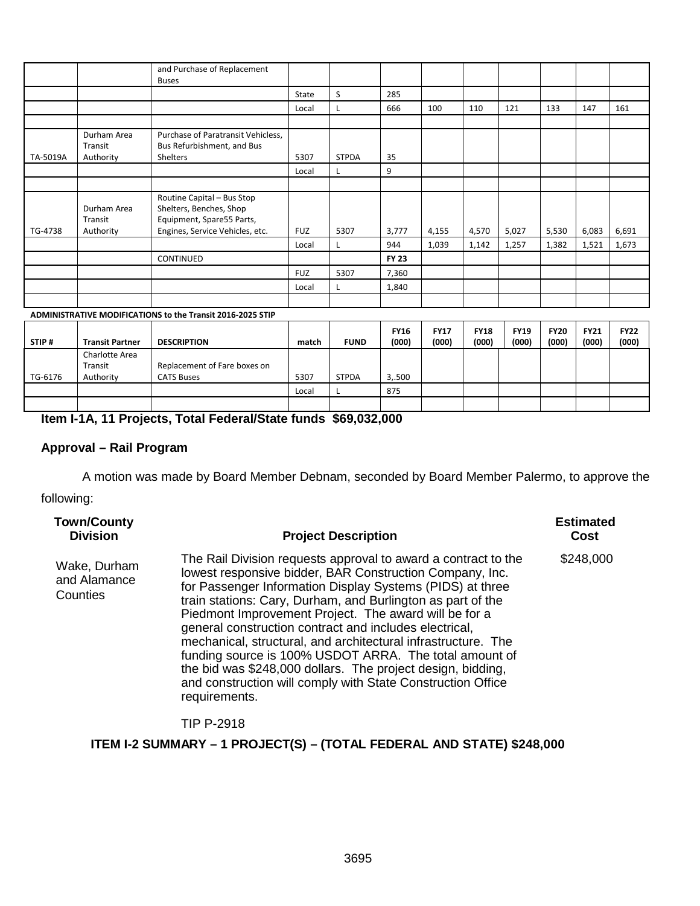|          |                                     | and Purchase of Replacement<br><b>Buses</b>                                                                           |            |              |              |       |       |       |       |       |       |
|----------|-------------------------------------|-----------------------------------------------------------------------------------------------------------------------|------------|--------------|--------------|-------|-------|-------|-------|-------|-------|
|          |                                     |                                                                                                                       | State      | S            | 285          |       |       |       |       |       |       |
|          |                                     |                                                                                                                       | Local      |              | 666          | 100   | 110   | 121   | 133   | 147   | 161   |
|          |                                     |                                                                                                                       |            |              |              |       |       |       |       |       |       |
|          | Durham Area<br>Transit              | Purchase of Paratransit Vehicless,<br>Bus Refurbishment, and Bus                                                      |            |              |              |       |       |       |       |       |       |
| TA-5019A | Authority                           | Shelters                                                                                                              | 5307       | <b>STPDA</b> | 35           |       |       |       |       |       |       |
|          |                                     |                                                                                                                       | Local      |              | 9            |       |       |       |       |       |       |
|          |                                     |                                                                                                                       |            |              |              |       |       |       |       |       |       |
| TG-4738  | Durham Area<br>Transit<br>Authority | Routine Capital - Bus Stop<br>Shelters, Benches, Shop<br>Equipment, Spare55 Parts,<br>Engines, Service Vehicles, etc. | <b>FUZ</b> | 5307         | 3,777        | 4,155 | 4,570 | 5,027 | 5,530 | 6,083 | 6,691 |
|          |                                     |                                                                                                                       | Local      |              | 944          | 1,039 | 1,142 | 1,257 | 1,382 | 1,521 | 1,673 |
|          |                                     | CONTINUED                                                                                                             |            |              | <b>FY 23</b> |       |       |       |       |       |       |
|          |                                     |                                                                                                                       | <b>FUZ</b> | 5307         | 7,360        |       |       |       |       |       |       |
|          |                                     |                                                                                                                       | Local      |              | 1,840        |       |       |       |       |       |       |
|          |                                     |                                                                                                                       |            |              |              |       |       |       |       |       |       |

### **ADMINISTRATIVE MODIFICATIONS to the Transit 2016-2025 STIP**

| STIP#   | <b>Transit Partner</b>                 | <b>DESCRIPTION</b>                                | match | <b>FUND</b>  | <b>FY16</b><br>(000) | <b>FY17</b><br>(000) | <b>FY18</b><br>(000) | <b>FY19</b><br>(000) | <b>FY20</b><br>(000) | <b>FY21</b><br>(000) | <b>FY22</b><br>(000) |
|---------|----------------------------------------|---------------------------------------------------|-------|--------------|----------------------|----------------------|----------------------|----------------------|----------------------|----------------------|----------------------|
| TG-6176 | Charlotte Area<br>Transit<br>Authority | Replacement of Fare boxes on<br><b>CATS Buses</b> | 5307  | <b>STPDA</b> | 3,.500               |                      |                      |                      |                      |                      |                      |
|         |                                        |                                                   | Local |              | 875                  |                      |                      |                      |                      |                      |                      |
|         |                                        |                                                   |       |              |                      |                      |                      |                      |                      |                      |                      |

# **Item I-1A, 11 Projects, Total Federal/State funds \$69,032,000**

#### **Approval – Rail Program**

A motion was made by Board Member Debnam, seconded by Board Member Palermo, to approve the

following:

| <b>Town/County</b><br><b>Division</b>    | <b>Project Description</b>                                                                                                                                                                                                                                                                                                                                                                                                                                                                                                                                                                                                                          | <b>Estimated</b><br>Cost |
|------------------------------------------|-----------------------------------------------------------------------------------------------------------------------------------------------------------------------------------------------------------------------------------------------------------------------------------------------------------------------------------------------------------------------------------------------------------------------------------------------------------------------------------------------------------------------------------------------------------------------------------------------------------------------------------------------------|--------------------------|
| Wake, Durham<br>and Alamance<br>Counties | The Rail Division requests approval to award a contract to the<br>lowest responsive bidder, BAR Construction Company, Inc.<br>for Passenger Information Display Systems (PIDS) at three<br>train stations: Cary, Durham, and Burlington as part of the<br>Piedmont Improvement Project. The award will be for a<br>general construction contract and includes electrical,<br>mechanical, structural, and architectural infrastructure. The<br>funding source is 100% USDOT ARRA. The total amount of<br>the bid was \$248,000 dollars. The project design, bidding,<br>and construction will comply with State Construction Office<br>requirements. | \$248,000                |
|                                          |                                                                                                                                                                                                                                                                                                                                                                                                                                                                                                                                                                                                                                                     |                          |

### TIP P-2918

# **ITEM I-2 SUMMARY – 1 PROJECT(S) – (TOTAL FEDERAL AND STATE) \$248,000**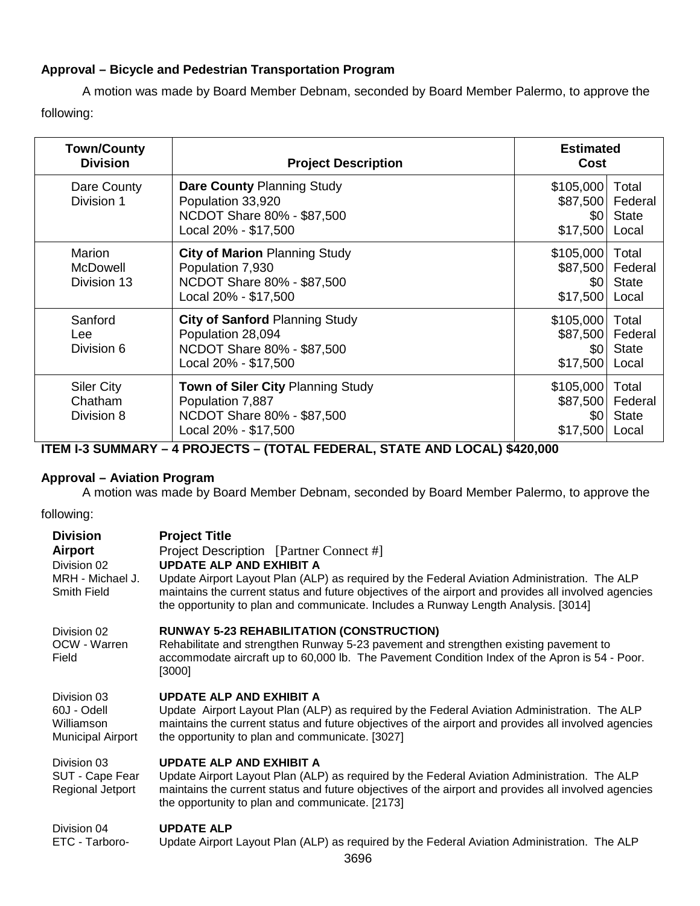# **Approval – Bicycle and Pedestrian Transportation Program**

A motion was made by Board Member Debnam, seconded by Board Member Palermo, to approve the following:

| <b>Town/County</b><br><b>Division</b>      | <b>Project Description</b>                                                                                       | <b>Estimated</b><br><b>Cost</b>                       |                                           |
|--------------------------------------------|------------------------------------------------------------------------------------------------------------------|-------------------------------------------------------|-------------------------------------------|
| Dare County<br>Division 1                  | <b>Dare County Planning Study</b><br>Population 33,920<br>NCDOT Share 80% - \$87,500<br>Local 20% - \$17,500     | \$105,000<br>\$87,500<br>\$0<br>\$17,500              | Total<br>Federal<br><b>State</b><br>Local |
| Marion<br>McDowell<br>Division 13          | <b>City of Marion Planning Study</b><br>Population 7,930<br>NCDOT Share 80% - \$87,500<br>Local 20% - \$17,500   | \$105,000<br>\$87,500<br>\$0<br>\$17,500              | Total<br>Federal<br><b>State</b><br>Local |
| Sanford<br>Lee<br>Division 6               | <b>City of Sanford Planning Study</b><br>Population 28,094<br>NCDOT Share 80% - \$87,500<br>Local 20% - \$17,500 | \$105,000<br>\$87,500<br>\$0 <sub>1</sub><br>\$17,500 | Total<br>Federal<br><b>State</b><br>Local |
| <b>Siler City</b><br>Chatham<br>Division 8 | Town of Siler City Planning Study<br>Population 7,887<br>NCDOT Share 80% - \$87,500<br>Local 20% - \$17,500      | \$105,000<br>\$87,500<br>\$0 <sub>1</sub><br>\$17,500 | Total<br>Federal<br><b>State</b><br>Local |

**ITEM I-3 SUMMARY – 4 PROJECTS – (TOTAL FEDERAL, STATE AND LOCAL) \$420,000**

# **Approval – Aviation Program**

A motion was made by Board Member Debnam, seconded by Board Member Palermo, to approve the

following:

| <b>Division</b><br>Airport<br>Division 02<br>MRH - Michael J.<br><b>Smith Field</b> | <b>Project Title</b><br>Project Description [Partner Connect #]<br><b>UPDATE ALP AND EXHIBIT A</b><br>Update Airport Layout Plan (ALP) as required by the Federal Aviation Administration. The ALP<br>maintains the current status and future objectives of the airport and provides all involved agencies<br>the opportunity to plan and communicate. Includes a Runway Length Analysis. [3014] |
|-------------------------------------------------------------------------------------|--------------------------------------------------------------------------------------------------------------------------------------------------------------------------------------------------------------------------------------------------------------------------------------------------------------------------------------------------------------------------------------------------|
| Division 02<br>OCW - Warren<br>Field                                                | <b>RUNWAY 5-23 REHABILITATION (CONSTRUCTION)</b><br>Rehabilitate and strengthen Runway 5-23 pavement and strengthen existing pavement to<br>accommodate aircraft up to 60,000 lb. The Pavement Condition Index of the Apron is 54 - Poor.<br>[3000]                                                                                                                                              |
| Division 03<br>60J - Odell<br>Williamson<br><b>Municipal Airport</b>                | <b>UPDATE ALP AND EXHIBIT A</b><br>Update Airport Layout Plan (ALP) as required by the Federal Aviation Administration. The ALP<br>maintains the current status and future objectives of the airport and provides all involved agencies<br>the opportunity to plan and communicate. [3027]                                                                                                       |
| Division 03<br>SUT - Cape Fear<br>Regional Jetport                                  | UPDATE ALP AND EXHIBIT A<br>Update Airport Layout Plan (ALP) as required by the Federal Aviation Administration. The ALP<br>maintains the current status and future objectives of the airport and provides all involved agencies<br>the opportunity to plan and communicate. [2173]                                                                                                              |
| Division 04<br>ETC - Tarboro-                                                       | <b>UPDATE ALP</b><br>Update Airport Layout Plan (ALP) as required by the Federal Aviation Administration. The ALP                                                                                                                                                                                                                                                                                |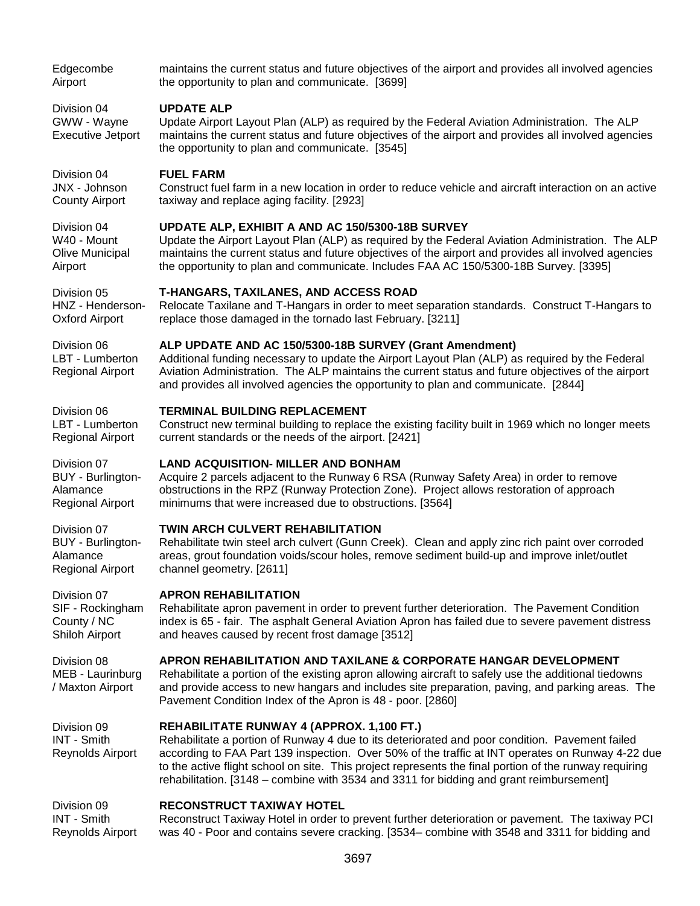| Edgecombe                                                 | maintains the current status and future objectives of the airport and provides all involved agencies                                                                                                                                                                                                                                                                                                                                                 |
|-----------------------------------------------------------|------------------------------------------------------------------------------------------------------------------------------------------------------------------------------------------------------------------------------------------------------------------------------------------------------------------------------------------------------------------------------------------------------------------------------------------------------|
| Airport                                                   | the opportunity to plan and communicate. [3699]                                                                                                                                                                                                                                                                                                                                                                                                      |
| Division 04<br>GWW - Wayne<br><b>Executive Jetport</b>    | <b>UPDATE ALP</b><br>Update Airport Layout Plan (ALP) as required by the Federal Aviation Administration. The ALP<br>maintains the current status and future objectives of the airport and provides all involved agencies<br>the opportunity to plan and communicate. [3545]                                                                                                                                                                         |
| Division 04                                               | <b>FUEL FARM</b>                                                                                                                                                                                                                                                                                                                                                                                                                                     |
| JNX - Johnson                                             | Construct fuel farm in a new location in order to reduce vehicle and aircraft interaction on an active                                                                                                                                                                                                                                                                                                                                               |
| <b>County Airport</b>                                     | taxiway and replace aging facility. [2923]                                                                                                                                                                                                                                                                                                                                                                                                           |
| Division 04                                               | UPDATE ALP, EXHIBIT A AND AC 150/5300-18B SURVEY                                                                                                                                                                                                                                                                                                                                                                                                     |
| W40 - Mount                                               | Update the Airport Layout Plan (ALP) as required by the Federal Aviation Administration. The ALP                                                                                                                                                                                                                                                                                                                                                     |
| Olive Municipal                                           | maintains the current status and future objectives of the airport and provides all involved agencies                                                                                                                                                                                                                                                                                                                                                 |
| Airport                                                   | the opportunity to plan and communicate. Includes FAA AC 150/5300-18B Survey. [3395]                                                                                                                                                                                                                                                                                                                                                                 |
| Division 05                                               | <b>T-HANGARS, TAXILANES, AND ACCESS ROAD</b>                                                                                                                                                                                                                                                                                                                                                                                                         |
| HNZ - Henderson-                                          | Relocate Taxilane and T-Hangars in order to meet separation standards. Construct T-Hangars to                                                                                                                                                                                                                                                                                                                                                        |
| <b>Oxford Airport</b>                                     | replace those damaged in the tornado last February. [3211]                                                                                                                                                                                                                                                                                                                                                                                           |
| Division 06<br>LBT - Lumberton<br><b>Regional Airport</b> | ALP UPDATE AND AC 150/5300-18B SURVEY (Grant Amendment)<br>Additional funding necessary to update the Airport Layout Plan (ALP) as required by the Federal<br>Aviation Administration. The ALP maintains the current status and future objectives of the airport<br>and provides all involved agencies the opportunity to plan and communicate. [2844]                                                                                               |
| Division 06                                               | <b>TERMINAL BUILDING REPLACEMENT</b>                                                                                                                                                                                                                                                                                                                                                                                                                 |
| LBT - Lumberton                                           | Construct new terminal building to replace the existing facility built in 1969 which no longer meets                                                                                                                                                                                                                                                                                                                                                 |
| <b>Regional Airport</b>                                   | current standards or the needs of the airport. [2421]                                                                                                                                                                                                                                                                                                                                                                                                |
| Division 07                                               | <b>LAND ACQUISITION- MILLER AND BONHAM</b>                                                                                                                                                                                                                                                                                                                                                                                                           |
| BUY - Burlington-                                         | Acquire 2 parcels adjacent to the Runway 6 RSA (Runway Safety Area) in order to remove                                                                                                                                                                                                                                                                                                                                                               |
| Alamance                                                  | obstructions in the RPZ (Runway Protection Zone). Project allows restoration of approach                                                                                                                                                                                                                                                                                                                                                             |
| <b>Regional Airport</b>                                   | minimums that were increased due to obstructions. [3564]                                                                                                                                                                                                                                                                                                                                                                                             |
| Division 07                                               | TWIN ARCH CULVERT REHABILITATION                                                                                                                                                                                                                                                                                                                                                                                                                     |
| BUY - Burlington-                                         | Rehabilitate twin steel arch culvert (Gunn Creek). Clean and apply zinc rich paint over corroded                                                                                                                                                                                                                                                                                                                                                     |
| Alamance                                                  | areas, grout foundation voids/scour holes, remove sediment build-up and improve inlet/outlet                                                                                                                                                                                                                                                                                                                                                         |
| <b>Regional Airport</b>                                   | channel geometry. [2611]                                                                                                                                                                                                                                                                                                                                                                                                                             |
| Division 07                                               | <b>APRON REHABILITATION</b>                                                                                                                                                                                                                                                                                                                                                                                                                          |
| SIF - Rockingham                                          | Rehabilitate apron pavement in order to prevent further deterioration. The Pavement Condition                                                                                                                                                                                                                                                                                                                                                        |
| County / NC                                               | index is 65 - fair. The asphalt General Aviation Apron has failed due to severe pavement distress                                                                                                                                                                                                                                                                                                                                                    |
| Shiloh Airport                                            | and heaves caused by recent frost damage [3512]                                                                                                                                                                                                                                                                                                                                                                                                      |
| Division 08<br>MEB - Laurinburg<br>/ Maxton Airport       | APRON REHABILITATION AND TAXILANE & CORPORATE HANGAR DEVELOPMENT<br>Rehabilitate a portion of the existing apron allowing aircraft to safely use the additional tiedowns<br>and provide access to new hangars and includes site preparation, paving, and parking areas. The<br>Pavement Condition Index of the Apron is 48 - poor. [2860]                                                                                                            |
| Division 09<br>INT - Smith<br>Reynolds Airport            | REHABILITATE RUNWAY 4 (APPROX. 1,100 FT.)<br>Rehabilitate a portion of Runway 4 due to its deteriorated and poor condition. Pavement failed<br>according to FAA Part 139 inspection. Over 50% of the traffic at INT operates on Runway 4-22 due<br>to the active flight school on site. This project represents the final portion of the runway requiring<br>rehabilitation. [3148 – combine with 3534 and 3311 for bidding and grant reimbursement] |
| Division 09                                               | <b>RECONSTRUCT TAXIWAY HOTEL</b>                                                                                                                                                                                                                                                                                                                                                                                                                     |
| <b>INT - Smith</b>                                        | Reconstruct Taxiway Hotel in order to prevent further deterioration or pavement. The taxiway PCI                                                                                                                                                                                                                                                                                                                                                     |

3697

Reynolds Airport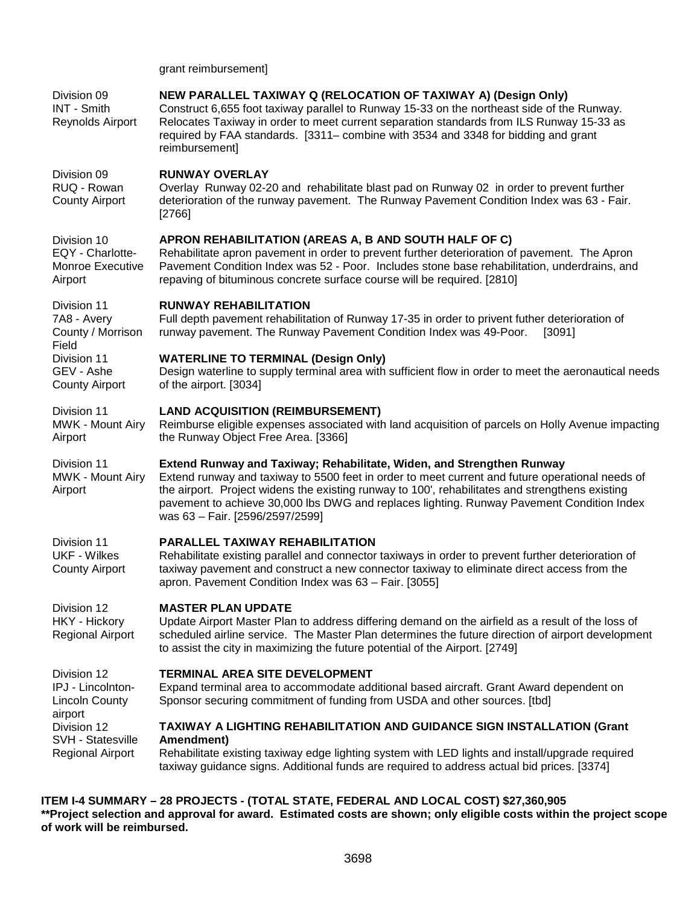grant reimbursement]

| Division 09<br>INT - Smith<br>Reynolds Airport                 | NEW PARALLEL TAXIWAY Q (RELOCATION OF TAXIWAY A) (Design Only)<br>Construct 6,655 foot taxiway parallel to Runway 15-33 on the northeast side of the Runway.<br>Relocates Taxiway in order to meet current separation standards from ILS Runway 15-33 as<br>required by FAA standards. [3311– combine with 3534 and 3348 for bidding and grant<br>reimbursement]                                            |
|----------------------------------------------------------------|-------------------------------------------------------------------------------------------------------------------------------------------------------------------------------------------------------------------------------------------------------------------------------------------------------------------------------------------------------------------------------------------------------------|
| Division 09<br>RUQ - Rowan<br><b>County Airport</b>            | <b>RUNWAY OVERLAY</b><br>Overlay Runway 02-20 and rehabilitate blast pad on Runway 02 in order to prevent further<br>deterioration of the runway pavement. The Runway Pavement Condition Index was 63 - Fair.<br>[2766]                                                                                                                                                                                     |
| Division 10<br>EQY - Charlotte-<br>Monroe Executive<br>Airport | APRON REHABILITATION (AREAS A, B AND SOUTH HALF OF C)<br>Rehabilitate apron pavement in order to prevent further deterioration of pavement. The Apron<br>Pavement Condition Index was 52 - Poor. Includes stone base rehabilitation, underdrains, and<br>repaving of bituminous concrete surface course will be required. [2810]                                                                            |
| Division 11<br>7A8 - Avery<br>County / Morrison<br>Field       | <b>RUNWAY REHABILITATION</b><br>Full depth pavement rehabilitation of Runway 17-35 in order to privent futher deterioration of<br>runway pavement. The Runway Pavement Condition Index was 49-Poor.<br>[3091]                                                                                                                                                                                               |
| Division 11<br>GEV - Ashe<br><b>County Airport</b>             | <b>WATERLINE TO TERMINAL (Design Only)</b><br>Design waterline to supply terminal area with sufficient flow in order to meet the aeronautical needs<br>of the airport. [3034]                                                                                                                                                                                                                               |
| Division 11<br>MWK - Mount Airy<br>Airport                     | <b>LAND ACQUISITION (REIMBURSEMENT)</b><br>Reimburse eligible expenses associated with land acquisition of parcels on Holly Avenue impacting<br>the Runway Object Free Area. [3366]                                                                                                                                                                                                                         |
| Division 11<br>MWK - Mount Airy<br>Airport                     | Extend Runway and Taxiway; Rehabilitate, Widen, and Strengthen Runway<br>Extend runway and taxiway to 5500 feet in order to meet current and future operational needs of<br>the airport. Project widens the existing runway to 100', rehabilitates and strengthens existing<br>pavement to achieve 30,000 lbs DWG and replaces lighting. Runway Pavement Condition Index<br>was 63 - Fair. [2596/2597/2599] |
| Division 11<br><b>UKF - Wilkes</b><br><b>County Airport</b>    | <b>PARALLEL TAXIWAY REHABILITATION</b><br>Rehabilitate existing parallel and connector taxiways in order to prevent further deterioration of<br>taxiway pavement and construct a new connector taxiway to eliminate direct access from the<br>apron. Pavement Condition Index was 63 - Fair. [3055]                                                                                                         |
| Division 12<br><b>HKY - Hickory</b><br>Regional Airport        | <b>MASTER PLAN UPDATE</b><br>Update Airport Master Plan to address differing demand on the airfield as a result of the loss of<br>scheduled airline service. The Master Plan determines the future direction of airport development<br>to assist the city in maximizing the future potential of the Airport. [2749]                                                                                         |
| Division 12<br>IPJ - Lincolnton-<br>Lincoln County<br>airport  | <b>TERMINAL AREA SITE DEVELOPMENT</b><br>Expand terminal area to accommodate additional based aircraft. Grant Award dependent on<br>Sponsor securing commitment of funding from USDA and other sources. [tbd]                                                                                                                                                                                               |
| Division 12<br>SVH - Statesville<br><b>Regional Airport</b>    | TAXIWAY A LIGHTING REHABILITATION AND GUIDANCE SIGN INSTALLATION (Grant<br>Amendment)<br>Rehabilitate existing taxiway edge lighting system with LED lights and install/upgrade required<br>taxiway guidance signs. Additional funds are required to address actual bid prices. [3374]                                                                                                                      |

**ITEM I-4 SUMMARY – 28 PROJECTS - (TOTAL STATE, FEDERAL AND LOCAL COST) \$27,360,905 \*\*Project selection and approval for award. Estimated costs are shown; only eligible costs within the project scope of work will be reimbursed.**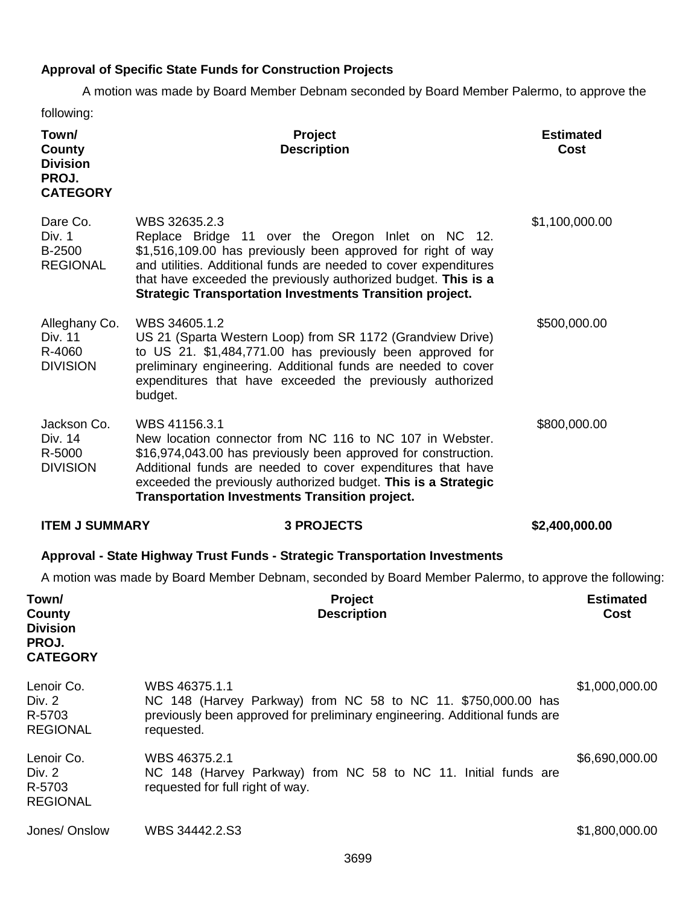# **Approval of Specific State Funds for Construction Projects**

A motion was made by Board Member Debnam seconded by Board Member Palermo, to approve the following:

| Town/<br>County<br><b>Division</b><br>PROJ.<br><b>CATEGORY</b> | Project<br><b>Description</b>                                                                                                                                                                                                                                                                                                               | <b>Estimated</b><br><b>Cost</b> |
|----------------------------------------------------------------|---------------------------------------------------------------------------------------------------------------------------------------------------------------------------------------------------------------------------------------------------------------------------------------------------------------------------------------------|---------------------------------|
| Dare Co.<br>Div. 1<br>B-2500<br><b>REGIONAL</b>                | WBS 32635.2.3<br>Replace Bridge 11 over the Oregon Inlet on NC 12.<br>\$1,516,109.00 has previously been approved for right of way<br>and utilities. Additional funds are needed to cover expenditures<br>that have exceeded the previously authorized budget. This is a<br><b>Strategic Transportation Investments Transition project.</b> | \$1,100,000.00                  |
| Alleghany Co.<br>Div. 11<br>R-4060<br><b>DIVISION</b>          | WBS 34605.1.2<br>US 21 (Sparta Western Loop) from SR 1172 (Grandview Drive)<br>to US 21. \$1,484,771.00 has previously been approved for<br>preliminary engineering. Additional funds are needed to cover<br>expenditures that have exceeded the previously authorized<br>budget.                                                           | \$500,000.00                    |
| Jackson Co.<br>Div. 14<br>R-5000                               | WBS 41156.3.1<br>New location connector from NC 116 to NC 107 in Webster.<br>\$16,974,043.00 has previously been approved for construction.                                                                                                                                                                                                 | \$800,000.00                    |
| <b>DIVISION</b>                                                | Additional funds are needed to cover expenditures that have<br>exceeded the previously authorized budget. This is a Strategic<br><b>Transportation Investments Transition project.</b>                                                                                                                                                      |                                 |
| <b>ITEM J SUMMARY</b>                                          | <b>3 PROJECTS</b>                                                                                                                                                                                                                                                                                                                           | \$2,400,000.00                  |
|                                                                | Approval - State Highway Trust Funds - Strategic Transportation Investments                                                                                                                                                                                                                                                                 |                                 |
|                                                                | A motion was made by Board Member Debnam, seconded by Board Member Palermo, to approve the following:                                                                                                                                                                                                                                       |                                 |
| Town/<br>County<br><b>Division</b><br>PROJ.<br><b>CATEGORY</b> | Project<br><b>Description</b>                                                                                                                                                                                                                                                                                                               | <b>Estimated</b><br>Cost        |
| Lenoir Co.<br>Div. 2<br>R-5703<br><b>REGIONAL</b>              | WBS 46375.1.1<br>NC 148 (Harvey Parkway) from NC 58 to NC 11. \$750,000.00 has<br>previously been approved for preliminary engineering. Additional funds are<br>requested.                                                                                                                                                                  | \$1,000,000.00                  |
| Lenoir Co.<br>Div. 2<br>R-5703<br><b>REGIONAL</b>              | WBS 46375.2.1<br>NC 148 (Harvey Parkway) from NC 58 to NC 11. Initial funds are<br>requested for full right of way.                                                                                                                                                                                                                         | \$6,690,000.00                  |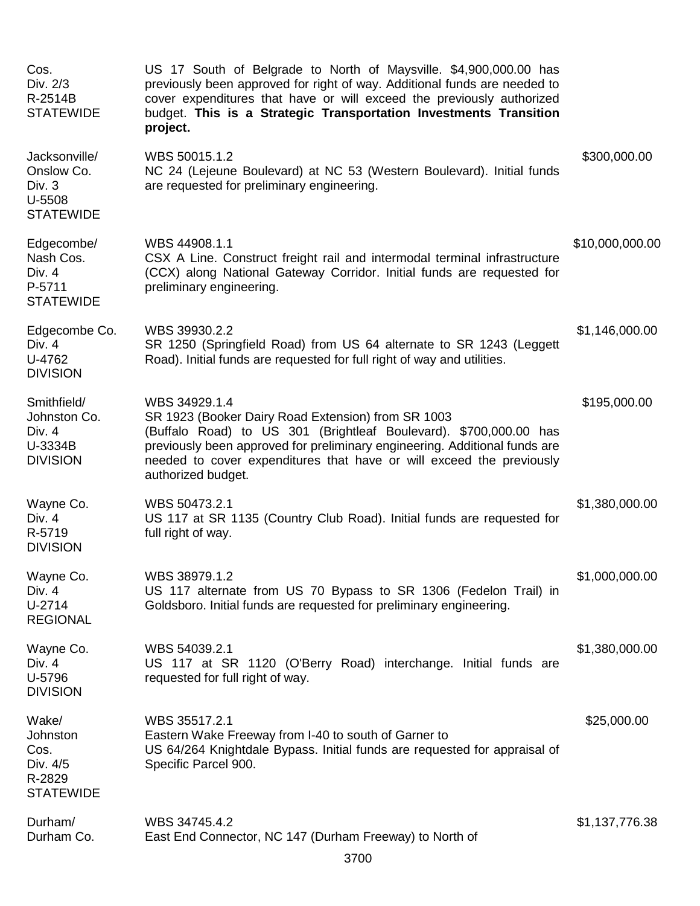| Cos.<br>Div. 2/3<br>R-2514B<br><b>STATEWIDE</b>                     | US 17 South of Belgrade to North of Maysville. \$4,900,000.00 has<br>previously been approved for right of way. Additional funds are needed to<br>cover expenditures that have or will exceed the previously authorized<br>budget. This is a Strategic Transportation Investments Transition<br>project.             |                 |
|---------------------------------------------------------------------|----------------------------------------------------------------------------------------------------------------------------------------------------------------------------------------------------------------------------------------------------------------------------------------------------------------------|-----------------|
| Jacksonville/<br>Onslow Co.<br>Div. 3<br>U-5508<br><b>STATEWIDE</b> | WBS 50015.1.2<br>NC 24 (Lejeune Boulevard) at NC 53 (Western Boulevard). Initial funds<br>are requested for preliminary engineering.                                                                                                                                                                                 | \$300,000.00    |
| Edgecombe/<br>Nash Cos.<br>Div. 4<br>P-5711<br><b>STATEWIDE</b>     | WBS 44908.1.1<br>CSX A Line. Construct freight rail and intermodal terminal infrastructure<br>(CCX) along National Gateway Corridor. Initial funds are requested for<br>preliminary engineering.                                                                                                                     | \$10,000,000.00 |
| Edgecombe Co.<br>Div. 4<br>U-4762<br><b>DIVISION</b>                | WBS 39930.2.2<br>SR 1250 (Springfield Road) from US 64 alternate to SR 1243 (Leggett<br>Road). Initial funds are requested for full right of way and utilities.                                                                                                                                                      | \$1,146,000.00  |
| Smithfield/<br>Johnston Co.<br>Div. 4<br>U-3334B<br><b>DIVISION</b> | WBS 34929.1.4<br>SR 1923 (Booker Dairy Road Extension) from SR 1003<br>(Buffalo Road) to US 301 (Brightleaf Boulevard). \$700,000.00 has<br>previously been approved for preliminary engineering. Additional funds are<br>needed to cover expenditures that have or will exceed the previously<br>authorized budget. | \$195,000.00    |
| Wayne Co.<br>Div. 4<br>R-5719<br><b>DIVISION</b>                    | WBS 50473.2.1<br>US 117 at SR 1135 (Country Club Road). Initial funds are requested for<br>full right of way.                                                                                                                                                                                                        | \$1,380,000.00  |
| Wayne Co.<br>Div. 4<br>U-2714<br><b>REGIONAL</b>                    | WBS 38979.1.2<br>US 117 alternate from US 70 Bypass to SR 1306 (Fedelon Trail) in<br>Goldsboro. Initial funds are requested for preliminary engineering.                                                                                                                                                             | \$1,000,000.00  |
| Wayne Co.<br>Div. 4<br>U-5796<br><b>DIVISION</b>                    | WBS 54039.2.1<br>US 117 at SR 1120 (O'Berry Road) interchange. Initial funds are<br>requested for full right of way.                                                                                                                                                                                                 | \$1,380,000.00  |
| Wake/<br>Johnston<br>Cos.<br>Div. 4/5<br>R-2829<br><b>STATEWIDE</b> | WBS 35517.2.1<br>Eastern Wake Freeway from I-40 to south of Garner to<br>US 64/264 Knightdale Bypass. Initial funds are requested for appraisal of<br>Specific Parcel 900.                                                                                                                                           | \$25,000.00     |
| Durham/<br>Durham Co.                                               | WBS 34745.4.2<br>East End Connector, NC 147 (Durham Freeway) to North of                                                                                                                                                                                                                                             | \$1,137,776.38  |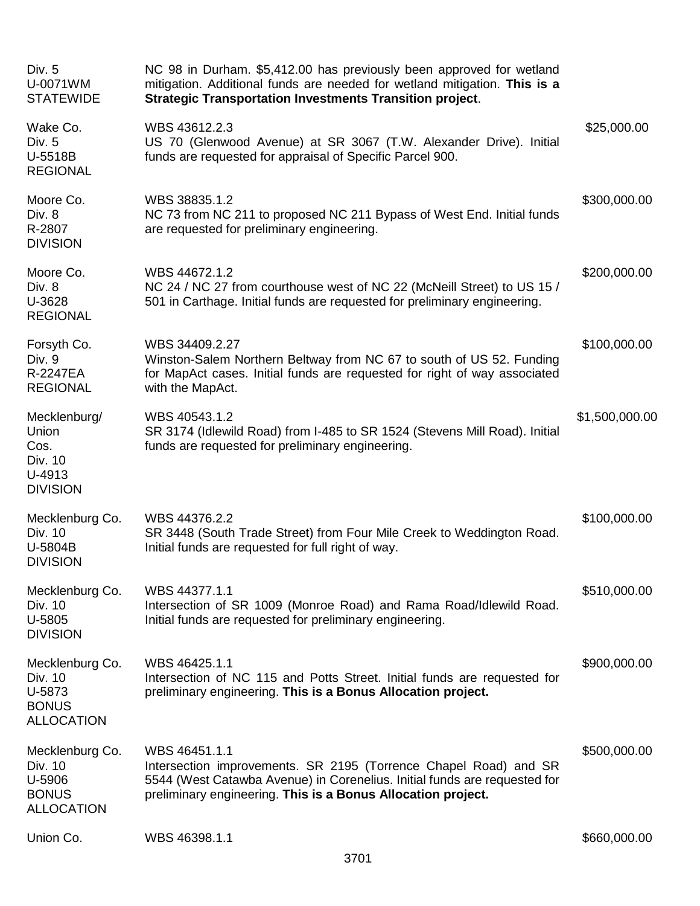| Div. 5<br>U-0071WM<br><b>STATEWIDE</b>                                    | NC 98 in Durham. \$5,412.00 has previously been approved for wetland<br>mitigation. Additional funds are needed for wetland mitigation. This is a<br><b>Strategic Transportation Investments Transition project.</b>           |                |
|---------------------------------------------------------------------------|--------------------------------------------------------------------------------------------------------------------------------------------------------------------------------------------------------------------------------|----------------|
| Wake Co.<br>Div. 5<br>U-5518B<br><b>REGIONAL</b>                          | WBS 43612.2.3<br>US 70 (Glenwood Avenue) at SR 3067 (T.W. Alexander Drive). Initial<br>funds are requested for appraisal of Specific Parcel 900.                                                                               | \$25,000.00    |
| Moore Co.<br>Div. 8<br>R-2807<br><b>DIVISION</b>                          | WBS 38835.1.2<br>NC 73 from NC 211 to proposed NC 211 Bypass of West End. Initial funds<br>are requested for preliminary engineering.                                                                                          | \$300,000.00   |
| Moore Co.<br>Div. 8<br>U-3628<br><b>REGIONAL</b>                          | WBS 44672.1.2<br>NC 24 / NC 27 from courthouse west of NC 22 (McNeill Street) to US 15 /<br>501 in Carthage. Initial funds are requested for preliminary engineering.                                                          | \$200,000.00   |
| Forsyth Co.<br>Div. 9<br>R-2247EA<br><b>REGIONAL</b>                      | WBS 34409.2.27<br>Winston-Salem Northern Beltway from NC 67 to south of US 52. Funding<br>for MapAct cases. Initial funds are requested for right of way associated<br>with the MapAct.                                        | \$100,000.00   |
| Mecklenburg/<br>Union<br>Cos.<br>Div. 10<br>U-4913<br><b>DIVISION</b>     | WBS 40543.1.2<br>SR 3174 (Idlewild Road) from I-485 to SR 1524 (Stevens Mill Road). Initial<br>funds are requested for preliminary engineering.                                                                                | \$1,500,000.00 |
| Mecklenburg Co.<br>Div. 10<br>U-5804B<br><b>DIVISION</b>                  | WBS 44376.2.2<br>SR 3448 (South Trade Street) from Four Mile Creek to Weddington Road.<br>Initial funds are requested for full right of way.                                                                                   | \$100,000.00   |
| Mecklenburg Co.<br>Div. 10<br>U-5805<br><b>DIVISION</b>                   | WBS 44377.1.1<br>Intersection of SR 1009 (Monroe Road) and Rama Road/Idlewild Road.<br>Initial funds are requested for preliminary engineering.                                                                                | \$510,000.00   |
| Mecklenburg Co.<br>Div. 10<br>U-5873<br><b>BONUS</b><br><b>ALLOCATION</b> | WBS 46425.1.1<br>Intersection of NC 115 and Potts Street. Initial funds are requested for<br>preliminary engineering. This is a Bonus Allocation project.                                                                      | \$900,000.00   |
| Mecklenburg Co.<br>Div. 10<br>U-5906<br><b>BONUS</b><br><b>ALLOCATION</b> | WBS 46451.1.1<br>Intersection improvements. SR 2195 (Torrence Chapel Road) and SR<br>5544 (West Catawba Avenue) in Corenelius. Initial funds are requested for<br>preliminary engineering. This is a Bonus Allocation project. | \$500,000.00   |
| Union Co.                                                                 | WBS 46398.1.1                                                                                                                                                                                                                  | \$660,000.00   |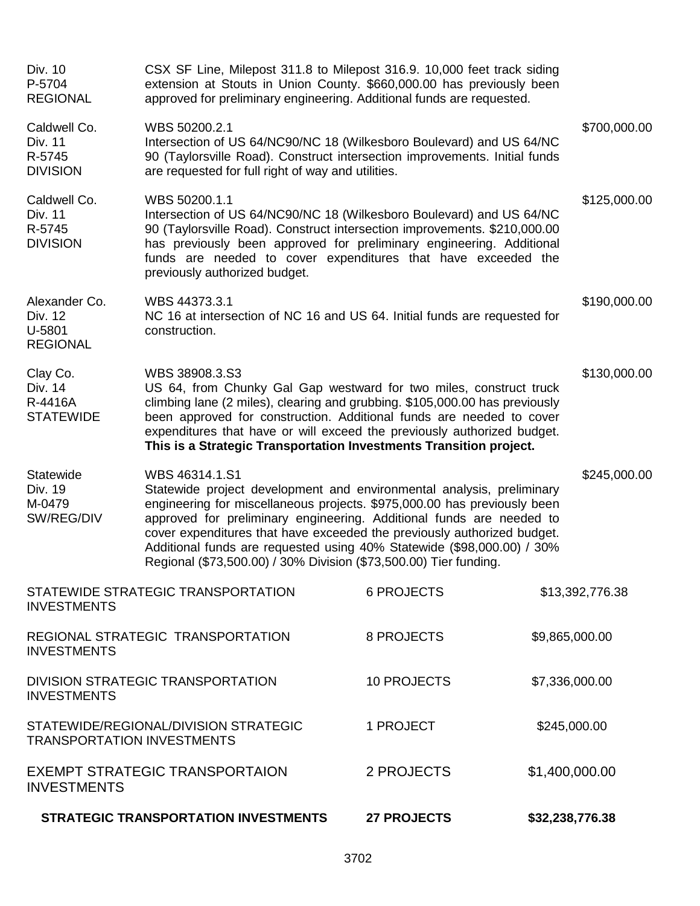| Div. 10<br>P-5704<br><b>REGIONAL</b>                                                    | CSX SF Line, Milepost 311.8 to Milepost 316.9. 10,000 feet track siding<br>extension at Stouts in Union County. \$660,000.00 has previously been<br>approved for preliminary engineering. Additional funds are requested.                                                                                                                                                                                                                                             |                    |                 |  |
|-----------------------------------------------------------------------------------------|-----------------------------------------------------------------------------------------------------------------------------------------------------------------------------------------------------------------------------------------------------------------------------------------------------------------------------------------------------------------------------------------------------------------------------------------------------------------------|--------------------|-----------------|--|
| Caldwell Co.<br>Div. 11<br>R-5745<br><b>DIVISION</b>                                    | WBS 50200.2.1<br>Intersection of US 64/NC90/NC 18 (Wilkesboro Boulevard) and US 64/NC<br>90 (Taylorsville Road). Construct intersection improvements. Initial funds<br>are requested for full right of way and utilities.                                                                                                                                                                                                                                             |                    | \$700,000.00    |  |
| Caldwell Co.<br>Div. 11<br>R-5745<br><b>DIVISION</b>                                    | WBS 50200.1.1<br>Intersection of US 64/NC90/NC 18 (Wilkesboro Boulevard) and US 64/NC<br>90 (Taylorsville Road). Construct intersection improvements. \$210,000.00<br>has previously been approved for preliminary engineering. Additional<br>funds are needed to cover expenditures that have exceeded the<br>previously authorized budget.                                                                                                                          |                    | \$125,000.00    |  |
| Alexander Co.<br>Div. 12<br>U-5801<br><b>REGIONAL</b>                                   | WBS 44373.3.1<br>\$190,000.00<br>NC 16 at intersection of NC 16 and US 64. Initial funds are requested for<br>construction.                                                                                                                                                                                                                                                                                                                                           |                    |                 |  |
| Clay Co.<br>Div. 14<br>R-4416A<br><b>STATEWIDE</b>                                      | WBS 38908.3.S3<br>US 64, from Chunky Gal Gap westward for two miles, construct truck<br>climbing lane (2 miles), clearing and grubbing. \$105,000.00 has previously<br>been approved for construction. Additional funds are needed to cover<br>expenditures that have or will exceed the previously authorized budget.<br>This is a Strategic Transportation Investments Transition project.                                                                          |                    | \$130,000.00    |  |
| Statewide<br>Div. 19<br>M-0479<br>SW/REG/DIV                                            | WBS 46314.1.S1<br>Statewide project development and environmental analysis, preliminary<br>engineering for miscellaneous projects. \$975,000.00 has previously been<br>approved for preliminary engineering. Additional funds are needed to<br>cover expenditures that have exceeded the previously authorized budget.<br>Additional funds are requested using 40% Statewide (\$98,000.00) / 30%<br>Regional (\$73,500.00) / 30% Division (\$73,500.00) Tier funding. |                    | \$245,000.00    |  |
| <b>INVESTMENTS</b>                                                                      | STATEWIDE STRATEGIC TRANSPORTATION                                                                                                                                                                                                                                                                                                                                                                                                                                    | <b>6 PROJECTS</b>  | \$13,392,776.38 |  |
| REGIONAL STRATEGIC TRANSPORTATION<br><b>INVESTMENTS</b>                                 |                                                                                                                                                                                                                                                                                                                                                                                                                                                                       | 8 PROJECTS         | \$9,865,000.00  |  |
| DIVISION STRATEGIC TRANSPORTATION<br><b>INVESTMENTS</b>                                 |                                                                                                                                                                                                                                                                                                                                                                                                                                                                       | <b>10 PROJECTS</b> | \$7,336,000.00  |  |
| STATEWIDE/REGIONAL/DIVISION STRATEGIC<br>1 PROJECT<br><b>TRANSPORTATION INVESTMENTS</b> |                                                                                                                                                                                                                                                                                                                                                                                                                                                                       | \$245,000.00       |                 |  |
| <b>EXEMPT STRATEGIC TRANSPORTAION</b><br><b>INVESTMENTS</b>                             |                                                                                                                                                                                                                                                                                                                                                                                                                                                                       | 2 PROJECTS         | \$1,400,000.00  |  |
|                                                                                         | <b>STRATEGIC TRANSPORTATION INVESTMENTS</b>                                                                                                                                                                                                                                                                                                                                                                                                                           | <b>27 PROJECTS</b> | \$32,238,776.38 |  |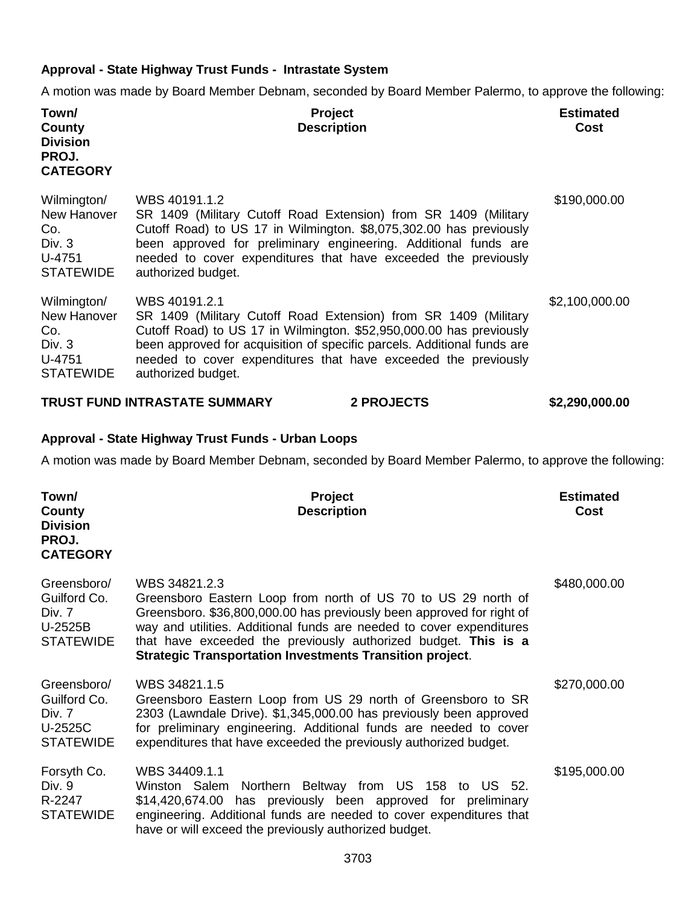### **Approval - State Highway Trust Funds - Intrastate System**

A motion was made by Board Member Debnam, seconded by Board Member Palermo, to approve the following:

| Town/<br>County<br><b>Division</b><br>PROJ.<br><b>CATEGORY</b>              | <b>Project</b><br><b>Description</b>                                                                                                                                                                                                                                                                                       |                   | <b>Estimated</b><br>Cost |
|-----------------------------------------------------------------------------|----------------------------------------------------------------------------------------------------------------------------------------------------------------------------------------------------------------------------------------------------------------------------------------------------------------------------|-------------------|--------------------------|
| Wilmington/<br>New Hanover<br>Co.<br>Div. $3$<br>U-4751<br><b>STATEWIDE</b> | WBS 40191.1.2<br>SR 1409 (Military Cutoff Road Extension) from SR 1409 (Military<br>Cutoff Road) to US 17 in Wilmington. \$8,075,302.00 has previously<br>been approved for preliminary engineering. Additional funds are<br>needed to cover expenditures that have exceeded the previously<br>authorized budget.          |                   | \$190,000.00             |
| Wilmington/<br>New Hanover<br>Co.<br>Div. $3$<br>U-4751<br><b>STATEWIDE</b> | WBS 40191.2.1<br>SR 1409 (Military Cutoff Road Extension) from SR 1409 (Military<br>Cutoff Road) to US 17 in Wilmington. \$52,950,000.00 has previously<br>been approved for acquisition of specific parcels. Additional funds are<br>needed to cover expenditures that have exceeded the previously<br>authorized budget. |                   | \$2,100,000.00           |
|                                                                             | <b>TRUST FUND INTRASTATE SUMMARY</b>                                                                                                                                                                                                                                                                                       | <b>2 PROJECTS</b> | \$2,290,000.00           |

### **Approval - State Highway Trust Funds - Urban Loops**

A motion was made by Board Member Debnam, seconded by Board Member Palermo, to approve the following:

| Town/<br>County<br><b>Division</b><br>PROJ.<br><b>CATEGORY</b>       | Project<br><b>Description</b>                                                                                                                                                                                                                                                                                                                                        | <b>Estimated</b><br><b>Cost</b> |
|----------------------------------------------------------------------|----------------------------------------------------------------------------------------------------------------------------------------------------------------------------------------------------------------------------------------------------------------------------------------------------------------------------------------------------------------------|---------------------------------|
| Greensboro/<br>Guilford Co.<br>Div. 7<br>U-2525B<br><b>STATEWIDE</b> | WBS 34821.2.3<br>Greensboro Eastern Loop from north of US 70 to US 29 north of<br>Greensboro. \$36,800,000.00 has previously been approved for right of<br>way and utilities. Additional funds are needed to cover expenditures<br>that have exceeded the previously authorized budget. This is a<br><b>Strategic Transportation Investments Transition project.</b> | \$480,000.00                    |
| Greensboro/<br>Guilford Co.<br>Div. 7<br>U-2525C<br><b>STATEWIDE</b> | WBS 34821.1.5<br>Greensboro Eastern Loop from US 29 north of Greensboro to SR<br>2303 (Lawndale Drive). \$1,345,000.00 has previously been approved<br>for preliminary engineering. Additional funds are needed to cover<br>expenditures that have exceeded the previously authorized budget.                                                                        | \$270,000.00                    |
| Forsyth Co.<br>Div. 9<br>R-2247<br><b>STATEWIDE</b>                  | WBS 34409.1.1<br>Winston Salem Northern Beltway from US 158 to US 52.<br>\$14,420,674.00 has previously been approved for preliminary<br>engineering. Additional funds are needed to cover expenditures that<br>have or will exceed the previously authorized budget.                                                                                                | \$195,000.00                    |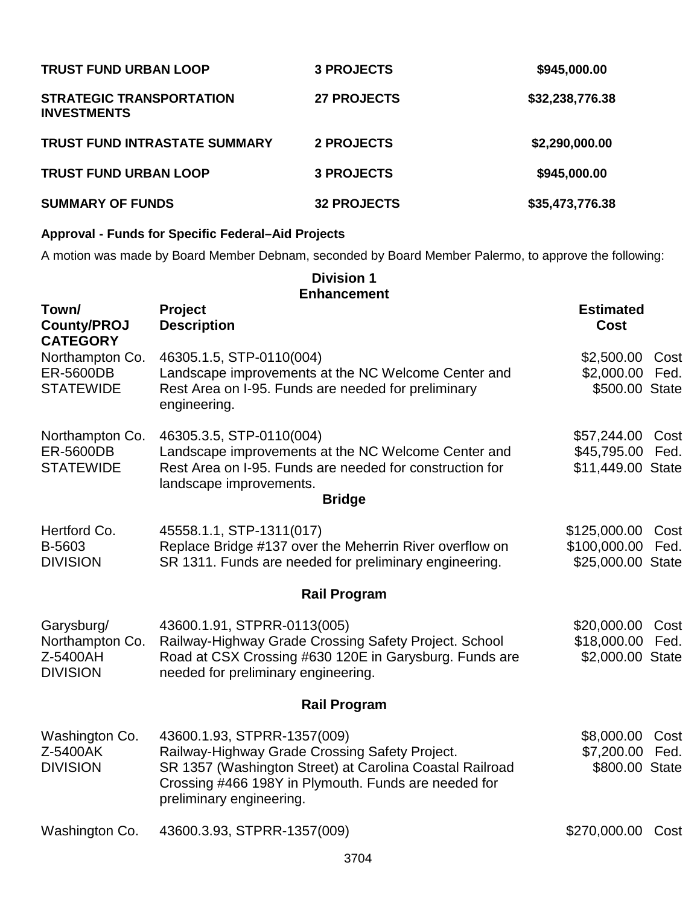| <b>TRUST FUND URBAN LOOP</b>                          | <b>3 PROJECTS</b>  | \$945,000.00    |
|-------------------------------------------------------|--------------------|-----------------|
| <b>STRATEGIC TRANSPORTATION</b><br><b>INVESTMENTS</b> | <b>27 PROJECTS</b> | \$32,238,776.38 |
| <b>TRUST FUND INTRASTATE SUMMARY</b>                  | 2 PROJECTS         | \$2,290,000.00  |
| <b>TRUST FUND URBAN LOOP</b>                          | <b>3 PROJECTS</b>  | \$945,000.00    |
| <b>SUMMARY OF FUNDS</b>                               | <b>32 PROJECTS</b> | \$35,473,776.38 |

## **Approval - Funds for Specific Federal–Aid Projects**

A motion was made by Board Member Debnam, seconded by Board Member Palermo, to approve the following:

| <b>Division 1</b><br><b>Enhancement</b>                      |                                                                                                                                                                                                                               |                                                                   |  |
|--------------------------------------------------------------|-------------------------------------------------------------------------------------------------------------------------------------------------------------------------------------------------------------------------------|-------------------------------------------------------------------|--|
| Town/<br><b>County/PROJ</b><br><b>CATEGORY</b>               | <b>Project</b><br><b>Description</b>                                                                                                                                                                                          | <b>Estimated</b><br><b>Cost</b>                                   |  |
| Northampton Co.<br><b>ER-5600DB</b><br><b>STATEWIDE</b>      | 46305.1.5, STP-0110(004)<br>Landscape improvements at the NC Welcome Center and<br>Rest Area on I-95. Funds are needed for preliminary<br>engineering.                                                                        | \$2,500.00<br>Cost<br>\$2,000.00<br>Fed.<br>\$500.00 State        |  |
| Northampton Co.<br><b>ER-5600DB</b><br><b>STATEWIDE</b>      | 46305.3.5, STP-0110(004)<br>Landscape improvements at the NC Welcome Center and<br>Rest Area on I-95. Funds are needed for construction for<br>landscape improvements.<br><b>Bridge</b>                                       | \$57,244.00<br>Cost<br>\$45,795.00<br>Fed.<br>\$11,449.00 State   |  |
| Hertford Co.<br>B-5603<br><b>DIVISION</b>                    | 45558.1.1, STP-1311(017)<br>Replace Bridge #137 over the Meherrin River overflow on<br>SR 1311. Funds are needed for preliminary engineering.                                                                                 | \$125,000.00<br>Cost<br>\$100,000.00<br>Fed.<br>\$25,000.00 State |  |
|                                                              | <b>Rail Program</b>                                                                                                                                                                                                           |                                                                   |  |
| Garysburg/<br>Northampton Co.<br>Z-5400AH<br><b>DIVISION</b> | 43600.1.91, STPRR-0113(005)<br>Railway-Highway Grade Crossing Safety Project. School<br>Road at CSX Crossing #630 120E in Garysburg. Funds are<br>needed for preliminary engineering.                                         | \$20,000.00<br>Cost<br>\$18,000.00<br>Fed.<br>\$2,000.00 State    |  |
|                                                              | <b>Rail Program</b>                                                                                                                                                                                                           |                                                                   |  |
| Washington Co.<br>Z-5400AK<br><b>DIVISION</b>                | 43600.1.93, STPRR-1357(009)<br>Railway-Highway Grade Crossing Safety Project.<br>SR 1357 (Washington Street) at Carolina Coastal Railroad<br>Crossing #466 198Y in Plymouth. Funds are needed for<br>preliminary engineering. | \$8,000.00<br>Cost<br>\$7,200.00 Fed.<br>\$800.00 State           |  |
| Washington Co.                                               | 43600.3.93, STPRR-1357(009)                                                                                                                                                                                                   | \$270,000.00<br>Cost                                              |  |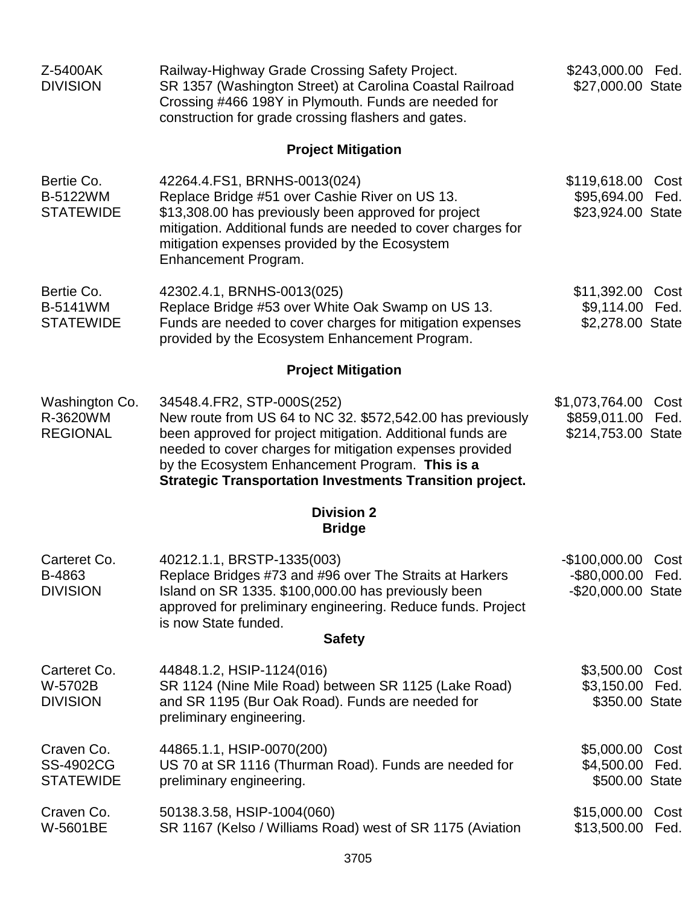| Z-5400AK<br><b>DIVISION</b>                        | Railway-Highway Grade Crossing Safety Project.<br>SR 1357 (Washington Street) at Carolina Coastal Railroad<br>Crossing #466 198Y in Plymouth. Funds are needed for<br>construction for grade crossing flashers and gates.                                                                                                                 | \$243,000.00 Fed.<br>\$27,000.00 State                        |              |
|----------------------------------------------------|-------------------------------------------------------------------------------------------------------------------------------------------------------------------------------------------------------------------------------------------------------------------------------------------------------------------------------------------|---------------------------------------------------------------|--------------|
|                                                    | <b>Project Mitigation</b>                                                                                                                                                                                                                                                                                                                 |                                                               |              |
| Bertie Co.<br><b>B-5122WM</b><br><b>STATEWIDE</b>  | 42264.4. FS1, BRNHS-0013 (024)<br>Replace Bridge #51 over Cashie River on US 13.<br>\$13,308.00 has previously been approved for project<br>mitigation. Additional funds are needed to cover charges for<br>mitigation expenses provided by the Ecosystem<br>Enhancement Program.                                                         | \$119,618.00 Cost<br>\$95,694.00<br>\$23,924.00 State         | Fed.         |
| Bertie Co.<br><b>B-5141WM</b><br><b>STATEWIDE</b>  | 42302.4.1, BRNHS-0013(025)<br>Replace Bridge #53 over White Oak Swamp on US 13.<br>Funds are needed to cover charges for mitigation expenses<br>provided by the Ecosystem Enhancement Program.                                                                                                                                            | \$11,392.00 Cost<br>\$9,114.00 Fed.<br>\$2,278.00 State       |              |
|                                                    | <b>Project Mitigation</b>                                                                                                                                                                                                                                                                                                                 |                                                               |              |
| Washington Co.<br>R-3620WM<br><b>REGIONAL</b>      | 34548.4. FR2, STP-000S(252)<br>New route from US 64 to NC 32. \$572,542.00 has previously<br>been approved for project mitigation. Additional funds are<br>needed to cover charges for mitigation expenses provided<br>by the Ecosystem Enhancement Program. This is a<br><b>Strategic Transportation Investments Transition project.</b> | \$1,073,764.00<br>\$859,011.00<br>\$214,753.00 State          | Cost<br>Fed. |
|                                                    | <b>Division 2</b><br><b>Bridge</b>                                                                                                                                                                                                                                                                                                        |                                                               |              |
| Carteret Co.<br>B-4863<br><b>DIVISION</b>          | 40212.1.1, BRSTP-1335(003)<br>Replace Bridges #73 and #96 over The Straits at Harkers<br>Island on SR 1335. \$100,000.00 has previously been<br>approved for preliminary engineering. Reduce funds. Project<br>is now State funded.<br><b>Safety</b>                                                                                      | -\$100,000.00 Cost<br>-\$80,000.00 Fed.<br>-\$20,000.00 State |              |
| Carteret Co.<br>W-5702B<br><b>DIVISION</b>         | 44848.1.2, HSIP-1124(016)<br>SR 1124 (Nine Mile Road) between SR 1125 (Lake Road)<br>and SR 1195 (Bur Oak Road). Funds are needed for<br>preliminary engineering.                                                                                                                                                                         | \$3,500.00<br>\$3,150.00<br>\$350.00 State                    | Cost<br>Fed. |
| Craven Co.<br><b>SS-4902CG</b><br><b>STATEWIDE</b> | 44865.1.1, HSIP-0070(200)<br>US 70 at SR 1116 (Thurman Road). Funds are needed for<br>preliminary engineering.                                                                                                                                                                                                                            | \$5,000.00 Cost<br>\$4,500.00<br>\$500.00 State               | Fed.         |
| Craven Co.<br>W-5601BE                             | 50138.3.58, HSIP-1004(060)<br>SR 1167 (Kelso / Williams Road) west of SR 1175 (Aviation                                                                                                                                                                                                                                                   | \$15,000.00 Cost<br>\$13,500.00 Fed.                          |              |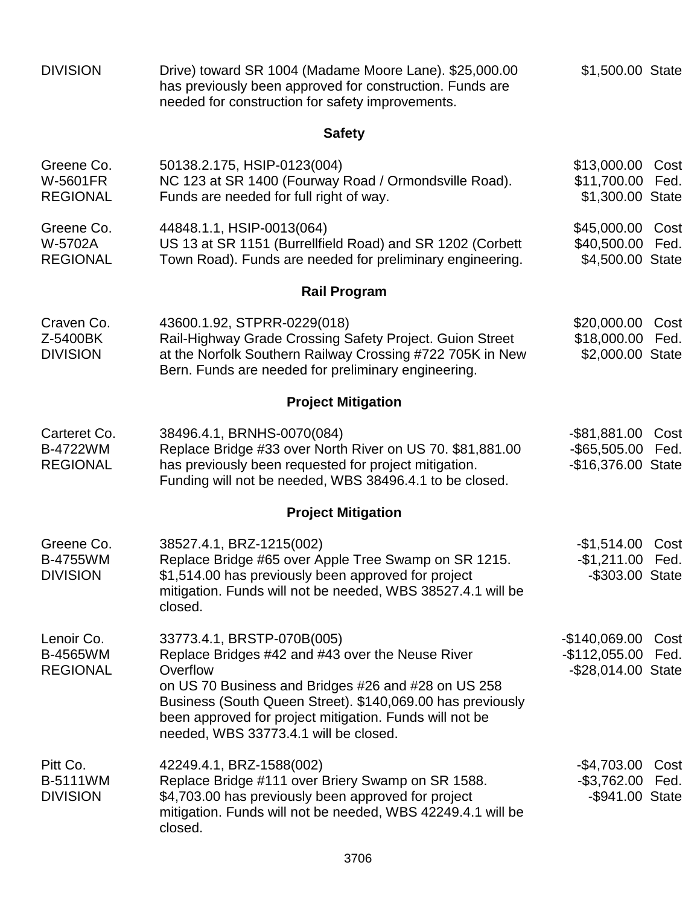| <b>DIVISION</b>                                    | Drive) toward SR 1004 (Madame Moore Lane). \$25,000.00<br>has previously been approved for construction. Funds are<br>needed for construction for safety improvements.                                                                                                                                              | \$1,500.00 State                                        |              |
|----------------------------------------------------|---------------------------------------------------------------------------------------------------------------------------------------------------------------------------------------------------------------------------------------------------------------------------------------------------------------------|---------------------------------------------------------|--------------|
|                                                    | <b>Safety</b>                                                                                                                                                                                                                                                                                                       |                                                         |              |
| Greene Co.<br><b>W-5601FR</b><br><b>REGIONAL</b>   | 50138.2.175, HSIP-0123(004)<br>NC 123 at SR 1400 (Fourway Road / Ormondsville Road).<br>Funds are needed for full right of way.                                                                                                                                                                                     | \$13,000.00<br>\$11,700.00<br>\$1,300.00 State          | Cost<br>Fed. |
| Greene Co.<br>W-5702A<br><b>REGIONAL</b>           | 44848.1.1, HSIP-0013(064)<br>US 13 at SR 1151 (Burrellfield Road) and SR 1202 (Corbett<br>Town Road). Funds are needed for preliminary engineering.                                                                                                                                                                 | \$45,000.00 Cost<br>\$40,500.00<br>\$4,500.00 State     | Fed.         |
|                                                    | <b>Rail Program</b>                                                                                                                                                                                                                                                                                                 |                                                         |              |
| Craven Co.<br>Z-5400BK<br><b>DIVISION</b>          | 43600.1.92, STPRR-0229(018)<br>Rail-Highway Grade Crossing Safety Project. Guion Street<br>at the Norfolk Southern Railway Crossing #722 705K in New<br>Bern. Funds are needed for preliminary engineering.                                                                                                         | \$20,000.00<br>\$18,000.00 Fed.<br>\$2,000.00 State     | Cost         |
|                                                    | <b>Project Mitigation</b>                                                                                                                                                                                                                                                                                           |                                                         |              |
| Carteret Co.<br><b>B-4722WM</b><br><b>REGIONAL</b> | 38496.4.1, BRNHS-0070(084)<br>Replace Bridge #33 over North River on US 70. \$81,881.00<br>has previously been requested for project mitigation.<br>Funding will not be needed, WBS 38496.4.1 to be closed.                                                                                                         | -\$81,881.00<br>-\$65,505.00 Fed.<br>-\$16,376.00 State | Cost         |
|                                                    | <b>Project Mitigation</b>                                                                                                                                                                                                                                                                                           |                                                         |              |
| Greene Co.<br><b>B-4755WM</b><br><b>DIVISION</b>   | 38527.4.1, BRZ-1215(002)<br>Replace Bridge #65 over Apple Tree Swamp on SR 1215.<br>\$1,514.00 has previously been approved for project<br>mitigation. Funds will not be needed, WBS 38527.4.1 will be<br>closed.                                                                                                   | $-$1,514.00$<br>$-$1,211.00$<br>-\$303.00 State         | Cost<br>Fed. |
| Lenoir Co.<br>B-4565WM<br><b>REGIONAL</b>          | 33773.4.1, BRSTP-070B(005)<br>Replace Bridges #42 and #43 over the Neuse River<br>Overflow<br>on US 70 Business and Bridges #26 and #28 on US 258<br>Business (South Queen Street). \$140,069.00 has previously<br>been approved for project mitigation. Funds will not be<br>needed, WBS 33773.4.1 will be closed. | -\$140,069.00<br>$-$112,055.00$<br>-\$28,014.00 State   | Cost<br>Fed. |
| Pitt Co.<br><b>B-5111WM</b><br><b>DIVISION</b>     | 42249.4.1, BRZ-1588(002)<br>Replace Bridge #111 over Briery Swamp on SR 1588.<br>\$4,703.00 has previously been approved for project<br>mitigation. Funds will not be needed, WBS 42249.4.1 will be<br>closed.                                                                                                      | -\$4,703.00<br>$-$3,762.00$<br>-\$941.00 State          | Cost<br>Fed. |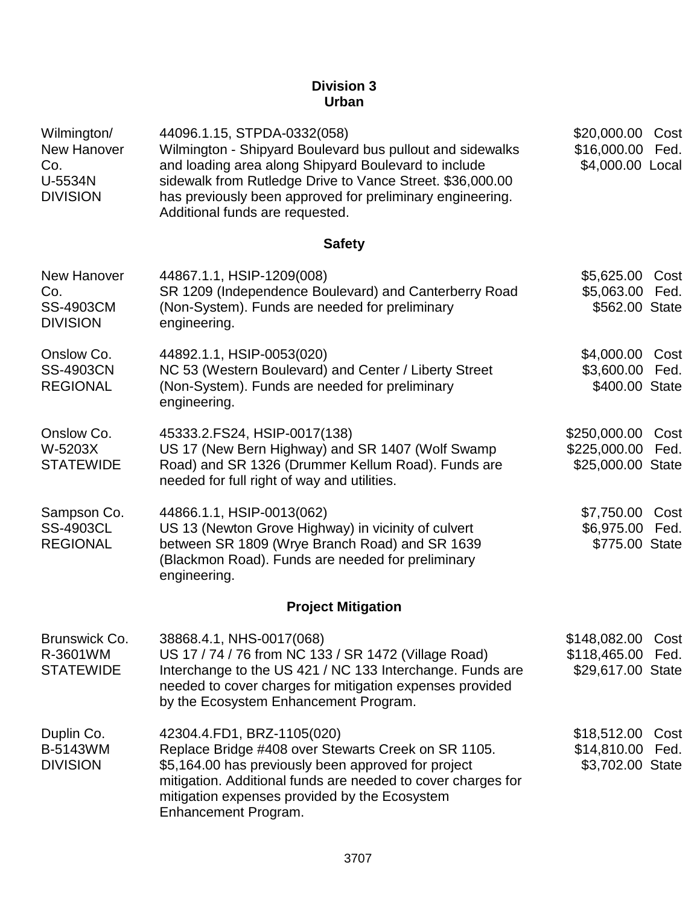## **Division 3 Urban**

| Wilmington/<br>New Hanover<br>Co.<br>U-5534N<br><b>DIVISION</b>  | 44096.1.15, STPDA-0332(058)<br>Wilmington - Shipyard Boulevard bus pullout and sidewalks<br>and loading area along Shipyard Boulevard to include<br>sidewalk from Rutledge Drive to Vance Street. \$36,000.00<br>has previously been approved for preliminary engineering.<br>Additional funds are requested. | \$20,000.00<br>\$16,000.00<br>\$4,000.00 Local              | Cost<br>Fed. |
|------------------------------------------------------------------|---------------------------------------------------------------------------------------------------------------------------------------------------------------------------------------------------------------------------------------------------------------------------------------------------------------|-------------------------------------------------------------|--------------|
|                                                                  | <b>Safety</b>                                                                                                                                                                                                                                                                                                 |                                                             |              |
| <b>New Hanover</b><br>Co.<br><b>SS-4903CM</b><br><b>DIVISION</b> | 44867.1.1, HSIP-1209(008)<br>SR 1209 (Independence Boulevard) and Canterberry Road<br>(Non-System). Funds are needed for preliminary<br>engineering.                                                                                                                                                          | \$5,625.00<br>\$5,063.00<br>\$562.00 State                  | Cost<br>Fed. |
| Onslow Co.<br><b>SS-4903CN</b><br><b>REGIONAL</b>                | 44892.1.1, HSIP-0053(020)<br>NC 53 (Western Boulevard) and Center / Liberty Street<br>(Non-System). Funds are needed for preliminary<br>engineering.                                                                                                                                                          | \$4,000.00<br>\$3,600.00<br>\$400.00 State                  | Cost<br>Fed. |
| Onslow Co.<br>W-5203X<br><b>STATEWIDE</b>                        | 45333.2.FS24, HSIP-0017(138)<br>US 17 (New Bern Highway) and SR 1407 (Wolf Swamp<br>Road) and SR 1326 (Drummer Kellum Road). Funds are<br>needed for full right of way and utilities.                                                                                                                         | \$250,000.00<br>\$225,000.00<br>\$25,000.00 State           | Cost<br>Fed. |
| Sampson Co.<br><b>SS-4903CL</b><br><b>REGIONAL</b>               | 44866.1.1, HSIP-0013(062)<br>US 13 (Newton Grove Highway) in vicinity of culvert<br>between SR 1809 (Wrye Branch Road) and SR 1639<br>(Blackmon Road). Funds are needed for preliminary<br>engineering.                                                                                                       | \$7,750.00<br>\$6,975.00<br>\$775.00 State                  | Cost<br>Fed. |
|                                                                  | <b>Project Mitigation</b>                                                                                                                                                                                                                                                                                     |                                                             |              |
| Brunswick Co.<br>R-3601WM<br><b>STATEWIDE</b>                    | 38868.4.1, NHS-0017(068)<br>US 17 / 74 / 76 from NC 133 / SR 1472 (Village Road)<br>Interchange to the US 421 / NC 133 Interchange. Funds are<br>needed to cover charges for mitigation expenses provided<br>by the Ecosystem Enhancement Program.                                                            | \$148,082.00 Cost<br>\$118,465.00 Fed.<br>\$29,617.00 State |              |
| Duplin Co.<br><b>B-5143WM</b><br><b>DIVISION</b>                 | 42304.4.FD1, BRZ-1105(020)<br>Replace Bridge #408 over Stewarts Creek on SR 1105.<br>\$5,164.00 has previously been approved for project<br>mitigation. Additional funds are needed to cover charges for<br>mitigation expenses provided by the Ecosystem<br>Enhancement Program.                             | \$18,512.00<br>\$14,810.00<br>\$3,702.00 State              | Cost<br>Fed. |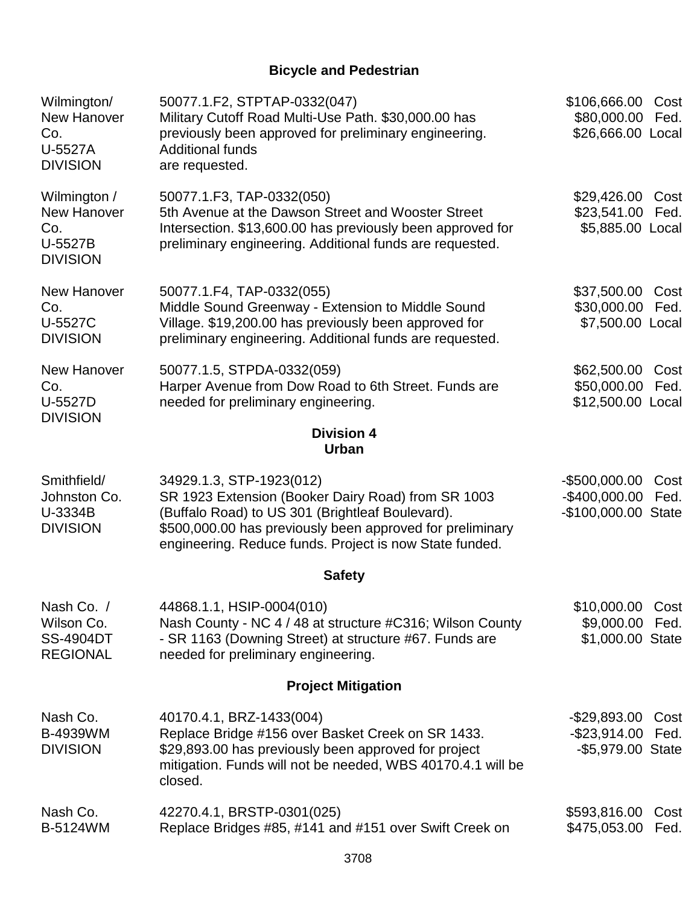# **Bicycle and Pedestrian**

| Wilmington/<br>New Hanover<br>Co.<br>U-5527A<br><b>DIVISION</b>  | 50077.1.F2, STPTAP-0332(047)<br>Military Cutoff Road Multi-Use Path. \$30,000.00 has<br>previously been approved for preliminary engineering.<br><b>Additional funds</b><br>are requested.                                                                 | \$106,666.00<br>\$80,000.00<br>\$26,666.00 Local        | Cost<br>Fed. |
|------------------------------------------------------------------|------------------------------------------------------------------------------------------------------------------------------------------------------------------------------------------------------------------------------------------------------------|---------------------------------------------------------|--------------|
| Wilmington /<br>New Hanover<br>Co.<br>U-5527B<br><b>DIVISION</b> | 50077.1.F3, TAP-0332(050)<br>5th Avenue at the Dawson Street and Wooster Street<br>Intersection. \$13,600.00 has previously been approved for<br>preliminary engineering. Additional funds are requested.                                                  | \$29,426.00<br>\$23,541.00<br>\$5,885.00 Local          | Cost<br>Fed. |
| <b>New Hanover</b><br>Co.<br>U-5527C<br><b>DIVISION</b>          | 50077.1.F4, TAP-0332(055)<br>Middle Sound Greenway - Extension to Middle Sound<br>Village. \$19,200.00 has previously been approved for<br>preliminary engineering. Additional funds are requested.                                                        | \$37,500.00<br>\$30,000.00<br>\$7,500.00 Local          | Cost<br>Fed. |
| <b>New Hanover</b><br>Co.<br>U-5527D<br><b>DIVISION</b>          | 50077.1.5, STPDA-0332(059)<br>Harper Avenue from Dow Road to 6th Street. Funds are<br>needed for preliminary engineering.                                                                                                                                  | \$62,500.00<br>\$50,000.00<br>\$12,500.00 Local         | Cost<br>Fed. |
|                                                                  | <b>Division 4</b><br><b>Urban</b>                                                                                                                                                                                                                          |                                                         |              |
| Smithfield/<br>Johnston Co.<br>U-3334B<br><b>DIVISION</b>        | 34929.1.3, STP-1923(012)<br>SR 1923 Extension (Booker Dairy Road) from SR 1003<br>(Buffalo Road) to US 301 (Brightleaf Boulevard).<br>\$500,000.00 has previously been approved for preliminary<br>engineering. Reduce funds. Project is now State funded. | $-$500,000.00$<br>$-$400,000.00$<br>-\$100,000.00 State | Cost<br>Fed. |
|                                                                  | <b>Safety</b>                                                                                                                                                                                                                                              |                                                         |              |
| Nash Co. /<br>Wilson Co.<br><b>SS-4904DT</b><br><b>REGIONAL</b>  | 44868.1.1, HSIP-0004(010)<br>Nash County - NC 4 / 48 at structure #C316; Wilson County<br>- SR 1163 (Downing Street) at structure #67. Funds are<br>needed for preliminary engineering.                                                                    | \$10,000.00 Cost<br>\$9,000.00<br>\$1,000.00 State      | Fed.         |
|                                                                  | <b>Project Mitigation</b>                                                                                                                                                                                                                                  |                                                         |              |
| Nash Co.<br><b>B-4939WM</b><br><b>DIVISION</b>                   | 40170.4.1, BRZ-1433(004)<br>Replace Bridge #156 over Basket Creek on SR 1433.<br>\$29,893.00 has previously been approved for project<br>mitigation. Funds will not be needed, WBS 40170.4.1 will be<br>closed.                                            | $-$29,893.00$<br>$-$ \$23,914.00<br>-\$5,979.00 State   | Cost<br>Fed. |
| Nash Co.<br>B-5124WM                                             | 42270.4.1, BRSTP-0301(025)<br>Replace Bridges #85, #141 and #151 over Swift Creek on                                                                                                                                                                       | \$593,816.00<br>\$475,053.00                            | Cost<br>Fed. |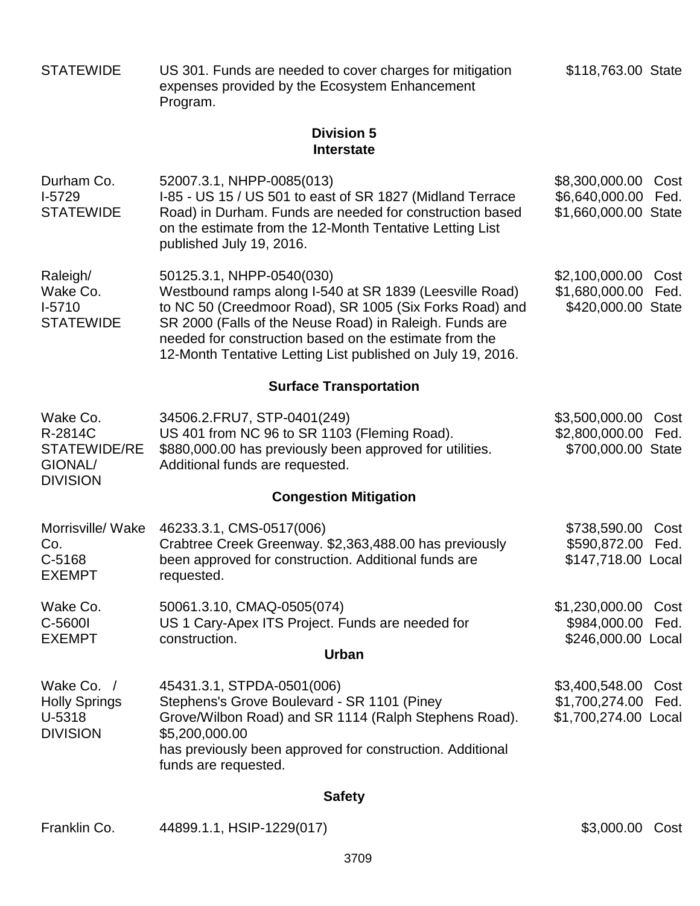| <b>STATEWIDE</b>                                                  | US 301. Funds are needed to cover charges for mitigation<br>expenses provided by the Ecosystem Enhancement<br>Program.                                                                                                                                                                                                              | \$118,763.00 State                                       |              |
|-------------------------------------------------------------------|-------------------------------------------------------------------------------------------------------------------------------------------------------------------------------------------------------------------------------------------------------------------------------------------------------------------------------------|----------------------------------------------------------|--------------|
|                                                                   | <b>Division 5</b><br><b>Interstate</b>                                                                                                                                                                                                                                                                                              |                                                          |              |
| Durham Co.<br>$I-5729$<br><b>STATEWIDE</b>                        | 52007.3.1, NHPP-0085(013)<br>I-85 - US 15 / US 501 to east of SR 1827 (Midland Terrace<br>Road) in Durham. Funds are needed for construction based<br>on the estimate from the 12-Month Tentative Letting List<br>published July 19, 2016.                                                                                          | \$8,300,000.00<br>\$6,640,000.00<br>\$1,660,000.00 State | Cost<br>Fed. |
| Raleigh/<br>Wake Co.<br>$I-5710$<br><b>STATEWIDE</b>              | 50125.3.1, NHPP-0540(030)<br>Westbound ramps along I-540 at SR 1839 (Leesville Road)<br>to NC 50 (Creedmoor Road), SR 1005 (Six Forks Road) and<br>SR 2000 (Falls of the Neuse Road) in Raleigh. Funds are<br>needed for construction based on the estimate from the<br>12-Month Tentative Letting List published on July 19, 2016. | \$2,100,000.00<br>\$1,680,000.00<br>\$420,000.00 State   | Cost<br>Fed. |
|                                                                   | <b>Surface Transportation</b>                                                                                                                                                                                                                                                                                                       |                                                          |              |
| Wake Co.<br>R-2814C<br>STATEWIDE/RE<br>GIONAL/<br><b>DIVISION</b> | 34506.2.FRU7, STP-0401(249)<br>US 401 from NC 96 to SR 1103 (Fleming Road).<br>\$880,000.00 has previously been approved for utilities.<br>Additional funds are requested.                                                                                                                                                          | \$3,500,000.00<br>\$2,800,000.00<br>\$700,000.00 State   | Cost<br>Fed. |
|                                                                   | <b>Congestion Mitigation</b>                                                                                                                                                                                                                                                                                                        |                                                          |              |
| Morrisville/ Wake<br>Co.<br>C-5168<br><b>EXEMPT</b>               | 46233.3.1, CMS-0517(006)<br>Crabtree Creek Greenway. \$2,363,488.00 has previously<br>been approved for construction. Additional funds are<br>requested.                                                                                                                                                                            | \$738,590.00<br>\$590,872.00<br>\$147,718.00 Local       | Cost<br>Fed. |
| Wake Co.<br>C-5600I<br><b>EXEMPT</b>                              | 50061.3.10, CMAQ-0505(074)<br>US 1 Cary-Apex ITS Project. Funds are needed for<br>construction.<br><b>Urban</b>                                                                                                                                                                                                                     | \$1,230,000.00<br>\$984,000.00<br>\$246,000.00 Local     | Cost<br>Fed. |
| Wake Co. /                                                        | 45431.3.1, STPDA-0501(006)                                                                                                                                                                                                                                                                                                          | \$3,400,548.00                                           | Cost         |
| <b>Holly Springs</b><br>U-5318<br><b>DIVISION</b>                 | Stephens's Grove Boulevard - SR 1101 (Piney<br>Grove/Wilbon Road) and SR 1114 (Ralph Stephens Road).<br>\$5,200,000.00<br>has previously been approved for construction. Additional<br>funds are requested.                                                                                                                         | \$1,700,274.00<br>\$1,700,274.00 Local                   | Fed.         |
|                                                                   | <b>Safety</b>                                                                                                                                                                                                                                                                                                                       |                                                          |              |
| Franklin Co.                                                      | 44899.1.1, HSIP-1229(017)                                                                                                                                                                                                                                                                                                           | \$3,000.00 Cost                                          |              |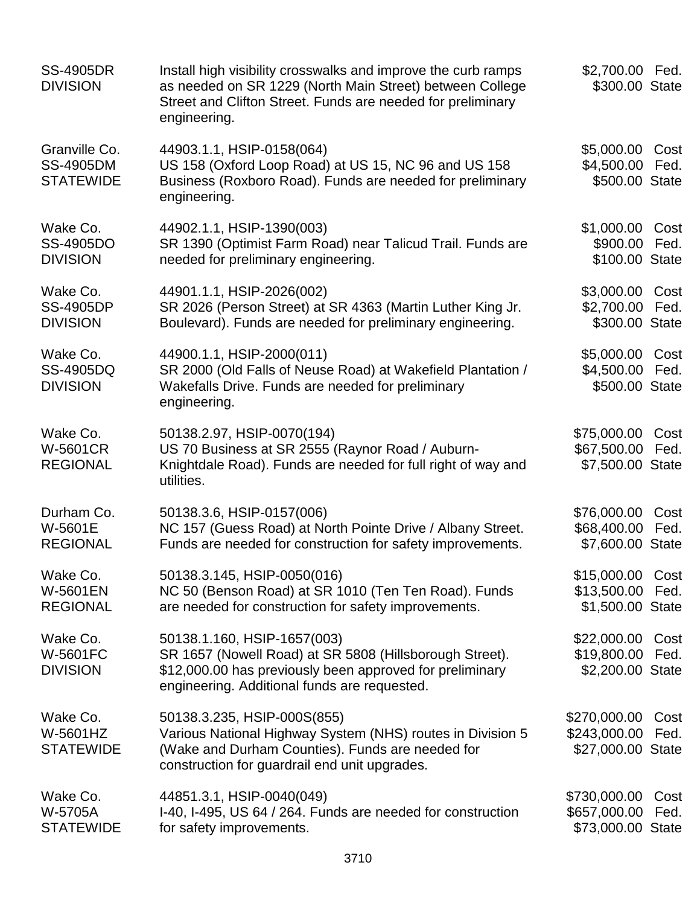| <b>SS-4905DR</b><br><b>DIVISION</b>                   | Install high visibility crosswalks and improve the curb ramps<br>as needed on SR 1229 (North Main Street) between College<br>Street and Clifton Street. Funds are needed for preliminary<br>engineering. | \$2,700.00 Fed.<br>\$300.00 State                        |              |
|-------------------------------------------------------|----------------------------------------------------------------------------------------------------------------------------------------------------------------------------------------------------------|----------------------------------------------------------|--------------|
| Granville Co.<br><b>SS-4905DM</b><br><b>STATEWIDE</b> | 44903.1.1, HSIP-0158(064)<br>US 158 (Oxford Loop Road) at US 15, NC 96 and US 158<br>Business (Roxboro Road). Funds are needed for preliminary<br>engineering.                                           | \$5,000.00<br>\$4,500.00<br>\$500.00 State               | Cost<br>Fed. |
| Wake Co.<br>SS-4905DO<br><b>DIVISION</b>              | 44902.1.1, HSIP-1390(003)<br>SR 1390 (Optimist Farm Road) near Talicud Trail. Funds are<br>needed for preliminary engineering.                                                                           | \$1,000.00 Cost<br>\$900.00 Fed.<br>\$100.00 State       |              |
| Wake Co.<br><b>SS-4905DP</b><br><b>DIVISION</b>       | 44901.1.1, HSIP-2026(002)<br>SR 2026 (Person Street) at SR 4363 (Martin Luther King Jr.<br>Boulevard). Funds are needed for preliminary engineering.                                                     | \$3,000.00<br>\$2,700.00<br>\$300.00 State               | Cost<br>Fed. |
| Wake Co.<br>SS-4905DQ<br><b>DIVISION</b>              | 44900.1.1, HSIP-2000(011)<br>SR 2000 (Old Falls of Neuse Road) at Wakefield Plantation /<br>Wakefalls Drive. Funds are needed for preliminary<br>engineering.                                            | \$5,000.00 Cost<br>\$4,500.00<br>\$500.00 State          | Fed.         |
| Wake Co.<br><b>W-5601CR</b><br><b>REGIONAL</b>        | 50138.2.97, HSIP-0070(194)<br>US 70 Business at SR 2555 (Raynor Road / Auburn-<br>Knightdale Road). Funds are needed for full right of way and<br>utilities.                                             | \$75,000.00<br>\$67,500.00<br>\$7,500.00 State           | Cost<br>Fed. |
| Durham Co.<br>W-5601E<br><b>REGIONAL</b>              | 50138.3.6, HSIP-0157(006)<br>NC 157 (Guess Road) at North Pointe Drive / Albany Street.<br>Funds are needed for construction for safety improvements.                                                    | \$76,000.00<br>\$68,400.00<br>\$7,600.00 State           | Cost<br>Fed. |
| Wake Co.<br><b>W-5601EN</b><br><b>REGIONAL</b>        | 50138.3.145, HSIP-0050(016)<br>NC 50 (Benson Road) at SR 1010 (Ten Ten Road). Funds<br>are needed for construction for safety improvements.                                                              | \$15,000.00 Cost<br>\$13,500.00 Fed.<br>\$1,500.00 State |              |
| Wake Co.<br><b>W-5601FC</b><br><b>DIVISION</b>        | 50138.1.160, HSIP-1657(003)<br>SR 1657 (Nowell Road) at SR 5808 (Hillsborough Street).<br>\$12,000.00 has previously been approved for preliminary<br>engineering. Additional funds are requested.       | \$22,000.00 Cost<br>\$19,800.00<br>\$2,200.00 State      | Fed.         |
| Wake Co.<br>W-5601HZ<br><b>STATEWIDE</b>              | 50138.3.235, HSIP-000S(855)<br>Various National Highway System (NHS) routes in Division 5<br>(Wake and Durham Counties). Funds are needed for<br>construction for guardrail end unit upgrades.           | \$270,000.00<br>\$243,000.00<br>\$27,000.00 State        | Cost<br>Fed. |
| Wake Co.<br>W-5705A<br><b>STATEWIDE</b>               | 44851.3.1, HSIP-0040(049)<br>I-40, I-495, US 64 / 264. Funds are needed for construction<br>for safety improvements.                                                                                     | \$730,000.00<br>\$657,000.00<br>\$73,000.00 State        | Cost<br>Fed. |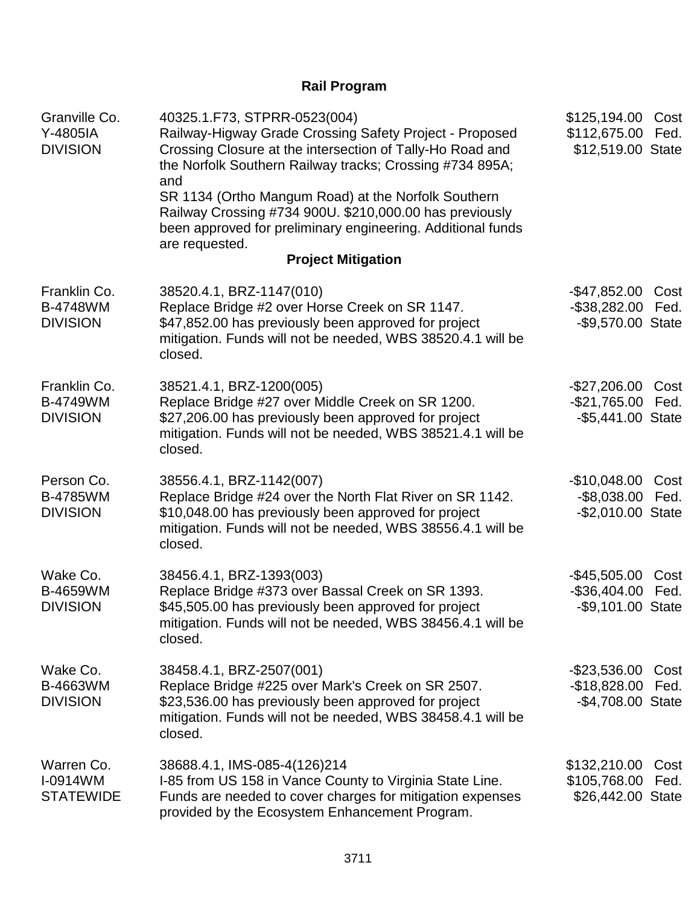# **Rail Program**

| Granville Co.<br>Y-4805IA<br><b>DIVISION</b>       | 40325.1.F73, STPRR-0523(004)<br>Railway-Higway Grade Crossing Safety Project - Proposed<br>Crossing Closure at the intersection of Tally-Ho Road and<br>the Norfolk Southern Railway tracks; Crossing #734 895A;<br>and<br>SR 1134 (Ortho Mangum Road) at the Norfolk Southern<br>Railway Crossing #734 900U. \$210,000.00 has previously<br>been approved for preliminary engineering. Additional funds<br>are requested. | \$125,194.00<br>\$112,675.00<br>\$12,519.00 State       | Cost<br>Fed. |
|----------------------------------------------------|----------------------------------------------------------------------------------------------------------------------------------------------------------------------------------------------------------------------------------------------------------------------------------------------------------------------------------------------------------------------------------------------------------------------------|---------------------------------------------------------|--------------|
|                                                    | <b>Project Mitigation</b>                                                                                                                                                                                                                                                                                                                                                                                                  |                                                         |              |
| Franklin Co.<br><b>B-4748WM</b><br><b>DIVISION</b> | 38520.4.1, BRZ-1147(010)<br>Replace Bridge #2 over Horse Creek on SR 1147.<br>\$47,852.00 has previously been approved for project<br>mitigation. Funds will not be needed, WBS 38520.4.1 will be<br>closed.                                                                                                                                                                                                               | $-$ \$47,852.00<br>$-$ \$38,282.00<br>-\$9,570.00 State | Cost<br>Fed. |
| Franklin Co.<br><b>B-4749WM</b><br><b>DIVISION</b> | 38521.4.1, BRZ-1200(005)<br>Replace Bridge #27 over Middle Creek on SR 1200.<br>\$27,206.00 has previously been approved for project<br>mitigation. Funds will not be needed, WBS 38521.4.1 will be<br>closed.                                                                                                                                                                                                             | $-$27,206.00$<br>$-$21,765.00$<br>-\$5,441.00 State     | Cost<br>Fed. |
| Person Co.<br><b>B-4785WM</b><br><b>DIVISION</b>   | 38556.4.1, BRZ-1142(007)<br>Replace Bridge #24 over the North Flat River on SR 1142.<br>\$10,048.00 has previously been approved for project<br>mitigation. Funds will not be needed, WBS 38556.4.1 will be<br>closed.                                                                                                                                                                                                     | $-$10,048.00$<br>$-$ \$8,038.00<br>$-$ \$2,010.00 State | Cost<br>Fed. |
| Wake Co.<br><b>B-4659WM</b><br><b>DIVISION</b>     | 38456.4.1, BRZ-1393(003)<br>Replace Bridge #373 over Bassal Creek on SR 1393.<br>\$45,505.00 has previously been approved for project<br>mitigation. Funds will not be needed, WBS 38456.4.1 will be<br>closed.                                                                                                                                                                                                            | $-$45,505.00$<br>$-$ \$36,404.00<br>-\$9,101.00 State   | Cost<br>Fed. |
| Wake Co.<br>B-4663WM<br><b>DIVISION</b>            | 38458.4.1, BRZ-2507(001)<br>Replace Bridge #225 over Mark's Creek on SR 2507.<br>\$23,536.00 has previously been approved for project<br>mitigation. Funds will not be needed, WBS 38458.4.1 will be<br>closed.                                                                                                                                                                                                            | $-$23,536.00$<br>$-$18,828.00$<br>-\$4,708.00 State     | Cost<br>Fed. |
| Warren Co.<br>I-0914WM<br><b>STATEWIDE</b>         | 38688.4.1, IMS-085-4(126)214<br>I-85 from US 158 in Vance County to Virginia State Line.<br>Funds are needed to cover charges for mitigation expenses<br>provided by the Ecosystem Enhancement Program.                                                                                                                                                                                                                    | \$132,210.00<br>\$105,768.00<br>\$26,442.00 State       | Cost<br>Fed. |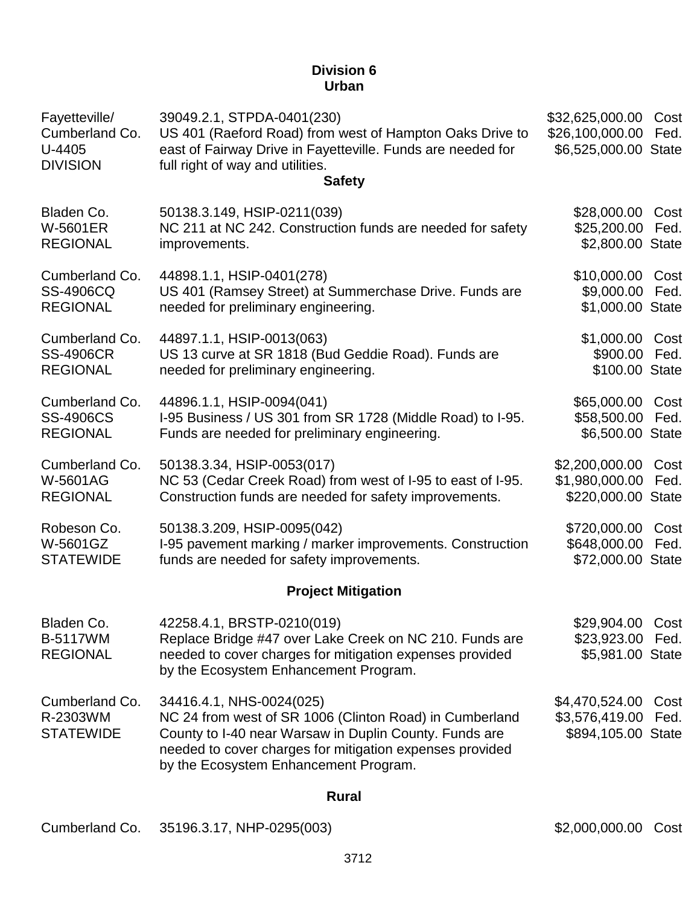### **Division 6 Urban**

| Fayetteville/<br>Cumberland Co.<br>U-4405<br><b>DIVISION</b> | 39049.2.1, STPDA-0401(230)<br>US 401 (Raeford Road) from west of Hampton Oaks Drive to<br>east of Fairway Drive in Fayetteville. Funds are needed for<br>full right of way and utilities.<br><b>Safety</b>                                         | \$32,625,000.00<br>\$26,100,000.00<br>\$6,525,000.00 State | Cost<br>Fed. |
|--------------------------------------------------------------|----------------------------------------------------------------------------------------------------------------------------------------------------------------------------------------------------------------------------------------------------|------------------------------------------------------------|--------------|
| Bladen Co.<br><b>W-5601ER</b><br><b>REGIONAL</b>             | 50138.3.149, HSIP-0211(039)<br>NC 211 at NC 242. Construction funds are needed for safety<br>improvements.                                                                                                                                         | \$28,000.00<br>\$25,200.00<br>\$2,800.00 State             | Cost<br>Fed. |
| Cumberland Co.<br>SS-4906CQ<br><b>REGIONAL</b>               | 44898.1.1, HSIP-0401(278)<br>US 401 (Ramsey Street) at Summerchase Drive. Funds are<br>needed for preliminary engineering.                                                                                                                         | \$10,000.00<br>\$9,000.00<br>\$1,000.00 State              | Cost<br>Fed. |
| Cumberland Co.<br><b>SS-4906CR</b><br><b>REGIONAL</b>        | 44897.1.1, HSIP-0013(063)<br>US 13 curve at SR 1818 (Bud Geddie Road). Funds are<br>needed for preliminary engineering.                                                                                                                            | \$1,000.00<br>\$900.00<br>\$100.00 State                   | Cost<br>Fed. |
| Cumberland Co.<br><b>SS-4906CS</b><br><b>REGIONAL</b>        | 44896.1.1, HSIP-0094(041)<br>I-95 Business / US 301 from SR 1728 (Middle Road) to I-95.<br>Funds are needed for preliminary engineering.                                                                                                           | \$65,000.00<br>\$58,500.00<br>\$6,500.00 State             | Cost<br>Fed. |
| Cumberland Co.<br><b>W-5601AG</b><br><b>REGIONAL</b>         | 50138.3.34, HSIP-0053(017)<br>NC 53 (Cedar Creek Road) from west of I-95 to east of I-95.<br>Construction funds are needed for safety improvements.                                                                                                | \$2,200,000.00<br>\$1,980,000.00<br>\$220,000.00 State     | Cost<br>Fed. |
| Robeson Co.<br>W-5601GZ<br><b>STATEWIDE</b>                  | 50138.3.209, HSIP-0095(042)<br>I-95 pavement marking / marker improvements. Construction<br>funds are needed for safety improvements.                                                                                                              | \$720,000.00<br>\$648,000.00<br>\$72,000.00 State          | Cost<br>Fed. |
|                                                              | <b>Project Mitigation</b>                                                                                                                                                                                                                          |                                                            |              |
| Bladen Co.<br><b>B-5117WM</b><br><b>REGIONAL</b>             | 42258.4.1, BRSTP-0210(019)<br>Replace Bridge #47 over Lake Creek on NC 210. Funds are<br>needed to cover charges for mitigation expenses provided<br>by the Ecosystem Enhancement Program.                                                         | \$29,904.00 Cost<br>\$23,923.00 Fed.<br>\$5,981.00 State   |              |
| Cumberland Co.<br>R-2303WM<br><b>STATEWIDE</b>               | 34416.4.1, NHS-0024(025)<br>NC 24 from west of SR 1006 (Clinton Road) in Cumberland<br>County to I-40 near Warsaw in Duplin County. Funds are<br>needed to cover charges for mitigation expenses provided<br>by the Ecosystem Enhancement Program. | \$4,470,524.00<br>\$3,576,419.00<br>\$894,105.00 State     | Cost<br>Fed. |
|                                                              | DI                                                                                                                                                                                                                                                 |                                                            |              |

#### **Rural**

Cumberland Co. 35196.3.17, NHP-0295(003) \$2,000,000.00 Cost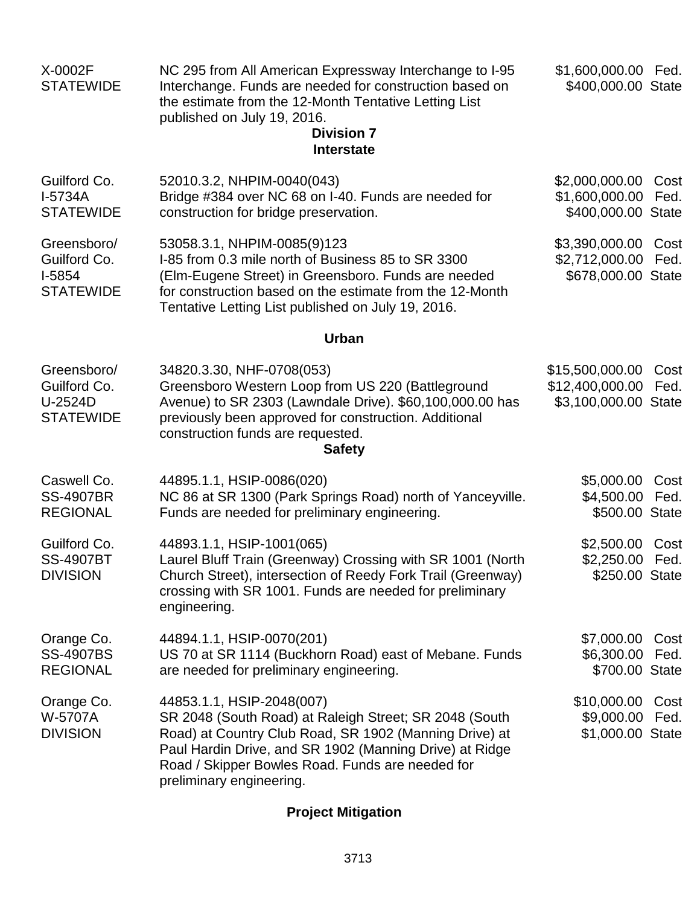| X-0002F<br><b>STATEWIDE</b>                                 | NC 295 from All American Expressway Interchange to I-95<br>Interchange. Funds are needed for construction based on<br>the estimate from the 12-Month Tentative Letting List<br>published on July 19, 2016.<br><b>Division 7</b><br><b>Interstate</b>                                     | \$1,600,000.00 Fed.<br>\$400,000.00 State                  |              |
|-------------------------------------------------------------|------------------------------------------------------------------------------------------------------------------------------------------------------------------------------------------------------------------------------------------------------------------------------------------|------------------------------------------------------------|--------------|
| Guilford Co.<br>I-5734A<br><b>STATEWIDE</b>                 | 52010.3.2, NHPIM-0040(043)<br>Bridge #384 over NC 68 on I-40. Funds are needed for<br>construction for bridge preservation.                                                                                                                                                              | \$2,000,000.00<br>\$1,600,000.00<br>\$400,000.00 State     | Cost<br>Fed. |
| Greensboro/<br>Guilford Co.<br>$I-5854$<br><b>STATEWIDE</b> | 53058.3.1, NHPIM-0085(9)123<br>I-85 from 0.3 mile north of Business 85 to SR 3300<br>(Elm-Eugene Street) in Greensboro. Funds are needed<br>for construction based on the estimate from the 12-Month<br>Tentative Letting List published on July 19, 2016.                               | \$3,390,000.00<br>\$2,712,000.00<br>\$678,000.00 State     | Cost<br>Fed. |
|                                                             | <b>Urban</b>                                                                                                                                                                                                                                                                             |                                                            |              |
| Greensboro/<br>Guilford Co.<br>U-2524D<br><b>STATEWIDE</b>  | 34820.3.30, NHF-0708(053)<br>Greensboro Western Loop from US 220 (Battleground<br>Avenue) to SR 2303 (Lawndale Drive). \$60,100,000.00 has<br>previously been approved for construction. Additional<br>construction funds are requested.<br><b>Safety</b>                                | \$15,500,000.00<br>\$12,400,000.00<br>\$3,100,000.00 State | Cost<br>Fed. |
| Caswell Co.<br><b>SS-4907BR</b><br><b>REGIONAL</b>          | 44895.1.1, HSIP-0086(020)<br>NC 86 at SR 1300 (Park Springs Road) north of Yanceyville.<br>Funds are needed for preliminary engineering.                                                                                                                                                 | \$5,000.00<br>\$4,500.00<br>\$500.00 State                 | Cost<br>Fed. |
| Guilford Co.<br><b>SS-4907BT</b><br><b>DIVISION</b>         | 44893.1.1, HSIP-1001(065)<br>Laurel Bluff Train (Greenway) Crossing with SR 1001 (North<br>Church Street), intersection of Reedy Fork Trail (Greenway)<br>crossing with SR 1001. Funds are needed for preliminary<br>engineering.                                                        | \$2,500.00<br>\$2,250.00<br>\$250.00 State                 | Cost<br>Fed. |
| Orange Co.<br><b>SS-4907BS</b><br><b>REGIONAL</b>           | 44894.1.1, HSIP-0070(201)<br>US 70 at SR 1114 (Buckhorn Road) east of Mebane. Funds<br>are needed for preliminary engineering.                                                                                                                                                           | \$7,000.00<br>\$6,300.00<br>\$700.00 State                 | Cost<br>Fed. |
| Orange Co.<br>W-5707A<br><b>DIVISION</b>                    | 44853.1.1, HSIP-2048(007)<br>SR 2048 (South Road) at Raleigh Street; SR 2048 (South<br>Road) at Country Club Road, SR 1902 (Manning Drive) at<br>Paul Hardin Drive, and SR 1902 (Manning Drive) at Ridge<br>Road / Skipper Bowles Road. Funds are needed for<br>preliminary engineering. | \$10,000.00 Cost<br>\$9,000.00<br>\$1,000.00 State         | Fed.         |

# **Project Mitigation**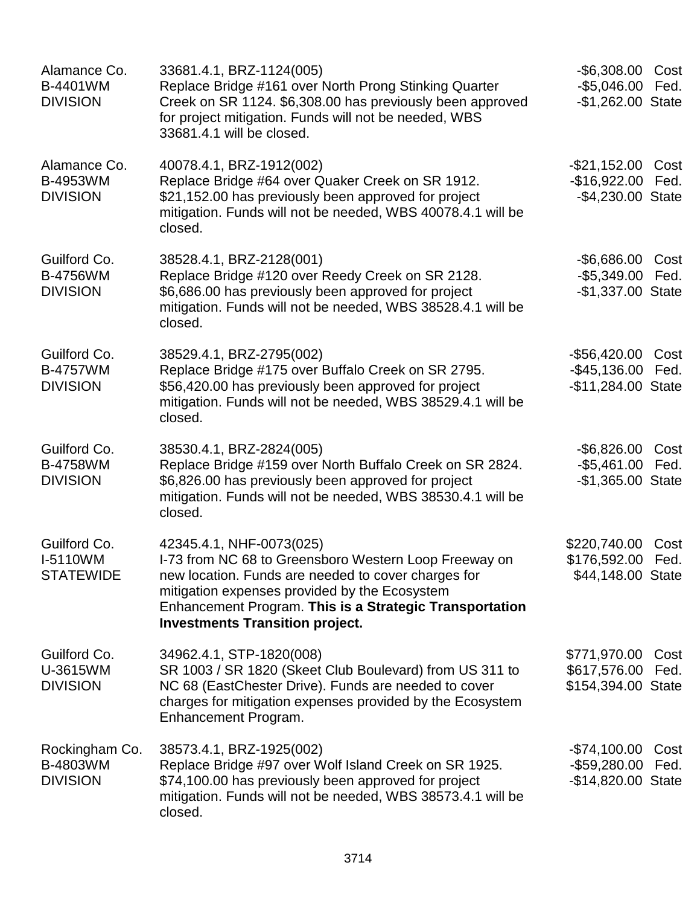| Alamance Co.<br>B-4401WM<br><b>DIVISION</b>        | 33681.4.1, BRZ-1124(005)<br>Replace Bridge #161 over North Prong Stinking Quarter<br>Creek on SR 1124. \$6,308.00 has previously been approved<br>for project mitigation. Funds will not be needed, WBS<br>33681.4.1 will be closed.                                                           | -\$6,308.00 Cost<br>$-$5,046.00$<br>-\$1,262.00 State        | Fed.         |
|----------------------------------------------------|------------------------------------------------------------------------------------------------------------------------------------------------------------------------------------------------------------------------------------------------------------------------------------------------|--------------------------------------------------------------|--------------|
| Alamance Co.<br>B-4953WM<br><b>DIVISION</b>        | 40078.4.1, BRZ-1912(002)<br>Replace Bridge #64 over Quaker Creek on SR 1912.<br>\$21,152.00 has previously been approved for project<br>mitigation. Funds will not be needed, WBS 40078.4.1 will be<br>closed.                                                                                 | -\$21,152.00 Cost<br>$-$16,922.00$<br>-\$4,230.00 State      | Fed.         |
| Guilford Co.<br><b>B-4756WM</b><br><b>DIVISION</b> | 38528.4.1, BRZ-2128(001)<br>Replace Bridge #120 over Reedy Creek on SR 2128.<br>\$6,686.00 has previously been approved for project<br>mitigation. Funds will not be needed, WBS 38528.4.1 will be<br>closed.                                                                                  | -\$6,686.00<br>$-$ \$5,349.00<br>-\$1,337.00 State           | Cost<br>Fed. |
| Guilford Co.<br><b>B-4757WM</b><br><b>DIVISION</b> | 38529.4.1, BRZ-2795(002)<br>Replace Bridge #175 over Buffalo Creek on SR 2795.<br>\$56,420.00 has previously been approved for project<br>mitigation. Funds will not be needed, WBS 38529.4.1 will be<br>closed.                                                                               | -\$56,420.00 Cost<br>-\$45,136.00 Fed.<br>-\$11,284.00 State |              |
| Guilford Co.<br><b>B-4758WM</b><br><b>DIVISION</b> | 38530.4.1, BRZ-2824(005)<br>Replace Bridge #159 over North Buffalo Creek on SR 2824.<br>\$6,826.00 has previously been approved for project<br>mitigation. Funds will not be needed, WBS 38530.4.1 will be<br>closed.                                                                          | -\$6,826.00 Cost<br>-\$5,461.00 Fed.<br>$-$1,365.00$ State   |              |
| Guilford Co.<br>I-5110WM<br><b>STATEWIDE</b>       | 42345.4.1, NHF-0073(025)<br>I-73 from NC 68 to Greensboro Western Loop Freeway on<br>new location. Funds are needed to cover charges for<br>mitigation expenses provided by the Ecosystem<br>Enhancement Program. This is a Strategic Transportation<br><b>Investments Transition project.</b> | \$220,740.00<br>\$176,592.00 Fed.<br>\$44,148.00 State       | Cost         |
| Guilford Co.<br>U-3615WM<br><b>DIVISION</b>        | 34962.4.1, STP-1820(008)<br>SR 1003 / SR 1820 (Skeet Club Boulevard) from US 311 to<br>NC 68 (EastChester Drive). Funds are needed to cover<br>charges for mitigation expenses provided by the Ecosystem<br>Enhancement Program.                                                               | \$771,970.00 Cost<br>\$617,576.00<br>\$154,394.00 State      | Fed.         |
| Rockingham Co.<br>B-4803WM<br><b>DIVISION</b>      | 38573.4.1, BRZ-1925(002)<br>Replace Bridge #97 over Wolf Island Creek on SR 1925.<br>\$74,100.00 has previously been approved for project<br>mitigation. Funds will not be needed, WBS 38573.4.1 will be<br>closed.                                                                            | -\$74,100.00<br>$-$ \$59,280.00<br>-\$14,820.00 State        | Cost<br>Fed. |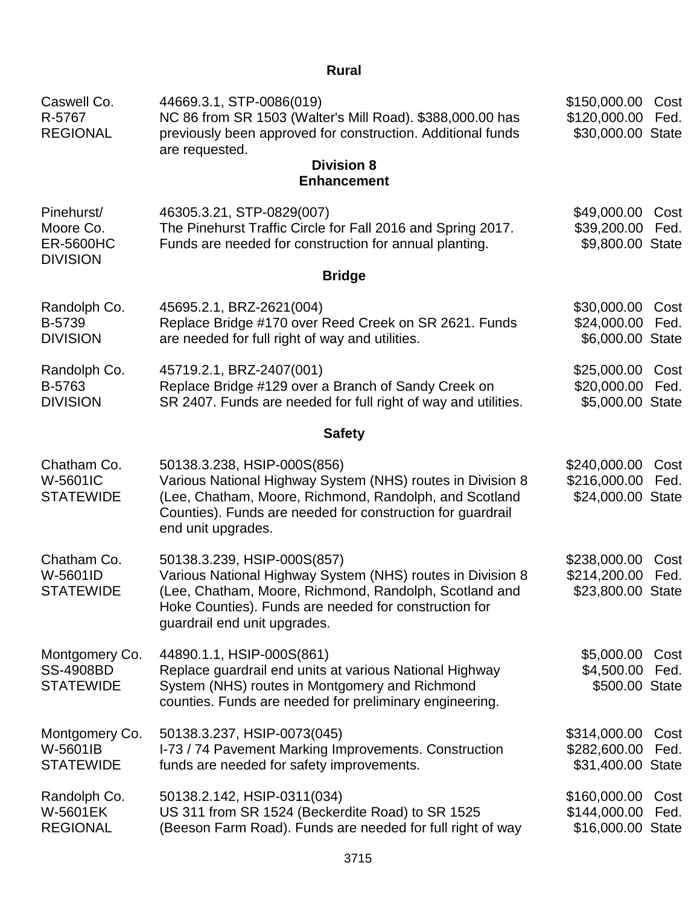# **Rural**

| Caswell Co.<br>R-5767<br><b>REGIONAL</b>                       | 44669.3.1, STP-0086(019)<br>NC 86 from SR 1503 (Walter's Mill Road). \$388,000.00 has<br>previously been approved for construction. Additional funds<br>are requested.                                                                       | \$150,000.00<br>\$120,000.00<br>\$30,000.00 State | Cost<br>Fed. |
|----------------------------------------------------------------|----------------------------------------------------------------------------------------------------------------------------------------------------------------------------------------------------------------------------------------------|---------------------------------------------------|--------------|
|                                                                | <b>Division 8</b><br><b>Enhancement</b>                                                                                                                                                                                                      |                                                   |              |
| Pinehurst/<br>Moore Co.<br><b>ER-5600HC</b><br><b>DIVISION</b> | 46305.3.21, STP-0829(007)<br>The Pinehurst Traffic Circle for Fall 2016 and Spring 2017.<br>Funds are needed for construction for annual planting.                                                                                           | \$49,000.00<br>\$39,200.00<br>\$9,800.00 State    | Cost<br>Fed. |
|                                                                | <b>Bridge</b>                                                                                                                                                                                                                                |                                                   |              |
| Randolph Co.<br>B-5739<br><b>DIVISION</b>                      | 45695.2.1, BRZ-2621(004)<br>Replace Bridge #170 over Reed Creek on SR 2621. Funds<br>are needed for full right of way and utilities.                                                                                                         | \$30,000.00<br>\$24,000.00<br>\$6,000.00 State    | Cost<br>Fed. |
| Randolph Co.<br>B-5763<br><b>DIVISION</b>                      | 45719.2.1, BRZ-2407(001)<br>Replace Bridge #129 over a Branch of Sandy Creek on<br>SR 2407. Funds are needed for full right of way and utilities.                                                                                            | \$25,000.00<br>\$20,000.00<br>\$5,000.00 State    | Cost<br>Fed. |
|                                                                | <b>Safety</b>                                                                                                                                                                                                                                |                                                   |              |
| Chatham Co.<br>W-5601IC<br><b>STATEWIDE</b>                    | 50138.3.238, HSIP-000S(856)<br>Various National Highway System (NHS) routes in Division 8<br>(Lee, Chatham, Moore, Richmond, Randolph, and Scotland<br>Counties). Funds are needed for construction for guardrail<br>end unit upgrades.      | \$240,000.00<br>\$216,000.00<br>\$24,000.00 State | Cost<br>Fed. |
| Chatham Co.<br>W-5601ID<br><b>STATEWIDE</b>                    | 50138.3.239, HSIP-000S(857)<br>Various National Highway System (NHS) routes in Division 8<br>(Lee, Chatham, Moore, Richmond, Randolph, Scotland and<br>Hoke Counties). Funds are needed for construction for<br>guardrail end unit upgrades. | \$238,000.00<br>\$214,200.00<br>\$23,800.00 State | Cost<br>Fed. |
| Montgomery Co.<br><b>SS-4908BD</b><br><b>STATEWIDE</b>         | 44890.1.1, HSIP-000S(861)<br>Replace guardrail end units at various National Highway<br>System (NHS) routes in Montgomery and Richmond<br>counties. Funds are needed for preliminary engineering.                                            | \$5,000.00<br>\$4,500.00<br>\$500.00 State        | Cost<br>Fed. |
| Montgomery Co.<br>W-5601IB<br><b>STATEWIDE</b>                 | 50138.3.237, HSIP-0073(045)<br>I-73 / 74 Pavement Marking Improvements. Construction<br>funds are needed for safety improvements.                                                                                                            | \$314,000.00<br>\$282,600.00<br>\$31,400.00 State | Cost<br>Fed. |
| Randolph Co.<br><b>W-5601EK</b><br><b>REGIONAL</b>             | 50138.2.142, HSIP-0311(034)<br>US 311 from SR 1524 (Beckerdite Road) to SR 1525<br>(Beeson Farm Road). Funds are needed for full right of way                                                                                                | \$160,000.00<br>\$144,000.00<br>\$16,000.00 State | Cost<br>Fed. |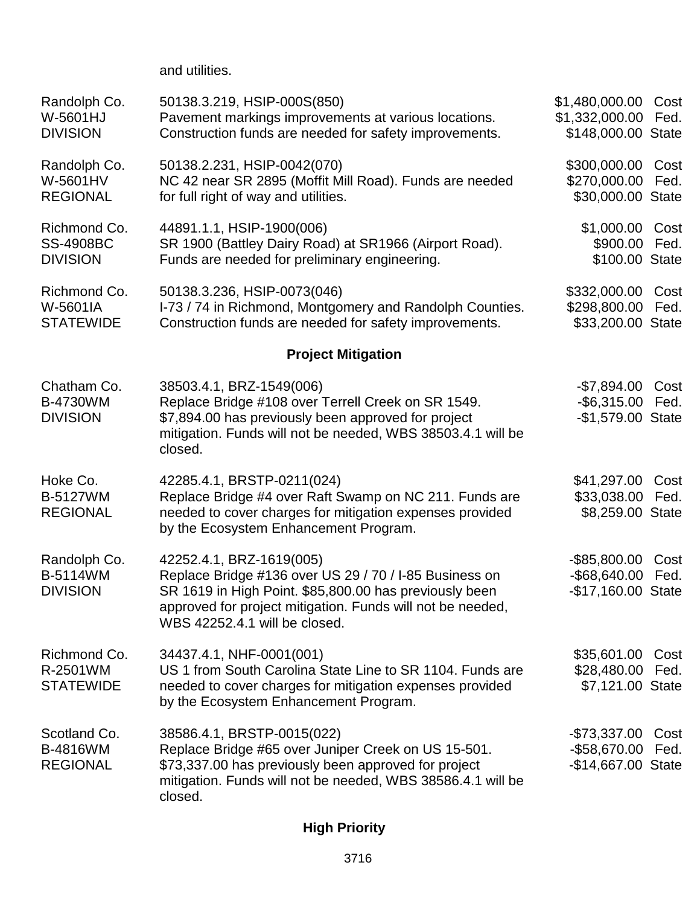and utilities.

| Randolph Co.<br>W-5601HJ<br><b>DIVISION</b>         | 50138.3.219, HSIP-000S(850)<br>Pavement markings improvements at various locations.<br>Construction funds are needed for safety improvements.                                                                                               | \$1,480,000.00<br>\$1,332,000.00<br>\$148,000.00 State   | Cost<br>Fed. |
|-----------------------------------------------------|---------------------------------------------------------------------------------------------------------------------------------------------------------------------------------------------------------------------------------------------|----------------------------------------------------------|--------------|
| Randolph Co.<br>W-5601HV<br><b>REGIONAL</b>         | 50138.2.231, HSIP-0042(070)<br>NC 42 near SR 2895 (Moffit Mill Road). Funds are needed<br>for full right of way and utilities.                                                                                                              | \$300,000.00<br>\$270,000.00<br>\$30,000.00 State        | Cost<br>Fed. |
| Richmond Co.<br><b>SS-4908BC</b><br><b>DIVISION</b> | 44891.1.1, HSIP-1900(006)<br>SR 1900 (Battley Dairy Road) at SR1966 (Airport Road).<br>Funds are needed for preliminary engineering.                                                                                                        | \$1,000.00<br>\$900.00<br>\$100.00 State                 | Cost<br>Fed. |
| Richmond Co.<br>W-5601IA<br><b>STATEWIDE</b>        | 50138.3.236, HSIP-0073(046)<br>I-73 / 74 in Richmond, Montgomery and Randolph Counties.<br>Construction funds are needed for safety improvements.                                                                                           | \$332,000.00<br>\$298,800.00<br>\$33,200.00 State        | Cost<br>Fed. |
|                                                     | <b>Project Mitigation</b>                                                                                                                                                                                                                   |                                                          |              |
| Chatham Co.<br><b>B-4730WM</b><br><b>DIVISION</b>   | 38503.4.1, BRZ-1549(006)<br>Replace Bridge #108 over Terrell Creek on SR 1549.<br>\$7,894.00 has previously been approved for project<br>mitigation. Funds will not be needed, WBS 38503.4.1 will be<br>closed.                             | $-$7,894.00$<br>$-$ \$6,315.00<br>-\$1,579.00 State      | Cost<br>Fed. |
| Hoke Co.<br>B-5127WM<br><b>REGIONAL</b>             | 42285.4.1, BRSTP-0211(024)<br>Replace Bridge #4 over Raft Swamp on NC 211. Funds are<br>needed to cover charges for mitigation expenses provided<br>by the Ecosystem Enhancement Program.                                                   | \$41,297.00<br>\$33,038.00<br>\$8,259.00 State           | Cost<br>Fed. |
| Randolph Co.<br><b>B-5114WM</b><br><b>DIVISION</b>  | 42252.4.1, BRZ-1619(005)<br>Replace Bridge #136 over US 29 / 70 / I-85 Business on<br>SR 1619 in High Point. \$85,800.00 has previously been<br>approved for project mitigation. Funds will not be needed,<br>WBS 42252.4.1 will be closed. | $-$ \$85,800.00<br>$-$ \$68,640.00<br>-\$17,160.00 State | Cost<br>Fed. |
| Richmond Co.<br>R-2501WM<br><b>STATEWIDE</b>        | 34437.4.1, NHF-0001(001)<br>US 1 from South Carolina State Line to SR 1104. Funds are<br>needed to cover charges for mitigation expenses provided<br>by the Ecosystem Enhancement Program.                                                  | \$35,601.00<br>\$28,480.00<br>\$7,121.00 State           | Cost<br>Fed. |
| Scotland Co.<br><b>B-4816WM</b><br><b>REGIONAL</b>  | 38586.4.1, BRSTP-0015(022)<br>Replace Bridge #65 over Juniper Creek on US 15-501.<br>\$73,337.00 has previously been approved for project<br>mitigation. Funds will not be needed, WBS 38586.4.1 will be<br>closed.                         | $-$73,337.00$<br>$-$ \$58,670.00<br>-\$14,667.00 State   | Cost<br>Fed. |

# **High Priority**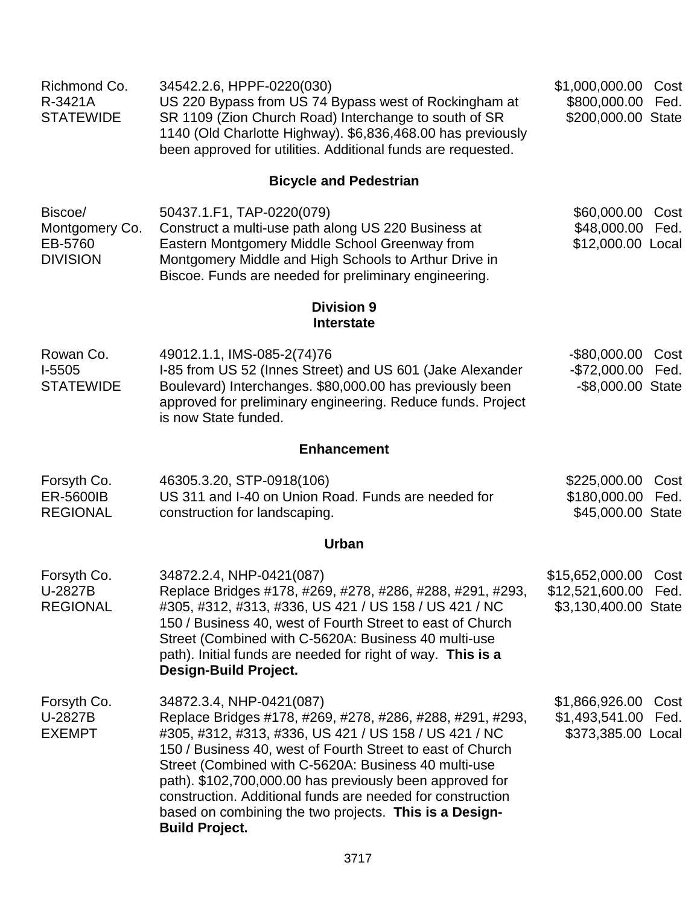| Richmond Co.<br>R-3421A<br><b>STATEWIDE</b>             | 34542.2.6, HPPF-0220(030)<br>US 220 Bypass from US 74 Bypass west of Rockingham at<br>SR 1109 (Zion Church Road) Interchange to south of SR<br>1140 (Old Charlotte Highway). \$6,836,468.00 has previously<br>been approved for utilities. Additional funds are requested.                                                                                                                                                                                                        | \$1,000,000.00<br>\$800,000.00<br>\$200,000.00 State                 | Cost<br>Fed. |
|---------------------------------------------------------|-----------------------------------------------------------------------------------------------------------------------------------------------------------------------------------------------------------------------------------------------------------------------------------------------------------------------------------------------------------------------------------------------------------------------------------------------------------------------------------|----------------------------------------------------------------------|--------------|
|                                                         | <b>Bicycle and Pedestrian</b>                                                                                                                                                                                                                                                                                                                                                                                                                                                     |                                                                      |              |
| Biscoe/<br>Montgomery Co.<br>EB-5760<br><b>DIVISION</b> | 50437.1.F1, TAP-0220(079)<br>Construct a multi-use path along US 220 Business at<br>Eastern Montgomery Middle School Greenway from<br>Montgomery Middle and High Schools to Arthur Drive in<br>Biscoe. Funds are needed for preliminary engineering.                                                                                                                                                                                                                              | \$60,000.00 Cost<br>\$48,000.00<br>\$12,000.00 Local                 | Fed.         |
|                                                         | <b>Division 9</b><br><b>Interstate</b>                                                                                                                                                                                                                                                                                                                                                                                                                                            |                                                                      |              |
| Rowan Co.<br>$I-5505$<br><b>STATEWIDE</b>               | 49012.1.1, IMS-085-2(74)76<br>I-85 from US 52 (Innes Street) and US 601 (Jake Alexander<br>Boulevard) Interchanges. \$80,000.00 has previously been<br>approved for preliminary engineering. Reduce funds. Project<br>is now State funded.                                                                                                                                                                                                                                        | $-$ \$80,000.00<br>-\$72,000.00 Fed.<br>-\$8,000.00 State            | Cost         |
|                                                         | <b>Enhancement</b>                                                                                                                                                                                                                                                                                                                                                                                                                                                                |                                                                      |              |
| Forsyth Co.<br>ER-5600IB<br><b>REGIONAL</b>             | 46305.3.20, STP-0918(106)<br>US 311 and I-40 on Union Road. Funds are needed for<br>construction for landscaping.                                                                                                                                                                                                                                                                                                                                                                 | \$225,000.00<br>\$180,000.00<br>\$45,000.00 State                    | Cost<br>Fed. |
|                                                         | <b>Urban</b>                                                                                                                                                                                                                                                                                                                                                                                                                                                                      |                                                                      |              |
| Forsyth Co.<br>U-2827B<br><b>REGIONAL</b>               | 34872.2.4, NHP-0421(087)<br>Replace Bridges #178, #269, #278, #286, #288, #291, #293,<br>#305, #312, #313, #336, US 421 / US 158 / US 421 / NC<br>150 / Business 40, west of Fourth Street to east of Church<br>Street (Combined with C-5620A: Business 40 multi-use<br>path). Initial funds are needed for right of way. This is a<br>Design-Build Project.                                                                                                                      | \$15,652,000.00 Cost<br>\$12,521,600.00 Fed.<br>\$3,130,400.00 State |              |
| Forsyth Co.<br>U-2827B<br><b>EXEMPT</b>                 | 34872.3.4, NHP-0421(087)<br>Replace Bridges #178, #269, #278, #286, #288, #291, #293,<br>#305, #312, #313, #336, US 421 / US 158 / US 421 / NC<br>150 / Business 40, west of Fourth Street to east of Church<br>Street (Combined with C-5620A: Business 40 multi-use<br>path). \$102,700,000.00 has previously been approved for<br>construction. Additional funds are needed for construction<br>based on combining the two projects. This is a Design-<br><b>Build Project.</b> | \$1,866,926.00<br>\$1,493,541.00<br>\$373,385.00 Local               | Cost<br>Fed. |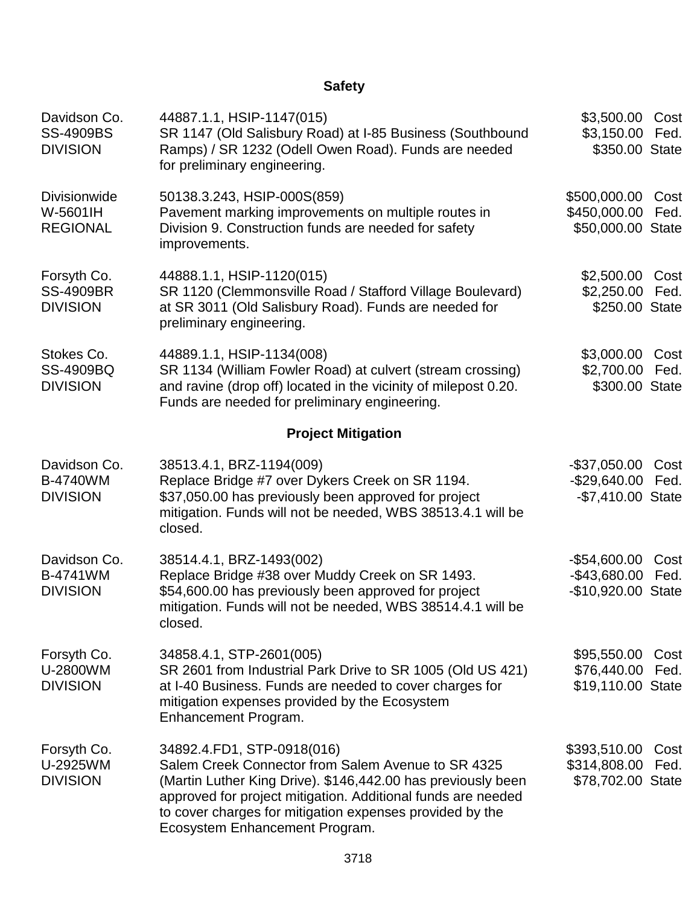# **Safety**

| Davidson Co.<br><b>SS-4909BS</b><br><b>DIVISION</b> | 44887.1.1, HSIP-1147(015)<br>SR 1147 (Old Salisbury Road) at I-85 Business (Southbound<br>Ramps) / SR 1232 (Odell Owen Road). Funds are needed<br>for preliminary engineering.                                                                                                                                 | \$3,500.00<br>\$3,150.00<br>\$350.00 State           | Cost<br>Fed. |
|-----------------------------------------------------|----------------------------------------------------------------------------------------------------------------------------------------------------------------------------------------------------------------------------------------------------------------------------------------------------------------|------------------------------------------------------|--------------|
| <b>Divisionwide</b><br>W-5601IH<br><b>REGIONAL</b>  | 50138.3.243, HSIP-000S(859)<br>Pavement marking improvements on multiple routes in<br>Division 9. Construction funds are needed for safety<br>improvements.                                                                                                                                                    | \$500,000.00<br>\$450,000.00<br>\$50,000.00 State    | Cost<br>Fed. |
| Forsyth Co.<br><b>SS-4909BR</b><br><b>DIVISION</b>  | 44888.1.1, HSIP-1120(015)<br>SR 1120 (Clemmonsville Road / Stafford Village Boulevard)<br>at SR 3011 (Old Salisbury Road). Funds are needed for<br>preliminary engineering.                                                                                                                                    | \$2,500.00<br>\$2,250.00<br>\$250.00 State           | Cost<br>Fed. |
| Stokes Co.<br><b>SS-4909BQ</b><br><b>DIVISION</b>   | 44889.1.1, HSIP-1134(008)<br>SR 1134 (William Fowler Road) at culvert (stream crossing)<br>and ravine (drop off) located in the vicinity of milepost 0.20.<br>Funds are needed for preliminary engineering.                                                                                                    | \$3,000.00<br>\$2,700.00<br>\$300.00 State           | Cost<br>Fed. |
|                                                     | <b>Project Mitigation</b>                                                                                                                                                                                                                                                                                      |                                                      |              |
| Davidson Co.<br><b>B-4740WM</b><br><b>DIVISION</b>  | 38513.4.1, BRZ-1194(009)<br>Replace Bridge #7 over Dykers Creek on SR 1194.<br>\$37,050.00 has previously been approved for project<br>mitigation. Funds will not be needed, WBS 38513.4.1 will be<br>closed.                                                                                                  | $-$37,050.00$<br>$-$29,640.00$<br>-\$7,410.00 State  | Cost<br>Fed. |
| Davidson Co.<br>B-4741WM<br><b>DIVISION</b>         | 38514.4.1, BRZ-1493(002)<br>Replace Bridge #38 over Muddy Creek on SR 1493.<br>\$54,600.00 has previously been approved for project<br>mitigation. Funds will not be needed, WBS 38514.4.1 will be<br>closed.                                                                                                  | $-$54,600.00$<br>$-$43,680.00$<br>-\$10,920.00 State | Cost<br>Fed. |
| Forsyth Co.<br>U-2800WM<br><b>DIVISION</b>          | 34858.4.1, STP-2601(005)<br>SR 2601 from Industrial Park Drive to SR 1005 (Old US 421)<br>at I-40 Business. Funds are needed to cover charges for<br>mitigation expenses provided by the Ecosystem<br>Enhancement Program.                                                                                     | \$95,550.00<br>\$76,440.00<br>\$19,110.00 State      | Cost<br>Fed. |
| Forsyth Co.<br>U-2925WM<br><b>DIVISION</b>          | 34892.4.FD1, STP-0918(016)<br>Salem Creek Connector from Salem Avenue to SR 4325<br>(Martin Luther King Drive). \$146,442.00 has previously been<br>approved for project mitigation. Additional funds are needed<br>to cover charges for mitigation expenses provided by the<br>Ecosystem Enhancement Program. | \$393,510.00<br>\$314,808.00<br>\$78,702.00 State    | Cost<br>Fed. |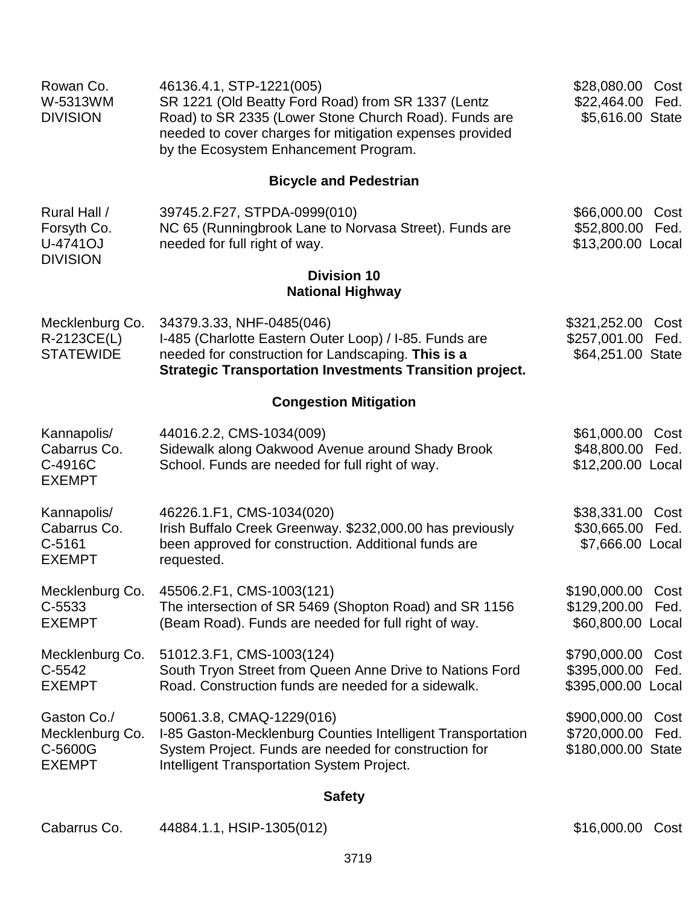| Rowan Co.<br>W-5313WM<br><b>DIVISION</b>                   | 46136.4.1, STP-1221(005)<br>SR 1221 (Old Beatty Ford Road) from SR 1337 (Lentz<br>Road) to SR 2335 (Lower Stone Church Road). Funds are<br>needed to cover charges for mitigation expenses provided<br>by the Ecosystem Enhancement Program. | \$28,080.00 Cost<br>\$22,464.00 Fed.<br>\$5,616.00 State |              |
|------------------------------------------------------------|----------------------------------------------------------------------------------------------------------------------------------------------------------------------------------------------------------------------------------------------|----------------------------------------------------------|--------------|
|                                                            | <b>Bicycle and Pedestrian</b>                                                                                                                                                                                                                |                                                          |              |
| Rural Hall /<br>Forsyth Co.<br>U-4741OJ<br><b>DIVISION</b> | 39745.2.F27, STPDA-0999(010)<br>NC 65 (Runningbrook Lane to Norvasa Street). Funds are<br>needed for full right of way.                                                                                                                      | \$66,000.00<br>\$52,800.00 Fed.<br>\$13,200.00 Local     | Cost         |
|                                                            | <b>Division 10</b><br><b>National Highway</b>                                                                                                                                                                                                |                                                          |              |
| Mecklenburg Co.<br>R-2123CE(L)<br><b>STATEWIDE</b>         | 34379.3.33, NHF-0485(046)<br>I-485 (Charlotte Eastern Outer Loop) / I-85. Funds are<br>needed for construction for Landscaping. This is a<br><b>Strategic Transportation Investments Transition project.</b>                                 | \$321,252.00<br>\$257,001.00 Fed.<br>\$64,251.00 State   | Cost         |
|                                                            | <b>Congestion Mitigation</b>                                                                                                                                                                                                                 |                                                          |              |
| Kannapolis/<br>Cabarrus Co.<br>C-4916C<br><b>EXEMPT</b>    | 44016.2.2, CMS-1034(009)<br>Sidewalk along Oakwood Avenue around Shady Brook<br>School. Funds are needed for full right of way.                                                                                                              | \$61,000.00<br>\$48,800.00<br>\$12,200.00 Local          | Cost<br>Fed. |
| Kannapolis/<br>Cabarrus Co.<br>$C-5161$<br><b>EXEMPT</b>   | 46226.1.F1, CMS-1034(020)<br>Irish Buffalo Creek Greenway. \$232,000.00 has previously<br>been approved for construction. Additional funds are<br>requested.                                                                                 | \$38,331.00 Cost<br>\$30,665.00 Fed.<br>\$7,666.00 Local |              |
| Mecklenburg Co.<br>C-5533<br><b>EXEMPT</b>                 | 45506.2.F1, CMS-1003(121)<br>The intersection of SR 5469 (Shopton Road) and SR 1156<br>(Beam Road). Funds are needed for full right of way.                                                                                                  | \$190,000.00 Cost<br>\$129,200.00<br>\$60,800.00 Local   | Fed.         |
| Mecklenburg Co.<br>$C-5542$<br><b>EXEMPT</b>               | 51012.3.F1, CMS-1003(124)<br>South Tryon Street from Queen Anne Drive to Nations Ford<br>Road. Construction funds are needed for a sidewalk.                                                                                                 | \$790,000.00 Cost<br>\$395,000.00<br>\$395,000.00 Local  | Fed.         |
| Gaston Co./<br>Mecklenburg Co.<br>C-5600G<br><b>EXEMPT</b> | 50061.3.8, CMAQ-1229(016)<br>I-85 Gaston-Mecklenburg Counties Intelligent Transportation<br>System Project. Funds are needed for construction for<br><b>Intelligent Transportation System Project.</b>                                       | \$900,000.00<br>\$720,000.00 Fed.<br>\$180,000.00 State  | Cost         |
|                                                            | $0 - 1 - 1$                                                                                                                                                                                                                                  |                                                          |              |

### **Safety**

| Cabarrus Co. | 44884.1.1, HSIP-1305(012) |
|--------------|---------------------------|
|--------------|---------------------------|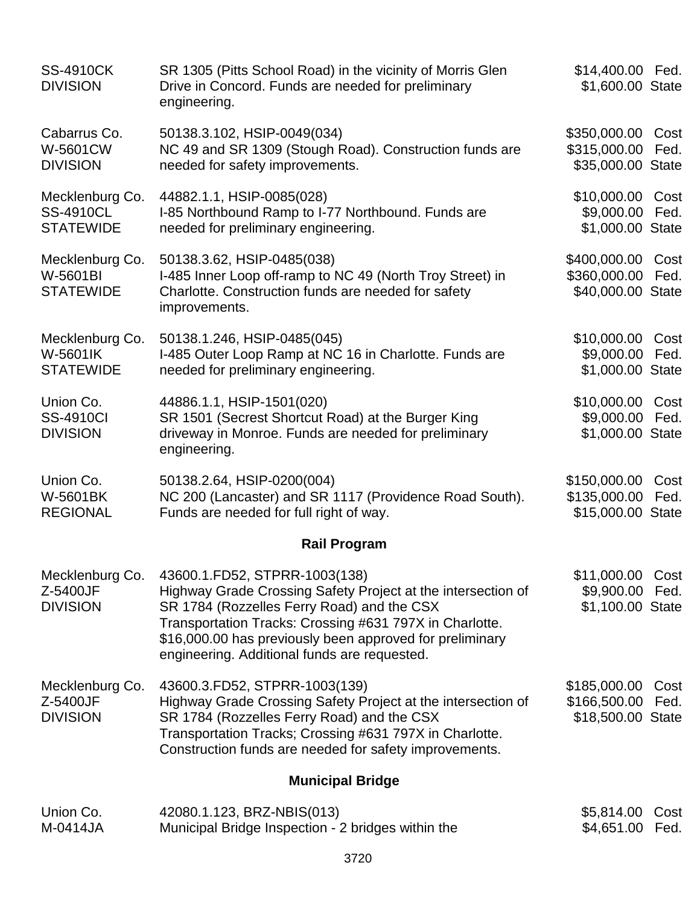| <b>SS-4910CK</b><br><b>DIVISION</b>                     | SR 1305 (Pitts School Road) in the vicinity of Morris Glen<br>Drive in Concord. Funds are needed for preliminary<br>engineering.                                                                                                                                                                                   | \$14,400.00 Fed.<br>\$1,600.00 State                    |              |
|---------------------------------------------------------|--------------------------------------------------------------------------------------------------------------------------------------------------------------------------------------------------------------------------------------------------------------------------------------------------------------------|---------------------------------------------------------|--------------|
| Cabarrus Co.<br>W-5601CW<br><b>DIVISION</b>             | 50138.3.102, HSIP-0049(034)<br>NC 49 and SR 1309 (Stough Road). Construction funds are<br>needed for safety improvements.                                                                                                                                                                                          | \$350,000.00<br>\$315,000.00<br>\$35,000.00 State       | Cost<br>Fed. |
| Mecklenburg Co.<br><b>SS-4910CL</b><br><b>STATEWIDE</b> | 44882.1.1, HSIP-0085(028)<br>I-85 Northbound Ramp to I-77 Northbound. Funds are<br>needed for preliminary engineering.                                                                                                                                                                                             | \$10,000.00 Cost<br>\$9,000.00<br>\$1,000.00 State      | Fed.         |
| Mecklenburg Co.<br>W-5601BI<br><b>STATEWIDE</b>         | 50138.3.62, HSIP-0485(038)<br>I-485 Inner Loop off-ramp to NC 49 (North Troy Street) in<br>Charlotte. Construction funds are needed for safety<br>improvements.                                                                                                                                                    | \$400,000.00 Cost<br>\$360,000.00<br>\$40,000.00 State  | Fed.         |
| Mecklenburg Co.<br>W-5601IK<br><b>STATEWIDE</b>         | 50138.1.246, HSIP-0485(045)<br>I-485 Outer Loop Ramp at NC 16 in Charlotte. Funds are<br>needed for preliminary engineering.                                                                                                                                                                                       | \$10,000.00<br>\$9,000.00 Fed.<br>\$1,000.00 State      | Cost         |
| Union Co.<br><b>SS-4910CI</b><br><b>DIVISION</b>        | 44886.1.1, HSIP-1501(020)<br>SR 1501 (Secrest Shortcut Road) at the Burger King<br>driveway in Monroe. Funds are needed for preliminary<br>engineering.                                                                                                                                                            | \$10,000.00 Cost<br>\$9,000.00<br>\$1,000.00 State      | Fed.         |
| Union Co.<br><b>W-5601BK</b><br><b>REGIONAL</b>         | 50138.2.64, HSIP-0200(004)<br>NC 200 (Lancaster) and SR 1117 (Providence Road South).<br>Funds are needed for full right of way.                                                                                                                                                                                   | \$150,000.00<br>\$135,000.00<br>\$15,000.00 State       | Cost<br>Fed. |
|                                                         | <b>Rail Program</b>                                                                                                                                                                                                                                                                                                |                                                         |              |
| Mecklenburg Co.<br>Z-5400JF<br><b>DIVISION</b>          | 43600.1.FD52, STPRR-1003(138)<br>Highway Grade Crossing Safety Project at the intersection of<br>SR 1784 (Rozzelles Ferry Road) and the CSX<br>Transportation Tracks: Crossing #631 797X in Charlotte.<br>\$16,000.00 has previously been approved for preliminary<br>engineering. Additional funds are requested. | \$11,000.00 Cost<br>\$9,900.00 Fed.<br>\$1,100.00 State |              |
| Mecklenburg Co.<br>Z-5400JF<br><b>DIVISION</b>          | 43600.3.FD52, STPRR-1003(139)<br>Highway Grade Crossing Safety Project at the intersection of<br>SR 1784 (Rozzelles Ferry Road) and the CSX<br>Transportation Tracks; Crossing #631 797X in Charlotte.<br>Construction funds are needed for safety improvements.                                                   | \$185,000.00<br>\$166,500.00<br>\$18,500.00 State       | Cost<br>Fed. |
|                                                         | <b>Municipal Bridge</b>                                                                                                                                                                                                                                                                                            |                                                         |              |
| Union Co.<br>M-0414JA                                   | 42080.1.123, BRZ-NBIS(013)<br>Municipal Bridge Inspection - 2 bridges within the                                                                                                                                                                                                                                   | \$5,814.00<br>\$4,651.00                                | Cost<br>Fed. |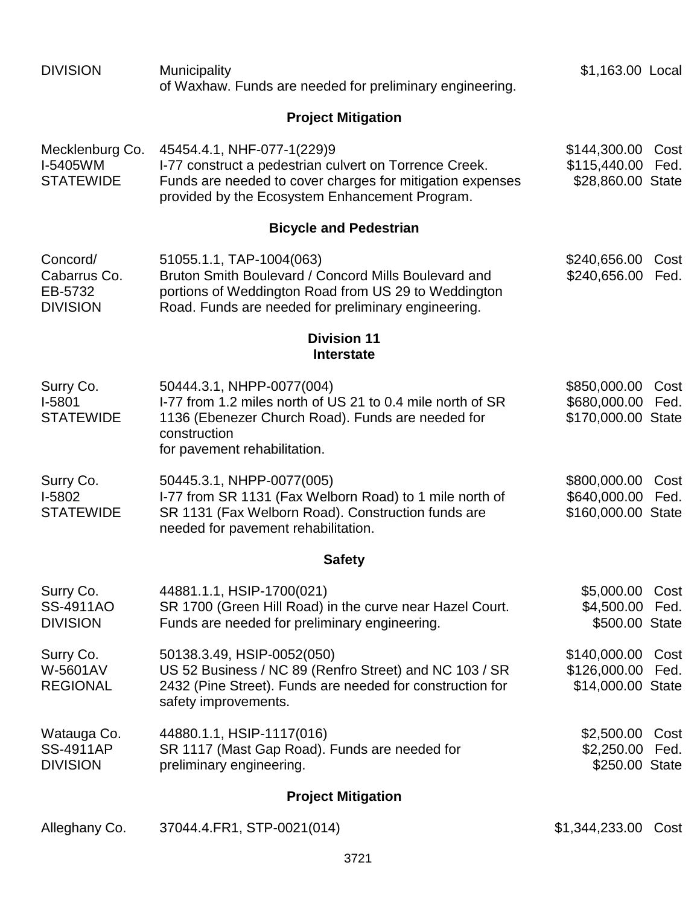| <b>DIVISION</b>                                        | <b>Municipality</b><br>of Waxhaw. Funds are needed for preliminary engineering.                                                                                                                     | \$1,163.00 Local                                       |              |
|--------------------------------------------------------|-----------------------------------------------------------------------------------------------------------------------------------------------------------------------------------------------------|--------------------------------------------------------|--------------|
|                                                        | <b>Project Mitigation</b>                                                                                                                                                                           |                                                        |              |
| Mecklenburg Co.<br>I-5405WM<br><b>STATEWIDE</b>        | 45454.4.1, NHF-077-1(229)9<br>I-77 construct a pedestrian culvert on Torrence Creek.<br>Funds are needed to cover charges for mitigation expenses<br>provided by the Ecosystem Enhancement Program. | \$144,300.00 Cost<br>\$115,440.00<br>\$28,860.00 State | Fed.         |
|                                                        | <b>Bicycle and Pedestrian</b>                                                                                                                                                                       |                                                        |              |
| Concord/<br>Cabarrus Co.<br>EB-5732<br><b>DIVISION</b> | 51055.1.1, TAP-1004(063)<br>Bruton Smith Boulevard / Concord Mills Boulevard and<br>portions of Weddington Road from US 29 to Weddington<br>Road. Funds are needed for preliminary engineering.     | \$240,656.00<br>\$240,656.00                           | Cost<br>Fed. |
|                                                        | <b>Division 11</b><br><b>Interstate</b>                                                                                                                                                             |                                                        |              |
| Surry Co.<br>I-5801<br><b>STATEWIDE</b>                | 50444.3.1, NHPP-0077(004)<br>I-77 from 1.2 miles north of US 21 to 0.4 mile north of SR<br>1136 (Ebenezer Church Road). Funds are needed for<br>construction<br>for pavement rehabilitation.        | \$850,000.00<br>\$680,000.00<br>\$170,000.00 State     | Cost<br>Fed. |
| Surry Co.<br>I-5802<br><b>STATEWIDE</b>                | 50445.3.1, NHPP-0077(005)<br>I-77 from SR 1131 (Fax Welborn Road) to 1 mile north of<br>SR 1131 (Fax Welborn Road). Construction funds are<br>needed for pavement rehabilitation.                   | \$800,000.00<br>\$640,000.00<br>\$160,000.00 State     | Cost<br>Fed. |
|                                                        | <b>Safety</b>                                                                                                                                                                                       |                                                        |              |
| Surry Co.<br>SS-4911AO<br><b>DIVISION</b>              | 44881.1.1, HSIP-1700(021)<br>SR 1700 (Green Hill Road) in the curve near Hazel Court.<br>Funds are needed for preliminary engineering.                                                              | \$5,000.00 Cost<br>\$4,500.00 Fed.<br>\$500.00 State   |              |
| Surry Co.<br>W-5601AV<br><b>REGIONAL</b>               | 50138.3.49, HSIP-0052(050)<br>US 52 Business / NC 89 (Renfro Street) and NC 103 / SR<br>2432 (Pine Street). Funds are needed for construction for<br>safety improvements.                           | \$140,000.00<br>\$126,000.00<br>\$14,000.00 State      | Cost<br>Fed. |
| Watauga Co.<br><b>SS-4911AP</b><br><b>DIVISION</b>     | 44880.1.1, HSIP-1117(016)<br>SR 1117 (Mast Gap Road). Funds are needed for<br>preliminary engineering.                                                                                              | \$2,500.00 Cost<br>\$2,250.00<br>\$250.00 State        | Fed.         |
|                                                        | <b>Project Mitigation</b>                                                                                                                                                                           |                                                        |              |
| Alleghany Co.                                          | 37044.4. FR1, STP-0021 (014)                                                                                                                                                                        | \$1,344,233.00                                         | Cost         |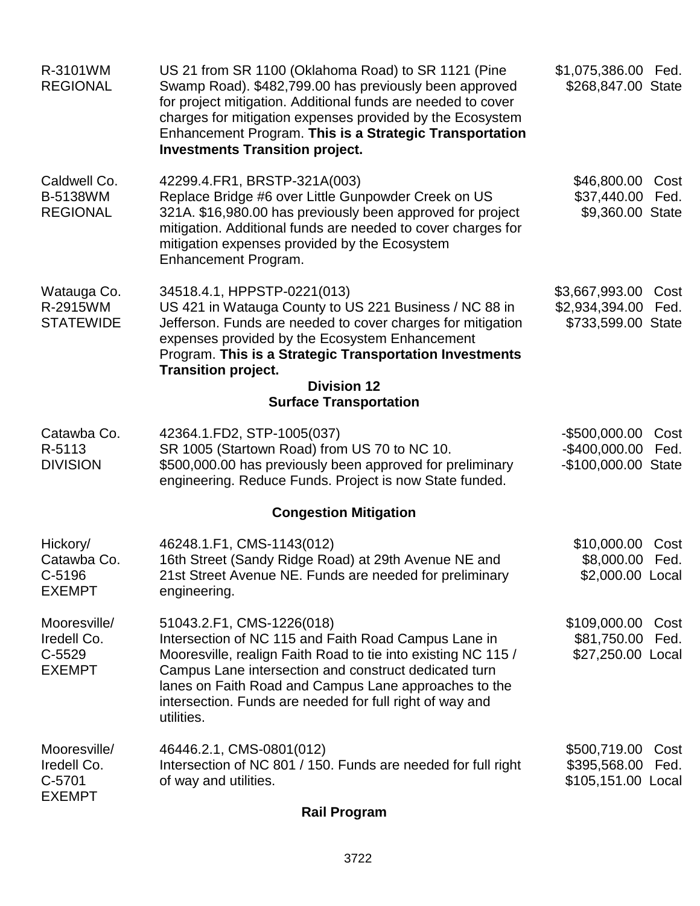| R-3101WM<br><b>REGIONAL</b>                              | US 21 from SR 1100 (Oklahoma Road) to SR 1121 (Pine<br>Swamp Road). \$482,799.00 has previously been approved<br>for project mitigation. Additional funds are needed to cover<br>charges for mitigation expenses provided by the Ecosystem<br>Enhancement Program. This is a Strategic Transportation<br><b>Investments Transition project.</b> | \$1,075,386.00 Fed.<br>\$268,847.00 State                               |
|----------------------------------------------------------|-------------------------------------------------------------------------------------------------------------------------------------------------------------------------------------------------------------------------------------------------------------------------------------------------------------------------------------------------|-------------------------------------------------------------------------|
| Caldwell Co.<br><b>B-5138WM</b><br><b>REGIONAL</b>       | 42299.4.FR1, BRSTP-321A(003)<br>Replace Bridge #6 over Little Gunpowder Creek on US<br>321A. \$16,980.00 has previously been approved for project<br>mitigation. Additional funds are needed to cover charges for<br>mitigation expenses provided by the Ecosystem<br>Enhancement Program.                                                      | \$46,800.00 Cost<br>\$37,440.00<br>Fed.<br>\$9,360.00 State             |
| Watauga Co.<br>R-2915WM<br><b>STATEWIDE</b>              | 34518.4.1, HPPSTP-0221(013)<br>US 421 in Watauga County to US 221 Business / NC 88 in<br>Jefferson. Funds are needed to cover charges for mitigation<br>expenses provided by the Ecosystem Enhancement<br>Program. This is a Strategic Transportation Investments<br><b>Transition project.</b>                                                 | \$3,667,993.00<br>Cost<br>\$2,934,394.00<br>Fed.<br>\$733,599.00 State  |
|                                                          | <b>Division 12</b><br><b>Surface Transportation</b>                                                                                                                                                                                                                                                                                             |                                                                         |
| Catawba Co.<br>R-5113<br><b>DIVISION</b>                 | 42364.1.FD2, STP-1005(037)<br>SR 1005 (Startown Road) from US 70 to NC 10.<br>\$500,000.00 has previously been approved for preliminary<br>engineering. Reduce Funds. Project is now State funded.                                                                                                                                              | $-$500,000.00$<br>Cost<br>$-$400,000.00$<br>Fed.<br>-\$100,000.00 State |
|                                                          | <b>Congestion Mitigation</b>                                                                                                                                                                                                                                                                                                                    |                                                                         |
| Hickory/<br>Catawba Co.<br>C-5196<br><b>EXEMPT</b>       | 46248.1.F1, CMS-1143(012)<br>16th Street (Sandy Ridge Road) at 29th Avenue NE and<br>21st Street Avenue NE. Funds are needed for preliminary<br>engineering.                                                                                                                                                                                    | \$10,000.00<br>Cost<br>\$8,000.00 Fed.<br>\$2,000.00 Local              |
| Mooresville/<br>Iredell Co.<br>$C-5529$<br><b>EXEMPT</b> | 51043.2.F1, CMS-1226(018)<br>Intersection of NC 115 and Faith Road Campus Lane in<br>Mooresville, realign Faith Road to tie into existing NC 115 /<br>Campus Lane intersection and construct dedicated turn<br>lanes on Faith Road and Campus Lane approaches to the<br>intersection. Funds are needed for full right of way and<br>utilities.  | \$109,000.00<br>Cost<br>\$81,750.00<br>Fed.<br>\$27,250.00 Local        |
| Mooresville/<br>Iredell Co.<br>C-5701<br><b>EXEMPT</b>   | 46446.2.1, CMS-0801(012)<br>Intersection of NC 801 / 150. Funds are needed for full right<br>of way and utilities.                                                                                                                                                                                                                              | \$500,719.00<br>Cost<br>\$395,568.00<br>Fed.<br>\$105,151.00 Local      |

**Rail Program**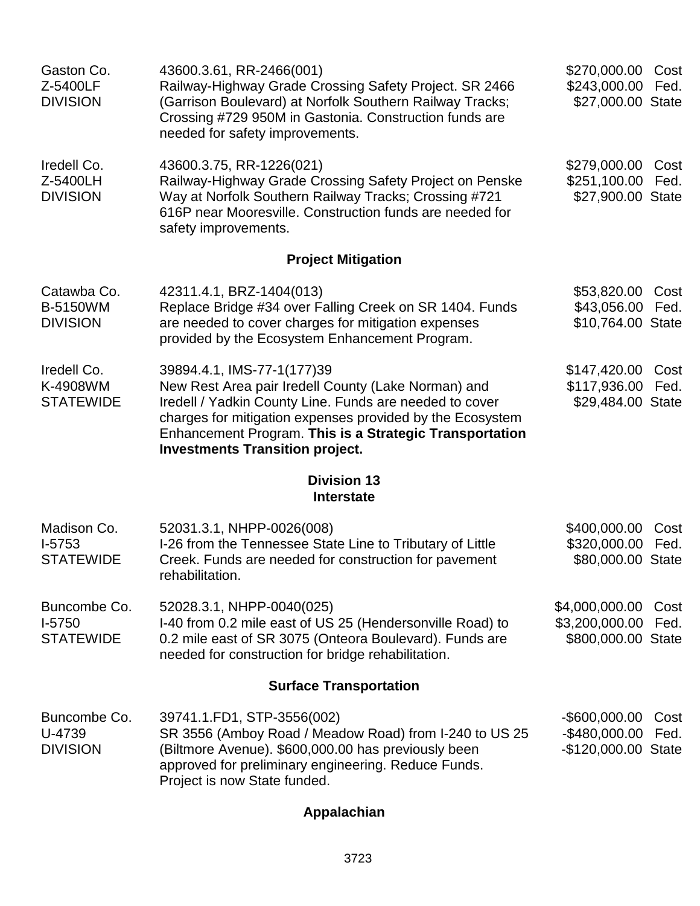| Gaston Co.<br>Z-5400LF<br><b>DIVISION</b>         | 43600.3.61, RR-2466(001)<br>Railway-Highway Grade Crossing Safety Project. SR 2466<br>(Garrison Boulevard) at Norfolk Southern Railway Tracks;<br>Crossing #729 950M in Gastonia. Construction funds are<br>needed for safety improvements.                                                                    | \$270,000.00<br>\$243,000.00<br>\$27,000.00 State         | Cost<br>Fed. |
|---------------------------------------------------|----------------------------------------------------------------------------------------------------------------------------------------------------------------------------------------------------------------------------------------------------------------------------------------------------------------|-----------------------------------------------------------|--------------|
| Iredell Co.<br>Z-5400LH<br><b>DIVISION</b>        | 43600.3.75, RR-1226(021)<br>Railway-Highway Grade Crossing Safety Project on Penske<br>Way at Norfolk Southern Railway Tracks; Crossing #721<br>616P near Mooresville. Construction funds are needed for<br>safety improvements.                                                                               | \$279,000.00<br>\$251,100.00<br>\$27,900.00 State         | Cost<br>Fed. |
|                                                   | <b>Project Mitigation</b>                                                                                                                                                                                                                                                                                      |                                                           |              |
| Catawba Co.<br><b>B-5150WM</b><br><b>DIVISION</b> | 42311.4.1, BRZ-1404(013)<br>Replace Bridge #34 over Falling Creek on SR 1404. Funds<br>are needed to cover charges for mitigation expenses<br>provided by the Ecosystem Enhancement Program.                                                                                                                   | \$53,820.00<br>\$43,056.00<br>\$10,764.00 State           | Cost<br>Fed. |
| Iredell Co.<br>K-4908WM<br><b>STATEWIDE</b>       | 39894.4.1, IMS-77-1(177)39<br>New Rest Area pair Iredell County (Lake Norman) and<br>Iredell / Yadkin County Line. Funds are needed to cover<br>charges for mitigation expenses provided by the Ecosystem<br>Enhancement Program. This is a Strategic Transportation<br><b>Investments Transition project.</b> | \$147,420.00<br>\$117,936.00<br>\$29,484.00 State         | Cost<br>Fed. |
|                                                   | <b>Division 13</b><br><b>Interstate</b>                                                                                                                                                                                                                                                                        |                                                           |              |
| Madison Co.<br>$1-5753$<br><b>STATEWIDE</b>       | 52031.3.1, NHPP-0026(008)<br>I-26 from the Tennessee State Line to Tributary of Little<br>Creek. Funds are needed for construction for pavement<br>rehabilitation.                                                                                                                                             | \$400,000.00<br>\$320,000.00<br>\$80,000.00 State         | Cost<br>Fed. |
| Buncombe Co.<br>I-5750<br><b>STATEWIDE</b>        | 52028.3.1, NHPP-0040(025)<br>I-40 from 0.2 mile east of US 25 (Hendersonville Road) to<br>0.2 mile east of SR 3075 (Onteora Boulevard). Funds are<br>needed for construction for bridge rehabilitation.                                                                                                        | \$4,000,000.00<br>\$3,200,000.00<br>\$800,000.00 State    | Cost<br>Fed. |
|                                                   | <b>Surface Transportation</b>                                                                                                                                                                                                                                                                                  |                                                           |              |
| Buncombe Co.<br>U-4739<br><b>DIVISION</b>         | 39741.1.FD1, STP-3556(002)<br>SR 3556 (Amboy Road / Meadow Road) from I-240 to US 25<br>(Biltmore Avenue). \$600,000.00 has previously been<br>approved for preliminary engineering. Reduce Funds.<br>Project is now State funded.                                                                             | $-$ \$600,000.00<br>$-$480,000.00$<br>-\$120,000.00 State | Cost<br>Fed. |
|                                                   |                                                                                                                                                                                                                                                                                                                |                                                           |              |

## **Appalachian**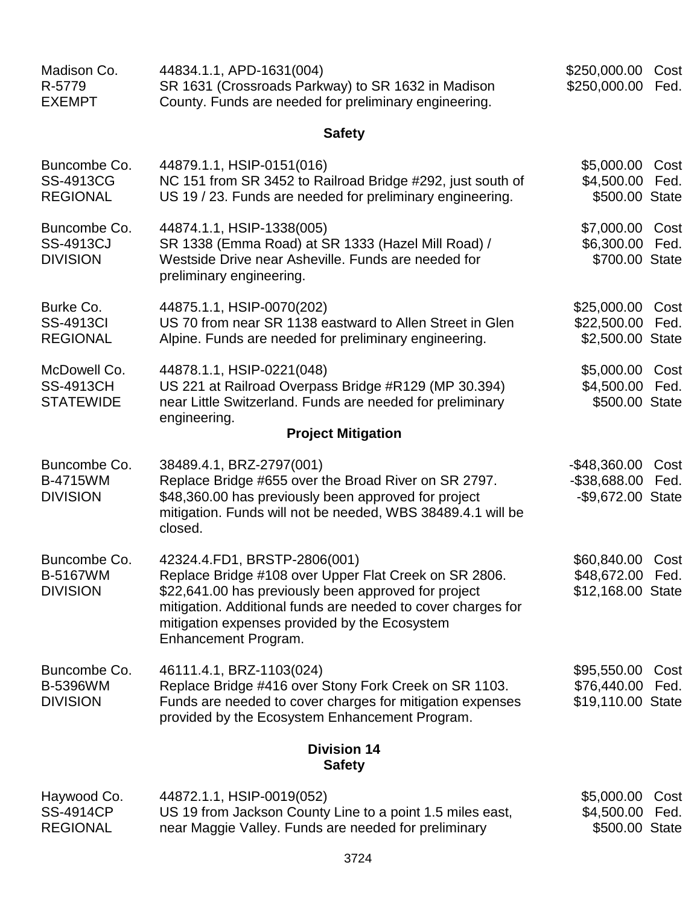| Madison Co.<br>R-5779<br><b>EXEMPT</b>               | 44834.1.1, APD-1631(004)<br>SR 1631 (Crossroads Parkway) to SR 1632 in Madison<br>County. Funds are needed for preliminary engineering.                                                                                                                                                | \$250,000.00<br>\$250,000.00                              | Cost<br>Fed. |
|------------------------------------------------------|----------------------------------------------------------------------------------------------------------------------------------------------------------------------------------------------------------------------------------------------------------------------------------------|-----------------------------------------------------------|--------------|
|                                                      | <b>Safety</b>                                                                                                                                                                                                                                                                          |                                                           |              |
| Buncombe Co.<br><b>SS-4913CG</b><br><b>REGIONAL</b>  | 44879.1.1, HSIP-0151(016)<br>NC 151 from SR 3452 to Railroad Bridge #292, just south of<br>US 19 / 23. Funds are needed for preliminary engineering.                                                                                                                                   | \$5,000.00<br>\$4,500.00<br>\$500.00 State                | Cost<br>Fed. |
| Buncombe Co.<br><b>SS-4913CJ</b><br><b>DIVISION</b>  | 44874.1.1, HSIP-1338(005)<br>SR 1338 (Emma Road) at SR 1333 (Hazel Mill Road) /<br>Westside Drive near Asheville. Funds are needed for<br>preliminary engineering.                                                                                                                     | \$7,000.00 Cost<br>\$6,300.00 Fed.<br>\$700.00 State      |              |
| Burke Co.<br><b>SS-4913CI</b><br><b>REGIONAL</b>     | 44875.1.1, HSIP-0070(202)<br>US 70 from near SR 1138 eastward to Allen Street in Glen<br>Alpine. Funds are needed for preliminary engineering.                                                                                                                                         | \$25,000.00<br>\$22,500.00<br>\$2,500.00 State            | Cost<br>Fed. |
| McDowell Co.<br><b>SS-4913CH</b><br><b>STATEWIDE</b> | 44878.1.1, HSIP-0221(048)<br>US 221 at Railroad Overpass Bridge #R129 (MP 30.394)<br>near Little Switzerland. Funds are needed for preliminary<br>engineering.                                                                                                                         | \$5,000.00 Cost<br>\$4,500.00<br>\$500.00 State           | Fed.         |
|                                                      | <b>Project Mitigation</b>                                                                                                                                                                                                                                                              |                                                           |              |
| Buncombe Co.<br><b>B-4715WM</b><br><b>DIVISION</b>   | 38489.4.1, BRZ-2797(001)<br>Replace Bridge #655 over the Broad River on SR 2797.<br>\$48,360.00 has previously been approved for project<br>mitigation. Funds will not be needed, WBS 38489.4.1 will be<br>closed.                                                                     | $-$ \$48,360.00<br>$-$ \$38,688.00<br>-\$9,672.00 State   | Cost<br>Fed. |
| Buncombe Co.<br>B-5167WM<br><b>DIVISION</b>          | 42324.4.FD1, BRSTP-2806(001)<br>Replace Bridge #108 over Upper Flat Creek on SR 2806.<br>\$22,641.00 has previously been approved for project<br>mitigation. Additional funds are needed to cover charges for<br>mitigation expenses provided by the Ecosystem<br>Enhancement Program. | \$60,840.00 Cost<br>\$48,672.00 Fed.<br>\$12,168.00 State |              |
| Buncombe Co.<br>B-5396WM<br><b>DIVISION</b>          | 46111.4.1, BRZ-1103(024)<br>Replace Bridge #416 over Stony Fork Creek on SR 1103.<br>Funds are needed to cover charges for mitigation expenses<br>provided by the Ecosystem Enhancement Program.                                                                                       | \$95,550.00 Cost<br>\$76,440.00<br>\$19,110.00 State      | Fed.         |
|                                                      | <b>Division 14</b><br><b>Safety</b>                                                                                                                                                                                                                                                    |                                                           |              |
| Haywood Co.<br><b>SS-4914CP</b>                      | 44872.1.1, HSIP-0019(052)<br>US 19 from Jackson County Line to a point 1.5 miles east,                                                                                                                                                                                                 | \$5,000.00<br>\$4,500.00                                  | Cost<br>Fed. |

\$500.00 State

3724

near Maggie Valley. Funds are needed for preliminary

REGIONAL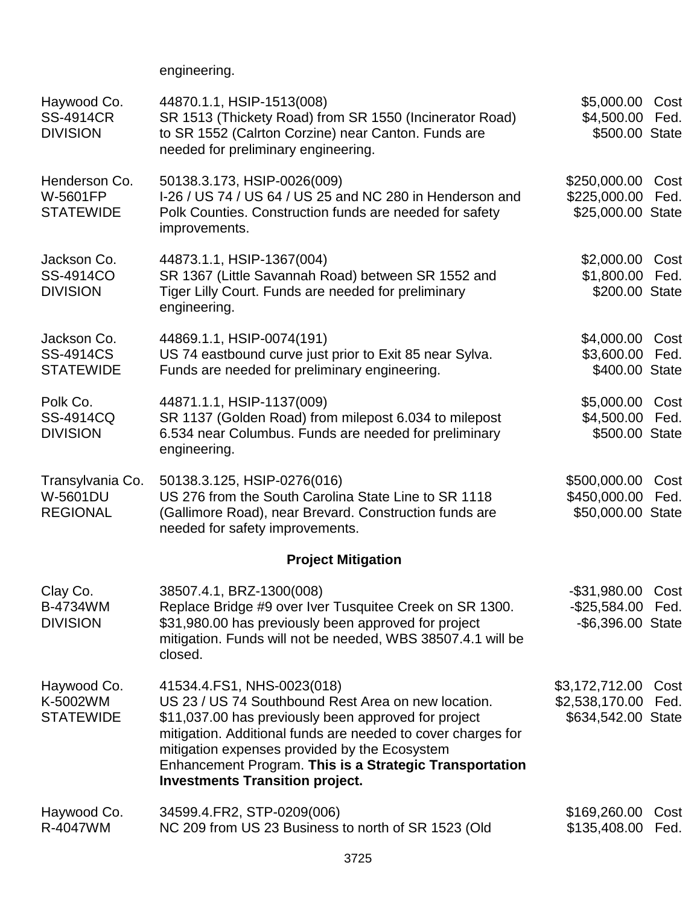engineering.

| Haywood Co.<br><b>SS-4914CR</b><br><b>DIVISION</b>  | \$5,000.00<br>\$4,500.00<br>\$500.00 State                                                                                                                                                                                                                                                                                                                        | Cost<br>Fed.                                                |              |
|-----------------------------------------------------|-------------------------------------------------------------------------------------------------------------------------------------------------------------------------------------------------------------------------------------------------------------------------------------------------------------------------------------------------------------------|-------------------------------------------------------------|--------------|
| Henderson Co.<br>W-5601FP<br><b>STATEWIDE</b>       | 50138.3.173, HSIP-0026(009)<br>I-26 / US 74 / US 64 / US 25 and NC 280 in Henderson and<br>Polk Counties. Construction funds are needed for safety<br>improvements.                                                                                                                                                                                               | \$250,000.00<br>\$225,000.00<br>\$25,000.00 State           | Cost<br>Fed. |
| Jackson Co.<br>SS-4914CO<br><b>DIVISION</b>         | 44873.1.1, HSIP-1367(004)<br>SR 1367 (Little Savannah Road) between SR 1552 and<br>Tiger Lilly Court. Funds are needed for preliminary<br>engineering.                                                                                                                                                                                                            | \$2,000.00<br>\$1,800.00<br>\$200.00 State                  | Cost<br>Fed. |
| Jackson Co.<br><b>SS-4914CS</b><br><b>STATEWIDE</b> | 44869.1.1, HSIP-0074(191)<br>US 74 eastbound curve just prior to Exit 85 near Sylva.<br>Funds are needed for preliminary engineering.                                                                                                                                                                                                                             | \$4,000.00<br>\$3,600.00<br>\$400.00 State                  | Cost<br>Fed. |
| Polk Co.<br>SS-4914CQ<br><b>DIVISION</b>            | 44871.1.1, HSIP-1137(009)<br>SR 1137 (Golden Road) from milepost 6.034 to milepost<br>6.534 near Columbus. Funds are needed for preliminary<br>engineering.                                                                                                                                                                                                       | \$5,000.00<br>\$4,500.00<br>\$500.00 State                  | Cost<br>Fed. |
| Transylvania Co.<br>W-5601DU<br><b>REGIONAL</b>     | 50138.3.125, HSIP-0276(016)<br>US 276 from the South Carolina State Line to SR 1118<br>(Gallimore Road), near Brevard. Construction funds are<br>needed for safety improvements.                                                                                                                                                                                  | \$500,000.00<br>\$450,000.00<br>\$50,000.00 State           | Cost<br>Fed. |
|                                                     | <b>Project Mitigation</b>                                                                                                                                                                                                                                                                                                                                         |                                                             |              |
| Clay Co.<br>B-4734WM<br><b>DIVISION</b>             | 38507.4.1, BRZ-1300(008)<br>Replace Bridge #9 over Iver Tusquitee Creek on SR 1300.<br>\$31,980.00 has previously been approved for project<br>mitigation. Funds will not be needed, WBS 38507.4.1 will be<br>closed.                                                                                                                                             | -\$31,980.00 Cost<br>-\$25,584.00 Fed.<br>-\$6,396.00 State |              |
| Haywood Co.<br>K-5002WM<br><b>STATEWIDE</b>         | 41534.4. FS1, NHS-0023 (018)<br>US 23 / US 74 Southbound Rest Area on new location.<br>\$11,037.00 has previously been approved for project<br>mitigation. Additional funds are needed to cover charges for<br>mitigation expenses provided by the Ecosystem<br>Enhancement Program. This is a Strategic Transportation<br><b>Investments Transition project.</b> | \$3,172,712.00<br>\$2,538,170.00<br>\$634,542.00 State      | Cost<br>Fed. |
| Haywood Co.<br>R-4047WM                             | 34599.4.FR2, STP-0209(006)<br>NC 209 from US 23 Business to north of SR 1523 (Old                                                                                                                                                                                                                                                                                 | \$169,260.00<br>\$135,408.00                                | Cost<br>Fed. |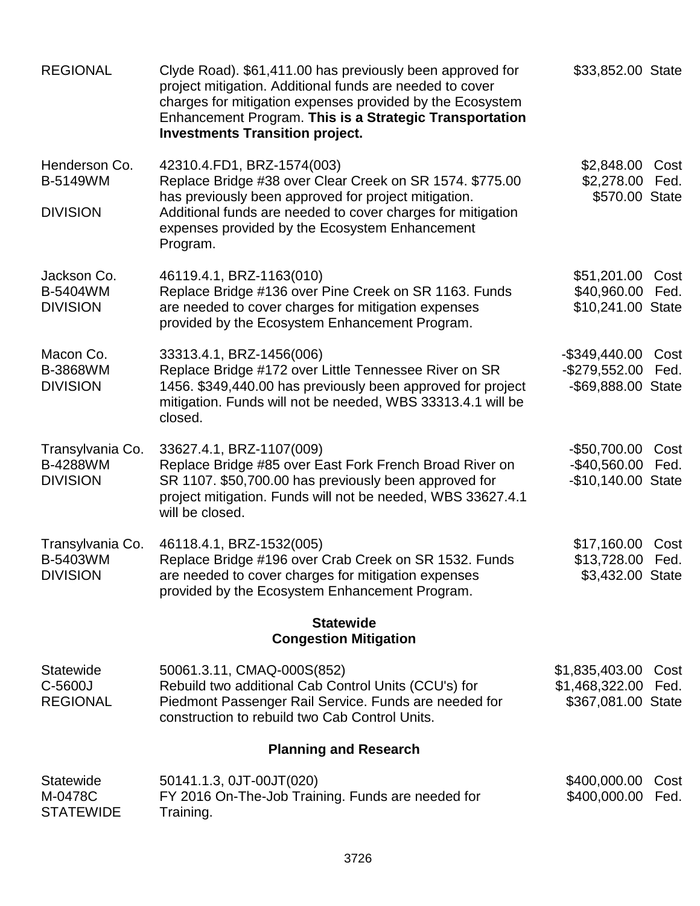| <b>REGIONAL</b>                                 | \$33,852.00 State                                                                                                                                                                                  |                                         |              |
|-------------------------------------------------|----------------------------------------------------------------------------------------------------------------------------------------------------------------------------------------------------|-----------------------------------------|--------------|
| Henderson Co.<br><b>B-5149WM</b>                | 42310.4.FD1, BRZ-1574(003)<br>Replace Bridge #38 over Clear Creek on SR 1574. \$775.00                                                                                                             | \$2,848.00<br>\$2,278.00                | Cost<br>Fed. |
| <b>DIVISION</b>                                 | has previously been approved for project mitigation.<br>Additional funds are needed to cover charges for mitigation<br>expenses provided by the Ecosystem Enhancement<br>Program.                  | \$570.00 State                          |              |
| Jackson Co.<br>B-5404WM                         | 46119.4.1, BRZ-1163(010)<br>Replace Bridge #136 over Pine Creek on SR 1163. Funds                                                                                                                  | \$51,201.00<br>\$40,960.00 Fed.         | Cost         |
| <b>DIVISION</b>                                 | are needed to cover charges for mitigation expenses<br>provided by the Ecosystem Enhancement Program.                                                                                              | \$10,241.00 State                       |              |
| Macon Co.                                       | 33313.4.1, BRZ-1456(006)                                                                                                                                                                           | -\$349,440.00                           | Cost         |
| <b>B-3868WM</b><br><b>DIVISION</b>              | Replace Bridge #172 over Little Tennessee River on SR<br>1456. \$349,440.00 has previously been approved for project<br>mitigation. Funds will not be needed, WBS 33313.4.1 will be<br>closed.     | $-$ \$279,552.00<br>-\$69,888.00 State  | Fed.         |
| Transylvania Co.                                | 33627.4.1, BRZ-1107(009)                                                                                                                                                                           | $-$50,700.00$                           | Cost         |
| <b>B-4288WM</b><br><b>DIVISION</b>              | Replace Bridge #85 over East Fork French Broad River on<br>SR 1107. \$50,700.00 has previously been approved for<br>project mitigation. Funds will not be needed, WBS 33627.4.1<br>will be closed. | -\$40,560.00 Fed.<br>-\$10,140.00 State |              |
| Transylvania Co.                                | 46118.4.1, BRZ-1532(005)                                                                                                                                                                           | \$17,160.00                             | Cost         |
| B-5403WM<br><b>DIVISION</b>                     | Replace Bridge #196 over Crab Creek on SR 1532. Funds<br>are needed to cover charges for mitigation expenses<br>provided by the Ecosystem Enhancement Program.                                     | \$13,728.00 Fed.<br>\$3,432.00 State    |              |
|                                                 | <b>Statewide</b><br><b>Congestion Mitigation</b>                                                                                                                                                   |                                         |              |
| <b>Statewide</b>                                | 50061.3.11, CMAQ-000S(852)                                                                                                                                                                         | \$1,835,403.00                          | Cost         |
| C-5600J<br><b>REGIONAL</b>                      | Rebuild two additional Cab Control Units (CCU's) for<br>Piedmont Passenger Rail Service. Funds are needed for<br>construction to rebuild two Cab Control Units.                                    | \$1,468,322.00<br>\$367,081.00 State    | Fed.         |
|                                                 | <b>Planning and Research</b>                                                                                                                                                                       |                                         |              |
| <b>Statewide</b><br>M-0478C<br><b>STATEWIDE</b> | 50141.1.3, 0JT-00JT(020)<br>FY 2016 On-The-Job Training. Funds are needed for<br>Training.                                                                                                         | \$400,000.00<br>\$400,000.00            | Cost<br>Fed. |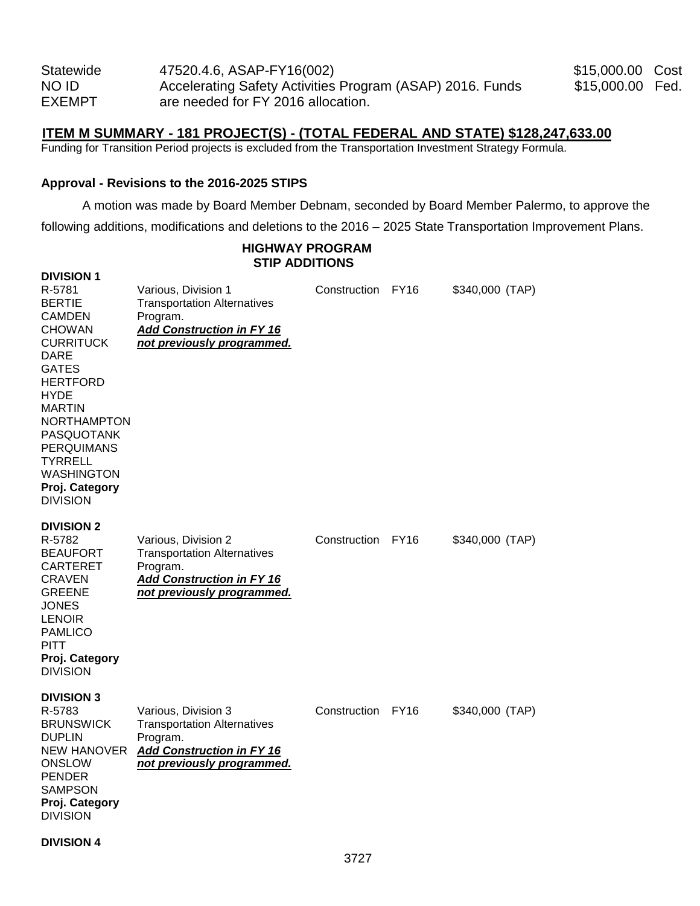| <b>Statewide</b> | 47520.4.6, ASAP-FY16(002)                                 |
|------------------|-----------------------------------------------------------|
| NO ID            | Accelerating Safety Activities Program (ASAP) 2016. Funds |
| <b>EXEMPT</b>    | are needed for FY 2016 allocation.                        |

\$15,000.00 Cost \$15,000.00 Fed.

## **ITEM M SUMMARY - 181 PROJECT(S) - (TOTAL FEDERAL AND STATE) \$128,247,633.00**

Funding for Transition Period projects is excluded from the Transportation Investment Strategy Formula.

#### **Approval - Revisions to the 2016-2025 STIPS**

A motion was made by Board Member Debnam, seconded by Board Member Palermo, to approve the

following additions, modifications and deletions to the 2016 – 2025 State Transportation Improvement Plans.

#### **HIGHWAY PROGRAM STIP ADDITIONS**

| <b>DIVISION 1</b><br>R-5781<br><b>BERTIE</b><br><b>CAMDEN</b>                                                                                                                                                                                            | Various, Division 1<br><b>Transportation Alternatives</b><br>Program.                                                                   | Construction | FY16        | \$340,000 (TAP) |
|----------------------------------------------------------------------------------------------------------------------------------------------------------------------------------------------------------------------------------------------------------|-----------------------------------------------------------------------------------------------------------------------------------------|--------------|-------------|-----------------|
| <b>CHOWAN</b><br><b>CURRITUCK</b><br><b>DARE</b><br><b>GATES</b><br><b>HERTFORD</b><br><b>HYDE</b><br><b>MARTIN</b><br><b>NORTHAMPTON</b><br><b>PASQUOTANK</b><br><b>PERQUIMANS</b><br>TYRRELL<br><b>WASHINGTON</b><br>Proj. Category<br><b>DIVISION</b> | <b>Add Construction in FY 16</b><br>not previously programmed.                                                                          |              |             |                 |
| <b>DIVISION 2</b><br>R-5782<br><b>BEAUFORT</b><br>CARTERET<br><b>CRAVEN</b><br><b>GREENE</b><br><b>JONES</b><br><b>LENOIR</b><br><b>PAMLICO</b><br><b>PITT</b><br>Proj. Category<br><b>DIVISION</b>                                                      | Various, Division 2<br><b>Transportation Alternatives</b><br>Program.<br><b>Add Construction in FY 16</b><br>not previously programmed. | Construction | <b>FY16</b> | \$340,000 (TAP) |
| <b>DIVISION 3</b><br>R-5783<br><b>BRUNSWICK</b><br><b>DUPLIN</b><br><b>NEW HANOVER</b><br><b>ONSLOW</b><br><b>PENDER</b><br><b>SAMPSON</b><br>Proj. Category<br><b>DIVISION</b>                                                                          | Various, Division 3<br><b>Transportation Alternatives</b><br>Program.<br>Add Construction in FY 16<br>not previously programmed.        | Construction | <b>FY16</b> | \$340,000 (TAP) |

#### **DIVISION 4**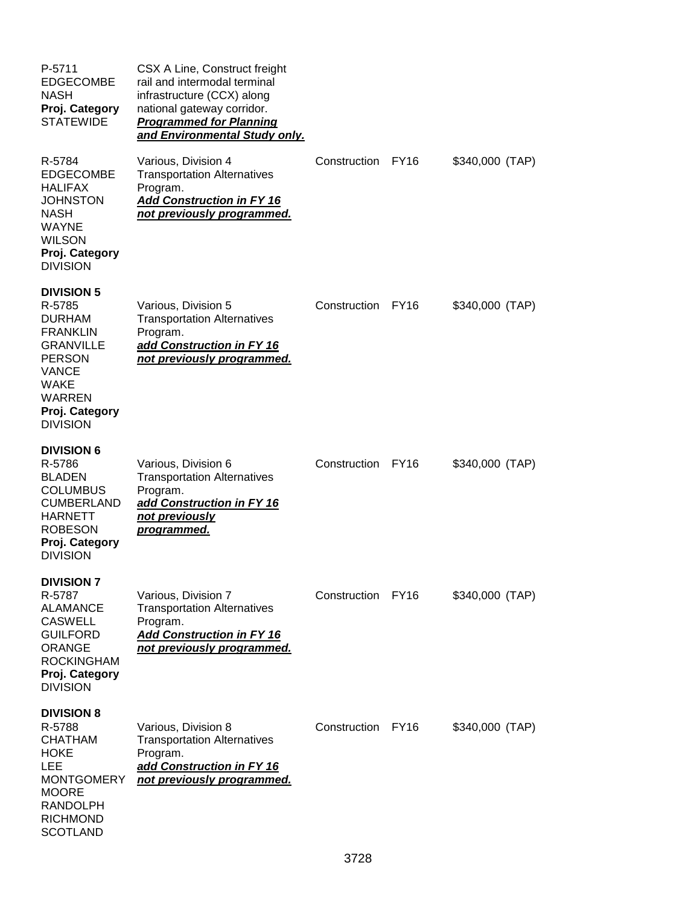| P-5711<br><b>EDGECOMBE</b><br><b>NASH</b><br>Proj. Category<br><b>STATEWIDE</b>                                                                                                    | CSX A Line, Construct freight<br>rail and intermodal terminal<br>infrastructure (CCX) along<br>national gateway corridor.<br><b>Programmed for Planning</b><br>and Environmental Study only. |              |             |                 |
|------------------------------------------------------------------------------------------------------------------------------------------------------------------------------------|----------------------------------------------------------------------------------------------------------------------------------------------------------------------------------------------|--------------|-------------|-----------------|
| R-5784<br><b>EDGECOMBE</b><br><b>HALIFAX</b><br><b>JOHNSTON</b><br><b>NASH</b><br><b>WAYNE</b><br><b>WILSON</b><br>Proj. Category<br><b>DIVISION</b>                               | Various, Division 4<br><b>Transportation Alternatives</b><br>Program.<br><b>Add Construction in FY 16</b><br>not previously programmed.                                                      | Construction | <b>FY16</b> | \$340,000 (TAP) |
| <b>DIVISION 5</b><br>R-5785<br><b>DURHAM</b><br><b>FRANKLIN</b><br><b>GRANVILLE</b><br><b>PERSON</b><br><b>VANCE</b><br>WAKE<br><b>WARREN</b><br>Proj. Category<br><b>DIVISION</b> | Various, Division 5<br><b>Transportation Alternatives</b><br>Program.<br>add Construction in FY 16<br>not previously programmed.                                                             | Construction | <b>FY16</b> | \$340,000 (TAP) |
| <b>DIVISION 6</b><br>R-5786<br><b>BLADEN</b><br><b>COLUMBUS</b><br><b>CUMBERLAND</b><br><b>HARNETT</b><br><b>ROBESON</b><br>Proj. Category<br><b>DIVISION</b>                      | Various, Division 6<br><b>Transportation Alternatives</b><br>Program.<br>add Construction in FY 16<br>not previously<br>programmed.                                                          | Construction | <b>FY16</b> | \$340,000 (TAP) |
| <b>DIVISION 7</b><br>R-5787<br><b>ALAMANCE</b><br><b>CASWELL</b><br><b>GUILFORD</b><br><b>ORANGE</b><br><b>ROCKINGHAM</b><br>Proj. Category<br><b>DIVISION</b>                     | Various, Division 7<br><b>Transportation Alternatives</b><br>Program.<br>Add Construction in FY 16<br>not previously programmed.                                                             | Construction | FY16        | \$340,000 (TAP) |
| <b>DIVISION 8</b><br>R-5788<br>CHATHAM<br>HOKE<br>LEE<br><b>MONTGOMERY</b><br><b>MOORE</b><br><b>RANDOLPH</b><br><b>RICHMOND</b><br><b>SCOTLAND</b>                                | Various, Division 8<br><b>Transportation Alternatives</b><br>Program.<br>add Construction in FY 16<br>not previously programmed.                                                             | Construction | FY16        | \$340,000 (TAP) |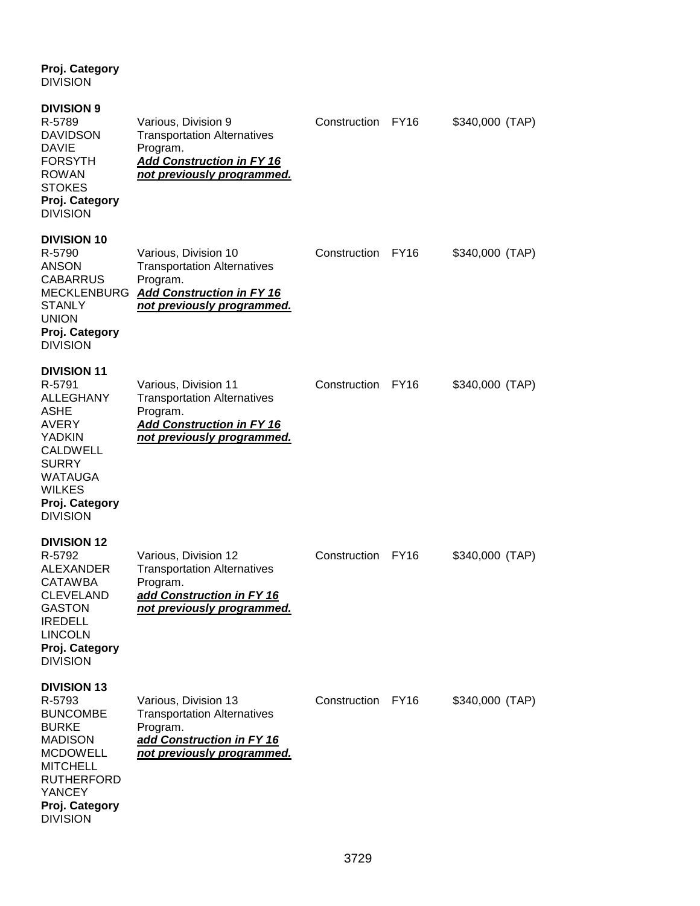**DIVISION DIVISION 9** R-5789 Various, Division 9 Construction FY16 \$340,000 (TAP) DAVIDSON Transportation Alternatives DAVIE Program.<br>FORSYTH **Add Con Add Construction in FY 16** ROWAN *not previously programmed.* **STOKES Proj. Category** DIVISION **DIVISION 10** R-5790 Various, Division 10 Construction FY16 \$340,000 (TAP)<br>ANSON Transportation Alternatives **Transportation Alternatives** CABARRUS Program. MECKLENBURG *Add Construction in FY 16*  not previously programmed. UNION **Proj. Category** DIVISION **DIVISION 11**<br>R-5791 Various, Division 11 **Construction FY16** \$340,000 (TAP) ALLEGHANY Transportation Alternatives ASHE Program.<br>AVERY **Add Con** AVERY *Add Construction in FY 16*  not previously programmed. CALDWELL SURRY WATAUGA WILKES **Proj. Category** DIVISION **DIVISION 12** R-5792 Various, Division 12 Construction FY16 \$340,000 (TAP) ALEXANDER Transportation Alternatives<br>CATAWBA Program. **CATAWBA** CLEVELAND *add Construction in FY 16*  GASTON *not previously programmed.* IREDELL LINCOLN **Proj. Category** DIVISION **DIVISION 13** R-5793 Various, Division 13 Construction FY16 \$340,000 (TAP) BUNCOMBE Transportation Alternatives BURKE Program. MADISON *add Construction in FY 16*  not previously programmed. **MITCHELL** RUTHERFORD YANCEY **Proj. Category DIVISION** 

**Proj. Category**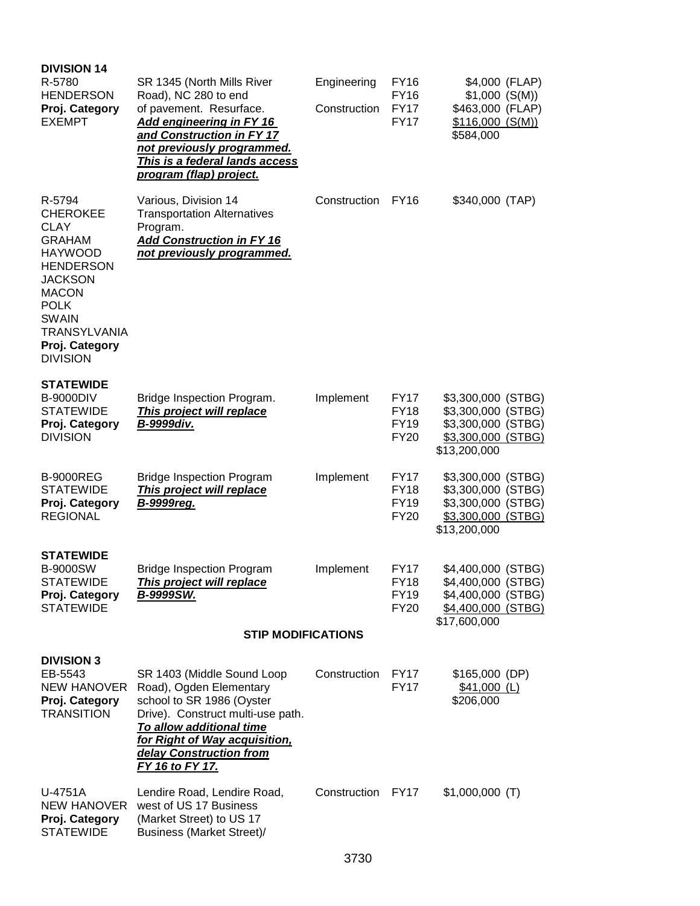| <b>DIVISION 14</b><br>R-5780<br><b>HENDERSON</b><br>Proj. Category<br><b>EXEMPT</b>                                                                                                                                          | SR 1345 (North Mills River<br>Road), NC 280 to end<br>of pavement. Resurface.<br><b>Add engineering in FY 16</b><br>and Construction in FY 17<br>not previously programmed.<br>This is a federal lands access<br>program (flap) project. | Engineering<br>Construction | FY16<br><b>FY16</b><br><b>FY17</b><br><b>FY17</b>        | $$1,000$ (S(M))<br>\$463,000 (FLAP)<br>$$116,000$ (S(M))<br>\$584,000                                | \$4,000 (FLAP) |
|------------------------------------------------------------------------------------------------------------------------------------------------------------------------------------------------------------------------------|------------------------------------------------------------------------------------------------------------------------------------------------------------------------------------------------------------------------------------------|-----------------------------|----------------------------------------------------------|------------------------------------------------------------------------------------------------------|----------------|
| R-5794<br><b>CHEROKEE</b><br><b>CLAY</b><br><b>GRAHAM</b><br><b>HAYWOOD</b><br><b>HENDERSON</b><br><b>JACKSON</b><br><b>MACON</b><br><b>POLK</b><br><b>SWAIN</b><br><b>TRANSYLVANIA</b><br>Proj. Category<br><b>DIVISION</b> | Various, Division 14<br><b>Transportation Alternatives</b><br>Program.<br><b>Add Construction in FY 16</b><br>not previously programmed.                                                                                                 | Construction                | <b>FY16</b>                                              | \$340,000 (TAP)                                                                                      |                |
| <b>STATEWIDE</b><br><b>B-9000DIV</b><br><b>STATEWIDE</b><br>Proj. Category<br><b>DIVISION</b>                                                                                                                                | Bridge Inspection Program.<br>This project will replace<br>B-9999div.                                                                                                                                                                    | Implement                   | FY17<br><b>FY18</b><br><b>FY19</b><br><b>FY20</b>        | \$3,300,000 (STBG)<br>\$3,300,000 (STBG)<br>\$3,300,000 (STBG)<br>\$3,300,000 (STBG)<br>\$13,200,000 |                |
| <b>B-9000REG</b><br><b>STATEWIDE</b><br>Proj. Category<br><b>REGIONAL</b>                                                                                                                                                    | <b>Bridge Inspection Program</b><br>This project will replace<br><b>B-9999reg.</b>                                                                                                                                                       | Implement                   | <b>FY17</b><br><b>FY18</b><br><b>FY19</b><br><b>FY20</b> | \$3,300,000 (STBG)<br>\$3,300,000 (STBG)<br>\$3,300,000 (STBG)<br>\$3,300,000 (STBG)<br>\$13,200,000 |                |
| <b>STATEWIDE</b><br>B-9000SW<br><b>STATEWIDE</b><br>Proj. Category<br><b>STATEWIDE</b>                                                                                                                                       | <b>Bridge Inspection Program</b><br>This project will replace<br>B-9999SW.<br><b>STIP MODIFICATIONS</b>                                                                                                                                  | Implement                   | FY17<br><b>FY18</b><br><b>FY19</b><br><b>FY20</b>        | \$4,400,000 (STBG)<br>\$4,400,000 (STBG)<br>\$4,400,000 (STBG)<br>\$4,400,000 (STBG)<br>\$17,600,000 |                |
| <b>DIVISION 3</b><br>EB-5543<br>NEW HANOVER<br>Proj. Category<br><b>TRANSITION</b>                                                                                                                                           | SR 1403 (Middle Sound Loop<br>Road), Ogden Elementary<br>school to SR 1986 (Oyster<br>Drive). Construct multi-use path.<br>To allow additional time<br>for Right of Way acquisition,<br>delay Construction from<br>FY 16 to FY 17.       | Construction FY17           | <b>FY17</b>                                              | \$165,000 (DP)<br>$$41,000$ (L)<br>\$206,000                                                         |                |
| U-4751A<br>NEW HANOVER<br>Proj. Category<br><b>STATEWIDE</b>                                                                                                                                                                 | Lendire Road, Lendire Road,<br>west of US 17 Business<br>(Market Street) to US 17<br><b>Business (Market Street)/</b>                                                                                                                    | Construction FY17           |                                                          | $$1,000,000$ (T)                                                                                     |                |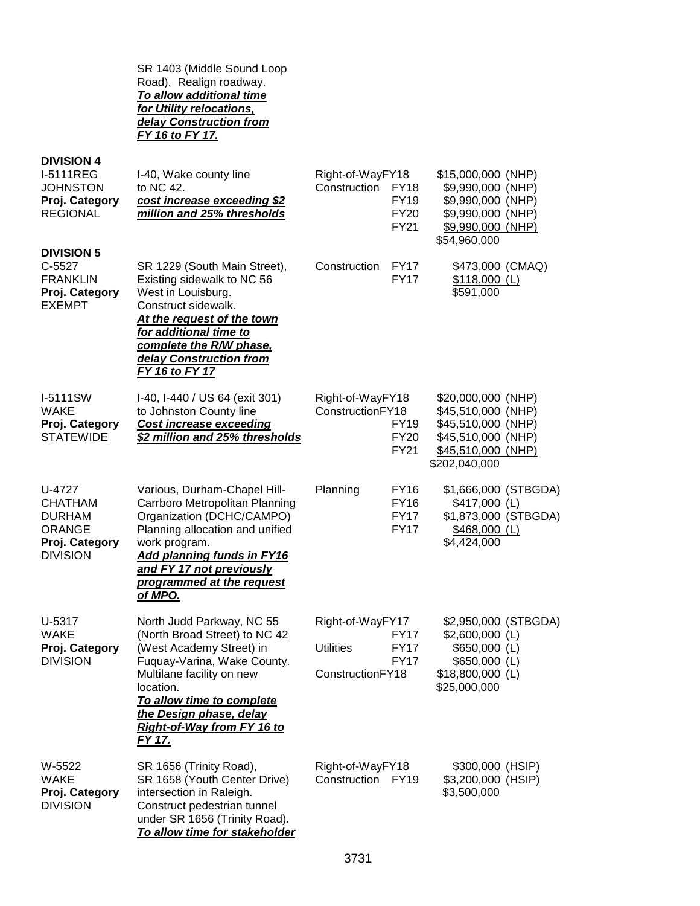SR 1403 (Middle Sound Loop Road). Realign roadway. *To allow additional time for Utility relocations, delay Construction from FY 16 to FY 17.*

**DIVISION 4**

| <b>I-5111REG</b><br><b>JOHNSTON</b><br>Proj. Category<br><b>REGIONAL</b>                        | I-40, Wake county line<br>to NC 42.<br>cost increase exceeding \$2<br>million and 25% thresholds                                                                                                                                                                | Right-of-WayFY18<br>Construction<br><b>FY18</b><br><b>FY19</b><br><b>FY20</b><br>FY21                 | \$15,000,000 (NHP)<br>\$9,990,000 (NHP)<br>\$9,990,000 (NHP)<br>\$9,990,000 (NHP)<br>\$9,990,000 (NHP)<br>\$54,960,000      |
|-------------------------------------------------------------------------------------------------|-----------------------------------------------------------------------------------------------------------------------------------------------------------------------------------------------------------------------------------------------------------------|-------------------------------------------------------------------------------------------------------|-----------------------------------------------------------------------------------------------------------------------------|
| <b>DIVISION 5</b><br>$C-5527$<br><b>FRANKLIN</b><br>Proj. Category<br><b>EXEMPT</b>             | SR 1229 (South Main Street),<br>Existing sidewalk to NC 56<br>West in Louisburg.<br>Construct sidewalk.<br>At the request of the town<br>for additional time to<br>complete the R/W phase,<br>delay Construction from<br><b>FY 16 to FY 17</b>                  | Construction<br><b>FY17</b><br><b>FY17</b>                                                            | \$473,000 (CMAQ)<br>\$118,000 (L)<br>\$591,000                                                                              |
| I-5111SW<br><b>WAKE</b><br>Proj. Category<br><b>STATEWIDE</b>                                   | I-40, I-440 / US 64 (exit 301)<br>to Johnston County line<br><b>Cost increase exceeding</b><br>\$2 million and 25% thresholds                                                                                                                                   | Right-of-WayFY18<br>ConstructionFY18<br><b>FY19</b><br><b>FY20</b><br><b>FY21</b>                     | \$20,000,000 (NHP)<br>\$45,510,000 (NHP)<br>\$45,510,000 (NHP)<br>\$45,510,000 (NHP)<br>\$45,510,000 (NHP)<br>\$202,040,000 |
| U-4727<br><b>CHATHAM</b><br><b>DURHAM</b><br><b>ORANGE</b><br>Proj. Category<br><b>DIVISION</b> | Various, Durham-Chapel Hill-<br>Carrboro Metropolitan Planning<br>Organization (DCHC/CAMPO)<br>Planning allocation and unified<br>work program.<br><b>Add planning funds in FY16</b><br>and FY 17 not previously<br>programmed at the request<br>of MPO.        | Planning<br><b>FY16</b><br><b>FY16</b><br><b>FY17</b><br><b>FY17</b>                                  | \$1,666,000 (STBGDA)<br>\$417,000 (L)<br>\$1,873,000 (STBGDA)<br>\$468,000 (L)<br>\$4,424,000                               |
| U-5317<br><b>WAKE</b><br>Proj. Category<br><b>DIVISION</b>                                      | North Judd Parkway, NC 55<br>(North Broad Street) to NC 42<br>(West Academy Street) in<br>Fuquay-Varina, Wake County.<br>Multilane facility on new<br>location.<br>To allow time to complete<br>the Design phase, delay<br>Right-of-Way from FY 16 to<br>FY 17. | Right-of-WayFY17<br><b>FY17</b><br><b>Utilities</b><br><b>FY17</b><br><b>FY17</b><br>ConstructionFY18 | \$2,950,000 (STBGDA)<br>\$2,600,000 (L)<br>\$650,000 (L)<br>\$650,000 (L)<br>$$18,800,000$ (L)<br>\$25,000,000              |
| W-5522<br><b>WAKE</b><br>Proj. Category<br><b>DIVISION</b>                                      | SR 1656 (Trinity Road),<br>SR 1658 (Youth Center Drive)<br>intersection in Raleigh.<br>Construct pedestrian tunnel<br>under SR 1656 (Trinity Road).<br>To allow time for stakeholder                                                                            | Right-of-WayFY18<br>Construction FY19                                                                 | \$300,000 (HSIP)<br>\$3,200,000 (HSIP)<br>\$3,500,000                                                                       |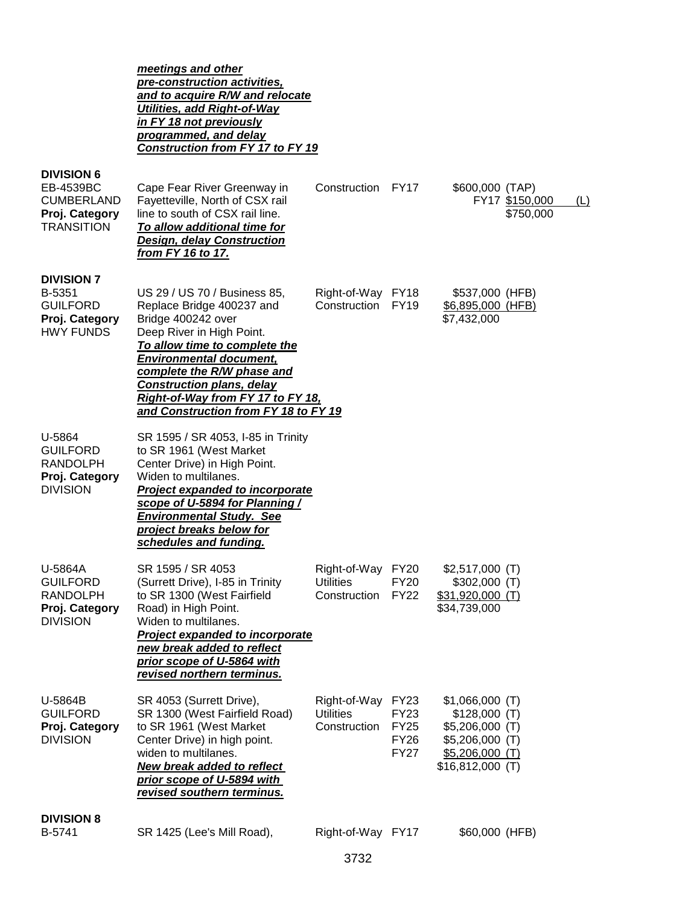|                                                                                            | meetings and other<br>pre-construction activities,<br>and to acquire R/W and relocate<br>Utilities, add Right-of-Way<br>in FY 18 not previously<br>programmed, and delay<br><b>Construction from FY 17 to FY 19</b>                                                                                                            |                                                  |                                                                         |                                                                                                                    |                             |     |
|--------------------------------------------------------------------------------------------|--------------------------------------------------------------------------------------------------------------------------------------------------------------------------------------------------------------------------------------------------------------------------------------------------------------------------------|--------------------------------------------------|-------------------------------------------------------------------------|--------------------------------------------------------------------------------------------------------------------|-----------------------------|-----|
| <b>DIVISION 6</b><br>EB-4539BC<br><b>CUMBERLAND</b><br>Proj. Category<br><b>TRANSITION</b> | Cape Fear River Greenway in<br>Fayetteville, North of CSX rail<br>line to south of CSX rail line.<br>To allow additional time for<br><b>Design, delay Construction</b><br>from FY 16 to 17.                                                                                                                                    | Construction FY17                                |                                                                         | \$600,000 (TAP)                                                                                                    | FY17 \$150,000<br>\$750,000 | (L) |
| <b>DIVISION 7</b><br>B-5351<br><b>GUILFORD</b><br>Proj. Category<br><b>HWY FUNDS</b>       | US 29 / US 70 / Business 85,<br>Replace Bridge 400237 and<br>Bridge 400242 over<br>Deep River in High Point.<br>To allow time to complete the<br><b>Environmental document,</b><br>complete the R/W phase and<br><b>Construction plans, delay</b><br>Right-of-Way from FY 17 to FY 18,<br>and Construction from FY 18 to FY 19 | Right-of-Way FY18<br>Construction                | <b>FY19</b>                                                             | \$537,000 (HFB)<br>\$6,895,000 (HFB)<br>\$7,432,000                                                                |                             |     |
| U-5864<br><b>GUILFORD</b><br><b>RANDOLPH</b><br>Proj. Category<br><b>DIVISION</b>          | SR 1595 / SR 4053, I-85 in Trinity<br>to SR 1961 (West Market<br>Center Drive) in High Point.<br>Widen to multilanes.<br><b>Project expanded to incorporate</b><br>scope of U-5894 for Planning /<br><b>Environmental Study. See</b><br>project breaks below for<br>schedules and funding.                                     |                                                  |                                                                         |                                                                                                                    |                             |     |
| U-5864A<br><b>GUILFORD</b><br><b>RANDOLPH</b><br>Proj. Category<br><b>DIVISION</b>         | SR 1595 / SR 4053<br>(Surrett Drive), I-85 in Trinity<br>to SR 1300 (West Fairfield<br>Road) in High Point.<br>Widen to multilanes.<br>Project expanded to incorporate<br>new break added to reflect<br>prior scope of U-5864 with<br>revised northern terminus.                                                               | Right-of-Way FY20<br>Utilities<br>Construction   | FY20<br><b>FY22</b>                                                     | $$2,517,000$ (T)<br>\$302,000 (T)<br>\$31,920,000 (T)<br>\$34,739,000                                              |                             |     |
| U-5864B<br><b>GUILFORD</b><br>Proj. Category<br><b>DIVISION</b>                            | SR 4053 (Surrett Drive),<br>SR 1300 (West Fairfield Road)<br>to SR 1961 (West Market<br>Center Drive) in high point.<br>widen to multilanes.<br><b>New break added to reflect</b><br><u>prior scope of U-5894 with </u><br>revised southern terminus.                                                                          | Right-of-Way<br><b>Utilities</b><br>Construction | <b>FY23</b><br><b>FY23</b><br><b>FY25</b><br><b>FY26</b><br><b>FY27</b> | $$1,066,000$ (T)<br>$$128,000$ (T)<br>$$5,206,000$ (T)<br>$$5,206,000$ (T)<br>$$5,206,000$ (T)<br>\$16,812,000 (T) |                             |     |
| <b>DIVISION 8</b><br>B-5741                                                                | SR 1425 (Lee's Mill Road),                                                                                                                                                                                                                                                                                                     | Right-of-Way FY17                                |                                                                         | \$60,000 (HFB)                                                                                                     |                             |     |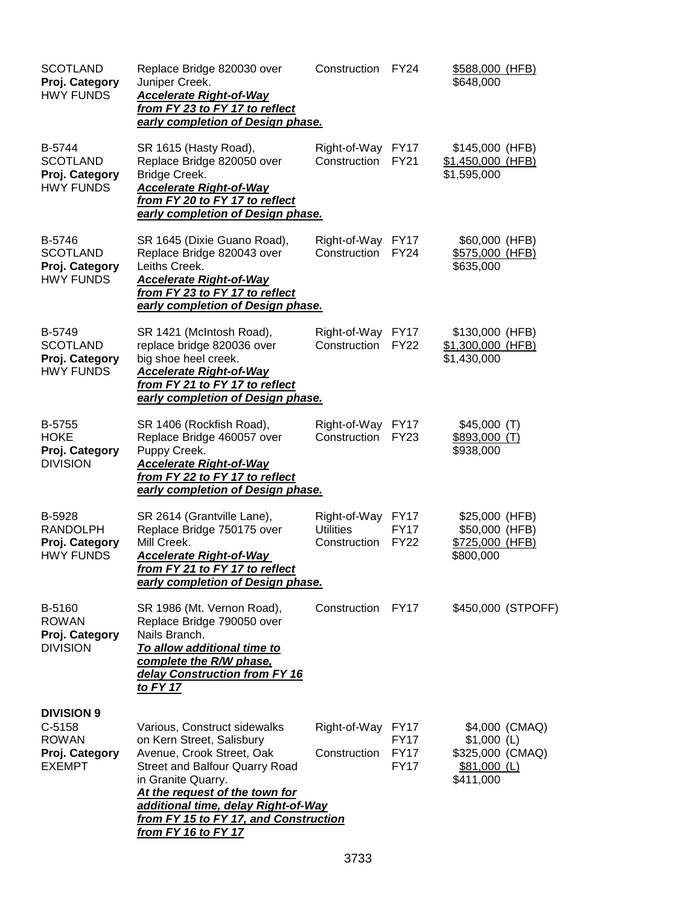| <b>SCOTLAND</b><br>Proj. Category<br><b>HWY FUNDS</b>                            | Replace Bridge 820030 over<br>Juniper Creek.<br><b>Accelerate Right-of-Way</b><br>from FY 23 to FY 17 to reflect<br>early completion of Design phase.                                                                                                                                          | Construction                                     | <b>FY24</b>                                              | \$588,000 (HFB)<br>\$648,000                                                     |
|----------------------------------------------------------------------------------|------------------------------------------------------------------------------------------------------------------------------------------------------------------------------------------------------------------------------------------------------------------------------------------------|--------------------------------------------------|----------------------------------------------------------|----------------------------------------------------------------------------------|
| B-5744<br><b>SCOTLAND</b><br>Proj. Category<br><b>HWY FUNDS</b>                  | SR 1615 (Hasty Road),<br>Replace Bridge 820050 over<br>Bridge Creek.<br><b>Accelerate Right-of-Way</b><br>from FY 20 to FY 17 to reflect<br>early completion of Design phase.                                                                                                                  | Right-of-Way<br>Construction                     | <b>FY17</b><br><b>FY21</b>                               | \$145,000 (HFB)<br>\$1,450,000 (HFB)<br>\$1,595,000                              |
| B-5746<br><b>SCOTLAND</b><br>Proj. Category<br><b>HWY FUNDS</b>                  | SR 1645 (Dixie Guano Road),<br>Replace Bridge 820043 over<br>Leiths Creek.<br><b>Accelerate Right-of-Way</b><br>from FY 23 to FY 17 to reflect<br>early completion of Design phase.                                                                                                            | Right-of-Way<br>Construction                     | <b>FY17</b><br><b>FY24</b>                               | \$60,000 (HFB)<br>\$575,000 (HFB)<br>\$635,000                                   |
| <b>B-5749</b><br><b>SCOTLAND</b><br>Proj. Category<br><b>HWY FUNDS</b>           | SR 1421 (McIntosh Road),<br>replace bridge 820036 over<br>big shoe heel creek.<br><b>Accelerate Right-of-Way</b><br>from FY 21 to FY 17 to reflect<br>early completion of Design phase.                                                                                                        | Right-of-Way<br>Construction                     | <b>FY17</b><br><b>FY22</b>                               | \$130,000 (HFB)<br>\$1,300,000 (HFB)<br>\$1,430,000                              |
| <b>B-5755</b><br>HOKE<br>Proj. Category<br><b>DIVISION</b>                       | SR 1406 (Rockfish Road),<br>Replace Bridge 460057 over<br>Puppy Creek.<br><b>Accelerate Right-of-Way</b><br>from FY 22 to FY 17 to reflect<br>early completion of Design phase.                                                                                                                | Right-of-Way<br>Construction                     | FY <sub>17</sub><br><b>FY23</b>                          | $$45,000$ (T)<br>$$893,000$ (T)<br>\$938,000                                     |
| B-5928<br><b>RANDOLPH</b><br>Proj. Category<br><b>HWY FUNDS</b>                  | SR 2614 (Grantville Lane),<br>Replace Bridge 750175 over<br>Mill Creek.<br><b>Accelerate Right-of-Way</b><br>from FY 21 to FY 17 to reflect<br>early completion of Design phase.                                                                                                               | Right-of-Way<br><b>Utilities</b><br>Construction | <b>FY17</b><br><b>FY17</b><br><b>FY22</b>                | \$25,000 (HFB)<br>\$50,000 (HFB)<br>\$725,000 (HFB)<br>\$800,000                 |
| B-5160<br><b>ROWAN</b><br>Proj. Category<br><b>DIVISION</b>                      | SR 1986 (Mt. Vernon Road),<br>Replace Bridge 790050 over<br>Nails Branch.<br>To allow additional time to<br>complete the R/W phase,<br>delay Construction from FY 16<br>to FY 17                                                                                                               | Construction                                     | <b>FY17</b>                                              | \$450,000 (STPOFF)                                                               |
| <b>DIVISION 9</b><br>$C-5158$<br><b>ROWAN</b><br>Proj. Category<br><b>EXEMPT</b> | Various, Construct sidewalks<br>on Kern Street, Salisbury<br>Avenue, Crook Street, Oak<br><b>Street and Balfour Quarry Road</b><br>in Granite Quarry.<br>At the request of the town for<br>additional time, delay Right-of-Way<br>from FY 15 to FY 17, and Construction<br>from FY 16 to FY 17 | Right-of-Way<br>Construction                     | <b>FY17</b><br><b>FY17</b><br><b>FY17</b><br><b>FY17</b> | \$4,000 (CMAQ)<br>$$1,000$ (L)<br>\$325,000 (CMAQ)<br>$$81,000$ (L)<br>\$411,000 |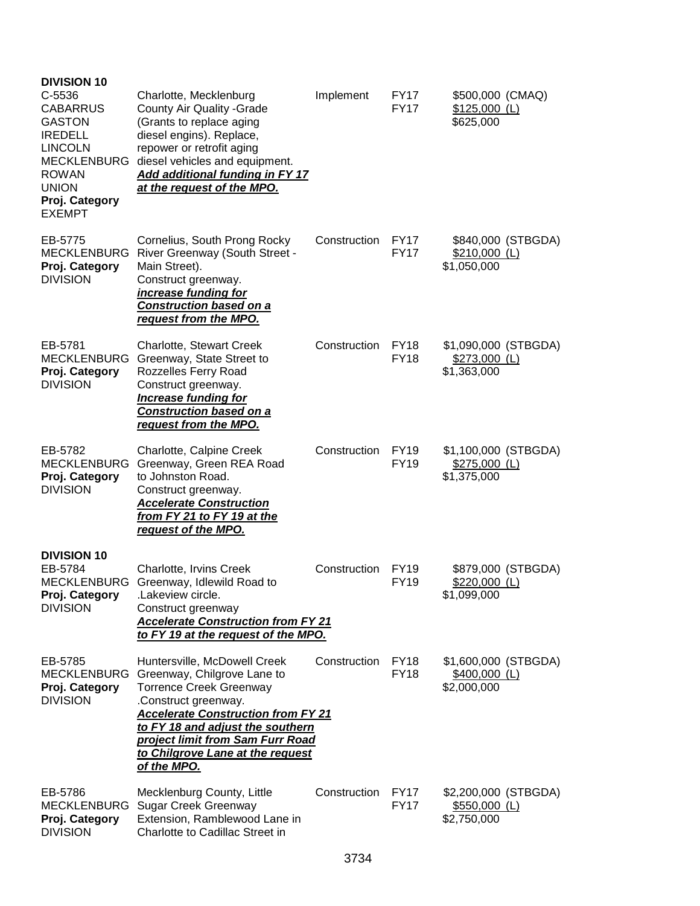| <b>DIVISION 10</b><br>C-5536<br><b>CABARRUS</b><br><b>GASTON</b><br><b>IREDELL</b><br><b>LINCOLN</b><br><b>MECKLENBURG</b><br><b>ROWAN</b><br><b>UNION</b><br>Proj. Category<br><b>EXEMPT</b> | Charlotte, Mecklenburg<br>County Air Quality - Grade<br>(Grants to replace aging<br>diesel engins). Replace,<br>repower or retrofit aging<br>diesel vehicles and equipment.<br>Add additional funding in FY 17<br>at the request of the MPO.                                                  | Implement    | <b>FY17</b><br><b>FY17</b> | \$500,000 (CMAQ)<br>$$125,000$ (L)<br>\$625,000       |
|-----------------------------------------------------------------------------------------------------------------------------------------------------------------------------------------------|-----------------------------------------------------------------------------------------------------------------------------------------------------------------------------------------------------------------------------------------------------------------------------------------------|--------------|----------------------------|-------------------------------------------------------|
| EB-5775<br><b>MECKLENBURG</b><br>Proj. Category<br><b>DIVISION</b>                                                                                                                            | Cornelius, South Prong Rocky<br>River Greenway (South Street -<br>Main Street).<br>Construct greenway.<br>increase funding for<br><b>Construction based on a</b><br><u>request from the MPO.</u>                                                                                              | Construction | <b>FY17</b><br><b>FY17</b> | \$840,000 (STBGDA)<br>$$210,000$ (L)<br>\$1,050,000   |
| EB-5781<br><b>MECKLENBURG</b><br>Proj. Category<br><b>DIVISION</b>                                                                                                                            | Charlotte, Stewart Creek<br>Greenway, State Street to<br>Rozzelles Ferry Road<br>Construct greenway.<br><b>Increase funding for</b><br><b>Construction based on a</b><br><u>request from the MPO.</u>                                                                                         | Construction | <b>FY18</b><br><b>FY18</b> | \$1,090,000 (STBGDA)<br>$$273,000$ (L)<br>\$1,363,000 |
| EB-5782<br><b>MECKLENBURG</b><br>Proj. Category<br><b>DIVISION</b>                                                                                                                            | Charlotte, Calpine Creek<br>Greenway, Green REA Road<br>to Johnston Road.<br>Construct greenway.<br><b>Accelerate Construction</b><br>from FY 21 to FY 19 at the<br>request of the MPO.                                                                                                       | Construction | <b>FY19</b><br><b>FY19</b> | \$1,100,000 (STBGDA)<br>$$275,000$ (L)<br>\$1,375,000 |
| <b>DIVISION 10</b><br>EB-5784<br><b>MECKLENBURG</b><br>Proj. Category<br><b>DIVISION</b>                                                                                                      | Charlotte, Irvins Creek<br>Greenway, Idlewild Road to<br>.Lakeview circle.<br>Construct greenway<br><b>Accelerate Construction from FY 21</b><br>to FY 19 at the request of the MPO.                                                                                                          | Construction | <b>FY19</b><br><b>FY19</b> | \$879,000 (STBGDA)<br>$$220,000$ (L)<br>\$1,099,000   |
| EB-5785<br><b>MECKLENBURG</b><br>Proj. Category<br><b>DIVISION</b>                                                                                                                            | Huntersville, McDowell Creek<br>Greenway, Chilgrove Lane to<br><b>Torrence Creek Greenway</b><br>.Construct greenway.<br><b>Accelerate Construction from FY 21</b><br>to FY 18 and adjust the southern<br>project limit from Sam Furr Road<br>to Chilgrove Lane at the request<br>of the MPO. | Construction | <b>FY18</b><br><b>FY18</b> | \$1,600,000 (STBGDA)<br>$$400,000$ (L)<br>\$2,000,000 |
| EB-5786<br><b>MECKLENBURG</b><br>Proj. Category<br><b>DIVISION</b>                                                                                                                            | Mecklenburg County, Little<br><b>Sugar Creek Greenway</b><br>Extension, Ramblewood Lane in<br>Charlotte to Cadillac Street in                                                                                                                                                                 | Construction | <b>FY17</b><br><b>FY17</b> | \$2,200,000 (STBGDA)<br>\$550,000 (L)<br>\$2,750,000  |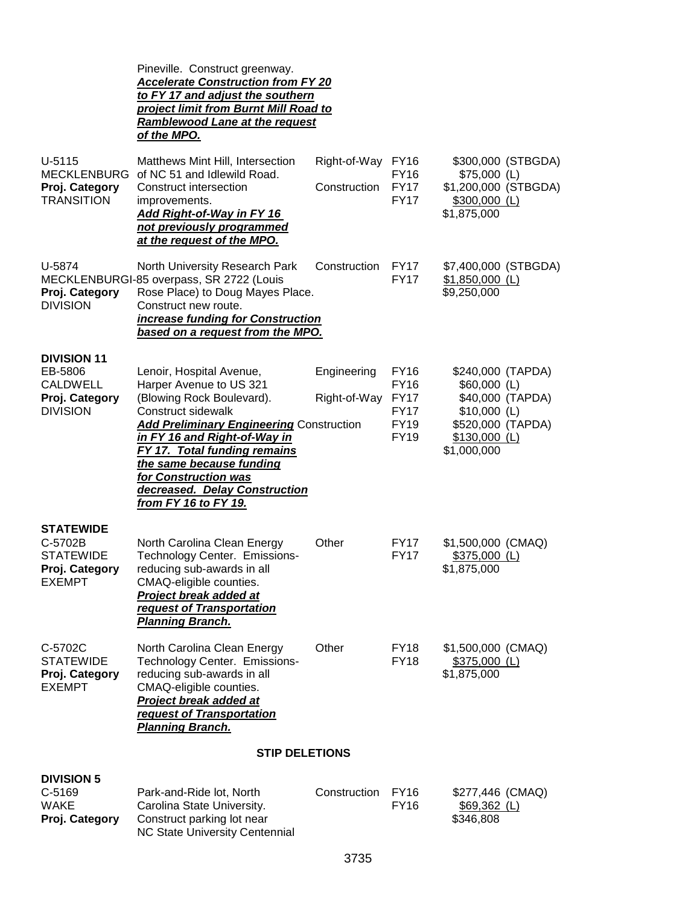|                                                                                       | Pineville. Construct greenway.<br><b>Accelerate Construction from FY 20</b><br>to FY 17 and adjust the southern<br>project limit from Burnt Mill Road to<br>Ramblewood Lane at the request<br>of the MPO.                                                                                                                                            |                                   |                                                                                 |                                                                                                                              |
|---------------------------------------------------------------------------------------|------------------------------------------------------------------------------------------------------------------------------------------------------------------------------------------------------------------------------------------------------------------------------------------------------------------------------------------------------|-----------------------------------|---------------------------------------------------------------------------------|------------------------------------------------------------------------------------------------------------------------------|
| $U-5115$<br><b>MECKLENBURG</b><br>Proj. Category<br><b>TRANSITION</b>                 | Matthews Mint Hill, Intersection<br>of NC 51 and Idlewild Road.<br>Construct intersection<br>improvements.<br><b>Add Right-of-Way in FY 16</b><br>not previously programmed<br>at the request of the MPO.                                                                                                                                            | Right-of-Way FY16<br>Construction | <b>FY16</b><br><b>FY17</b><br><b>FY17</b>                                       | \$300,000 (STBGDA)<br>$$75,000$ (L)<br>\$1,200,000 (STBGDA)<br>\$300,000 (L)<br>\$1,875,000                                  |
| U-5874<br>Proj. Category<br><b>DIVISION</b>                                           | North University Research Park<br>MECKLENBURGI-85 overpass, SR 2722 (Louis<br>Rose Place) to Doug Mayes Place.<br>Construct new route.<br>increase funding for Construction<br>based on a request from the MPO.                                                                                                                                      | Construction                      | <b>FY17</b><br><b>FY17</b>                                                      | \$7,400,000 (STBGDA)<br>$$1,850,000$ (L)<br>\$9,250,000                                                                      |
| <b>DIVISION 11</b><br>EB-5806<br><b>CALDWELL</b><br>Proj. Category<br><b>DIVISION</b> | Lenoir, Hospital Avenue,<br>Harper Avenue to US 321<br>(Blowing Rock Boulevard).<br><b>Construct sidewalk</b><br><b>Add Preliminary Engineering Construction</b><br>in FY 16 and Right-of-Way in<br><b>FY 17. Total funding remains</b><br>the same because funding<br>for Construction was<br>decreased. Delay Construction<br>from FY 16 to FY 19. | Engineering<br>Right-of-Way       | FY16<br><b>FY16</b><br><b>FY17</b><br><b>FY17</b><br><b>FY19</b><br><b>FY19</b> | \$240,000 (TAPDA)<br>\$60,000 (L)<br>\$40,000 (TAPDA)<br>$$10,000$ (L)<br>\$520,000 (TAPDA)<br>$$130,000$ (L)<br>\$1,000,000 |
| <b>STATEWIDE</b><br>C-5702B<br><b>STATEWIDE</b><br>Proj. Category<br><b>EXEMPT</b>    | North Carolina Clean Energy<br>Technology Center. Emissions-<br>reducing sub-awards in all<br>CMAQ-eligible counties.<br><b>Project break added at</b><br>request of Transportation<br><b>Planning Branch.</b>                                                                                                                                       | Other                             | <b>FY17</b><br><b>FY17</b>                                                      | \$1,500,000 (CMAQ)<br>$$375,000$ (L)<br>\$1,875,000                                                                          |
| C-5702C<br><b>STATEWIDE</b><br>Proj. Category<br><b>EXEMPT</b>                        | North Carolina Clean Energy<br>Technology Center. Emissions-<br>reducing sub-awards in all<br>CMAQ-eligible counties.<br>Project break added at<br>request of Transportation<br><b>Planning Branch.</b>                                                                                                                                              | Other                             | <b>FY18</b><br><b>FY18</b>                                                      | \$1,500,000 (CMAQ)<br>$$375,000$ (L)<br>\$1,875,000                                                                          |
|                                                                                       | <b>STIP DELETIONS</b>                                                                                                                                                                                                                                                                                                                                |                                   |                                                                                 |                                                                                                                              |
| <b>DIVISION 5</b><br>$C-5169$<br><b>WAKE</b><br>Proj. Category                        | Park-and-Ride lot, North<br>Carolina State University.<br>Construct parking lot near<br><b>NC State University Centennial</b>                                                                                                                                                                                                                        | Construction                      | <b>FY16</b><br><b>FY16</b>                                                      | \$277,446 (CMAQ)<br>$$69,362$ (L)<br>\$346,808                                                                               |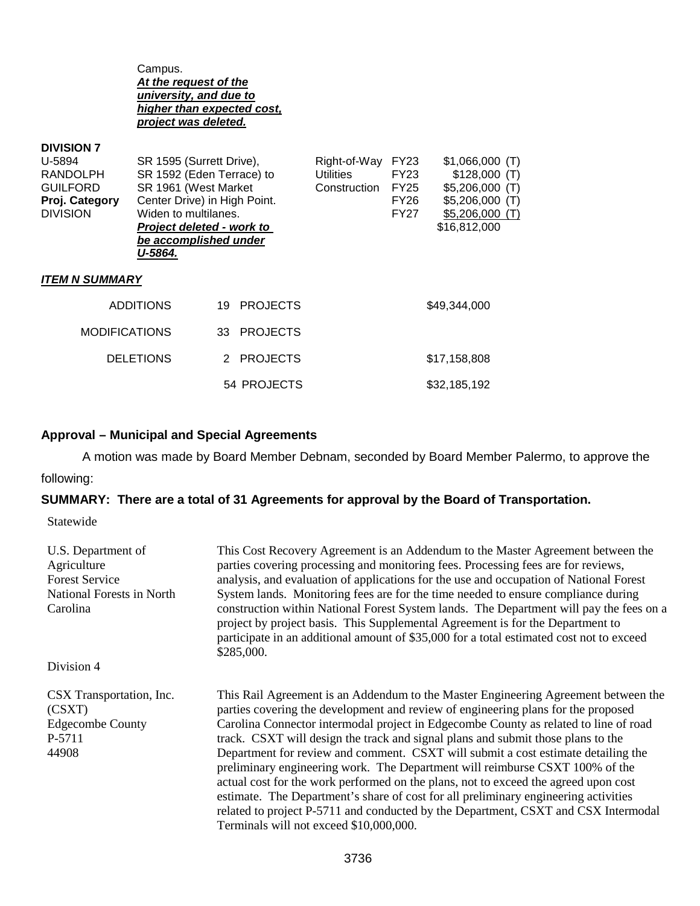Campus. *At the request of the university, and due to higher than expected cost, project was deleted.*

| <b>DIVISION</b> (<br>U-5894<br>RANDOLPH<br><b>GUILFORD</b><br>Proj. Category | SR 1595 (Surrett Drive),<br>SR 1592 (Eden Terrace) to<br>SR 1961 (West Market<br>Center Drive) in High Point. |                       | Right-of-Way<br><b>Utilities</b><br>Construction | <b>FY23</b><br>FY23<br><b>FY25</b><br>FY26 | $$1,066,000$ (T)<br>$$128,000$ (T)<br>\$5,206,000 (T)<br>$$5,206,000$ (T) |
|------------------------------------------------------------------------------|---------------------------------------------------------------------------------------------------------------|-----------------------|--------------------------------------------------|--------------------------------------------|---------------------------------------------------------------------------|
| <b>DIVISION</b>                                                              | Widen to multilanes.<br>Project deleted - work to<br>be accomplished under<br>U-5864.                         |                       |                                                  | FY27                                       | $$5,206,000$ (T)<br>\$16,812,000                                          |
| <b>ITEM N SUMMARY</b>                                                        |                                                                                                               |                       |                                                  |                                            |                                                                           |
| <b>ADDITIONS</b>                                                             |                                                                                                               | <b>PROJECTS</b><br>19 |                                                  |                                            | \$49,344,000                                                              |
| <b>MODIFICATIONS</b>                                                         |                                                                                                               | <b>PROJECTS</b><br>33 |                                                  |                                            |                                                                           |
|                                                                              | <b>DELETIONS</b>                                                                                              | 2 PROJECTS            |                                                  |                                            | \$17,158,808                                                              |
|                                                                              |                                                                                                               | 54 PROJECTS           |                                                  |                                            | \$32,185,192                                                              |

### **Approval – Municipal and Special Agreements**

A motion was made by Board Member Debnam, seconded by Board Member Palermo, to approve the

## following:

**DIVISION 7** 

## **SUMMARY: There are a total of 31 Agreements for approval by the Board of Transportation.**

Statewide

| U.S. Department of<br>Agriculture<br><b>Forest Service</b><br>National Forests in North<br>Carolina | This Cost Recovery Agreement is an Addendum to the Master Agreement between the<br>parties covering processing and monitoring fees. Processing fees are for reviews,<br>analysis, and evaluation of applications for the use and occupation of National Forest<br>System lands. Monitoring fees are for the time needed to ensure compliance during<br>construction within National Forest System lands. The Department will pay the fees on a<br>project by project basis. This Supplemental Agreement is for the Department to<br>participate in an additional amount of \$35,000 for a total estimated cost not to exceed<br>\$285,000.                                                                                                                                                                                              |
|-----------------------------------------------------------------------------------------------------|-----------------------------------------------------------------------------------------------------------------------------------------------------------------------------------------------------------------------------------------------------------------------------------------------------------------------------------------------------------------------------------------------------------------------------------------------------------------------------------------------------------------------------------------------------------------------------------------------------------------------------------------------------------------------------------------------------------------------------------------------------------------------------------------------------------------------------------------|
| Division 4                                                                                          |                                                                                                                                                                                                                                                                                                                                                                                                                                                                                                                                                                                                                                                                                                                                                                                                                                         |
| CSX Transportation, Inc.<br>(CSXT)<br><b>Edgecombe County</b><br>P-5711<br>44908                    | This Rail Agreement is an Addendum to the Master Engineering Agreement between the<br>parties covering the development and review of engineering plans for the proposed<br>Carolina Connector intermodal project in Edgecombe County as related to line of road<br>track. CSXT will design the track and signal plans and submit those plans to the<br>Department for review and comment. CSXT will submit a cost estimate detailing the<br>preliminary engineering work. The Department will reimburse CSXT 100% of the<br>actual cost for the work performed on the plans, not to exceed the agreed upon cost<br>estimate. The Department's share of cost for all preliminary engineering activities<br>related to project P-5711 and conducted by the Department, CSXT and CSX Intermodal<br>Terminals will not exceed \$10,000,000. |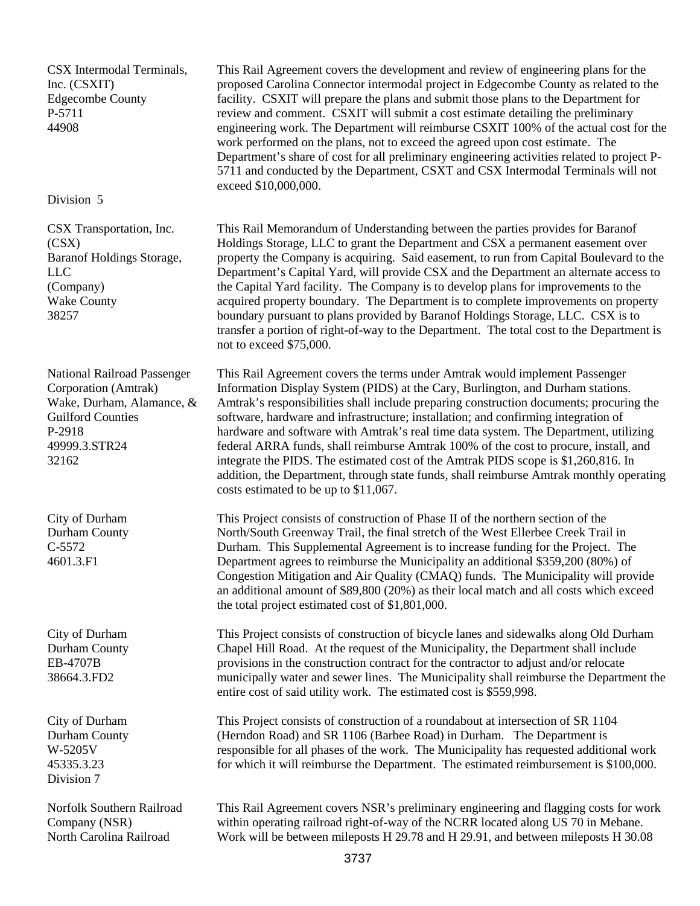CSX Intermodal Terminals, Inc. (CSXIT) Edgecombe County P-5711 44908

#### Division 5

CSX Transportation, Inc. (CSX) Baranof Holdings Storage, LLC (Company) Wake County 38257

National Railroad Passenger Corporation (Amtrak) Wake, Durham, Alamance, & Guilford Counties P-2918 49999.3.STR24 32162

City of Durham Durham County C-5572 4601.3.F1

City of Durham Durham County EB-4707B 38664.3.FD2

City of Durham Durham County W-5205V 45335.3.23 Division 7

Norfolk Southern Railroad Company (NSR) North Carolina Railroad

This Rail Agreement covers the development and review of engineering plans for the proposed Carolina Connector intermodal project in Edgecombe County as related to the facility. CSXIT will prepare the plans and submit those plans to the Department for review and comment. CSXIT will submit a cost estimate detailing the preliminary engineering work. The Department will reimburse CSXIT 100% of the actual cost for the work performed on the plans, not to exceed the agreed upon cost estimate. The Department's share of cost for all preliminary engineering activities related to project P-5711 and conducted by the Department, CSXT and CSX Intermodal Terminals will not exceed \$10,000,000.

This Rail Memorandum of Understanding between the parties provides for Baranof Holdings Storage, LLC to grant the Department and CSX a permanent easement over property the Company is acquiring. Said easement, to run from Capital Boulevard to the Department's Capital Yard, will provide CSX and the Department an alternate access to the Capital Yard facility. The Company is to develop plans for improvements to the acquired property boundary. The Department is to complete improvements on property boundary pursuant to plans provided by Baranof Holdings Storage, LLC. CSX is to transfer a portion of right-of-way to the Department. The total cost to the Department is not to exceed \$75,000.

This Rail Agreement covers the terms under Amtrak would implement Passenger Information Display System (PIDS) at the Cary, Burlington, and Durham stations. Amtrak's responsibilities shall include preparing construction documents; procuring the software, hardware and infrastructure; installation; and confirming integration of hardware and software with Amtrak's real time data system. The Department, utilizing federal ARRA funds, shall reimburse Amtrak 100% of the cost to procure, install, and integrate the PIDS. The estimated cost of the Amtrak PIDS scope is \$1,260,816. In addition, the Department, through state funds, shall reimburse Amtrak monthly operating costs estimated to be up to \$11,067.

This Project consists of construction of Phase II of the northern section of the North/South Greenway Trail, the final stretch of the West Ellerbee Creek Trail in Durham. This Supplemental Agreement is to increase funding for the Project. The Department agrees to reimburse the Municipality an additional \$359,200 (80%) of Congestion Mitigation and Air Quality (CMAQ) funds. The Municipality will provide an additional amount of \$89,800 (20%) as their local match and all costs which exceed the total project estimated cost of \$1,801,000.

This Project consists of construction of bicycle lanes and sidewalks along Old Durham Chapel Hill Road. At the request of the Municipality, the Department shall include provisions in the construction contract for the contractor to adjust and/or relocate municipally water and sewer lines. The Municipality shall reimburse the Department the entire cost of said utility work. The estimated cost is \$559,998.

This Project consists of construction of a roundabout at intersection of SR 1104 (Herndon Road) and SR 1106 (Barbee Road) in Durham. The Department is responsible for all phases of the work. The Municipality has requested additional work for which it will reimburse the Department. The estimated reimbursement is \$100,000.

This Rail Agreement covers NSR's preliminary engineering and flagging costs for work within operating railroad right-of-way of the NCRR located along US 70 in Mebane. Work will be between mileposts H 29.78 and H 29.91, and between mileposts H 30.08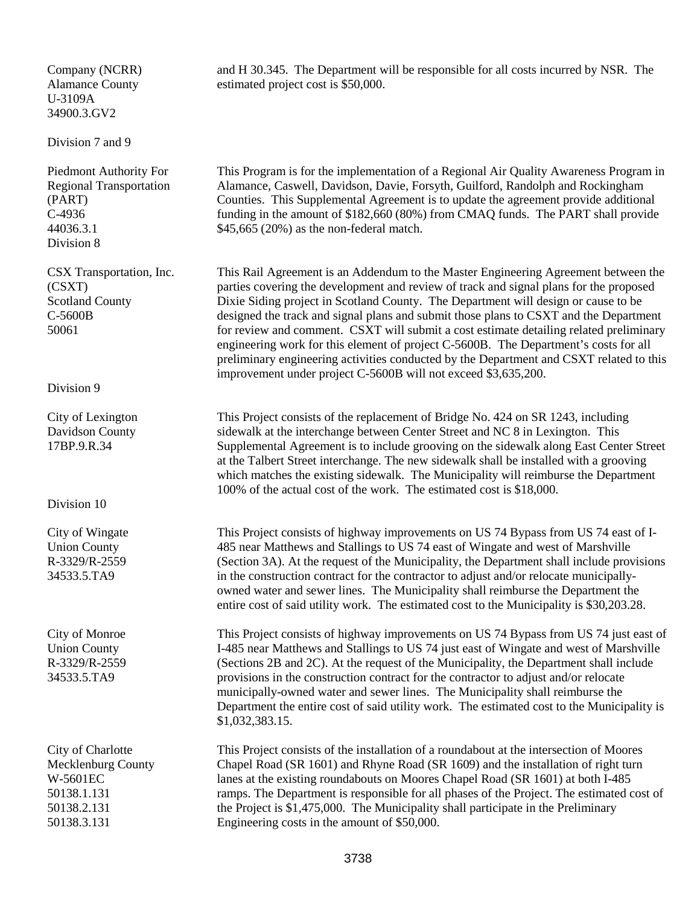#### Company (NCRR) Alamance County U-3109A 34900.3.GV2

Division 7 and 9

Piedmont Authority For Regional Transportation (PART) C-4936 44036.3.1 Division 8

CSX Transportation, Inc. (CSXT) Scotland County C-5600B 50061

Division 9

City of Lexington Davidson County 17BP.9.R.34

Division 10

City of Wingate Union County R-3329/R-2559 34533.5.TA9

City of Monroe Union County R-3329/R-2559 34533.5.TA9

City of Charlotte Mecklenburg County W-5601EC 50138.1.131 50138.2.131 50138.3.131

and H 30.345. The Department will be responsible for all costs incurred by NSR. The estimated project cost is \$50,000.

This Program is for the implementation of a Regional Air Quality Awareness Program in Alamance, Caswell, Davidson, Davie, Forsyth, Guilford, Randolph and Rockingham Counties. This Supplemental Agreement is to update the agreement provide additional funding in the amount of \$182,660 (80%) from CMAQ funds. The PART shall provide \$45,665 (20%) as the non-federal match.

This Rail Agreement is an Addendum to the Master Engineering Agreement between the parties covering the development and review of track and signal plans for the proposed Dixie Siding project in Scotland County. The Department will design or cause to be designed the track and signal plans and submit those plans to CSXT and the Department for review and comment. CSXT will submit a cost estimate detailing related preliminary engineering work for this element of project C-5600B. The Department's costs for all preliminary engineering activities conducted by the Department and CSXT related to this improvement under project C-5600B will not exceed \$3,635,200.

This Project consists of the replacement of Bridge No. 424 on SR 1243, including sidewalk at the interchange between Center Street and NC 8 in Lexington. This Supplemental Agreement is to include grooving on the sidewalk along East Center Street at the Talbert Street interchange. The new sidewalk shall be installed with a grooving which matches the existing sidewalk. The Municipality will reimburse the Department 100% of the actual cost of the work. The estimated cost is \$18,000.

This Project consists of highway improvements on US 74 Bypass from US 74 east of I-485 near Matthews and Stallings to US 74 east of Wingate and west of Marshville (Section 3A). At the request of the Municipality, the Department shall include provisions in the construction contract for the contractor to adjust and/or relocate municipallyowned water and sewer lines. The Municipality shall reimburse the Department the entire cost of said utility work. The estimated cost to the Municipality is \$30,203.28.

This Project consists of highway improvements on US 74 Bypass from US 74 just east of I-485 near Matthews and Stallings to US 74 just east of Wingate and west of Marshville (Sections 2B and 2C). At the request of the Municipality, the Department shall include provisions in the construction contract for the contractor to adjust and/or relocate municipally-owned water and sewer lines. The Municipality shall reimburse the Department the entire cost of said utility work. The estimated cost to the Municipality is \$1,032,383.15.

This Project consists of the installation of a roundabout at the intersection of Moores Chapel Road (SR 1601) and Rhyne Road (SR 1609) and the installation of right turn lanes at the existing roundabouts on Moores Chapel Road (SR 1601) at both I-485 ramps. The Department is responsible for all phases of the Project. The estimated cost of the Project is \$1,475,000. The Municipality shall participate in the Preliminary Engineering costs in the amount of \$50,000.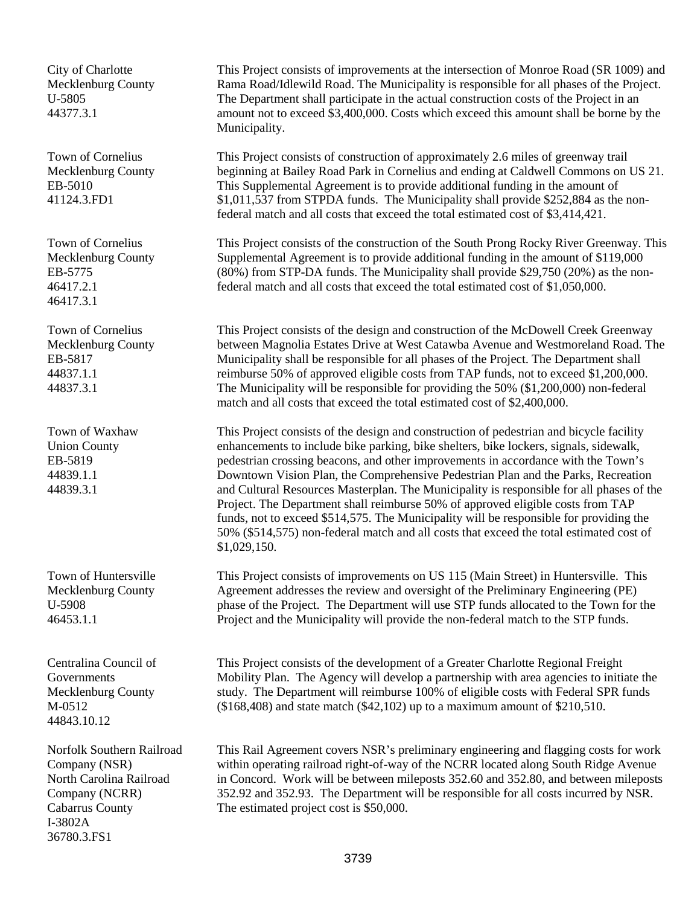City of Charlotte Mecklenburg County U-5805 44377.3.1

Town of Cornelius Mecklenburg County EB-5010 41124.3.FD1

Town of Cornelius Mecklenburg County EB-5775 46417.2.1 46417.3.1

Town of Cornelius Mecklenburg County EB-5817 44837.1.1 44837.3.1

Town of Waxhaw Union County EB-5819 44839.1.1 44839.3.1

Town of Huntersville Mecklenburg County U-5908 46453.1.1

Centralina Council of Governments Mecklenburg County M-0512 44843.10.12

Norfolk Southern Railroad Company (NSR) North Carolina Railroad Company (NCRR) Cabarrus County I-3802A 36780.3.FS1

This Project consists of improvements at the intersection of Monroe Road (SR 1009) and Rama Road/Idlewild Road. The Municipality is responsible for all phases of the Project. The Department shall participate in the actual construction costs of the Project in an amount not to exceed \$3,400,000. Costs which exceed this amount shall be borne by the Municipality.

This Project consists of construction of approximately 2.6 miles of greenway trail beginning at Bailey Road Park in Cornelius and ending at Caldwell Commons on US 21. This Supplemental Agreement is to provide additional funding in the amount of \$1,011,537 from STPDA funds. The Municipality shall provide \$252,884 as the nonfederal match and all costs that exceed the total estimated cost of \$3,414,421.

This Project consists of the construction of the South Prong Rocky River Greenway. This Supplemental Agreement is to provide additional funding in the amount of \$119,000 (80%) from STP-DA funds. The Municipality shall provide \$29,750 (20%) as the nonfederal match and all costs that exceed the total estimated cost of \$1,050,000.

This Project consists of the design and construction of the McDowell Creek Greenway between Magnolia Estates Drive at West Catawba Avenue and Westmoreland Road. The Municipality shall be responsible for all phases of the Project. The Department shall reimburse 50% of approved eligible costs from TAP funds, not to exceed \$1,200,000. The Municipality will be responsible for providing the 50% (\$1,200,000) non-federal match and all costs that exceed the total estimated cost of \$2,400,000.

This Project consists of the design and construction of pedestrian and bicycle facility enhancements to include bike parking, bike shelters, bike lockers, signals, sidewalk, pedestrian crossing beacons, and other improvements in accordance with the Town's Downtown Vision Plan, the Comprehensive Pedestrian Plan and the Parks, Recreation and Cultural Resources Masterplan. The Municipality is responsible for all phases of the Project. The Department shall reimburse 50% of approved eligible costs from TAP funds, not to exceed \$514,575. The Municipality will be responsible for providing the 50% (\$514,575) non-federal match and all costs that exceed the total estimated cost of \$1,029,150.

This Project consists of improvements on US 115 (Main Street) in Huntersville. This Agreement addresses the review and oversight of the Preliminary Engineering (PE) phase of the Project. The Department will use STP funds allocated to the Town for the Project and the Municipality will provide the non-federal match to the STP funds.

This Project consists of the development of a Greater Charlotte Regional Freight Mobility Plan. The Agency will develop a partnership with area agencies to initiate the study. The Department will reimburse 100% of eligible costs with Federal SPR funds (\$168,408) and state match (\$42,102) up to a maximum amount of \$210,510.

This Rail Agreement covers NSR's preliminary engineering and flagging costs for work within operating railroad right-of-way of the NCRR located along South Ridge Avenue in Concord. Work will be between mileposts 352.60 and 352.80, and between mileposts 352.92 and 352.93. The Department will be responsible for all costs incurred by NSR. The estimated project cost is \$50,000.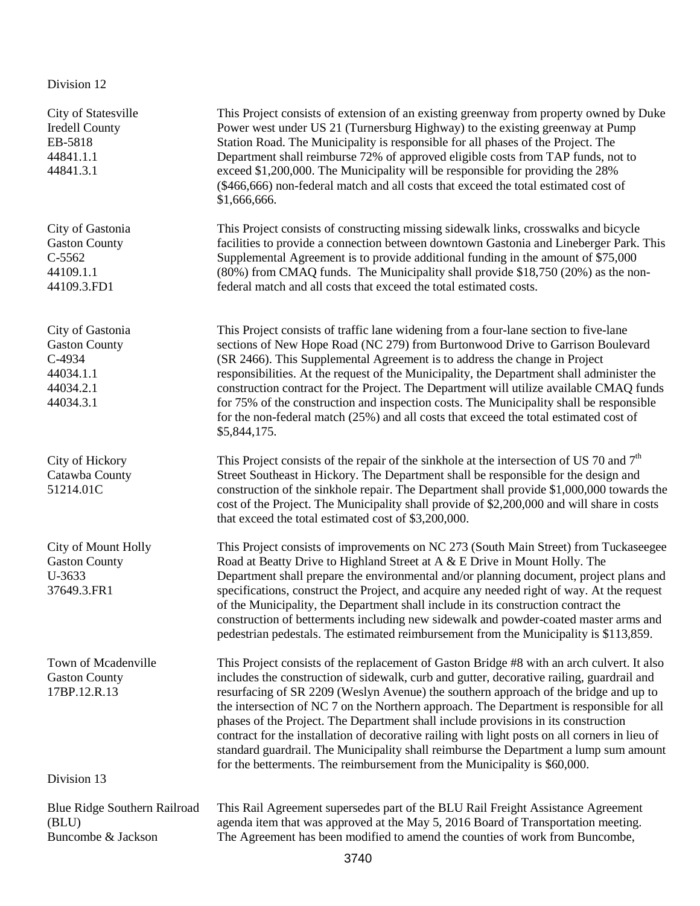## Division 12

| City of Statesville<br><b>Iredell County</b><br>EB-5818<br>44841.1.1<br>44841.3.1         | This Project consists of extension of an existing greenway from property owned by Duke<br>Power west under US 21 (Turnersburg Highway) to the existing greenway at Pump<br>Station Road. The Municipality is responsible for all phases of the Project. The<br>Department shall reimburse 72% of approved eligible costs from TAP funds, not to<br>exceed \$1,200,000. The Municipality will be responsible for providing the 28%<br>(\$466,666) non-federal match and all costs that exceed the total estimated cost of<br>\$1,666,666.                                                                                                                                                                                                  |  |
|-------------------------------------------------------------------------------------------|-------------------------------------------------------------------------------------------------------------------------------------------------------------------------------------------------------------------------------------------------------------------------------------------------------------------------------------------------------------------------------------------------------------------------------------------------------------------------------------------------------------------------------------------------------------------------------------------------------------------------------------------------------------------------------------------------------------------------------------------|--|
| City of Gastonia<br><b>Gaston County</b><br>$C-5562$<br>44109.1.1<br>44109.3.FD1          | This Project consists of constructing missing sidewalk links, crosswalks and bicycle<br>facilities to provide a connection between downtown Gastonia and Lineberger Park. This<br>Supplemental Agreement is to provide additional funding in the amount of \$75,000<br>(80%) from CMAQ funds. The Municipality shall provide \$18,750 (20%) as the non-<br>federal match and all costs that exceed the total estimated costs.                                                                                                                                                                                                                                                                                                             |  |
| City of Gastonia<br><b>Gaston County</b><br>C-4934<br>44034.1.1<br>44034.2.1<br>44034.3.1 | This Project consists of traffic lane widening from a four-lane section to five-lane<br>sections of New Hope Road (NC 279) from Burtonwood Drive to Garrison Boulevard<br>(SR 2466). This Supplemental Agreement is to address the change in Project<br>responsibilities. At the request of the Municipality, the Department shall administer the<br>construction contract for the Project. The Department will utilize available CMAQ funds<br>for 75% of the construction and inspection costs. The Municipality shall be responsible<br>for the non-federal match (25%) and all costs that exceed the total estimated cost of<br>\$5,844,175.                                                                                          |  |
| City of Hickory<br>Catawba County<br>51214.01C                                            | This Project consists of the repair of the sinkhole at the intersection of US 70 and $7th$<br>Street Southeast in Hickory. The Department shall be responsible for the design and<br>construction of the sinkhole repair. The Department shall provide \$1,000,000 towards the<br>cost of the Project. The Municipality shall provide of \$2,200,000 and will share in costs<br>that exceed the total estimated cost of \$3,200,000.                                                                                                                                                                                                                                                                                                      |  |
| City of Mount Holly<br><b>Gaston County</b><br>U-3633<br>37649.3.FR1                      | This Project consists of improvements on NC 273 (South Main Street) from Tuckaseegee<br>Road at Beatty Drive to Highland Street at A & E Drive in Mount Holly. The<br>Department shall prepare the environmental and/or planning document, project plans and<br>specifications, construct the Project, and acquire any needed right of way. At the request<br>of the Municipality, the Department shall include in its construction contract the<br>construction of betterments including new sidewalk and powder-coated master arms and<br>pedestrian pedestals. The estimated reimbursement from the Municipality is \$113,859.                                                                                                         |  |
| Town of Mcadenville<br><b>Gaston County</b><br>17BP.12.R.13                               | This Project consists of the replacement of Gaston Bridge #8 with an arch culvert. It also<br>includes the construction of sidewalk, curb and gutter, decorative railing, guardrail and<br>resurfacing of SR 2209 (Weslyn Avenue) the southern approach of the bridge and up to<br>the intersection of NC 7 on the Northern approach. The Department is responsible for all<br>phases of the Project. The Department shall include provisions in its construction<br>contract for the installation of decorative railing with light posts on all corners in lieu of<br>standard guardrail. The Municipality shall reimburse the Department a lump sum amount<br>for the betterments. The reimbursement from the Municipality is \$60,000. |  |
| Division 13                                                                               |                                                                                                                                                                                                                                                                                                                                                                                                                                                                                                                                                                                                                                                                                                                                           |  |
| Blue Ridge Southern Railroad<br>(BLU)<br>Buncombe & Jackson                               | This Rail Agreement supersedes part of the BLU Rail Freight Assistance Agreement<br>agenda item that was approved at the May 5, 2016 Board of Transportation meeting.<br>The Agreement has been modified to amend the counties of work from Buncombe,                                                                                                                                                                                                                                                                                                                                                                                                                                                                                     |  |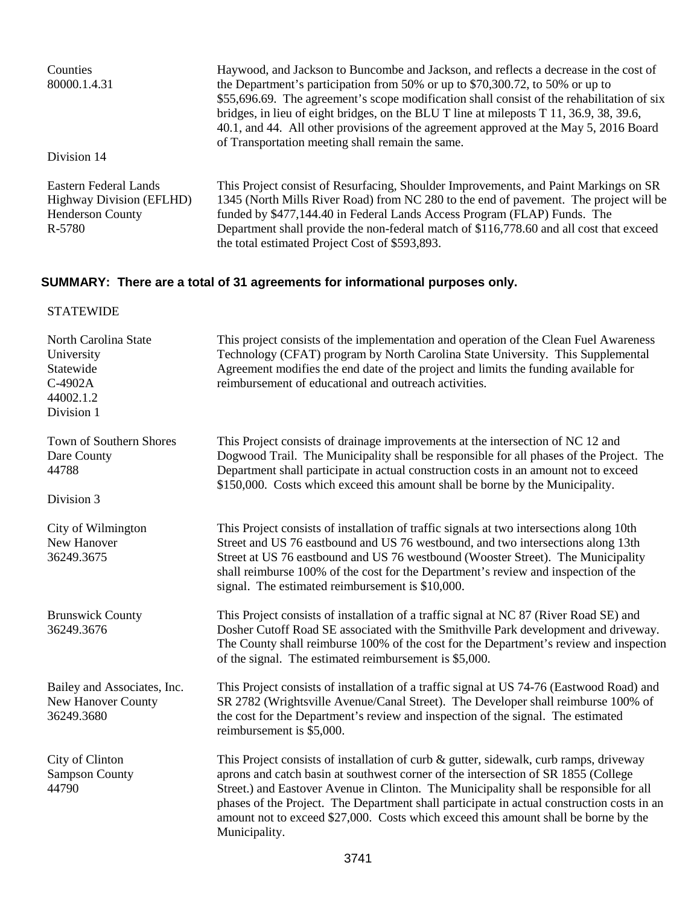| Counties<br>80000.1.4.31                                                                      | Haywood, and Jackson to Buncombe and Jackson, and reflects a decrease in the cost of<br>the Department's participation from 50% or up to \$70,300.72, to 50% or up to<br>\$55,696.69. The agreement's scope modification shall consist of the rehabilitation of six<br>bridges, in lieu of eight bridges, on the BLU T line at mileposts T 11, 36.9, 38, 39.6,<br>40.1, and 44. All other provisions of the agreement approved at the May 5, 2016 Board<br>of Transportation meeting shall remain the same. |
|-----------------------------------------------------------------------------------------------|-------------------------------------------------------------------------------------------------------------------------------------------------------------------------------------------------------------------------------------------------------------------------------------------------------------------------------------------------------------------------------------------------------------------------------------------------------------------------------------------------------------|
| Division 14                                                                                   |                                                                                                                                                                                                                                                                                                                                                                                                                                                                                                             |
| Eastern Federal Lands<br><b>Highway Division (EFLHD)</b><br><b>Henderson County</b><br>R-5780 | This Project consist of Resurfacing, Shoulder Improvements, and Paint Markings on SR<br>1345 (North Mills River Road) from NC 280 to the end of pavement. The project will be<br>funded by \$477,144.40 in Federal Lands Access Program (FLAP) Funds. The<br>Department shall provide the non-federal match of \$116,778.60 and all cost that exceed<br>the total estimated Project Cost of \$593,893.                                                                                                      |

# **SUMMARY: There are a total of 31 agreements for informational purposes only.**

# STATEWIDE

| North Carolina State<br>University<br>Statewide<br>C-4902A<br>44002.1.2<br>Division 1 | This project consists of the implementation and operation of the Clean Fuel Awareness<br>Technology (CFAT) program by North Carolina State University. This Supplemental<br>Agreement modifies the end date of the project and limits the funding available for<br>reimbursement of educational and outreach activities.                                                                                                                                                     |  |
|---------------------------------------------------------------------------------------|------------------------------------------------------------------------------------------------------------------------------------------------------------------------------------------------------------------------------------------------------------------------------------------------------------------------------------------------------------------------------------------------------------------------------------------------------------------------------|--|
| Town of Southern Shores<br>Dare County<br>44788<br>Division 3                         | This Project consists of drainage improvements at the intersection of NC 12 and<br>Dogwood Trail. The Municipality shall be responsible for all phases of the Project. The<br>Department shall participate in actual construction costs in an amount not to exceed<br>\$150,000. Costs which exceed this amount shall be borne by the Municipality.                                                                                                                          |  |
| City of Wilmington<br>New Hanover<br>36249.3675                                       | This Project consists of installation of traffic signals at two intersections along 10th<br>Street and US 76 eastbound and US 76 westbound, and two intersections along 13th<br>Street at US 76 eastbound and US 76 westbound (Wooster Street). The Municipality<br>shall reimburse 100% of the cost for the Department's review and inspection of the<br>signal. The estimated reimbursement is \$10,000.                                                                   |  |
| <b>Brunswick County</b><br>36249.3676                                                 | This Project consists of installation of a traffic signal at NC 87 (River Road SE) and<br>Dosher Cutoff Road SE associated with the Smithville Park development and driveway.<br>The County shall reimburse 100% of the cost for the Department's review and inspection<br>of the signal. The estimated reimbursement is \$5,000.                                                                                                                                            |  |
| Bailey and Associates, Inc.<br><b>New Hanover County</b><br>36249.3680                | This Project consists of installation of a traffic signal at US 74-76 (Eastwood Road) and<br>SR 2782 (Wrightsville Avenue/Canal Street). The Developer shall reimburse 100% of<br>the cost for the Department's review and inspection of the signal. The estimated<br>reimbursement is \$5,000.                                                                                                                                                                              |  |
| City of Clinton<br><b>Sampson County</b><br>44790                                     | This Project consists of installation of curb & gutter, sidewalk, curb ramps, driveway<br>aprons and catch basin at southwest corner of the intersection of SR 1855 (College<br>Street.) and Eastover Avenue in Clinton. The Municipality shall be responsible for all<br>phases of the Project. The Department shall participate in actual construction costs in an<br>amount not to exceed \$27,000. Costs which exceed this amount shall be borne by the<br>Municipality. |  |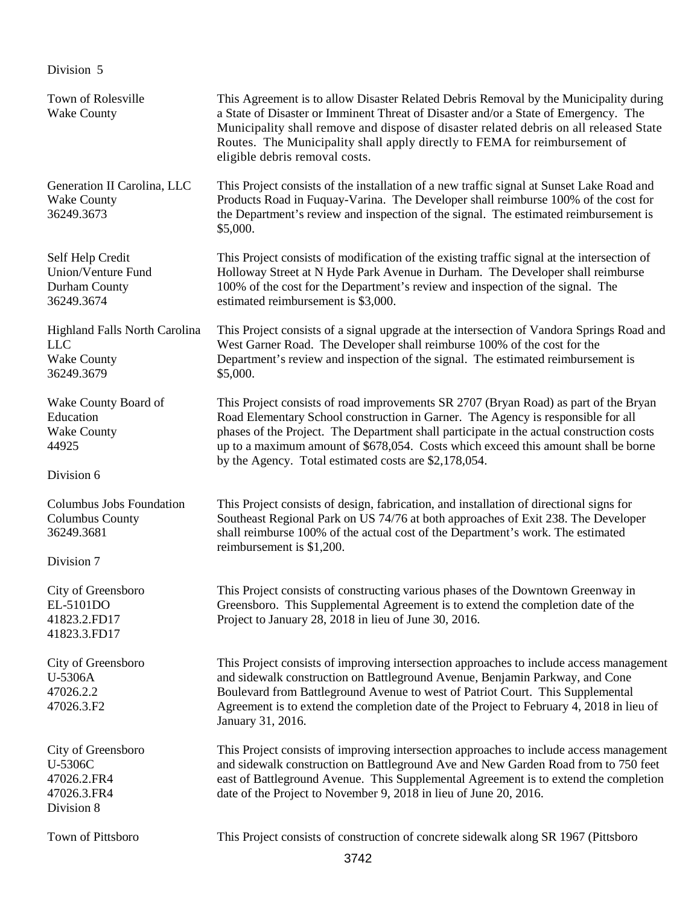## Division 5

| Town of Rolesville<br><b>Wake County</b>                                               | This Agreement is to allow Disaster Related Debris Removal by the Municipality during<br>a State of Disaster or Imminent Threat of Disaster and/or a State of Emergency. The<br>Municipality shall remove and dispose of disaster related debris on all released State<br>Routes. The Municipality shall apply directly to FEMA for reimbursement of<br>eligible debris removal costs.                              |  |
|----------------------------------------------------------------------------------------|---------------------------------------------------------------------------------------------------------------------------------------------------------------------------------------------------------------------------------------------------------------------------------------------------------------------------------------------------------------------------------------------------------------------|--|
| Generation II Carolina, LLC<br><b>Wake County</b><br>36249.3673                        | This Project consists of the installation of a new traffic signal at Sunset Lake Road and<br>Products Road in Fuquay-Varina. The Developer shall reimburse 100% of the cost for<br>the Department's review and inspection of the signal. The estimated reimbursement is<br>\$5,000.                                                                                                                                 |  |
| Self Help Credit<br>Union/Venture Fund<br>Durham County<br>36249.3674                  | This Project consists of modification of the existing traffic signal at the intersection of<br>Holloway Street at N Hyde Park Avenue in Durham. The Developer shall reimburse<br>100% of the cost for the Department's review and inspection of the signal. The<br>estimated reimbursement is \$3,000.                                                                                                              |  |
| <b>Highland Falls North Carolina</b><br><b>LLC</b><br><b>Wake County</b><br>36249.3679 | This Project consists of a signal upgrade at the intersection of Vandora Springs Road and<br>West Garner Road. The Developer shall reimburse 100% of the cost for the<br>Department's review and inspection of the signal. The estimated reimbursement is<br>\$5,000.                                                                                                                                               |  |
| Wake County Board of<br>Education<br><b>Wake County</b><br>44925<br>Division 6         | This Project consists of road improvements SR 2707 (Bryan Road) as part of the Bryan<br>Road Elementary School construction in Garner. The Agency is responsible for all<br>phases of the Project. The Department shall participate in the actual construction costs<br>up to a maximum amount of \$678,054. Costs which exceed this amount shall be borne<br>by the Agency. Total estimated costs are \$2,178,054. |  |
| Columbus Jobs Foundation<br><b>Columbus County</b><br>36249.3681<br>Division 7         | This Project consists of design, fabrication, and installation of directional signs for<br>Southeast Regional Park on US 74/76 at both approaches of Exit 238. The Developer<br>shall reimburse 100% of the actual cost of the Department's work. The estimated<br>reimbursement is \$1,200.                                                                                                                        |  |
| City of Greensboro<br>EL-5101DO<br>41823.2.FD17<br>41823.3.FD17                        | This Project consists of constructing various phases of the Downtown Greenway in<br>Greensboro. This Supplemental Agreement is to extend the completion date of the<br>Project to January 28, 2018 in lieu of June 30, 2016.                                                                                                                                                                                        |  |
| City of Greensboro<br>U-5306A<br>47026.2.2<br>47026.3.F2                               | This Project consists of improving intersection approaches to include access management<br>and sidewalk construction on Battleground Avenue, Benjamin Parkway, and Cone<br>Boulevard from Battleground Avenue to west of Patriot Court. This Supplemental<br>Agreement is to extend the completion date of the Project to February 4, 2018 in lieu of<br>January 31, 2016.                                          |  |
| City of Greensboro<br>U-5306C<br>47026.2.FR4<br>47026.3.FR4<br>Division 8              | This Project consists of improving intersection approaches to include access management<br>and sidewalk construction on Battleground Ave and New Garden Road from to 750 feet<br>east of Battleground Avenue. This Supplemental Agreement is to extend the completion<br>date of the Project to November 9, 2018 in lieu of June 20, 2016.                                                                          |  |
| Town of Pittsboro                                                                      | This Project consists of construction of concrete sidewalk along SR 1967 (Pittsboro                                                                                                                                                                                                                                                                                                                                 |  |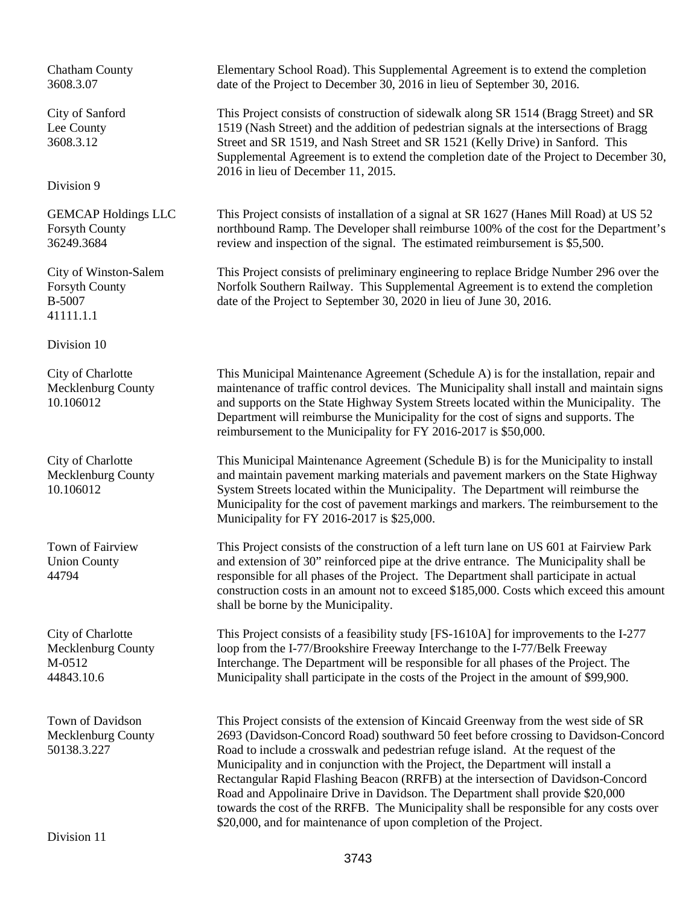Chatham County 3608.3.07

City of Sanford Lee County 3608.3.12

Division 9

GEMCAP Holdings LLC Forsyth County 36249.3684

City of Winston-Salem Forsyth County B-5007 41111.1.1

Division 10

City of Charlotte Mecklenburg County 10.106012

City of Charlotte Mecklenburg County 10.106012

Town of Fairview Union County 44794

City of Charlotte Mecklenburg County M-0512 44843.10.6

Town of Davidson Mecklenburg County 50138.3.227

Division 11

Elementary School Road). This Supplemental Agreement is to extend the completion date of the Project to December 30, 2016 in lieu of September 30, 2016.

This Project consists of construction of sidewalk along SR 1514 (Bragg Street) and SR 1519 (Nash Street) and the addition of pedestrian signals at the intersections of Bragg Street and SR 1519, and Nash Street and SR 1521 (Kelly Drive) in Sanford. This Supplemental Agreement is to extend the completion date of the Project to December 30, 2016 in lieu of December 11, 2015.

This Project consists of installation of a signal at SR 1627 (Hanes Mill Road) at US 52 northbound Ramp. The Developer shall reimburse 100% of the cost for the Department's review and inspection of the signal. The estimated reimbursement is \$5,500.

This Project consists of preliminary engineering to replace Bridge Number 296 over the Norfolk Southern Railway. This Supplemental Agreement is to extend the completion date of the Project to September 30, 2020 in lieu of June 30, 2016.

This Municipal Maintenance Agreement (Schedule A) is for the installation, repair and maintenance of traffic control devices. The Municipality shall install and maintain signs and supports on the State Highway System Streets located within the Municipality. The Department will reimburse the Municipality for the cost of signs and supports. The reimbursement to the Municipality for FY 2016-2017 is \$50,000.

This Municipal Maintenance Agreement (Schedule B) is for the Municipality to install and maintain pavement marking materials and pavement markers on the State Highway System Streets located within the Municipality. The Department will reimburse the Municipality for the cost of pavement markings and markers. The reimbursement to the Municipality for FY 2016-2017 is \$25,000.

This Project consists of the construction of a left turn lane on US 601 at Fairview Park and extension of 30" reinforced pipe at the drive entrance. The Municipality shall be responsible for all phases of the Project. The Department shall participate in actual construction costs in an amount not to exceed \$185,000. Costs which exceed this amount shall be borne by the Municipality.

This Project consists of a feasibility study [FS-1610A] for improvements to the I-277 loop from the I-77/Brookshire Freeway Interchange to the I-77/Belk Freeway Interchange. The Department will be responsible for all phases of the Project. The Municipality shall participate in the costs of the Project in the amount of \$99,900.

This Project consists of the extension of Kincaid Greenway from the west side of SR 2693 (Davidson-Concord Road) southward 50 feet before crossing to Davidson-Concord Road to include a crosswalk and pedestrian refuge island. At the request of the Municipality and in conjunction with the Project, the Department will install a Rectangular Rapid Flashing Beacon (RRFB) at the intersection of Davidson-Concord Road and Appolinaire Drive in Davidson. The Department shall provide \$20,000 towards the cost of the RRFB. The Municipality shall be responsible for any costs over \$20,000, and for maintenance of upon completion of the Project.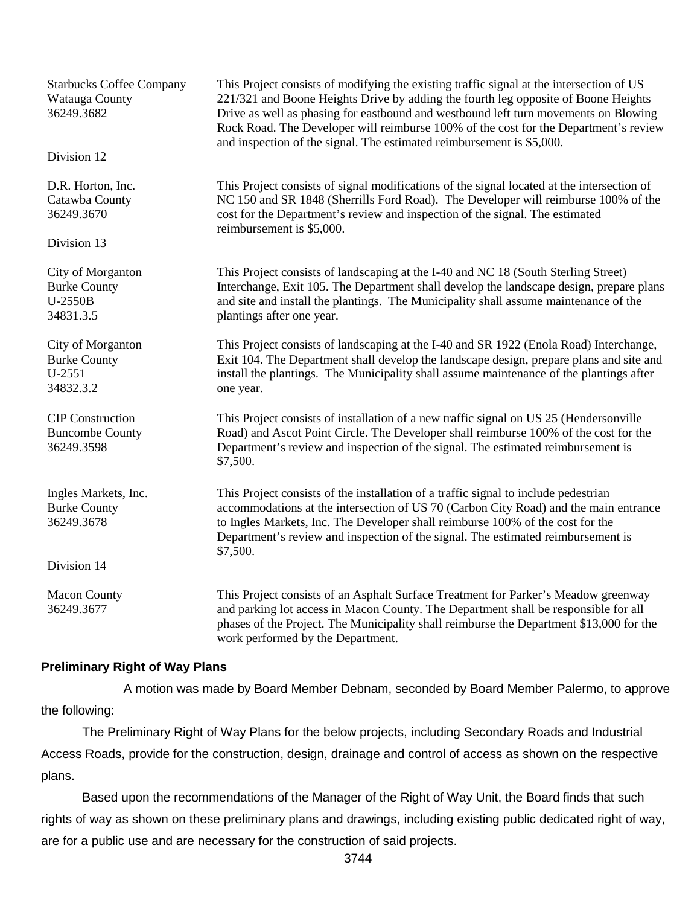| <b>Starbucks Coffee Company</b><br>Watauga County<br>36249.3682<br>Division 12 | This Project consists of modifying the existing traffic signal at the intersection of US<br>221/321 and Boone Heights Drive by adding the fourth leg opposite of Boone Heights<br>Drive as well as phasing for eastbound and westbound left turn movements on Blowing<br>Rock Road. The Developer will reimburse 100% of the cost for the Department's review<br>and inspection of the signal. The estimated reimbursement is \$5,000. |  |
|--------------------------------------------------------------------------------|----------------------------------------------------------------------------------------------------------------------------------------------------------------------------------------------------------------------------------------------------------------------------------------------------------------------------------------------------------------------------------------------------------------------------------------|--|
| D.R. Horton, Inc.<br>Catawba County<br>36249.3670                              | This Project consists of signal modifications of the signal located at the intersection of<br>NC 150 and SR 1848 (Sherrills Ford Road). The Developer will reimburse 100% of the<br>cost for the Department's review and inspection of the signal. The estimated<br>reimbursement is \$5,000.                                                                                                                                          |  |
| Division 13                                                                    |                                                                                                                                                                                                                                                                                                                                                                                                                                        |  |
| City of Morganton<br><b>Burke County</b><br>U-2550B<br>34831.3.5               | This Project consists of landscaping at the I-40 and NC 18 (South Sterling Street)<br>Interchange, Exit 105. The Department shall develop the landscape design, prepare plans<br>and site and install the plantings. The Municipality shall assume maintenance of the<br>plantings after one year.                                                                                                                                     |  |
| City of Morganton<br><b>Burke County</b><br>U-2551<br>34832.3.2                | This Project consists of landscaping at the I-40 and SR 1922 (Enola Road) Interchange,<br>Exit 104. The Department shall develop the landscape design, prepare plans and site and<br>install the plantings. The Municipality shall assume maintenance of the plantings after<br>one year.                                                                                                                                              |  |
| <b>CIP</b> Construction<br><b>Buncombe County</b><br>36249.3598                | This Project consists of installation of a new traffic signal on US 25 (Hendersonville<br>Road) and Ascot Point Circle. The Developer shall reimburse 100% of the cost for the<br>Department's review and inspection of the signal. The estimated reimbursement is<br>\$7,500.                                                                                                                                                         |  |
| Ingles Markets, Inc.<br><b>Burke County</b><br>36249.3678                      | This Project consists of the installation of a traffic signal to include pedestrian<br>accommodations at the intersection of US 70 (Carbon City Road) and the main entrance<br>to Ingles Markets, Inc. The Developer shall reimburse 100% of the cost for the<br>Department's review and inspection of the signal. The estimated reimbursement is<br>\$7,500.                                                                          |  |
| Division 14                                                                    |                                                                                                                                                                                                                                                                                                                                                                                                                                        |  |
|                                                                                |                                                                                                                                                                                                                                                                                                                                                                                                                                        |  |
| <b>Macon County</b><br>36249.3677                                              | This Project consists of an Asphalt Surface Treatment for Parker's Meadow greenway<br>and parking lot access in Macon County. The Department shall be responsible for all<br>phases of the Project. The Municipality shall reimburse the Department \$13,000 for the<br>work performed by the Department.                                                                                                                              |  |

## **Preliminary Right of Way Plans**

A motion was made by Board Member Debnam, seconded by Board Member Palermo, to approve the following:

The Preliminary Right of Way Plans for the below projects, including Secondary Roads and Industrial Access Roads, provide for the construction, design, drainage and control of access as shown on the respective plans.

Based upon the recommendations of the Manager of the Right of Way Unit, the Board finds that such rights of way as shown on these preliminary plans and drawings, including existing public dedicated right of way, are for a public use and are necessary for the construction of said projects.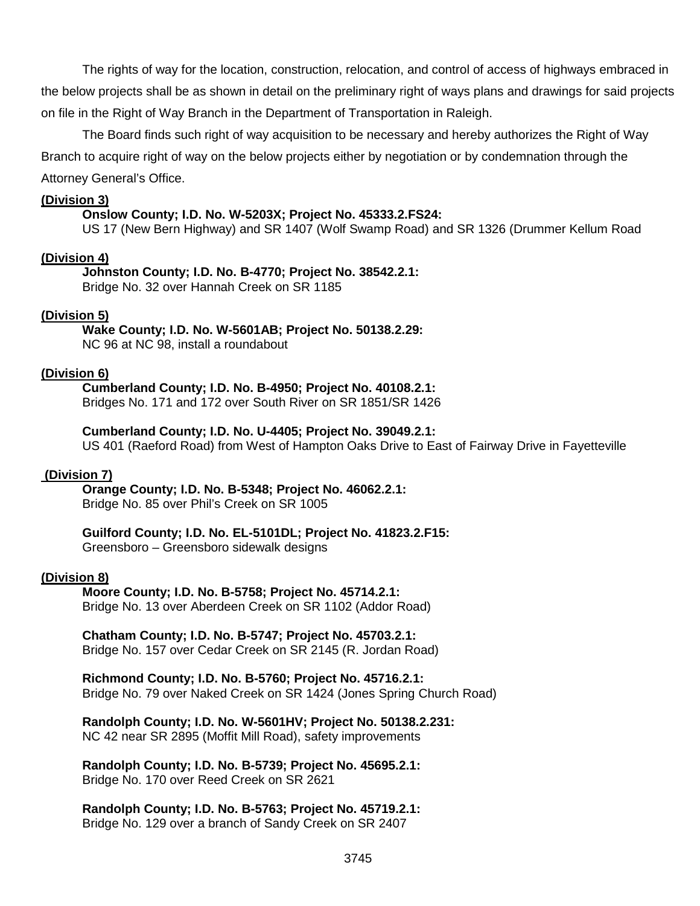The rights of way for the location, construction, relocation, and control of access of highways embraced in the below projects shall be as shown in detail on the preliminary right of ways plans and drawings for said projects on file in the Right of Way Branch in the Department of Transportation in Raleigh.

The Board finds such right of way acquisition to be necessary and hereby authorizes the Right of Way Branch to acquire right of way on the below projects either by negotiation or by condemnation through the Attorney General's Office.

#### **(Division 3)**

#### **Onslow County; I.D. No. W-5203X; Project No. 45333.2.FS24:**

US 17 (New Bern Highway) and SR 1407 (Wolf Swamp Road) and SR 1326 (Drummer Kellum Road

#### **(Division 4)**

#### **Johnston County; I.D. No. B-4770; Project No. 38542.2.1:**

Bridge No. 32 over Hannah Creek on SR 1185

## **(Division 5)**

#### **Wake County; I.D. No. W-5601AB; Project No. 50138.2.29:** NC 96 at NC 98, install a roundabout

## **(Division 6)**

#### **Cumberland County; I.D. No. B-4950; Project No. 40108.2.1:** Bridges No. 171 and 172 over South River on SR 1851/SR 1426

#### **Cumberland County; I.D. No. U-4405; Project No. 39049.2.1:**

US 401 (Raeford Road) from West of Hampton Oaks Drive to East of Fairway Drive in Fayetteville

#### **(Division 7)**

## **Orange County; I.D. No. B-5348; Project No. 46062.2.1:**

Bridge No. 85 over Phil's Creek on SR 1005

#### **Guilford County; I.D. No. EL-5101DL; Project No. 41823.2.F15:**

Greensboro – Greensboro sidewalk designs

#### **(Division 8)**

#### **Moore County; I.D. No. B-5758; Project No. 45714.2.1:** Bridge No. 13 over Aberdeen Creek on SR 1102 (Addor Road)

#### **Chatham County; I.D. No. B-5747; Project No. 45703.2.1:** Bridge No. 157 over Cedar Creek on SR 2145 (R. Jordan Road)

#### **Richmond County; I.D. No. B-5760; Project No. 45716.2.1:** Bridge No. 79 over Naked Creek on SR 1424 (Jones Spring Church Road)

# **Randolph County; I.D. No. W-5601HV; Project No. 50138.2.231:**

NC 42 near SR 2895 (Moffit Mill Road), safety improvements

#### **Randolph County; I.D. No. B-5739; Project No. 45695.2.1:** Bridge No. 170 over Reed Creek on SR 2621

#### **Randolph County; I.D. No. B-5763; Project No. 45719.2.1:** Bridge No. 129 over a branch of Sandy Creek on SR 2407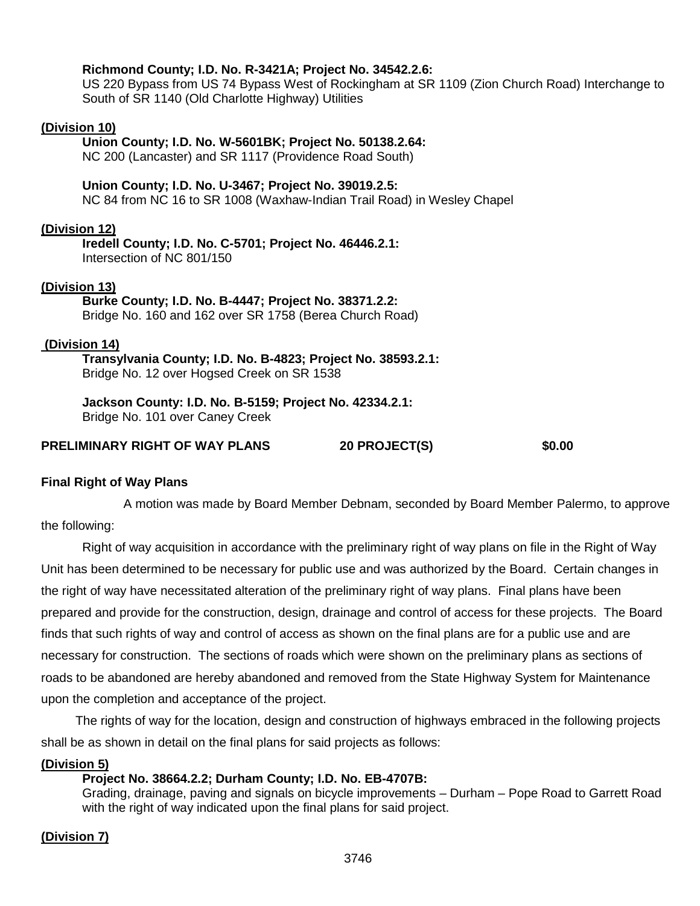# **Richmond County; I.D. No. R-3421A; Project No. 34542.2.6:** US 220 Bypass from US 74 Bypass West of Rockingham at SR 1109 (Zion Church Road) Interchange to South of SR 1140 (Old Charlotte Highway) Utilities **(Division 10) Union County; I.D. No. W-5601BK; Project No. 50138.2.64:** NC 200 (Lancaster) and SR 1117 (Providence Road South) **Union County; I.D. No. U-3467; Project No. 39019.2.5:** NC 84 from NC 16 to SR 1008 (Waxhaw-Indian Trail Road) in Wesley Chapel **(Division 12) Iredell County; I.D. No. C-5701; Project No. 46446.2.1:** Intersection of NC 801/150 **(Division 13) Burke County; I.D. No. B-4447; Project No. 38371.2.2:** Bridge No. 160 and 162 over SR 1758 (Berea Church Road) **(Division 14) Transylvania County; I.D. No. B-4823; Project No. 38593.2.1:** Bridge No. 12 over Hogsed Creek on SR 1538 **Jackson County: I.D. No. B-5159; Project No. 42334.2.1:** Bridge No. 101 over Caney Creek

## **PRELIMINARY RIGHT OF WAY PLANS 20 PROJECT(S) \$0.00**

## **Final Right of Way Plans**

A motion was made by Board Member Debnam, seconded by Board Member Palermo, to approve the following:

Right of way acquisition in accordance with the preliminary right of way plans on file in the Right of Way Unit has been determined to be necessary for public use and was authorized by the Board. Certain changes in the right of way have necessitated alteration of the preliminary right of way plans. Final plans have been prepared and provide for the construction, design, drainage and control of access for these projects. The Board finds that such rights of way and control of access as shown on the final plans are for a public use and are necessary for construction. The sections of roads which were shown on the preliminary plans as sections of roads to be abandoned are hereby abandoned and removed from the State Highway System for Maintenance upon the completion and acceptance of the project.

The rights of way for the location, design and construction of highways embraced in the following projects shall be as shown in detail on the final plans for said projects as follows:

## **(Division 5)**

## **Project No. 38664.2.2; Durham County; I.D. No. EB-4707B:**

Grading, drainage, paving and signals on bicycle improvements – Durham – Pope Road to Garrett Road with the right of way indicated upon the final plans for said project.

## **(Division 7)**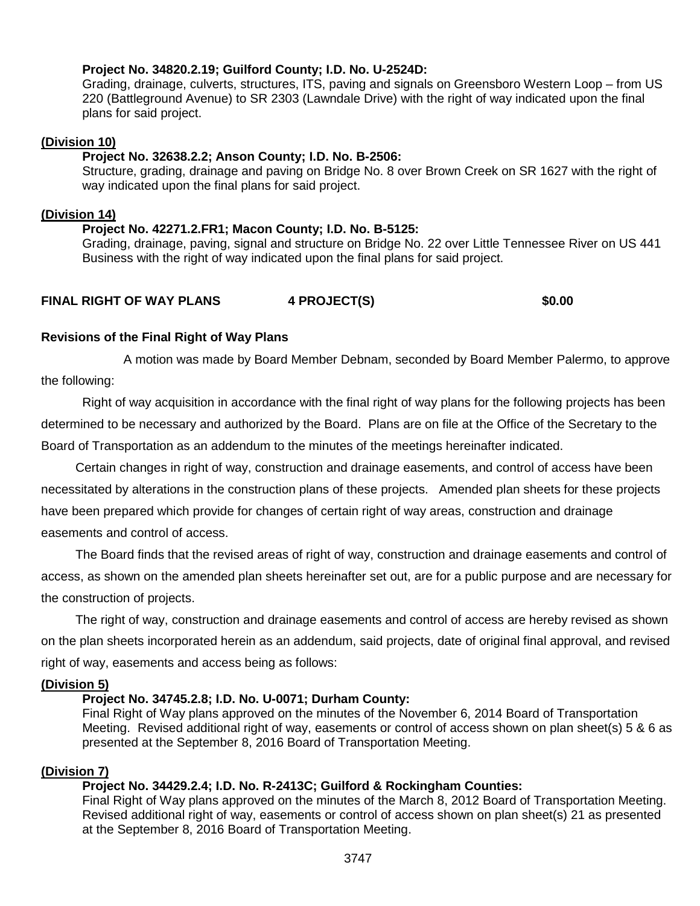## **Project No. 34820.2.19; Guilford County; I.D. No. U-2524D:**

Grading, drainage, culverts, structures, ITS, paving and signals on Greensboro Western Loop – from US 220 (Battleground Avenue) to SR 2303 (Lawndale Drive) with the right of way indicated upon the final plans for said project.

## **(Division 10)**

## **Project No. 32638.2.2; Anson County; I.D. No. B-2506:**

Structure, grading, drainage and paving on Bridge No. 8 over Brown Creek on SR 1627 with the right of way indicated upon the final plans for said project.

#### **(Division 14)**

## **Project No. 42271.2.FR1; Macon County; I.D. No. B-5125:**

Grading, drainage, paving, signal and structure on Bridge No. 22 over Little Tennessee River on US 441 Business with the right of way indicated upon the final plans for said project.

## **FINAL RIGHT OF WAY PLANS 4 PROJECT(S) \$0.00**

## **Revisions of the Final Right of Way Plans**

A motion was made by Board Member Debnam, seconded by Board Member Palermo, to approve the following:

Right of way acquisition in accordance with the final right of way plans for the following projects has been determined to be necessary and authorized by the Board. Plans are on file at the Office of the Secretary to the Board of Transportation as an addendum to the minutes of the meetings hereinafter indicated.

Certain changes in right of way, construction and drainage easements, and control of access have been necessitated by alterations in the construction plans of these projects. Amended plan sheets for these projects have been prepared which provide for changes of certain right of way areas, construction and drainage easements and control of access.

The Board finds that the revised areas of right of way, construction and drainage easements and control of access, as shown on the amended plan sheets hereinafter set out, are for a public purpose and are necessary for the construction of projects.

The right of way, construction and drainage easements and control of access are hereby revised as shown on the plan sheets incorporated herein as an addendum, said projects, date of original final approval, and revised right of way, easements and access being as follows:

#### **(Division 5)**

## **Project No. 34745.2.8; I.D. No. U-0071; Durham County:**

Final Right of Way plans approved on the minutes of the November 6, 2014 Board of Transportation Meeting. Revised additional right of way, easements or control of access shown on plan sheet(s) 5 & 6 as presented at the September 8, 2016 Board of Transportation Meeting.

#### **(Division 7)**

## **Project No. 34429.2.4; I.D. No. R-2413C; Guilford & Rockingham Counties:**

Final Right of Way plans approved on the minutes of the March 8, 2012 Board of Transportation Meeting. Revised additional right of way, easements or control of access shown on plan sheet(s) 21 as presented at the September 8, 2016 Board of Transportation Meeting.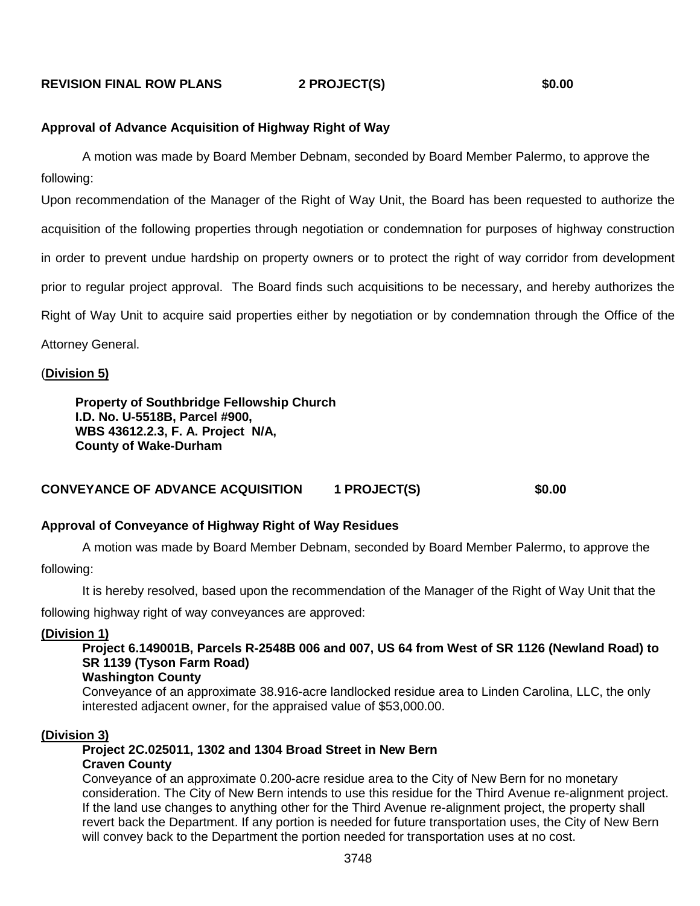#### **REVISION FINAL ROW PLANS 2 PROJECT(S) \$0.00**

#### **Approval of Advance Acquisition of Highway Right of Way**

A motion was made by Board Member Debnam, seconded by Board Member Palermo, to approve the following:

Upon recommendation of the Manager of the Right of Way Unit, the Board has been requested to authorize the acquisition of the following properties through negotiation or condemnation for purposes of highway construction in order to prevent undue hardship on property owners or to protect the right of way corridor from development prior to regular project approval. The Board finds such acquisitions to be necessary, and hereby authorizes the Right of Way Unit to acquire said properties either by negotiation or by condemnation through the Office of the Attorney General.

#### (**Division 5)**

**Property of Southbridge Fellowship Church I.D. No. U-5518B, Parcel #900, WBS 43612.2.3, F. A. Project N/A, County of Wake-Durham**

#### **CONVEYANCE OF ADVANCE ACQUISITION 1 PROJECT(S) \$0.00**

#### **Approval of Conveyance of Highway Right of Way Residues**

A motion was made by Board Member Debnam, seconded by Board Member Palermo, to approve the following:

It is hereby resolved, based upon the recommendation of the Manager of the Right of Way Unit that the

following highway right of way conveyances are approved:

#### **(Division 1)**

**Project 6.149001B, Parcels R-2548B 006 and 007, US 64 from West of SR 1126 (Newland Road) to SR 1139 (Tyson Farm Road)**

#### **Washington County**

Conveyance of an approximate 38.916-acre landlocked residue area to Linden Carolina, LLC, the only interested adjacent owner, for the appraised value of \$53,000.00.

#### **(Division 3)**

**Project 2C.025011, 1302 and 1304 Broad Street in New Bern Craven County**

Conveyance of an approximate 0.200-acre residue area to the City of New Bern for no monetary consideration. The City of New Bern intends to use this residue for the Third Avenue re-alignment project. If the land use changes to anything other for the Third Avenue re-alignment project, the property shall revert back the Department. If any portion is needed for future transportation uses, the City of New Bern will convey back to the Department the portion needed for transportation uses at no cost.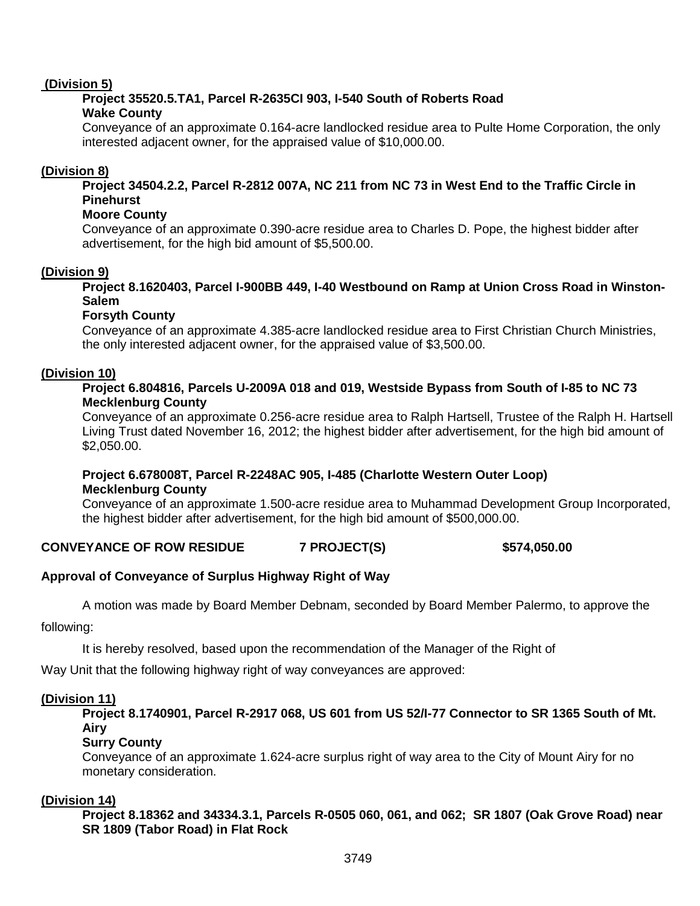## **(Division 5)**

## **Project 35520.5.TA1, Parcel R-2635CI 903, I-540 South of Roberts Road Wake County**

Conveyance of an approximate 0.164-acre landlocked residue area to Pulte Home Corporation, the only interested adjacent owner, for the appraised value of \$10,000.00.

## **(Division 8)**

**Project 34504.2.2, Parcel R-2812 007A, NC 211 from NC 73 in West End to the Traffic Circle in Pinehurst**

## **Moore County**

Conveyance of an approximate 0.390-acre residue area to Charles D. Pope, the highest bidder after advertisement, for the high bid amount of \$5,500.00.

## **(Division 9)**

**Project 8.1620403, Parcel I-900BB 449, I-40 Westbound on Ramp at Union Cross Road in Winston-Salem**

## **Forsyth County**

Conveyance of an approximate 4.385-acre landlocked residue area to First Christian Church Ministries, the only interested adjacent owner, for the appraised value of \$3,500.00.

## **(Division 10)**

## **Project 6.804816, Parcels U-2009A 018 and 019, Westside Bypass from South of I-85 to NC 73 Mecklenburg County**

Conveyance of an approximate 0.256-acre residue area to Ralph Hartsell, Trustee of the Ralph H. Hartsell Living Trust dated November 16, 2012; the highest bidder after advertisement, for the high bid amount of \$2,050.00.

## **Project 6.678008T, Parcel R-2248AC 905, I-485 (Charlotte Western Outer Loop) Mecklenburg County**

Conveyance of an approximate 1.500-acre residue area to Muhammad Development Group Incorporated, the highest bidder after advertisement, for the high bid amount of \$500,000.00.

## **CONVEYANCE OF ROW RESIDUE 7 PROJECT(S) \$574,050.00**

## **Approval of Conveyance of Surplus Highway Right of Way**

A motion was made by Board Member Debnam, seconded by Board Member Palermo, to approve the

following:

It is hereby resolved, based upon the recommendation of the Manager of the Right of

Way Unit that the following highway right of way conveyances are approved:

#### **(Division 11)**

**Project 8.1740901, Parcel R-2917 068, US 601 from US 52/I-77 Connector to SR 1365 South of Mt. Airy**

#### **Surry County**

Conveyance of an approximate 1.624-acre surplus right of way area to the City of Mount Airy for no monetary consideration.

#### **(Division 14)**

**Project 8.18362 and 34334.3.1, Parcels R-0505 060, 061, and 062; SR 1807 (Oak Grove Road) near SR 1809 (Tabor Road) in Flat Rock**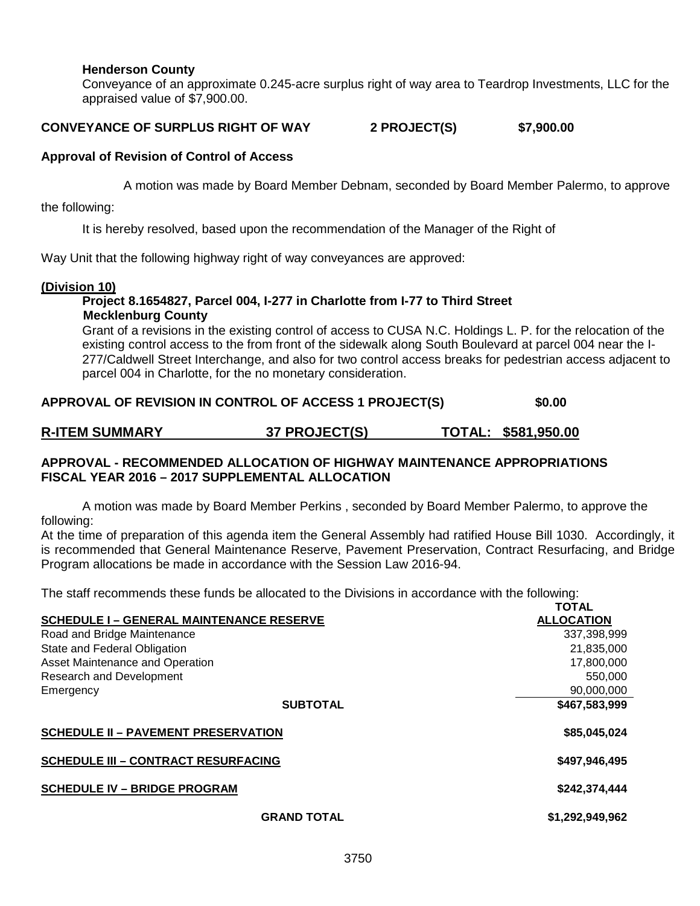## **Henderson County**

Conveyance of an approximate 0.245-acre surplus right of way area to Teardrop Investments, LLC for the appraised value of \$7,900.00.

#### **CONVEYANCE OF SURPLUS RIGHT OF WAY 2 PROJECT(S) \$7,900.00**

#### **Approval of Revision of Control of Access**

A motion was made by Board Member Debnam, seconded by Board Member Palermo, to approve

the following:

It is hereby resolved, based upon the recommendation of the Manager of the Right of

Way Unit that the following highway right of way conveyances are approved:

#### **(Division 10)**

#### **Project 8.1654827, Parcel 004, I-277 in Charlotte from I-77 to Third Street Mecklenburg County**

Grant of a revisions in the existing control of access to CUSA N.C. Holdings L. P. for the relocation of the existing control access to the from front of the sidewalk along South Boulevard at parcel 004 near the I-277/Caldwell Street Interchange, and also for two control access breaks for pedestrian access adjacent to parcel 004 in Charlotte, for the no monetary consideration.

#### **APPROVAL OF REVISION IN CONTROL OF ACCESS 1 PROJECT(S) \$0.00**

| <b>R-ITEM SUMMARY</b><br>37 PROJECT(S) | TOTAL: \$581,950.00 |
|----------------------------------------|---------------------|
|----------------------------------------|---------------------|

## **APPROVAL - RECOMMENDED ALLOCATION OF HIGHWAY MAINTENANCE APPROPRIATIONS FISCAL YEAR 2016 – 2017 SUPPLEMENTAL ALLOCATION**

A motion was made by Board Member Perkins , seconded by Board Member Palermo, to approve the following:

At the time of preparation of this agenda item the General Assembly had ratified House Bill 1030. Accordingly, it is recommended that General Maintenance Reserve, Pavement Preservation, Contract Resurfacing, and Bridge Program allocations be made in accordance with the Session Law 2016-94.

The staff recommends these funds be allocated to the Divisions in accordance with the following:

|                                                 | TOTAL             |
|-------------------------------------------------|-------------------|
| <b>SCHEDULE I - GENERAL MAINTENANCE RESERVE</b> | <b>ALLOCATION</b> |
| Road and Bridge Maintenance                     | 337,398,999       |
| State and Federal Obligation                    | 21,835,000        |
| Asset Maintenance and Operation                 | 17,800,000        |
| Research and Development                        | 550,000           |
| Emergency                                       | 90,000,000        |
| <b>SUBTOTAL</b>                                 | \$467,583,999     |
| <b>SCHEDULE II - PAVEMENT PRESERVATION</b>      | \$85,045,024      |
| <b>SCHEDULE III - CONTRACT RESURFACING</b>      | \$497,946,495     |
| <b>SCHEDULE IV - BRIDGE PROGRAM</b>             | \$242,374,444     |
| <b>GRAND TOTAL</b>                              | \$1,292,949,962   |